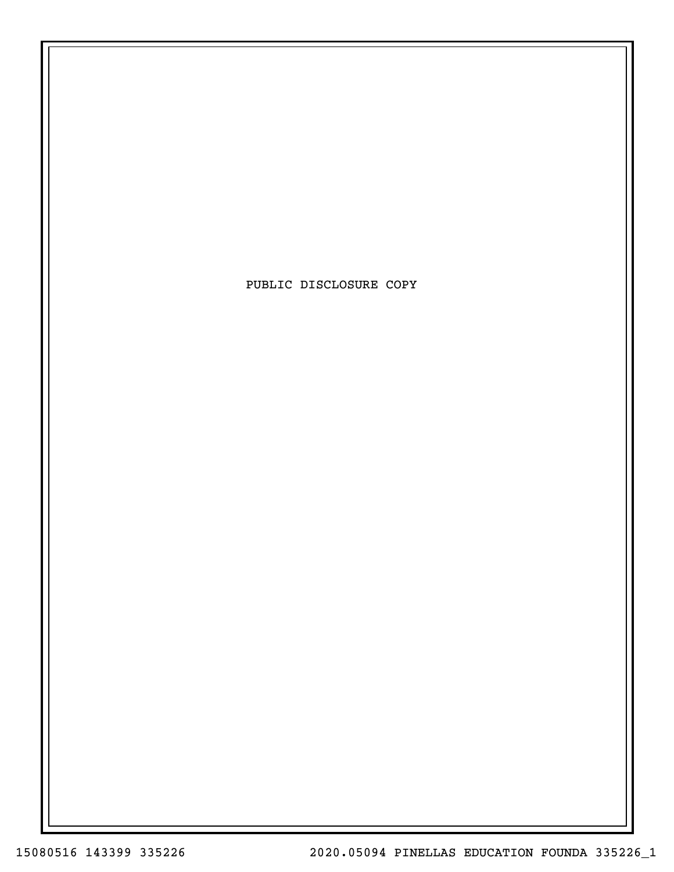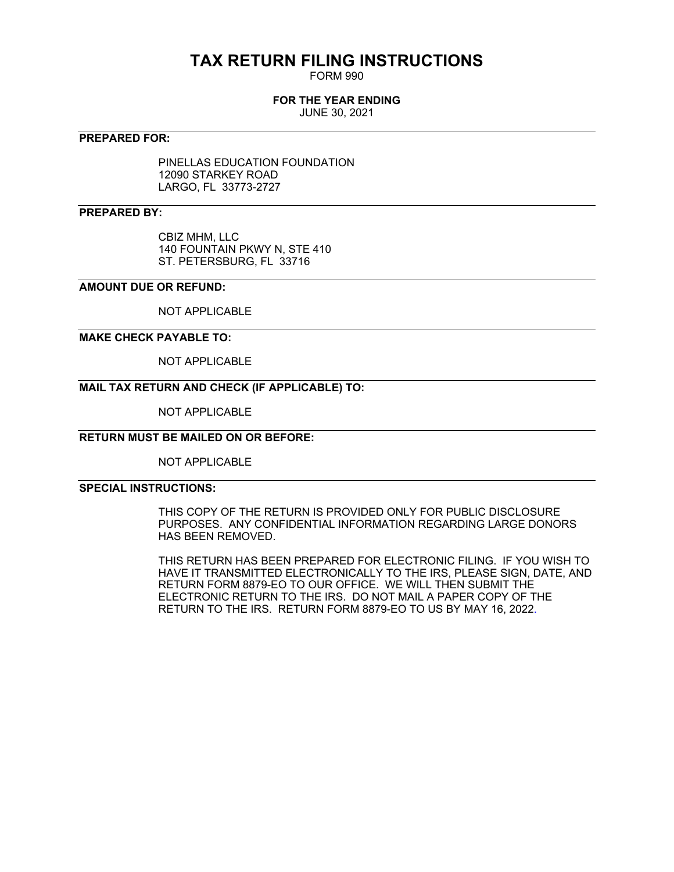# **TAX RETURN FILING INSTRUCTIONS**

FORM 990

### **FOR THE YEAR ENDING**

JUNE 30, 2021

### **PREPARED FOR:**

PINELLAS EDUCATION FOUNDATION 12090 STARKEY ROAD LARGO, FL 33773-2727

### **PREPARED BY:**

CBIZ MHM, LLC 140 FOUNTAIN PKWY N, STE 410 ST. PETERSBURG, FL 33716

### **AMOUNT DUE OR REFUND:**

NOT APPLICABLE

### **MAKE CHECK PAYABLE TO:**

NOT APPLICABLE

## **MAIL TAX RETURN AND CHECK (IF APPLICABLE) TO:**

NOT APPLICABLE

## **RETURN MUST BE MAILED ON OR BEFORE:**

NOT APPLICABLE

### **SPECIAL INSTRUCTIONS:**

THIS COPY OF THE RETURN IS PROVIDED ONLY FOR PUBLIC DISCLOSURE PURPOSES. ANY CONFIDENTIAL INFORMATION REGARDING LARGE DONORS HAS BEEN REMOVED.

THIS RETURN HAS BEEN PREPARED FOR ELECTRONIC FILING. IF YOU WISH TO HAVE IT TRANSMITTED ELECTRONICALLY TO THE IRS, PLEASE SIGN, DATE, AND RETURN FORM 8879-EO TO OUR OFFICE. WE WILL THEN SUBMIT THE ELECTRONIC RETURN TO THE IRS. DO NOT MAIL A PAPER COPY OF THE RETURN TO THE IRS. RETURN FORM 8879-EO TO US BY MAY 16, 2022.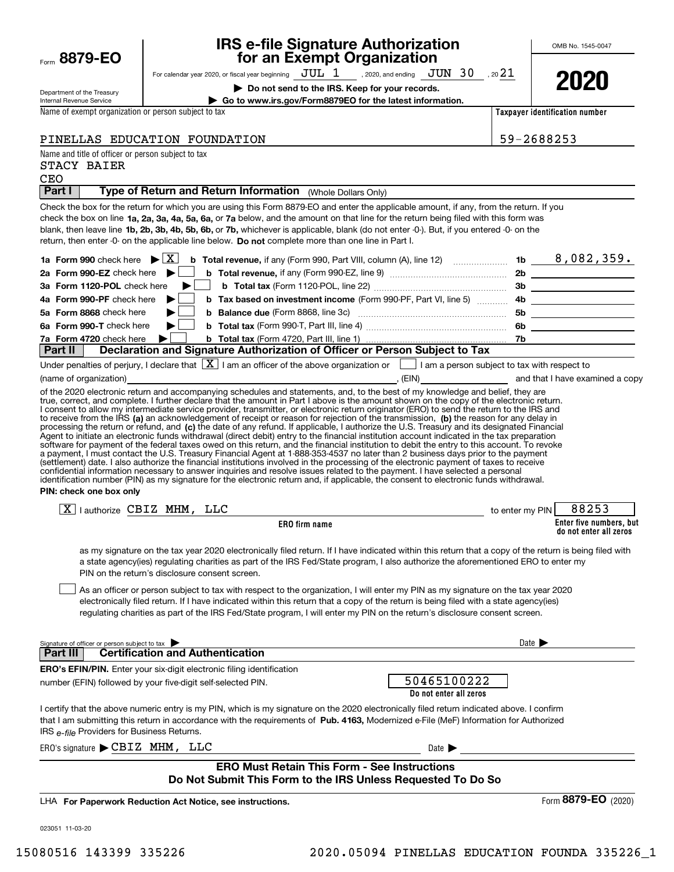| Form | 8879-EO |  |  |  |
|------|---------|--|--|--|
|------|---------|--|--|--|

## **IRS e-file Signature Authorization for an Exempt Organization**

OMB No. 1545-0047

Department of the Treasury Internal Revenue Service

For calendar year 2020, or fiscal year beginning  $\rm\,JUL~$   $1$   $\rm\,$  , 2020, and ending  $\rm\,JUN~$   $30$   $\rm\,$  , 20 $21$ 

**| Do not send to the IRS. Keep for your records.**



**| Go to www.irs.gov/Form8879EO for the latest information.**

Name of exempt organization or person subject to tax

**Taxpayer identification number**

### **Enter five numbers, but do not enter all zeros ERO firm name** check the box on line **1a, 2a, 3a, 4a, 5a, 6a,** or **7a** below, and the amount on that line for the return being filed with this form was blank, then leave line **1b, 2b, 3b, 4b, 5b, 6b, or 7b,** whichever is applicable, blank (do not enter -0-). But, if you entered -0- on the return, then enter -0- on the applicable line below. **Do not** complete more than one line in Part I. **1a Form 990 | b Total revenue, 1b** check here if any (Form 990, Part VIII, column (A), line 12) ~~~~~~~ X 8,082,359. **2a Form 990-EZ** check here ▶ □ **3aForm 1120-POL** check here **4aForm 990-PF** check here **5aForm 8868** check here **6aForm 990-T | <sup>b</sup> Total tax**  *Ta***Form 4720** check here  $\bullet$  **b Total tax 2b b Total revenue,**  if any (Form 990-EZ, line 9) ~~~~~~~~~~~~~~~ **b b Total tax** (Form 1120-POL, line 22)  $\ldots$   $\ldots$   $\ldots$   $\ldots$   $\ldots$   $\ldots$  3b **b b Tax based on investment income** (Form 990-PF, Part VI, line 5) **https://www.programmers. 5b b Balance due**  ~~~~~~~~~~~~~~~~~~~ (Form 8868, line 3c) **6b** check here (Form 990-T, Part III, line 4) ~~~~~~~~~~~~~~~~~~ **7b| ||**to receive from the IRS **(a)** an acknowledgement of receipt or reason for rejection of the transmission, **(b)** the reason for any delay in processing the return or refund, and (**c)** the date of any refund. If applicable, I authorize the U.S. Treasury and its designated Financial **PIN: check one box only** Name and title of officer or person subject to tax **Part I** | Type of Return and Return Information (Whole Dollars Only) Check the box for the return for which you are using this Form 8879-EO and enter the applicable amount, if any, from the return. If you b Total tax (Form 4720, Part III, line 1) ... Under penalties of perjury, I declare that  $[\![\boldsymbol{\mathbf{X}}]\!]$  I am an officer of the above organization or  $[\![\;]\!]$  I am a person subject to tax with respect to (name of organization) **(a)** and that I have examined a copy (FIN) and that I have examined a copy of the 2020 electronic return and accompanying schedules and statements, and, to the best of my knowledge and belief, they are true, correct, and complete. I further declare that the amount in Part I above is the amount shown on the copy of the electronic return. I consent to allow my intermediate service provider, transmitter, or electronic return originator (ERO) to send the return to the IRS and Agent to initiate an electronic funds withdrawal (direct debit) entry to the financial institution account indicated in the tax preparation software for payment of the federal taxes owed on this return, and the financial institution to debit the entry to this account. To revoke a payment, I must contact the U.S. Treasury Financial Agent at 1-888-353-4537 no later than 2 business days prior to the payment (settlement) date. I also authorize the financial institutions involved in the processing of the electronic payment of taxes to receive<br>confidential information necessary to answer inquiries and resolve issues related to t identification number (PIN) as my signature for the electronic return and, if applicable, the consent to electronic funds withdrawal.  $\boxed{\textbf{X}}$  | authorize CBIZ MHM, LLC  $\boxed{\textbf{X}}$  | authorize CBIZ MHM, LLC as my signature on the tax year 2020 electronically filed return. If I have indicated within this return that a copy of the return is being filed with a state agency(ies) regulating charities as part of the IRS Fed/State program, I also authorize the aforementioned ERO to enter my PIN on the return's disclosure consent screen. **Part II Declaration and Signature Authorization of Officer or Person Subject to Tax**  $\mathcal{L}^{\text{max}}$  $\mathcal{L}^{\text{max}}$  $\mathcal{L}^{\text{max}}$  $\mathcal{L}^{\text{max}}$ PINELLAS EDUCATION FOUNDATION 59-2688253 CEO STACY BAIER

As an officer or person subject to tax with respect to the organization, I will enter my PIN as my signature on the tax year 2020 electronically filed return. If I have indicated within this return that a copy of the return is being filed with a state agency(ies) regulating charities as part of the IRS Fed/State program, I will enter my PIN on the return's disclosure consent screen.  $\mathcal{L}^{\text{max}}$ 

| Signature of officer or person subject to tax                                                                                                                                                                                                                                                                                     | Date $\blacktriangleright$ |  |  |  |  |  |
|-----------------------------------------------------------------------------------------------------------------------------------------------------------------------------------------------------------------------------------------------------------------------------------------------------------------------------------|----------------------------|--|--|--|--|--|
| <b>Certification and Authentication</b><br>Part III                                                                                                                                                                                                                                                                               |                            |  |  |  |  |  |
| <b>ERO's EFIN/PIN.</b> Enter your six-digit electronic filing identification                                                                                                                                                                                                                                                      |                            |  |  |  |  |  |
| number (EFIN) followed by your five-digit self-selected PIN.                                                                                                                                                                                                                                                                      | 50465100222                |  |  |  |  |  |
|                                                                                                                                                                                                                                                                                                                                   | Do not enter all zeros     |  |  |  |  |  |
| I certify that the above numeric entry is my PIN, which is my signature on the 2020 electronically filed return indicated above. I confirm<br>that I am submitting this return in accordance with the requirements of Pub. 4163, Modernized e-File (MeF) Information for Authorized<br>IRS e-file Providers for Business Returns. |                            |  |  |  |  |  |
| ERO's signature CBIZ MHM, LLC                                                                                                                                                                                                                                                                                                     | Date $\blacktriangleright$ |  |  |  |  |  |
| <b>ERO Must Retain This Form - See Instructions</b><br>Do Not Submit This Form to the IRS Unless Requested To Do So                                                                                                                                                                                                               |                            |  |  |  |  |  |
| LHA For Paperwork Reduction Act Notice, see instructions.                                                                                                                                                                                                                                                                         | Form 8879-EO<br>(2020)     |  |  |  |  |  |

023051 11-03-20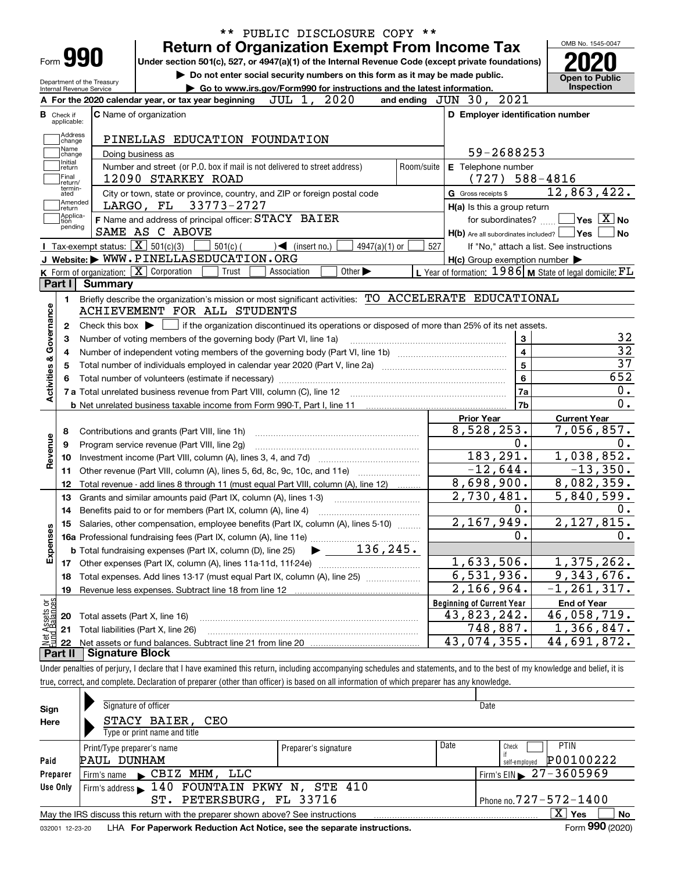|                           | Form 990                                | Department of the Treasury |                                                   | <b>Return of Organization Exempt From Income Tax</b><br>Under section 501(c), 527, or 4947(a)(1) of the Internal Revenue Code (except private foundations)<br>Do not enter social security numbers on this form as it may be made public.                |                            |      | PUBLIC DISCLOSURE COPY **   |            |                                                     | OMB No. 1545-0047<br><b>Open to Public</b>                  |     |  |
|---------------------------|-----------------------------------------|----------------------------|---------------------------------------------------|----------------------------------------------------------------------------------------------------------------------------------------------------------------------------------------------------------------------------------------------------------|----------------------------|------|-----------------------------|------------|-----------------------------------------------------|-------------------------------------------------------------|-----|--|
|                           | Internal Revenue Service                |                            |                                                   | Go to www.irs.gov/Form990 for instructions and the latest information.                                                                                                                                                                                   |                            |      |                             |            | Inspection                                          |                                                             |     |  |
|                           |                                         |                            |                                                   | A For the 2020 calendar year, or tax year beginning                                                                                                                                                                                                      | JUL 1,                     | 2020 |                             |            | and ending JUN 30, 2021                             |                                                             |     |  |
| <b>B</b> Check if         | applicable:                             |                            | <b>C</b> Name of organization                     |                                                                                                                                                                                                                                                          |                            |      |                             |            | D Employer identification number                    |                                                             |     |  |
|                           | Address<br>change                       |                            |                                                   | PINELLAS EDUCATION FOUNDATION                                                                                                                                                                                                                            |                            |      |                             |            |                                                     |                                                             |     |  |
|                           | Name<br>change                          |                            | Doing business as                                 |                                                                                                                                                                                                                                                          |                            |      |                             |            | 59-2688253                                          |                                                             |     |  |
|                           | Initial<br>return<br> Final<br>Ireturn/ |                            | 12090 STARKEY ROAD                                | Number and street (or P.O. box if mail is not delivered to street address)                                                                                                                                                                               |                            |      |                             | Room/suite | E Telephone number<br>$(727)$ 588-4816              |                                                             |     |  |
|                           | termin-<br>ated                         |                            |                                                   | City or town, state or province, country, and ZIP or foreign postal code                                                                                                                                                                                 |                            |      |                             |            | G Gross receipts \$                                 | 12,863,422.                                                 |     |  |
|                           | Amended<br>∣return                      |                            |                                                   | LARGO, FL 33773-2727                                                                                                                                                                                                                                     |                            |      |                             |            | H(a) Is this a group return                         |                                                             |     |  |
|                           | Applica-<br>tion                        |                            |                                                   | F Name and address of principal officer: STACY BAIER                                                                                                                                                                                                     |                            |      |                             |            | for subordinates?                                   | $\blacksquare$ Yes $\boxed{\text{X}}$ No                    |     |  |
|                           | pending                                 |                            | SAME AS C ABOVE                                   |                                                                                                                                                                                                                                                          |                            |      |                             |            |                                                     | $H(b)$ Are all subordinates included? $\Box$ Yes            | No  |  |
|                           |                                         |                            | Tax-exempt status: $\boxed{\mathbf{X}}$ 501(c)(3) | $501(c)$ (                                                                                                                                                                                                                                               | $\mathcal{A}$ (insert no.) |      | $4947(a)(1)$ or             | 527        |                                                     | If "No," attach a list. See instructions                    |     |  |
|                           |                                         |                            |                                                   | J Website: WWW.PINELLASEDUCATION.ORG                                                                                                                                                                                                                     |                            |      |                             |            | $H(c)$ Group exemption number $\blacktriangleright$ |                                                             |     |  |
|                           |                                         |                            | K Form of organization: X Corporation             | Trust                                                                                                                                                                                                                                                    | Association                |      | Other $\blacktriangleright$ |            |                                                     | L Year of formation: $1986$ M State of legal domicile: $FL$ |     |  |
| Part I                    |                                         | <b>Summary</b>             |                                                   | Briefly describe the organization's mission or most significant activities: TO ACCELERATE EDUCATIONAL                                                                                                                                                    |                            |      |                             |            |                                                     |                                                             |     |  |
| Activities & Governance   | 2<br>З<br>4<br>5                        |                            |                                                   | ACHIEVEMENT FOR ALL STUDENTS<br>Check this box $\blacktriangleright$ $\blacksquare$ if the organization discontinued its operations or disposed of more than 25% of its net assets.<br>Number of voting members of the governing body (Part VI, line 1a) |                            |      |                             |            | 3<br>4<br>5                                         |                                                             |     |  |
|                           |                                         |                            |                                                   |                                                                                                                                                                                                                                                          |                            |      |                             |            | 6                                                   |                                                             | 652 |  |
|                           |                                         |                            |                                                   |                                                                                                                                                                                                                                                          |                            |      |                             |            | 7a                                                  |                                                             | 0.  |  |
|                           |                                         |                            |                                                   |                                                                                                                                                                                                                                                          |                            |      |                             |            | 7b                                                  |                                                             | 0.  |  |
|                           |                                         |                            |                                                   |                                                                                                                                                                                                                                                          |                            |      |                             |            | <b>Prior Year</b>                                   | <b>Current Year</b>                                         |     |  |
|                           | 8                                       |                            | Contributions and grants (Part VIII, line 1h)     |                                                                                                                                                                                                                                                          |                            |      |                             |            | 8,528,253.                                          | 7,056,857.                                                  |     |  |
|                           | 9                                       |                            | Program service revenue (Part VIII, line 2g)      |                                                                                                                                                                                                                                                          |                            |      |                             |            | 0.                                                  |                                                             | 0.  |  |
| Revenue                   | 10                                      |                            |                                                   |                                                                                                                                                                                                                                                          |                            |      |                             |            | 183,291.                                            | 1,038,852.                                                  |     |  |
|                           | 11                                      |                            |                                                   | Other revenue (Part VIII, column (A), lines 5, 6d, 8c, 9c, 10c, and 11e)                                                                                                                                                                                 |                            |      |                             |            | $-12,644.$                                          | $-13,350.$                                                  |     |  |
|                           | 12                                      |                            |                                                   | Total revenue - add lines 8 through 11 (must equal Part VIII, column (A), line 12)                                                                                                                                                                       |                            |      |                             |            | 8,698,900.                                          | 8,082,359.                                                  |     |  |
|                           | 13                                      |                            |                                                   | Grants and similar amounts paid (Part IX, column (A), lines 1-3)                                                                                                                                                                                         |                            |      |                             |            | 2,730,481.                                          | 5,840,599.                                                  |     |  |
|                           | 14                                      |                            |                                                   |                                                                                                                                                                                                                                                          |                            |      |                             |            | 0.                                                  |                                                             | 0.  |  |
|                           |                                         |                            |                                                   | 15 Salaries, other compensation, employee benefits (Part IX, column (A), lines 5-10)                                                                                                                                                                     |                            |      |                             |            | 2,167,949.                                          | 2,127,815.                                                  |     |  |
| Expenses                  |                                         |                            |                                                   |                                                                                                                                                                                                                                                          |                            |      |                             |            | 0.                                                  |                                                             | 0.  |  |
|                           |                                         |                            |                                                   | <b>b</b> Total fundraising expenses (Part IX, column (D), line 25)                                                                                                                                                                                       |                            |      | 136, 245.                   |            |                                                     |                                                             |     |  |
|                           | 17                                      |                            |                                                   |                                                                                                                                                                                                                                                          |                            |      |                             |            | 1,633,506.                                          | 1,375,262.                                                  |     |  |
|                           | 18                                      |                            |                                                   | Total expenses. Add lines 13-17 (must equal Part IX, column (A), line 25)                                                                                                                                                                                |                            |      |                             |            | 6, 531, 936.                                        | $\overline{9,343,676}$ .                                    |     |  |
|                           | 19                                      |                            |                                                   | Revenue less expenses. Subtract line 18 from line 12                                                                                                                                                                                                     |                            |      |                             |            | $\overline{2,166,964}$ .                            | $-1, 261, 317.$                                             |     |  |
|                           |                                         |                            |                                                   |                                                                                                                                                                                                                                                          |                            |      |                             |            | <b>Beginning of Current Year</b>                    | <b>End of Year</b>                                          |     |  |
| t Assets or<br>d Balances | 20                                      |                            | Total assets (Part X, line 16)                    |                                                                                                                                                                                                                                                          |                            |      |                             |            | $\overline{43,823,242}$ .                           | 46,058,719.                                                 |     |  |
|                           | 21                                      |                            | Total liabilities (Part X, line 26)               |                                                                                                                                                                                                                                                          |                            |      |                             |            | 748,887.                                            | 1,366,847.                                                  |     |  |
|                           | 22                                      |                            |                                                   |                                                                                                                                                                                                                                                          |                            |      |                             |            | 43,074,355.                                         | 44,691,872.                                                 |     |  |
| Part II                   |                                         | <b>Signature Block</b>     |                                                   |                                                                                                                                                                                                                                                          |                            |      |                             |            |                                                     |                                                             |     |  |
|                           |                                         |                            |                                                   | Under penalties of perjury, I declare that I have examined this return, including accompanying schedules and statements, and to the best of my knowledge and belief, it is                                                                               |                            |      |                             |            |                                                     |                                                             |     |  |
|                           |                                         |                            |                                                   | true, correct, and complete. Declaration of preparer (other than officer) is based on all information of which preparer has any knowledge.                                                                                                               |                            |      |                             |            |                                                     |                                                             |     |  |
|                           |                                         |                            |                                                   |                                                                                                                                                                                                                                                          |                            |      |                             |            |                                                     |                                                             |     |  |
|                           |                                         |                            |                                                   |                                                                                                                                                                                                                                                          |                            |      |                             |            |                                                     |                                                             |     |  |

| Sign     | Signature of officer                                                                                         |                      |      | Date                                         |  |  |  |  |
|----------|--------------------------------------------------------------------------------------------------------------|----------------------|------|----------------------------------------------|--|--|--|--|
| Here     | STACY BAIER,<br>CEO                                                                                          |                      |      |                                              |  |  |  |  |
|          | Type or print name and title                                                                                 |                      |      |                                              |  |  |  |  |
|          | Print/Type preparer's name                                                                                   | Preparer's signature | Date | <b>PTIN</b><br>Check                         |  |  |  |  |
| Paid     | PAUL DUNHAM                                                                                                  |                      |      | P00100222<br>self-emploved                   |  |  |  |  |
| Preparer | CBIZ MHM, LLC<br>Firm's name                                                                                 |                      |      | $\frac{1}{2}$ Firm's EIN $\geq 27 - 3605969$ |  |  |  |  |
| Use Only | Firm's address 140 FOUNTAIN PKWY N, STE 410                                                                  |                      |      |                                              |  |  |  |  |
|          | Phone no. $727 - 572 - 1400$<br>ST. PETERSBURG, FL 33716                                                     |                      |      |                                              |  |  |  |  |
|          | X.<br>May the IRS discuss this return with the preparer shown above? See instructions<br>Yes<br>No           |                      |      |                                              |  |  |  |  |
|          | Form 990 (2020)<br>LHA For Paperwork Reduction Act Notice, see the separate instructions.<br>032001 12-23-20 |                      |      |                                              |  |  |  |  |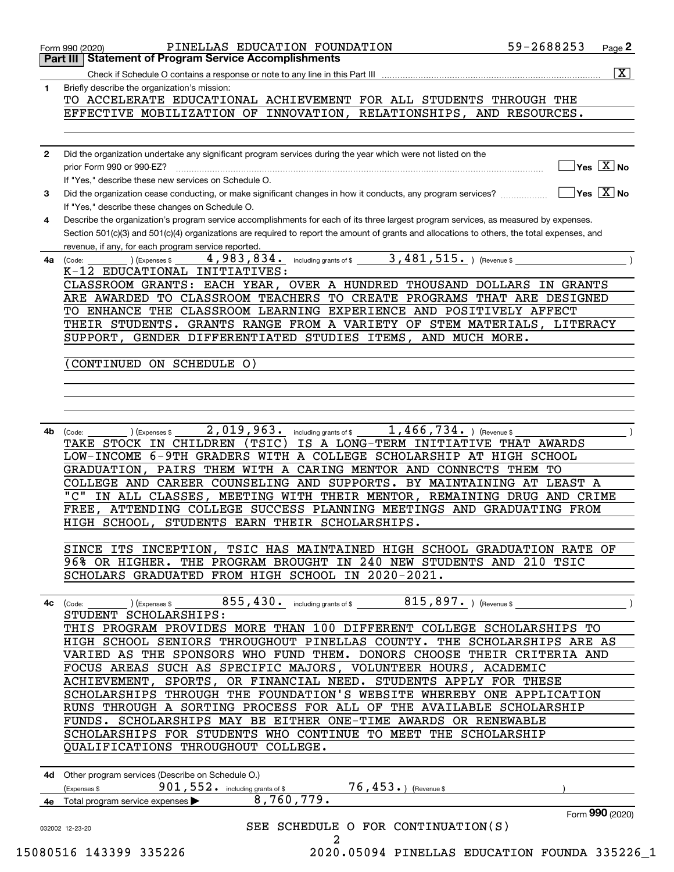|              | 59-2688253<br>PINELLAS EDUCATION FOUNDATION<br>Page 2<br>Form 990 (2020)<br>Part III   Statement of Program Service Accomplishments                                                                       |
|--------------|-----------------------------------------------------------------------------------------------------------------------------------------------------------------------------------------------------------|
|              | $\overline{\mathbf{x}}$<br>Check if Schedule O contains a response or note to any line in this Part III                                                                                                   |
| 1.           | Briefly describe the organization's mission:                                                                                                                                                              |
|              | TO ACCELERATE EDUCATIONAL ACHIEVEMENT FOR ALL STUDENTS THROUGH THE                                                                                                                                        |
|              | EFFECTIVE MOBILIZATION OF INNOVATION,<br>RELATIONSHIPS, AND RESOURCES.                                                                                                                                    |
|              |                                                                                                                                                                                                           |
| $\mathbf{2}$ | Did the organization undertake any significant program services during the year which were not listed on the                                                                                              |
|              | $\sqrt{}$ Yes $\sqrt{X}$ No<br>prior Form 990 or 990-EZ?                                                                                                                                                  |
|              | If "Yes," describe these new services on Schedule O.                                                                                                                                                      |
| 3            | $\sqrt{}$ Yes $\sqrt{}$ X $\sqrt{}$ No<br>Did the organization cease conducting, or make significant changes in how it conducts, any program services?<br>If "Yes," describe these changes on Schedule O. |
| 4            | Describe the organization's program service accomplishments for each of its three largest program services, as measured by expenses.                                                                      |
|              | Section 501(c)(3) and 501(c)(4) organizations are required to report the amount of grants and allocations to others, the total expenses, and                                                              |
|              | revenue, if any, for each program service reported.                                                                                                                                                       |
| 4a           | 4,983,834. including grants of \$ 3,481,515. ) (Revenue \$<br>) (Expenses \$<br>(Code:                                                                                                                    |
|              | K-12 EDUCATIONAL INITIATIVES:                                                                                                                                                                             |
|              | CLASSROOM GRANTS: EACH YEAR, OVER A HUNDRED THOUSAND DOLLARS IN GRANTS                                                                                                                                    |
|              | ARE AWARDED TO CLASSROOM TEACHERS TO CREATE PROGRAMS THAT ARE DESIGNED<br>TO ENHANCE THE CLASSROOM LEARNING EXPERIENCE AND POSITIVELY AFFECT                                                              |
|              | THEIR STUDENTS. GRANTS RANGE FROM A VARIETY OF STEM MATERIALS, LITERACY                                                                                                                                   |
|              | SUPPORT, GENDER DIFFERENTIATED STUDIES ITEMS, AND MUCH MORE.                                                                                                                                              |
|              |                                                                                                                                                                                                           |
|              | CONTINUED ON SCHEDULE O)                                                                                                                                                                                  |
|              |                                                                                                                                                                                                           |
|              |                                                                                                                                                                                                           |
|              |                                                                                                                                                                                                           |
|              |                                                                                                                                                                                                           |
| 4b           | 2,019,963. including grants of \$<br>$1,466,734.$ ) (Revenue \$<br>) (Expenses \$<br>(Code:                                                                                                               |
|              | (TSIC)<br>IS A LONG-TERM INITIATIVE THAT AWARDS<br>TAKE STOCK IN CHILDREN                                                                                                                                 |
|              | LOW-INCOME 6-9TH GRADERS WITH A COLLEGE SCHOLARSHIP AT HIGH SCHOOL                                                                                                                                        |
|              | GRADUATION, PAIRS THEM WITH A CARING MENTOR AND CONNECTS THEM TO<br>COLLEGE AND CAREER COUNSELING AND SUPPORTS. BY MAINTAINING AT LEAST A                                                                 |
|              | $\overline{C}$ "<br>IN ALL CLASSES, MEETING WITH THEIR MENTOR, REMAINING DRUG AND CRIME                                                                                                                   |
|              | FREE, ATTENDING COLLEGE SUCCESS PLANNING MEETINGS AND GRADUATING FROM                                                                                                                                     |
|              | HIGH SCHOOL,<br>STUDENTS EARN THEIR SCHOLARSHIPS.                                                                                                                                                         |
|              |                                                                                                                                                                                                           |
|              | SINCE ITS INCEPTION, TSIC HAS MAINTAINED HIGH SCHOOL GRADUATION RATE OF                                                                                                                                   |
|              | 96% OR HIGHER. THE PROGRAM BROUGHT IN 240 NEW STUDENTS AND 210 TSIC                                                                                                                                       |
|              | SCHOLARS GRADUATED FROM HIGH SCHOOL IN 2020-2021.                                                                                                                                                         |
|              |                                                                                                                                                                                                           |
|              |                                                                                                                                                                                                           |
| 4с           | $855,430$ including grants of \$815,897. ) (Revenue \$<br>(Code: ) (Expenses \$                                                                                                                           |
|              | STUDENT SCHOLARSHIPS:                                                                                                                                                                                     |
|              | THIS PROGRAM PROVIDES MORE THAN 100 DIFFERENT COLLEGE SCHOLARSHIPS TO                                                                                                                                     |
|              | HIGH SCHOOL SENIORS THROUGHOUT PINELLAS COUNTY. THE SCHOLARSHIPS ARE AS                                                                                                                                   |
|              | VARIED AS THE SPONSORS WHO FUND THEM. DONORS CHOOSE THEIR CRITERIA AND                                                                                                                                    |
|              | FOCUS AREAS SUCH AS SPECIFIC MAJORS, VOLUNTEER HOURS, ACADEMIC<br>ACHIEVEMENT, SPORTS, OR FINANCIAL NEED. STUDENTS APPLY FOR THESE                                                                        |
|              | SCHOLARSHIPS THROUGH THE FOUNDATION'S WEBSITE WHEREBY ONE APPLICATION                                                                                                                                     |
|              | RUNS THROUGH A SORTING PROCESS FOR ALL OF THE AVAILABLE SCHOLARSHIP                                                                                                                                       |
|              | FUNDS. SCHOLARSHIPS MAY BE EITHER ONE-TIME AWARDS OR RENEWABLE                                                                                                                                            |
|              | SCHOLARSHIPS FOR STUDENTS WHO CONTINUE TO MEET THE SCHOLARSHIP                                                                                                                                            |
|              | QUALIFICATIONS THROUGHOUT COLLEGE.                                                                                                                                                                        |
|              | 4d Other program services (Describe on Schedule O.)                                                                                                                                                       |
|              | 901, 552. including grants of \$ 76, 453. (Revenue \$<br>Expenses \$                                                                                                                                      |
|              | 8,760,779.<br>4e Total program service expenses >                                                                                                                                                         |
|              | Form 990 (2020)<br>SEE SCHEDULE O FOR CONTINUATION(S)                                                                                                                                                     |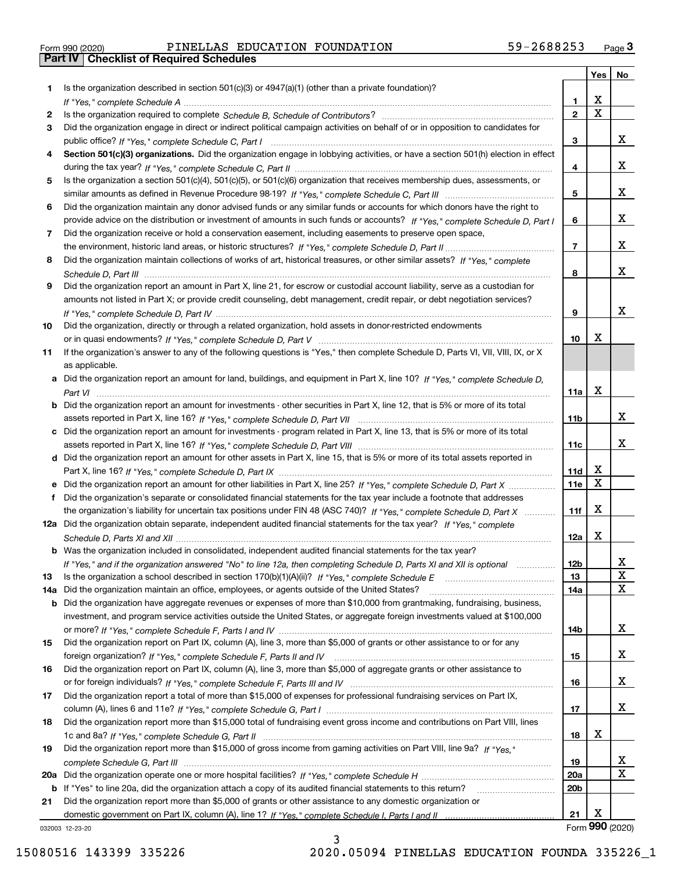|  | Form 990 (2020) |  |
|--|-----------------|--|

# Form 990 (2020) PINELLAS EDUCATION FOUNDATION 59-2688253 <sub>Page</sub> 3<br>**Part IV | Checklist of Required Schedules**

|     |                                                                                                                                  |                 | Yes                     | No              |
|-----|----------------------------------------------------------------------------------------------------------------------------------|-----------------|-------------------------|-----------------|
| 1   | Is the organization described in section $501(c)(3)$ or $4947(a)(1)$ (other than a private foundation)?                          |                 |                         |                 |
|     |                                                                                                                                  | 1               | X                       |                 |
| 2   |                                                                                                                                  | $\overline{2}$  | $\overline{\mathbf{x}}$ |                 |
| З.  | Did the organization engage in direct or indirect political campaign activities on behalf of or in opposition to candidates for  |                 |                         |                 |
|     |                                                                                                                                  | 3               |                         | x               |
| 4   | Section 501(c)(3) organizations. Did the organization engage in lobbying activities, or have a section 501(h) election in effect |                 |                         |                 |
|     |                                                                                                                                  | 4               |                         | x               |
| 5.  | Is the organization a section 501(c)(4), 501(c)(5), or 501(c)(6) organization that receives membership dues, assessments, or     |                 |                         |                 |
|     |                                                                                                                                  | 5               |                         | x               |
| 6   | Did the organization maintain any donor advised funds or any similar funds or accounts for which donors have the right to        |                 |                         |                 |
|     | provide advice on the distribution or investment of amounts in such funds or accounts? If "Yes," complete Schedule D, Part I     | 6               |                         | x               |
| 7   | Did the organization receive or hold a conservation easement, including easements to preserve open space,                        |                 |                         |                 |
|     |                                                                                                                                  | $\overline{7}$  |                         | x               |
| 8   | Did the organization maintain collections of works of art, historical treasures, or other similar assets? If "Yes," complete     |                 |                         |                 |
|     |                                                                                                                                  | 8               |                         | x               |
| 9   | Did the organization report an amount in Part X, line 21, for escrow or custodial account liability, serve as a custodian for    |                 |                         |                 |
|     | amounts not listed in Part X; or provide credit counseling, debt management, credit repair, or debt negotiation services?        |                 |                         |                 |
|     |                                                                                                                                  | 9               |                         | x               |
| 10  | Did the organization, directly or through a related organization, hold assets in donor-restricted endowments                     |                 | Х                       |                 |
|     |                                                                                                                                  | 10              |                         |                 |
| 11  | If the organization's answer to any of the following questions is "Yes," then complete Schedule D, Parts VI, VII, VIII, IX, or X |                 |                         |                 |
|     | as applicable.                                                                                                                   |                 |                         |                 |
| a   | Did the organization report an amount for land, buildings, and equipment in Part X, line 10? If "Yes," complete Schedule D,      | 11a             | Χ                       |                 |
| b   | Did the organization report an amount for investments - other securities in Part X, line 12, that is 5% or more of its total     |                 |                         |                 |
|     |                                                                                                                                  | 11 <sub>b</sub> |                         | X.              |
| c   | Did the organization report an amount for investments - program related in Part X, line 13, that is 5% or more of its total      |                 |                         |                 |
|     |                                                                                                                                  | 11c             |                         | X.              |
|     | d Did the organization report an amount for other assets in Part X, line 15, that is 5% or more of its total assets reported in  |                 |                         |                 |
|     |                                                                                                                                  | 11d             | х                       |                 |
|     | Did the organization report an amount for other liabilities in Part X, line 25? If "Yes," complete Schedule D, Part X            | 11e             | X                       |                 |
|     | Did the organization's separate or consolidated financial statements for the tax year include a footnote that addresses          |                 |                         |                 |
|     | the organization's liability for uncertain tax positions under FIN 48 (ASC 740)? If "Yes," complete Schedule D, Part X           | 11f             | Χ                       |                 |
|     | 12a Did the organization obtain separate, independent audited financial statements for the tax year? If "Yes," complete          |                 |                         |                 |
|     |                                                                                                                                  | 12a             | X                       |                 |
|     | <b>b</b> Was the organization included in consolidated, independent audited financial statements for the tax year?               |                 |                         |                 |
|     | If "Yes," and if the organization answered "No" to line 12a, then completing Schedule D, Parts XI and XII is optional matcoment  | 12b             |                         | ᅀ               |
| 13  |                                                                                                                                  | 13              |                         | X               |
| 14a | Did the organization maintain an office, employees, or agents outside of the United States?                                      | 14a             |                         | x               |
| b   | Did the organization have aggregate revenues or expenses of more than \$10,000 from grantmaking, fundraising, business,          |                 |                         |                 |
|     | investment, and program service activities outside the United States, or aggregate foreign investments valued at \$100,000       |                 |                         |                 |
|     |                                                                                                                                  | 14b             |                         | x               |
| 15  | Did the organization report on Part IX, column (A), line 3, more than \$5,000 of grants or other assistance to or for any        |                 |                         |                 |
|     |                                                                                                                                  | 15              |                         | x               |
| 16  | Did the organization report on Part IX, column (A), line 3, more than \$5,000 of aggregate grants or other assistance to         |                 |                         |                 |
|     |                                                                                                                                  | 16              |                         | x               |
| 17  | Did the organization report a total of more than \$15,000 of expenses for professional fundraising services on Part IX,          |                 |                         |                 |
|     |                                                                                                                                  | 17              |                         | x               |
| 18  | Did the organization report more than \$15,000 total of fundraising event gross income and contributions on Part VIII, lines     |                 |                         |                 |
|     |                                                                                                                                  | 18              | х                       |                 |
| 19  | Did the organization report more than \$15,000 of gross income from gaming activities on Part VIII, line 9a? If "Yes."           |                 |                         |                 |
|     |                                                                                                                                  | 19              |                         | X               |
| 20a |                                                                                                                                  | <b>20a</b>      |                         | x               |
| b   | If "Yes" to line 20a, did the organization attach a copy of its audited financial statements to this return?                     | 20 <sub>b</sub> |                         |                 |
| 21  | Did the organization report more than \$5,000 of grants or other assistance to any domestic organization or                      |                 |                         |                 |
|     |                                                                                                                                  | 21              | Х                       |                 |
|     | 032003 12-23-20                                                                                                                  |                 |                         | Form 990 (2020) |

032003 12-23-20

3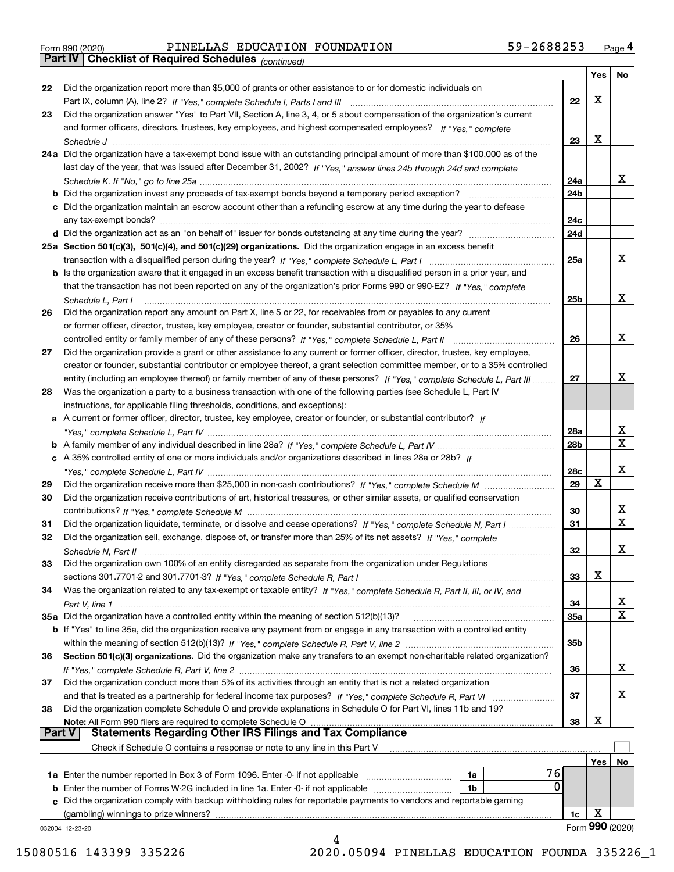|  | Form 990 (2020) |
|--|-----------------|
|  |                 |

# Form 990 (2020) PINELLAS EDUCATION FOUNDATION 59-2688253 <sub>Page</sub> 4<br>**Part IV | Checklist of Required Schedules** <sub>(continued)</sub>

*(continued)*

|        |                                                                                                                                       |            | Yes∣ | No              |
|--------|---------------------------------------------------------------------------------------------------------------------------------------|------------|------|-----------------|
| 22     | Did the organization report more than \$5,000 of grants or other assistance to or for domestic individuals on                         |            |      |                 |
|        |                                                                                                                                       | 22         | X    |                 |
| 23     | Did the organization answer "Yes" to Part VII, Section A, line 3, 4, or 5 about compensation of the organization's current            |            |      |                 |
|        | and former officers, directors, trustees, key employees, and highest compensated employees? If "Yes," complete                        |            |      |                 |
|        |                                                                                                                                       | 23         | X    |                 |
|        | 24a Did the organization have a tax-exempt bond issue with an outstanding principal amount of more than \$100,000 as of the           |            |      |                 |
|        | last day of the year, that was issued after December 31, 2002? If "Yes," answer lines 24b through 24d and complete                    |            |      |                 |
|        |                                                                                                                                       | 24a        |      | х               |
|        | <b>b</b> Did the organization invest any proceeds of tax-exempt bonds beyond a temporary period exception?                            | 24b        |      |                 |
|        | c Did the organization maintain an escrow account other than a refunding escrow at any time during the year to defease                |            |      |                 |
|        |                                                                                                                                       | 24c        |      |                 |
|        |                                                                                                                                       | 24d        |      |                 |
|        | 25a Section 501(c)(3), 501(c)(4), and 501(c)(29) organizations. Did the organization engage in an excess benefit                      |            |      |                 |
|        |                                                                                                                                       | 25a        |      | x               |
|        | b Is the organization aware that it engaged in an excess benefit transaction with a disqualified person in a prior year, and          |            |      |                 |
|        | that the transaction has not been reported on any of the organization's prior Forms 990 or 990-EZ? If "Yes," complete                 |            |      |                 |
|        |                                                                                                                                       | 25b        |      | х               |
| 26     | Schedule L. Part I<br>Did the organization report any amount on Part X, line 5 or 22, for receivables from or payables to any current |            |      |                 |
|        | or former officer, director, trustee, key employee, creator or founder, substantial contributor, or 35%                               |            |      |                 |
|        |                                                                                                                                       |            |      | х               |
|        |                                                                                                                                       | 26         |      |                 |
| 27     | Did the organization provide a grant or other assistance to any current or former officer, director, trustee, key employee,           |            |      |                 |
|        | creator or founder, substantial contributor or employee thereof, a grant selection committee member, or to a 35% controlled           |            |      |                 |
|        | entity (including an employee thereof) or family member of any of these persons? If "Yes," complete Schedule L, Part III              | 27         |      | x               |
| 28     | Was the organization a party to a business transaction with one of the following parties (see Schedule L, Part IV                     |            |      |                 |
|        | instructions, for applicable filing thresholds, conditions, and exceptions):                                                          |            |      |                 |
|        | a A current or former officer, director, trustee, key employee, creator or founder, or substantial contributor? If                    |            |      |                 |
|        |                                                                                                                                       | 28a        |      | x               |
|        |                                                                                                                                       | 28b        |      | $\mathbf X$     |
|        | c A 35% controlled entity of one or more individuals and/or organizations described in lines 28a or 28b? If                           |            |      |                 |
|        |                                                                                                                                       | 28c        |      | х               |
| 29     |                                                                                                                                       | 29         | х    |                 |
| 30     | Did the organization receive contributions of art, historical treasures, or other similar assets, or qualified conservation           |            |      |                 |
|        |                                                                                                                                       | 30         |      | х               |
| 31     | Did the organization liquidate, terminate, or dissolve and cease operations? If "Yes," complete Schedule N, Part I                    | 31         |      | $\mathbf X$     |
| 32     | Did the organization sell, exchange, dispose of, or transfer more than 25% of its net assets? If "Yes," complete                      |            |      |                 |
|        | Schedule N, Part II                                                                                                                   | 32         |      | х               |
| 33     | Did the organization own 100% of an entity disregarded as separate from the organization under Regulations                            |            |      |                 |
|        |                                                                                                                                       | 33         | Χ    |                 |
| 34     | Was the organization related to any tax-exempt or taxable entity? If "Yes," complete Schedule R, Part II, III, or IV, and             |            |      |                 |
|        |                                                                                                                                       | 34         |      | x               |
|        | 35a Did the organization have a controlled entity within the meaning of section 512(b)(13)?                                           | <b>35a</b> |      | X               |
|        | b If "Yes" to line 35a, did the organization receive any payment from or engage in any transaction with a controlled entity           |            |      |                 |
|        |                                                                                                                                       | 35b        |      |                 |
| 36     | Section 501(c)(3) organizations. Did the organization make any transfers to an exempt non-charitable related organization?            |            |      |                 |
|        |                                                                                                                                       | 36         |      | x               |
| 37     | Did the organization conduct more than 5% of its activities through an entity that is not a related organization                      |            |      |                 |
|        | and that is treated as a partnership for federal income tax purposes? If "Yes," complete Schedule R, Part VI                          | 37         |      | x               |
| 38     | Did the organization complete Schedule O and provide explanations in Schedule O for Part VI, lines 11b and 19?                        |            |      |                 |
|        | Note: All Form 990 filers are required to complete Schedule O                                                                         | 38         | х    |                 |
| Part V | <b>Statements Regarding Other IRS Filings and Tax Compliance</b>                                                                      |            |      |                 |
|        | Check if Schedule O contains a response or note to any line in this Part V                                                            |            |      |                 |
|        |                                                                                                                                       |            | Yes  | No              |
|        | 76<br>1a Enter the number reported in Box 3 of Form 1096. Enter -0- if not applicable<br>1a                                           |            |      |                 |
|        | 0<br>1b                                                                                                                               |            |      |                 |
| с      | Did the organization comply with backup withholding rules for reportable payments to vendors and reportable gaming                    |            |      |                 |
|        | (gambling) winnings to prize winners?                                                                                                 | 1c         | X    |                 |
|        | 032004 12-23-20                                                                                                                       |            |      | Form 990 (2020) |
|        | 4                                                                                                                                     |            |      |                 |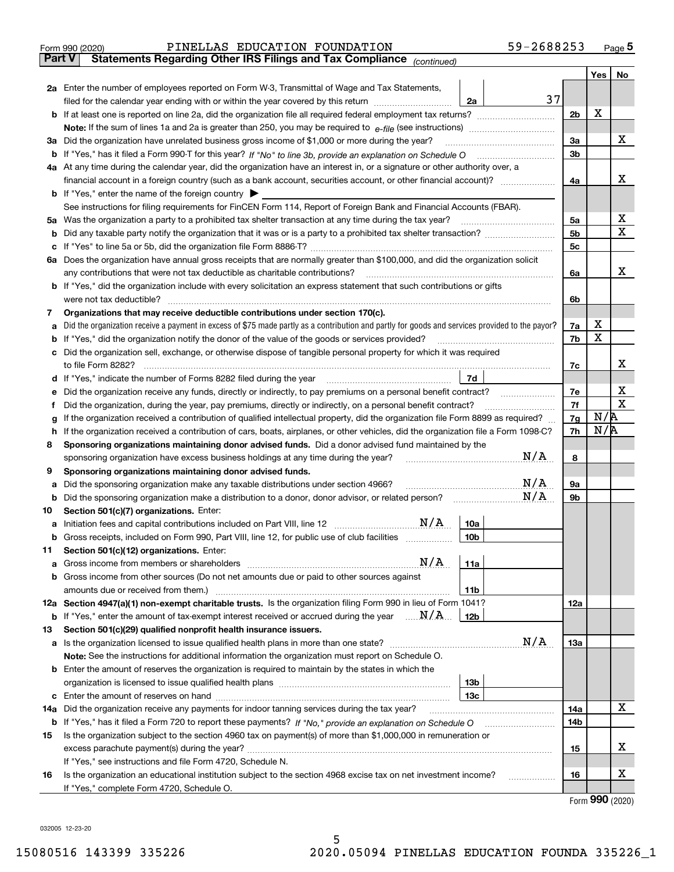|               | 59-2688253<br>PINELLAS EDUCATION FOUNDATION<br>Form 990 (2020)                                                                                  |                |     | $_{\text{Page}}$ 5 |  |  |
|---------------|-------------------------------------------------------------------------------------------------------------------------------------------------|----------------|-----|--------------------|--|--|
| <b>Part V</b> | Statements Regarding Other IRS Filings and Tax Compliance (continued)                                                                           |                |     |                    |  |  |
|               |                                                                                                                                                 |                | Yes | No                 |  |  |
|               | 2a Enter the number of employees reported on Form W-3, Transmittal of Wage and Tax Statements,                                                  |                |     |                    |  |  |
|               | 37<br>filed for the calendar year ending with or within the year covered by this return<br>2a                                                   |                |     |                    |  |  |
|               |                                                                                                                                                 | 2 <sub>b</sub> | х   |                    |  |  |
|               |                                                                                                                                                 |                |     |                    |  |  |
| За            | Did the organization have unrelated business gross income of \$1,000 or more during the year?                                                   | 3a             |     | x                  |  |  |
| b             |                                                                                                                                                 | 3 <sub>b</sub> |     |                    |  |  |
|               | 4a At any time during the calendar year, did the organization have an interest in, or a signature or other authority over, a                    |                |     |                    |  |  |
|               |                                                                                                                                                 | 4a             |     | х                  |  |  |
|               | <b>b</b> If "Yes," enter the name of the foreign country $\blacktriangleright$                                                                  |                |     |                    |  |  |
|               | See instructions for filing requirements for FinCEN Form 114, Report of Foreign Bank and Financial Accounts (FBAR).                             |                |     |                    |  |  |
| 5a            | Was the organization a party to a prohibited tax shelter transaction at any time during the tax year?                                           | 5a             |     | х                  |  |  |
| b             |                                                                                                                                                 | 5b             |     | X                  |  |  |
| с             |                                                                                                                                                 | 5c             |     |                    |  |  |
|               | 6a Does the organization have annual gross receipts that are normally greater than \$100,000, and did the organization solicit                  |                |     |                    |  |  |
|               | any contributions that were not tax deductible as charitable contributions?                                                                     | 6a             |     | x                  |  |  |
|               | <b>b</b> If "Yes," did the organization include with every solicitation an express statement that such contributions or gifts                   |                |     |                    |  |  |
|               | were not tax deductible?                                                                                                                        | 6b             |     |                    |  |  |
| 7             | Organizations that may receive deductible contributions under section 170(c).                                                                   |                |     |                    |  |  |
| а             | Did the organization receive a payment in excess of \$75 made partly as a contribution and partly for goods and services provided to the payor? | 7a             | х   |                    |  |  |
| b             | If "Yes," did the organization notify the donor of the value of the goods or services provided?                                                 | 7b             | X   |                    |  |  |
|               | Did the organization sell, exchange, or otherwise dispose of tangible personal property for which it was required                               |                |     |                    |  |  |
|               |                                                                                                                                                 | 7c             |     | х                  |  |  |
| d             | 7d<br>If "Yes," indicate the number of Forms 8282 filed during the year [11] [11] Wes," indicate the number of Forms 8282 filed during the year |                |     |                    |  |  |
| е             | Did the organization receive any funds, directly or indirectly, to pay premiums on a personal benefit contract?                                 | 7e<br>7f       |     | х<br>$\mathbf X$   |  |  |
| f             | Did the organization, during the year, pay premiums, directly or indirectly, on a personal benefit contract?                                    |                |     |                    |  |  |
| g             | If the organization received a contribution of qualified intellectual property, did the organization file Form 8899 as required?                | 7g             | N/R |                    |  |  |
| h             | If the organization received a contribution of cars, boats, airplanes, or other vehicles, did the organization file a Form 1098-C?              | 7h             | N/R |                    |  |  |
| 8             | Sponsoring organizations maintaining donor advised funds. Did a donor advised fund maintained by the                                            |                |     |                    |  |  |
|               | N/A<br>sponsoring organization have excess business holdings at any time during the year?                                                       | 8              |     |                    |  |  |
| 9             | Sponsoring organizations maintaining donor advised funds.                                                                                       |                |     |                    |  |  |
| а             | N/A<br>Did the sponsoring organization make any taxable distributions under section 4966?                                                       | 9а             |     |                    |  |  |
| b             | N/A<br>Did the sponsoring organization make a distribution to a donor, donor advisor, or related person?                                        | 9b             |     |                    |  |  |
| 10            | Section 501(c)(7) organizations. Enter:                                                                                                         |                |     |                    |  |  |
| а             | N/A<br>10a<br>Initiation fees and capital contributions included on Part VIII, line 12 [111] [11] [12] [11] [12] [11] [12] [                    |                |     |                    |  |  |
|               | 10 <sub>b</sub><br>Gross receipts, included on Form 990, Part VIII, line 12, for public use of club facilities                                  |                |     |                    |  |  |
| 11            | Section 501(c)(12) organizations. Enter:                                                                                                        |                |     |                    |  |  |
| а             | N/A<br>11a<br>Gross income from members or shareholders                                                                                         |                |     |                    |  |  |
| b             | Gross income from other sources (Do not net amounts due or paid to other sources against                                                        |                |     |                    |  |  |
|               | 11 <sub>b</sub><br>amounts due or received from them.)                                                                                          |                |     |                    |  |  |
|               | 12a Section 4947(a)(1) non-exempt charitable trusts. Is the organization filing Form 990 in lieu of Form 1041?                                  | 12a            |     |                    |  |  |
|               | <b>b</b> If "Yes," enter the amount of tax-exempt interest received or accrued during the year $\ldots \mathbf{N}/\mathbf{A}$<br>12b            |                |     |                    |  |  |
| 13            | Section 501(c)(29) qualified nonprofit health insurance issuers.                                                                                |                |     |                    |  |  |
| a             | N/A<br>Is the organization licensed to issue qualified health plans in more than one state?                                                     | <b>13a</b>     |     |                    |  |  |
|               | Note: See the instructions for additional information the organization must report on Schedule O.                                               |                |     |                    |  |  |
| b             | Enter the amount of reserves the organization is required to maintain by the states in which the                                                |                |     |                    |  |  |
|               | 13 <sub>b</sub>                                                                                                                                 |                |     |                    |  |  |
| с             | 13 <sub>c</sub>                                                                                                                                 |                |     | X                  |  |  |
| 14a           | Did the organization receive any payments for indoor tanning services during the tax year?                                                      | 14a            |     |                    |  |  |
|               | <b>b</b> If "Yes," has it filed a Form 720 to report these payments? If "No," provide an explanation on Schedule O                              | 14b            |     |                    |  |  |
| 15            | Is the organization subject to the section 4960 tax on payment(s) of more than \$1,000,000 in remuneration or                                   |                |     |                    |  |  |
|               | excess parachute payment(s) during the year?                                                                                                    | 15             |     | х                  |  |  |
|               | If "Yes," see instructions and file Form 4720, Schedule N.                                                                                      |                |     | х                  |  |  |
| 16            | Is the organization an educational institution subject to the section 4968 excise tax on net investment income?                                 | 16             |     |                    |  |  |
|               | If "Yes," complete Form 4720, Schedule O.                                                                                                       |                |     |                    |  |  |

Form (2020) **990**

032005 12-23-20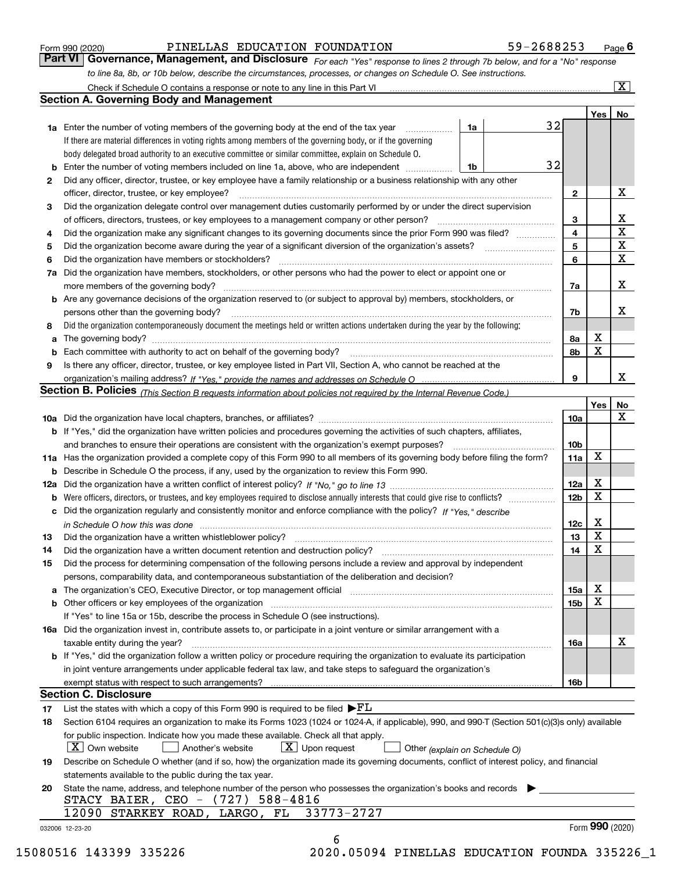|  | Form 990 (2020) |
|--|-----------------|
|  |                 |

| Form 990 (2020) |  | PINELLAS EDUCATION FOUNDATION                                                                                                 | 59-2688253 | $P_{\text{aqe}}$ 6 |
|-----------------|--|-------------------------------------------------------------------------------------------------------------------------------|------------|--------------------|
|                 |  | Part VI   Governance, Management, and Disclosure For each "Yes" response to lines 2 through 7b below, and for a "No" response |            |                    |
|                 |  | to line 8a, 8b, or 10b below, describe the circumstances, processes, or changes on Schedule O. See instructions.              |            |                    |

|    |                                                                                                                                                                               |    |  |    |              | Yes | No                      |  |
|----|-------------------------------------------------------------------------------------------------------------------------------------------------------------------------------|----|--|----|--------------|-----|-------------------------|--|
|    | <b>1a</b> Enter the number of voting members of the governing body at the end of the tax year <i>manumum</i>                                                                  | 1a |  | 32 |              |     |                         |  |
|    | If there are material differences in voting rights among members of the governing body, or if the governing                                                                   |    |  |    |              |     |                         |  |
|    | body delegated broad authority to an executive committee or similar committee, explain on Schedule O.                                                                         |    |  |    |              |     |                         |  |
| b  | Enter the number of voting members included on line 1a, above, who are independent                                                                                            | 1b |  | 32 |              |     |                         |  |
| 2  | Did any officer, director, trustee, or key employee have a family relationship or a business relationship with any other                                                      |    |  |    |              |     |                         |  |
|    | officer, director, trustee, or key employee?                                                                                                                                  |    |  |    | $\mathbf{2}$ |     | X                       |  |
| 3  | Did the organization delegate control over management duties customarily performed by or under the direct supervision                                                         |    |  |    |              |     |                         |  |
|    |                                                                                                                                                                               |    |  |    | 3            |     | X                       |  |
| 4  | Did the organization make any significant changes to its governing documents since the prior Form 990 was filed?                                                              |    |  |    | 4            |     | $\overline{\mathbf{x}}$ |  |
| 5  |                                                                                                                                                                               |    |  |    | 5            |     | $\mathbf X$             |  |
| 6  | Did the organization have members or stockholders?                                                                                                                            |    |  |    | 6            |     | $\mathbf X$             |  |
| 7a | Did the organization have members, stockholders, or other persons who had the power to elect or appoint one or                                                                |    |  |    |              |     |                         |  |
|    |                                                                                                                                                                               |    |  |    | 7a           |     | X                       |  |
|    | <b>b</b> Are any governance decisions of the organization reserved to (or subject to approval by) members, stockholders, or                                                   |    |  |    |              |     |                         |  |
|    | persons other than the governing body?                                                                                                                                        |    |  |    | 7b           |     | X                       |  |
| 8  | Did the organization contemporaneously document the meetings held or written actions undertaken during the year by the following:                                             |    |  |    |              |     |                         |  |
| a  |                                                                                                                                                                               |    |  |    | 8a           | X   |                         |  |
| b  |                                                                                                                                                                               |    |  |    | 8b           | X   |                         |  |
| 9  | Is there any officer, director, trustee, or key employee listed in Part VII, Section A, who cannot be reached at the                                                          |    |  |    |              |     |                         |  |
|    |                                                                                                                                                                               |    |  |    | 9            |     | х                       |  |
|    | Section B. Policies <sub>(This Section B requests information about policies not required by the Internal Revenue Code.)</sub>                                                |    |  |    |              |     |                         |  |
|    |                                                                                                                                                                               |    |  |    |              | Yes | No                      |  |
|    |                                                                                                                                                                               |    |  |    | 10a          |     | X                       |  |
|    | <b>b</b> If "Yes," did the organization have written policies and procedures governing the activities of such chapters, affiliates,                                           |    |  |    |              |     |                         |  |
|    |                                                                                                                                                                               |    |  |    | 10b          |     |                         |  |
|    | 11a Has the organization provided a complete copy of this Form 990 to all members of its governing body before filing the form?                                               |    |  |    | 11a          | X   |                         |  |
|    | <b>b</b> Describe in Schedule O the process, if any, used by the organization to review this Form 990.                                                                        |    |  |    |              |     |                         |  |
|    |                                                                                                                                                                               |    |  |    | 12a          | X   |                         |  |
| b  |                                                                                                                                                                               |    |  |    | 12b          | X   |                         |  |
| c  | Did the organization regularly and consistently monitor and enforce compliance with the policy? If "Yes," describe                                                            |    |  |    |              |     |                         |  |
|    | in Schedule O how this was done manufactured and contact the state of the state of the state of the state of t                                                                |    |  |    | 12c          | X   |                         |  |
| 13 |                                                                                                                                                                               |    |  |    | 13           | X   |                         |  |
| 14 | Did the organization have a written document retention and destruction policy? manufactured and the organization have a written document retention and destruction policy?    |    |  |    | 14           | X   |                         |  |
| 15 | Did the process for determining compensation of the following persons include a review and approval by independent                                                            |    |  |    |              |     |                         |  |
|    | persons, comparability data, and contemporaneous substantiation of the deliberation and decision?                                                                             |    |  |    |              |     |                         |  |
| a  | The organization's CEO, Executive Director, or top management official manufactured content content of the organization's CEO, Executive Director, or top management official |    |  |    | 15a          | X   |                         |  |
|    | <b>b</b> Other officers or key employees of the organization                                                                                                                  |    |  |    | 15b          | X   |                         |  |
|    | If "Yes" to line 15a or 15b, describe the process in Schedule O (see instructions).                                                                                           |    |  |    |              |     |                         |  |
|    | 16a Did the organization invest in, contribute assets to, or participate in a joint venture or similar arrangement with a                                                     |    |  |    |              |     |                         |  |
|    | taxable entity during the year?                                                                                                                                               |    |  |    | 16a          |     | X                       |  |
|    | b If "Yes," did the organization follow a written policy or procedure requiring the organization to evaluate its participation                                                |    |  |    |              |     |                         |  |
|    | in joint venture arrangements under applicable federal tax law, and take steps to safequard the organization's                                                                |    |  |    |              |     |                         |  |
|    | exempt status with respect to such arrangements?                                                                                                                              |    |  |    | 16b          |     |                         |  |
|    | <b>Section C. Disclosure</b>                                                                                                                                                  |    |  |    |              |     |                         |  |
| 17 | List the states with which a copy of this Form 990 is required to be filed $\blacktriangleright$ $\underline{FL}$                                                             |    |  |    |              |     |                         |  |
| 18 | Section 6104 requires an organization to make its Forms 1023 (1024 or 1024-A, if applicable), 990, and 990-T (Section 501(c)(3)s only) available                              |    |  |    |              |     |                         |  |
|    | for public inspection. Indicate how you made these available. Check all that apply.                                                                                           |    |  |    |              |     |                         |  |
|    | $X$ Upon request<br>  X   Own website<br>Another's website<br>Other (explain on Schedule O)                                                                                   |    |  |    |              |     |                         |  |
| 19 | Describe on Schedule O whether (and if so, how) the organization made its governing documents, conflict of interest policy, and financial                                     |    |  |    |              |     |                         |  |
|    | statements available to the public during the tax year.                                                                                                                       |    |  |    |              |     |                         |  |
| 20 |                                                                                                                                                                               |    |  |    |              |     |                         |  |
|    | State the name, address, and telephone number of the person who possesses the organization's books and records<br>STACY BAIER, CEO - (727) 588-4816                           |    |  |    |              |     |                         |  |
|    | 12090 STARKEY ROAD, LARGO, FL 33773-2727                                                                                                                                      |    |  |    |              |     |                         |  |
|    |                                                                                                                                                                               |    |  |    |              |     |                         |  |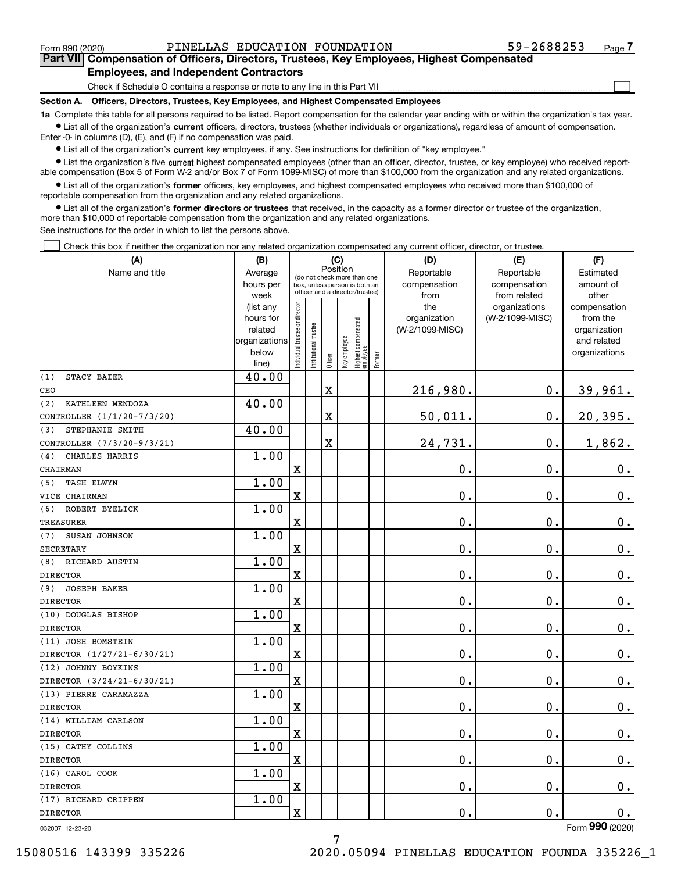$\mathcal{L}^{\text{max}}$ 

# **7Part VII Compensation of Officers, Directors, Trustees, Key Employees, Highest Compensated Employees, and Independent Contractors**

Check if Schedule O contains a response or note to any line in this Part VII

**Section A. Officers, Directors, Trustees, Key Employees, and Highest Compensated Employees**

**1a**  Complete this table for all persons required to be listed. Report compensation for the calendar year ending with or within the organization's tax year. **•** List all of the organization's current officers, directors, trustees (whether individuals or organizations), regardless of amount of compensation.

Enter -0- in columns (D), (E), and (F) if no compensation was paid.

 $\bullet$  List all of the organization's  $\,$ current key employees, if any. See instructions for definition of "key employee."

**•** List the organization's five current highest compensated employees (other than an officer, director, trustee, or key employee) who received reportable compensation (Box 5 of Form W-2 and/or Box 7 of Form 1099-MISC) of more than \$100,000 from the organization and any related organizations.

**•** List all of the organization's former officers, key employees, and highest compensated employees who received more than \$100,000 of reportable compensation from the organization and any related organizations.

**former directors or trustees**  ¥ List all of the organization's that received, in the capacity as a former director or trustee of the organization, more than \$10,000 of reportable compensation from the organization and any related organizations.

See instructions for the order in which to list the persons above.

Check this box if neither the organization nor any related organization compensated any current officer, director, or trustee.  $\mathcal{L}^{\text{max}}$ 

| (A)                        | (C)<br>(B)             |                                         |                                                                  |             |              |                                 |        | (D)                 | (E)                              | (F)                      |
|----------------------------|------------------------|-----------------------------------------|------------------------------------------------------------------|-------------|--------------|---------------------------------|--------|---------------------|----------------------------------|--------------------------|
| Name and title             | Average                | Position<br>(do not check more than one |                                                                  |             |              |                                 |        | Reportable          | Reportable                       | Estimated                |
|                            | hours per              |                                         | box, unless person is both an<br>officer and a director/trustee) |             |              |                                 |        | compensation        | compensation                     | amount of                |
|                            | week                   |                                         |                                                                  |             |              |                                 |        | from                | from related                     | other                    |
|                            | (list any<br>hours for |                                         |                                                                  |             |              |                                 |        | the<br>organization | organizations<br>(W-2/1099-MISC) | compensation<br>from the |
|                            | related                |                                         |                                                                  |             |              |                                 |        | (W-2/1099-MISC)     |                                  | organization             |
|                            | organizations          |                                         |                                                                  |             |              |                                 |        |                     |                                  | and related              |
|                            | below                  | ndividual trustee or director           | In stitutional trustee                                           |             | Key employee | Highest compensated<br>employee |        |                     |                                  | organizations            |
|                            | line)                  |                                         |                                                                  | Officer     |              |                                 | Former |                     |                                  |                          |
| (1)<br>STACY BAIER         | 40.00                  |                                         |                                                                  |             |              |                                 |        |                     |                                  |                          |
| CEO                        |                        |                                         |                                                                  | $\mathbf X$ |              |                                 |        | 216,980.            | $0$ .                            | 39,961.                  |
| (2)<br>KATHLEEN MENDOZA    | 40.00                  |                                         |                                                                  |             |              |                                 |        |                     |                                  |                          |
| CONTROLLER (1/1/20-7/3/20) |                        |                                         |                                                                  | X           |              |                                 |        | 50,011.             | 0.                               | 20,395.                  |
| (3)<br>STEPHANIE SMITH     | 40.00                  |                                         |                                                                  |             |              |                                 |        |                     |                                  |                          |
| CONTROLLER (7/3/20-9/3/21) |                        |                                         |                                                                  | X           |              |                                 |        | 24,731.             | 0.                               | 1,862.                   |
| CHARLES HARRIS<br>(4)      | 1.00                   |                                         |                                                                  |             |              |                                 |        |                     |                                  |                          |
| CHAIRMAN                   |                        | X                                       |                                                                  |             |              |                                 |        | 0.                  | 0.                               | $\mathbf 0$ .            |
| <b>TASH ELWYN</b><br>(5)   | 1.00                   |                                         |                                                                  |             |              |                                 |        |                     |                                  |                          |
| VICE CHAIRMAN              |                        | $\mathbf x$                             |                                                                  |             |              |                                 |        | 0.                  | 0.                               | $\mathbf 0$ .            |
| ROBERT BYELICK<br>(6)      | 1.00                   |                                         |                                                                  |             |              |                                 |        |                     |                                  |                          |
| <b>TREASURER</b>           |                        | X                                       |                                                                  |             |              |                                 |        | $\mathbf 0$ .       | 0.                               | 0.                       |
| SUSAN JOHNSON<br>(7)       | 1.00                   |                                         |                                                                  |             |              |                                 |        |                     |                                  |                          |
| <b>SECRETARY</b>           |                        | X                                       |                                                                  |             |              |                                 |        | 0.                  | 0.                               | $0_{.}$                  |
| (8)<br>RICHARD AUSTIN      | 1.00                   |                                         |                                                                  |             |              |                                 |        |                     |                                  |                          |
| <b>DIRECTOR</b>            |                        | X                                       |                                                                  |             |              |                                 |        | $\mathbf 0$ .       | 0.                               | 0.                       |
| <b>JOSEPH BAKER</b><br>(9) | 1.00                   |                                         |                                                                  |             |              |                                 |        |                     |                                  |                          |
| <b>DIRECTOR</b>            |                        | X                                       |                                                                  |             |              |                                 |        | 0.                  | 0.                               | $0$ .                    |
| (10) DOUGLAS BISHOP        | 1.00                   |                                         |                                                                  |             |              |                                 |        |                     |                                  |                          |
| <b>DIRECTOR</b>            |                        | X                                       |                                                                  |             |              |                                 |        | $\mathbf 0$ .       | 0.                               | $0_{.}$                  |
| (11) JOSH BOMSTEIN         | 1.00                   |                                         |                                                                  |             |              |                                 |        |                     |                                  |                          |
| DIRECTOR (1/27/21-6/30/21) |                        | X                                       |                                                                  |             |              |                                 |        | $\mathbf 0$ .       | 0.                               | $0_{.}$                  |
| (12) JOHNNY BOYKINS        | 1.00                   |                                         |                                                                  |             |              |                                 |        |                     |                                  |                          |
| DIRECTOR (3/24/21-6/30/21) |                        | X                                       |                                                                  |             |              |                                 |        | $\mathbf 0$ .       | 0.                               | $\mathbf 0$ .            |
| (13) PIERRE CARAMAZZA      | 1.00                   |                                         |                                                                  |             |              |                                 |        |                     |                                  |                          |
| <b>DIRECTOR</b>            |                        | X                                       |                                                                  |             |              |                                 |        | $\mathbf 0$ .       | 0.                               | $0$ .                    |
| (14) WILLIAM CARLSON       | 1.00                   |                                         |                                                                  |             |              |                                 |        |                     |                                  |                          |
| <b>DIRECTOR</b>            |                        | X                                       |                                                                  |             |              |                                 |        | 0.                  | 0.                               | $\mathbf 0$ .            |
| (15) CATHY COLLINS         | 1.00                   |                                         |                                                                  |             |              |                                 |        |                     |                                  |                          |
| <b>DIRECTOR</b>            |                        | X                                       |                                                                  |             |              |                                 |        | $\mathbf 0$ .       | $0$ .                            | $\mathbf 0$ .            |
| (16) CAROL COOK            | 1.00                   |                                         |                                                                  |             |              |                                 |        |                     |                                  |                          |
| <b>DIRECTOR</b>            |                        | X                                       |                                                                  |             |              |                                 |        | 0.                  | $\mathbf 0$ .                    | $0_{.}$                  |
| (17) RICHARD CRIPPEN       | 1.00                   |                                         |                                                                  |             |              |                                 |        |                     |                                  |                          |
| <b>DIRECTOR</b>            |                        | X                                       |                                                                  |             |              |                                 |        | $\mathbf 0$ .       | 0.                               | 0.                       |
|                            |                        |                                         |                                                                  |             |              |                                 |        |                     |                                  | nov                      |

032007 12-23-20

Form (2020) **990**

7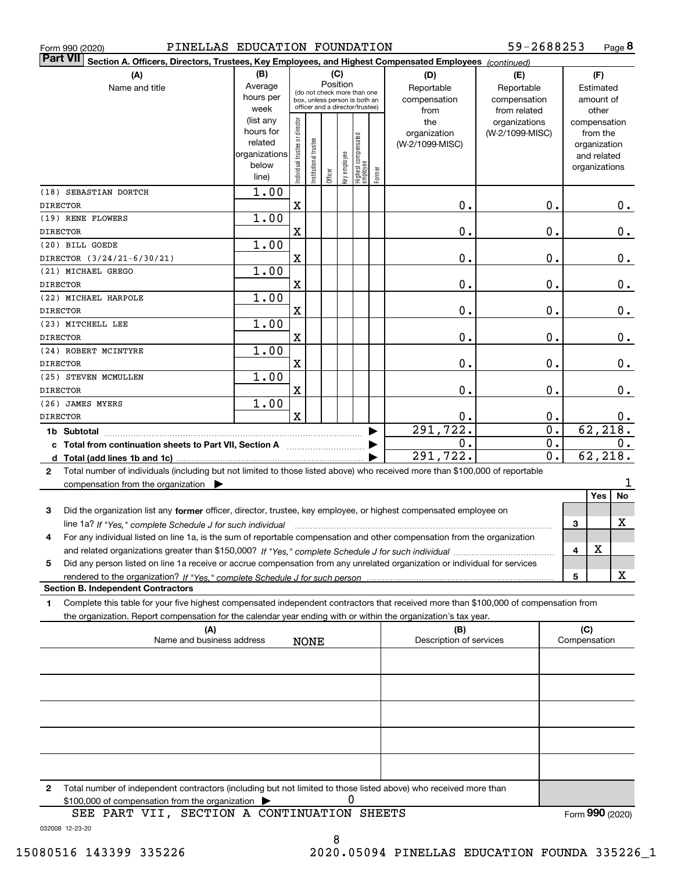|  | Form 990 (2020) |
|--|-----------------|
|  |                 |

Form 990 (2020) PINELLAS EDUCATION FOUNDATION 59-2688253 Page

**8** 59-2688253

| Part VII Section A. Officers, Directors, Trustees, Key Employees, and Highest Compensated Employees (continued)                              |                          |                                         |                                 |         |              |                                   |        |                         |                  |   |                  |
|----------------------------------------------------------------------------------------------------------------------------------------------|--------------------------|-----------------------------------------|---------------------------------|---------|--------------|-----------------------------------|--------|-------------------------|------------------|---|------------------|
| (A)                                                                                                                                          | (B)                      |                                         |                                 |         | (C)          |                                   |        | (D)                     | (E)              |   | (F)              |
| Name and title                                                                                                                               | Average                  | Position<br>(do not check more than one |                                 |         |              |                                   |        | Reportable              | Reportable       |   | Estimated        |
|                                                                                                                                              | hours per                |                                         | box, unless person is both an   |         |              |                                   |        | compensation            | compensation     |   | amount of        |
|                                                                                                                                              | week                     |                                         | officer and a director/trustee) |         |              |                                   |        | from                    | from related     |   | other            |
|                                                                                                                                              | (list any                |                                         |                                 |         |              |                                   |        | the                     | organizations    |   | compensation     |
|                                                                                                                                              | hours for                |                                         |                                 |         |              |                                   |        | organization            | (W-2/1099-MISC)  |   | from the         |
|                                                                                                                                              | related<br>organizations |                                         |                                 |         |              |                                   |        | (W-2/1099-MISC)         |                  |   | organization     |
|                                                                                                                                              | below                    |                                         |                                 |         |              |                                   |        |                         |                  |   | and related      |
|                                                                                                                                              | line)                    | Individual trustee or director          | Institutional trustee           | Officer | Key employee | Highest compensated<br>  employee | Former |                         |                  |   | organizations    |
| (18) SEBASTIAN DORTCH                                                                                                                        | 1.00                     |                                         |                                 |         |              |                                   |        |                         |                  |   |                  |
| <b>DIRECTOR</b>                                                                                                                              |                          | $\mathbf X$                             |                                 |         |              |                                   |        | 0.                      | 0.               |   | 0.               |
| (19) RENE FLOWERS                                                                                                                            | 1.00                     |                                         |                                 |         |              |                                   |        |                         |                  |   |                  |
| <b>DIRECTOR</b>                                                                                                                              |                          | X                                       |                                 |         |              |                                   |        | 0.                      | 0.               |   | $\mathbf 0$ .    |
| (20) BILL GOEDE                                                                                                                              | 1.00                     |                                         |                                 |         |              |                                   |        |                         |                  |   |                  |
| DIRECTOR (3/24/21-6/30/21)                                                                                                                   |                          | X                                       |                                 |         |              |                                   |        | 0.                      | 0.               |   | $\mathbf 0$ .    |
| (21) MICHAEL GREGO                                                                                                                           | 1.00                     |                                         |                                 |         |              |                                   |        |                         |                  |   |                  |
| <b>DIRECTOR</b>                                                                                                                              |                          | X                                       |                                 |         |              |                                   |        | 0.                      | 0.               |   |                  |
| (22) MICHAEL HARPOLE                                                                                                                         | 1.00                     |                                         |                                 |         |              |                                   |        |                         |                  |   | $\mathbf 0$ .    |
|                                                                                                                                              |                          |                                         |                                 |         |              |                                   |        | 0.                      | 0.               |   |                  |
| <b>DIRECTOR</b>                                                                                                                              |                          | X                                       |                                 |         |              |                                   |        |                         |                  |   | $\mathbf 0$ .    |
| (23) MITCHELL LEE                                                                                                                            | 1.00                     |                                         |                                 |         |              |                                   |        |                         |                  |   |                  |
| <b>DIRECTOR</b>                                                                                                                              |                          | X                                       |                                 |         |              |                                   |        | 0.                      | 0.               |   | $\mathbf 0$ .    |
| (24) ROBERT MCINTYRE                                                                                                                         | 1.00                     |                                         |                                 |         |              |                                   |        |                         |                  |   |                  |
| <b>DIRECTOR</b>                                                                                                                              |                          | X                                       |                                 |         |              |                                   |        | 0.                      | 0.               |   | $\mathbf 0$ .    |
| (25) STEVEN MCMULLEN                                                                                                                         | 1.00                     |                                         |                                 |         |              |                                   |        |                         |                  |   |                  |
| <b>DIRECTOR</b>                                                                                                                              |                          | X                                       |                                 |         |              |                                   |        | 0.                      | 0.               |   | $0$ .            |
| (26) JAMES MYERS                                                                                                                             | 1.00                     |                                         |                                 |         |              |                                   |        |                         |                  |   |                  |
| <b>DIRECTOR</b>                                                                                                                              |                          | $\mathbf x$                             |                                 |         |              |                                   |        | 0.                      | 0.               |   | 0.               |
| 1b Subtotal                                                                                                                                  |                          |                                         |                                 |         |              |                                   |        | $\overline{291,722}$ .  | $\overline{0}$ . |   | 62, 218.         |
| c Total from continuation sheets to Part VII, Section A                                                                                      |                          |                                         |                                 |         |              |                                   |        | 0.                      | $\overline{0}$ . |   | 0.               |
|                                                                                                                                              |                          |                                         |                                 |         |              |                                   |        | 291, 722.               | $\overline{0}$ . |   | 62, 218.         |
| Total number of individuals (including but not limited to those listed above) who received more than \$100,000 of reportable<br>$\mathbf{2}$ |                          |                                         |                                 |         |              |                                   |        |                         |                  |   |                  |
| compensation from the organization $\blacktriangleright$                                                                                     |                          |                                         |                                 |         |              |                                   |        |                         |                  |   | 1                |
|                                                                                                                                              |                          |                                         |                                 |         |              |                                   |        |                         |                  |   | <b>No</b><br>Yes |
| Did the organization list any former officer, director, trustee, key employee, or highest compensated employee on<br>3                       |                          |                                         |                                 |         |              |                                   |        |                         |                  |   |                  |
| line 1a? If "Yes," complete Schedule J for such individual manufactured contains and the Yes," complete Schedule J for such individual       |                          |                                         |                                 |         |              |                                   |        |                         |                  | 3 | х                |
| For any individual listed on line 1a, is the sum of reportable compensation and other compensation from the organization<br>4                |                          |                                         |                                 |         |              |                                   |        |                         |                  |   |                  |
|                                                                                                                                              |                          |                                         |                                 |         |              |                                   |        |                         |                  | 4 | X                |
| Did any person listed on line 1a receive or accrue compensation from any unrelated organization or individual for services<br>5              |                          |                                         |                                 |         |              |                                   |        |                         |                  |   |                  |
|                                                                                                                                              |                          |                                         |                                 |         |              |                                   |        |                         |                  | 5 | x                |
| <b>Section B. Independent Contractors</b>                                                                                                    |                          |                                         |                                 |         |              |                                   |        |                         |                  |   |                  |
| Complete this table for your five highest compensated independent contractors that received more than \$100,000 of compensation from<br>1    |                          |                                         |                                 |         |              |                                   |        |                         |                  |   |                  |
| the organization. Report compensation for the calendar year ending with or within the organization's tax year.                               |                          |                                         |                                 |         |              |                                   |        |                         |                  |   |                  |
| (A)                                                                                                                                          |                          |                                         |                                 |         |              |                                   |        | (B)                     |                  |   | (C)              |
| Name and business address                                                                                                                    |                          |                                         | <b>NONE</b>                     |         |              |                                   |        | Description of services |                  |   | Compensation     |
|                                                                                                                                              |                          |                                         |                                 |         |              |                                   |        |                         |                  |   |                  |
|                                                                                                                                              |                          |                                         |                                 |         |              |                                   |        |                         |                  |   |                  |
|                                                                                                                                              |                          |                                         |                                 |         |              |                                   |        |                         |                  |   |                  |
|                                                                                                                                              |                          |                                         |                                 |         |              |                                   |        |                         |                  |   |                  |
|                                                                                                                                              |                          |                                         |                                 |         |              |                                   |        |                         |                  |   |                  |
|                                                                                                                                              |                          |                                         |                                 |         |              |                                   |        |                         |                  |   |                  |
|                                                                                                                                              |                          |                                         |                                 |         |              |                                   |        |                         |                  |   |                  |
|                                                                                                                                              |                          |                                         |                                 |         |              |                                   |        |                         |                  |   |                  |
|                                                                                                                                              |                          |                                         |                                 |         |              |                                   |        |                         |                  |   |                  |
|                                                                                                                                              |                          |                                         |                                 |         |              |                                   |        |                         |                  |   |                  |
| 2<br>Total number of independent contractors (including but not limited to those listed above) who received more than                        |                          |                                         |                                 |         |              |                                   |        |                         |                  |   |                  |
| \$100,000 of compensation from the organization                                                                                              |                          |                                         |                                 |         | 0            |                                   |        |                         |                  |   |                  |
| SEE PART VII, SECTION A CONTINUATION SHEETS                                                                                                  |                          |                                         |                                 |         |              |                                   |        |                         |                  |   | Form 990 (2020)  |

032008 12-23-20 SEE PART VII, SECTION A CONTINUATION SHEETS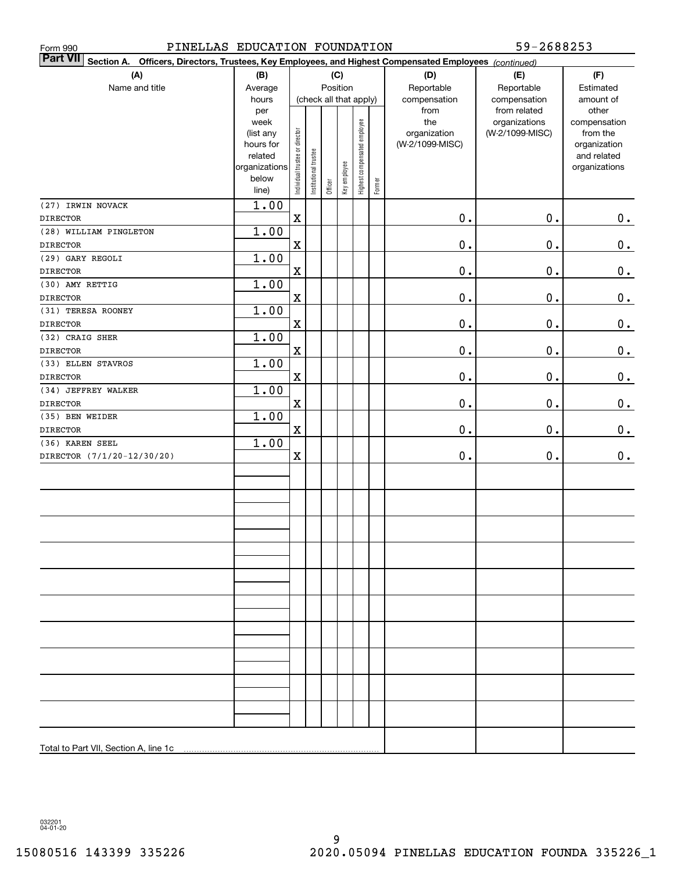| PINELLAS EDUCATION FOUNDATION<br>Form 990                                                                       |                                                           |                                |                                    |         |              |                              |        |                                                                | 59-2688253                                                       |                                                                               |
|-----------------------------------------------------------------------------------------------------------------|-----------------------------------------------------------|--------------------------------|------------------------------------|---------|--------------|------------------------------|--------|----------------------------------------------------------------|------------------------------------------------------------------|-------------------------------------------------------------------------------|
| Part VII Section A. Officers, Directors, Trustees, Key Employees, and Highest Compensated Employees (continued) |                                                           |                                |                                    |         |              |                              |        |                                                                |                                                                  |                                                                               |
| (A)                                                                                                             | (B)                                                       |                                |                                    |         | (C)          |                              |        | (D)                                                            | (E)                                                              | (F)                                                                           |
| Name and title                                                                                                  | Average                                                   |                                | Position<br>(check all that apply) |         |              |                              |        | Reportable                                                     | Reportable                                                       | Estimated                                                                     |
|                                                                                                                 | hours<br>per<br>week<br>(list any<br>hours for<br>related |                                |                                    |         |              |                              |        | compensation<br>from<br>the<br>organization<br>(W-2/1099-MISC) | compensation<br>from related<br>organizations<br>(W-2/1099-MISC) | amount of<br>other<br>compensation<br>from the<br>organization<br>and related |
|                                                                                                                 | organizations<br>below<br>line)                           | Individual trustee or director | Institutional trustee              | Officer | Key employee | Highest compensated employee | Former |                                                                |                                                                  | organizations                                                                 |
| (27) IRWIN NOVACK                                                                                               | 1.00                                                      |                                |                                    |         |              |                              |        |                                                                |                                                                  |                                                                               |
| <b>DIRECTOR</b>                                                                                                 |                                                           | $\mathbf X$                    |                                    |         |              |                              |        | $\mathbf 0$ .                                                  | $\mathbf 0$ .                                                    | 0.                                                                            |
| (28) WILLIAM PINGLETON                                                                                          | 1.00                                                      |                                |                                    |         |              |                              |        |                                                                |                                                                  |                                                                               |
| <b>DIRECTOR</b>                                                                                                 |                                                           | $\mathbf X$                    |                                    |         |              |                              |        | $\mathbf 0$ .                                                  | 0.                                                               | 0.                                                                            |
| (29) GARY REGOLI                                                                                                | 1.00                                                      |                                |                                    |         |              |                              |        |                                                                |                                                                  |                                                                               |
| <b>DIRECTOR</b>                                                                                                 |                                                           | $\mathbf X$                    |                                    |         |              |                              |        | $\mathbf 0$ .                                                  | 0.                                                               | 0.                                                                            |
| (30) AMY RETTIG                                                                                                 | 1.00                                                      |                                |                                    |         |              |                              |        |                                                                |                                                                  |                                                                               |
| <b>DIRECTOR</b>                                                                                                 |                                                           | $\mathbf X$                    |                                    |         |              |                              |        | $\mathbf 0$ .                                                  | 0.                                                               | 0.                                                                            |
| (31) TERESA ROONEY                                                                                              | 1.00                                                      |                                |                                    |         |              |                              |        |                                                                |                                                                  |                                                                               |
| <b>DIRECTOR</b>                                                                                                 |                                                           | $\mathbf X$                    |                                    |         |              |                              |        | $\mathbf 0$ .                                                  | 0.                                                               | 0.                                                                            |
| (32) CRAIG SHER                                                                                                 | 1.00                                                      |                                |                                    |         |              |                              |        |                                                                |                                                                  |                                                                               |
| <b>DIRECTOR</b>                                                                                                 | 1.00                                                      | $\mathbf X$                    |                                    |         |              |                              |        | $\mathbf 0$ .                                                  | 0.                                                               | 0.                                                                            |
| (33) ELLEN STAVROS<br><b>DIRECTOR</b>                                                                           |                                                           | $\mathbf X$                    |                                    |         |              |                              |        | $\mathbf 0$ .                                                  | 0.                                                               | 0.                                                                            |
| (34) JEFFREY WALKER                                                                                             | 1.00                                                      |                                |                                    |         |              |                              |        |                                                                |                                                                  |                                                                               |
| <b>DIRECTOR</b>                                                                                                 |                                                           | $\mathbf X$                    |                                    |         |              |                              |        | $\mathbf 0$ .                                                  | 0.                                                               | 0.                                                                            |
| (35) BEN WEIDER                                                                                                 | 1.00                                                      |                                |                                    |         |              |                              |        |                                                                |                                                                  |                                                                               |
| <b>DIRECTOR</b>                                                                                                 |                                                           | $\mathbf X$                    |                                    |         |              |                              |        | $\mathbf 0$ .                                                  | 0.                                                               | 0.                                                                            |
| (36) KAREN SEEL                                                                                                 | 1.00                                                      |                                |                                    |         |              |                              |        |                                                                |                                                                  |                                                                               |
| DIRECTOR (7/1/20-12/30/20)                                                                                      |                                                           | $\mathbf X$                    |                                    |         |              |                              |        | $\mathbf 0$ .                                                  | $\mathbf 0$ .                                                    | 0.                                                                            |
|                                                                                                                 |                                                           |                                |                                    |         |              |                              |        |                                                                |                                                                  |                                                                               |
|                                                                                                                 |                                                           |                                |                                    |         |              |                              |        |                                                                |                                                                  |                                                                               |
|                                                                                                                 |                                                           |                                |                                    |         |              |                              |        |                                                                |                                                                  |                                                                               |
|                                                                                                                 |                                                           |                                |                                    |         |              |                              |        |                                                                |                                                                  |                                                                               |
|                                                                                                                 |                                                           |                                |                                    |         |              |                              |        |                                                                |                                                                  |                                                                               |
|                                                                                                                 |                                                           |                                |                                    |         |              |                              |        |                                                                |                                                                  |                                                                               |
|                                                                                                                 |                                                           |                                |                                    |         |              |                              |        |                                                                |                                                                  |                                                                               |
|                                                                                                                 |                                                           |                                |                                    |         |              |                              |        |                                                                |                                                                  |                                                                               |
| Total to Part VII, Section A, line 1c                                                                           |                                                           |                                |                                    |         |              |                              |        |                                                                |                                                                  |                                                                               |
|                                                                                                                 |                                                           |                                |                                    |         |              |                              |        |                                                                |                                                                  |                                                                               |

032201 04-01-20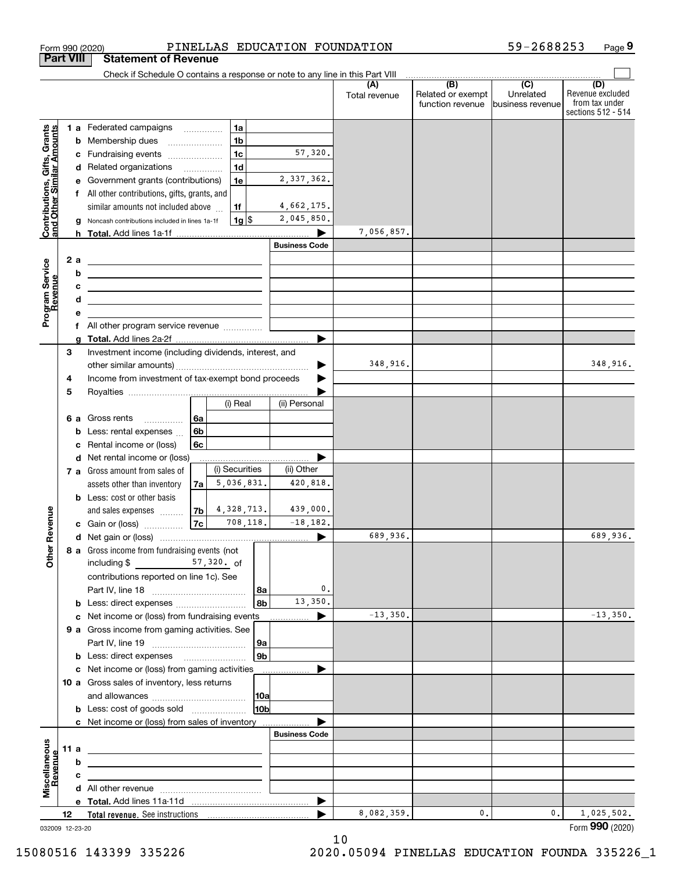|                                                           | <b>Part VIII</b> |   | <b>Statement of Revenue</b>                                                                                           |                |                     |     |                       |                      |                                                           |                                                   |                                                                 |
|-----------------------------------------------------------|------------------|---|-----------------------------------------------------------------------------------------------------------------------|----------------|---------------------|-----|-----------------------|----------------------|-----------------------------------------------------------|---------------------------------------------------|-----------------------------------------------------------------|
|                                                           |                  |   | Check if Schedule O contains a response or note to any line in this Part VIII                                         |                |                     |     |                       |                      |                                                           |                                                   |                                                                 |
|                                                           |                  |   |                                                                                                                       |                |                     |     |                       | (A)<br>Total revenue | $\overline{(B)}$<br>Related or exempt<br>function revenue | $\overline{(C)}$<br>Unrelated<br>business revenue | (D)<br>Revenue excluded<br>from tax under<br>sections 512 - 514 |
|                                                           |                  |   | <b>1 a</b> Federated campaigns                                                                                        |                | 1a                  |     |                       |                      |                                                           |                                                   |                                                                 |
|                                                           |                  |   | <b>b</b> Membership dues                                                                                              |                | 1 <sub>b</sub>      |     |                       |                      |                                                           |                                                   |                                                                 |
| Contributions, Gifts, Grants<br>and Other Similar Amounts |                  | с | Fundraising events                                                                                                    |                | 1 <sub>c</sub>      |     | 57,320.               |                      |                                                           |                                                   |                                                                 |
|                                                           |                  |   | d Related organizations                                                                                               |                | 1 <sub>d</sub>      |     |                       |                      |                                                           |                                                   |                                                                 |
|                                                           |                  | е | Government grants (contributions)                                                                                     |                | 1e                  |     | 2,337,362.            |                      |                                                           |                                                   |                                                                 |
|                                                           |                  |   | f All other contributions, gifts, grants, and                                                                         |                |                     |     |                       |                      |                                                           |                                                   |                                                                 |
|                                                           |                  |   | similar amounts not included above                                                                                    |                | 1f                  |     | 4,662,175.            |                      |                                                           |                                                   |                                                                 |
|                                                           |                  |   | Noncash contributions included in lines 1a-1f                                                                         |                | $1g$ \$             |     | 2,045,850.            |                      |                                                           |                                                   |                                                                 |
|                                                           |                  | h |                                                                                                                       |                |                     |     |                       | 7,056,857.           |                                                           |                                                   |                                                                 |
|                                                           |                  |   |                                                                                                                       |                |                     |     | <b>Business Code</b>  |                      |                                                           |                                                   |                                                                 |
|                                                           | 2 a              |   | <u> 1989 - Johann Barn, mars ann an t-Amhain Aonaich an t-Aonaich an t-Aonaich ann an t-Aonaich ann an t-Aonaich</u>  |                |                     |     |                       |                      |                                                           |                                                   |                                                                 |
|                                                           |                  | b | <u> 1980 - Johann Barbara, martin amerikan basar dan berasal dalam basar dalam basar dalam basar dalam basar dala</u> |                |                     |     |                       |                      |                                                           |                                                   |                                                                 |
| evenue                                                    |                  | с | the contract of the contract of the contract of the contract of the contract of                                       |                |                     |     |                       |                      |                                                           |                                                   |                                                                 |
|                                                           |                  | d | the contract of the contract of the contract of the contract of the contract of                                       |                |                     |     |                       |                      |                                                           |                                                   |                                                                 |
| Program Service<br>Revenue                                | e                |   |                                                                                                                       |                |                     |     |                       |                      |                                                           |                                                   |                                                                 |
|                                                           |                  |   |                                                                                                                       |                |                     |     | ▶                     |                      |                                                           |                                                   |                                                                 |
|                                                           | 3                |   | Investment income (including dividends, interest, and                                                                 |                |                     |     |                       |                      |                                                           |                                                   |                                                                 |
|                                                           |                  |   |                                                                                                                       |                |                     |     |                       | 348,916.             |                                                           |                                                   | 348,916.                                                        |
|                                                           | 4                |   | Income from investment of tax-exempt bond proceeds                                                                    |                |                     |     |                       |                      |                                                           |                                                   |                                                                 |
|                                                           | 5                |   |                                                                                                                       |                |                     |     |                       |                      |                                                           |                                                   |                                                                 |
|                                                           |                  |   |                                                                                                                       |                | (i) Real            |     | (ii) Personal         |                      |                                                           |                                                   |                                                                 |
|                                                           | 6а               |   | Gross rents<br>.                                                                                                      | 6a             |                     |     |                       |                      |                                                           |                                                   |                                                                 |
|                                                           |                  | b | Less: rental expenses                                                                                                 | 6 <sub>b</sub> |                     |     |                       |                      |                                                           |                                                   |                                                                 |
|                                                           | c                |   | Rental income or (loss)                                                                                               | 6с             |                     |     |                       |                      |                                                           |                                                   |                                                                 |
|                                                           |                  |   | d Net rental income or (loss)                                                                                         |                |                     |     |                       |                      |                                                           |                                                   |                                                                 |
|                                                           |                  |   | 7 a Gross amount from sales of                                                                                        |                | (i) Securities      |     | (ii) Other            |                      |                                                           |                                                   |                                                                 |
|                                                           |                  |   | assets other than inventory                                                                                           | 7a             | 5,036,831.          |     | 420,818.              |                      |                                                           |                                                   |                                                                 |
|                                                           |                  |   | <b>b</b> Less: cost or other basis                                                                                    |                |                     |     |                       |                      |                                                           |                                                   |                                                                 |
|                                                           |                  |   | and sales expenses                                                                                                    |                | $ 7b $ 4, 328, 713. |     | 439,000.              |                      |                                                           |                                                   |                                                                 |
| Revenue                                                   |                  |   | <b>c</b> Gain or (loss) $\ldots$                                                                                      | 7c             | 708,118.            |     | $-18,182.$            |                      |                                                           |                                                   |                                                                 |
|                                                           |                  |   |                                                                                                                       |                |                     |     | $\blacktriangleright$ | 689,936.             |                                                           |                                                   | 689,936.                                                        |
| Othe                                                      |                  |   | 8 a Gross income from fundraising events (not                                                                         |                |                     |     |                       |                      |                                                           |                                                   |                                                                 |
|                                                           |                  |   | including \$<br><u>and a strong to</u>                                                                                |                | 57,320. of          |     |                       |                      |                                                           |                                                   |                                                                 |
|                                                           |                  |   | contributions reported on line 1c). See                                                                               |                |                     |     |                       |                      |                                                           |                                                   |                                                                 |
|                                                           |                  |   |                                                                                                                       |                |                     | 8a  | 0.<br>13,350.         |                      |                                                           |                                                   |                                                                 |
|                                                           |                  |   |                                                                                                                       |                |                     | 8b  |                       | $-13,350.$           |                                                           |                                                   | $-13,350.$                                                      |
|                                                           |                  |   | c Net income or (loss) from fundraising events                                                                        |                |                     |     |                       |                      |                                                           |                                                   |                                                                 |
|                                                           |                  |   | 9 a Gross income from gaming activities. See                                                                          |                |                     | 9a  |                       |                      |                                                           |                                                   |                                                                 |
|                                                           |                  |   | <b>b</b> Less: direct expenses <b>manually</b>                                                                        |                |                     | 9b  |                       |                      |                                                           |                                                   |                                                                 |
|                                                           |                  |   | c Net income or (loss) from gaming activities _______________                                                         |                |                     |     |                       |                      |                                                           |                                                   |                                                                 |
|                                                           |                  |   | 10 a Gross sales of inventory, less returns                                                                           |                |                     |     |                       |                      |                                                           |                                                   |                                                                 |
|                                                           |                  |   |                                                                                                                       |                |                     | 10a |                       |                      |                                                           |                                                   |                                                                 |
|                                                           |                  |   | <b>b</b> Less: cost of goods sold                                                                                     |                |                     | 10b |                       |                      |                                                           |                                                   |                                                                 |
|                                                           |                  |   | c Net income or (loss) from sales of inventory                                                                        |                |                     |     |                       |                      |                                                           |                                                   |                                                                 |
|                                                           |                  |   |                                                                                                                       |                |                     |     | <b>Business Code</b>  |                      |                                                           |                                                   |                                                                 |
|                                                           | 11 a             |   | <u> 1989 - Johann Barbara, martxa alemaniar a</u>                                                                     |                |                     |     |                       |                      |                                                           |                                                   |                                                                 |
|                                                           |                  | b |                                                                                                                       |                |                     |     |                       |                      |                                                           |                                                   |                                                                 |
| Revenue                                                   | c                |   |                                                                                                                       |                |                     |     |                       |                      |                                                           |                                                   |                                                                 |
| Miscellaneous                                             |                  |   |                                                                                                                       |                |                     |     |                       |                      |                                                           |                                                   |                                                                 |
|                                                           |                  |   |                                                                                                                       |                |                     |     | ▶                     |                      |                                                           |                                                   |                                                                 |
|                                                           | 12               |   |                                                                                                                       |                |                     |     |                       | 8,082,359.           | 0.                                                        | 0.                                                | 1,025,502.                                                      |
|                                                           | 032009 12-23-20  |   |                                                                                                                       |                |                     |     |                       |                      |                                                           |                                                   | Form 990 (2020)                                                 |

10

Form 990 (2020) PINELLAS EDUCATION FOUNDATION 59-2688253 Page

**9**

59-2688253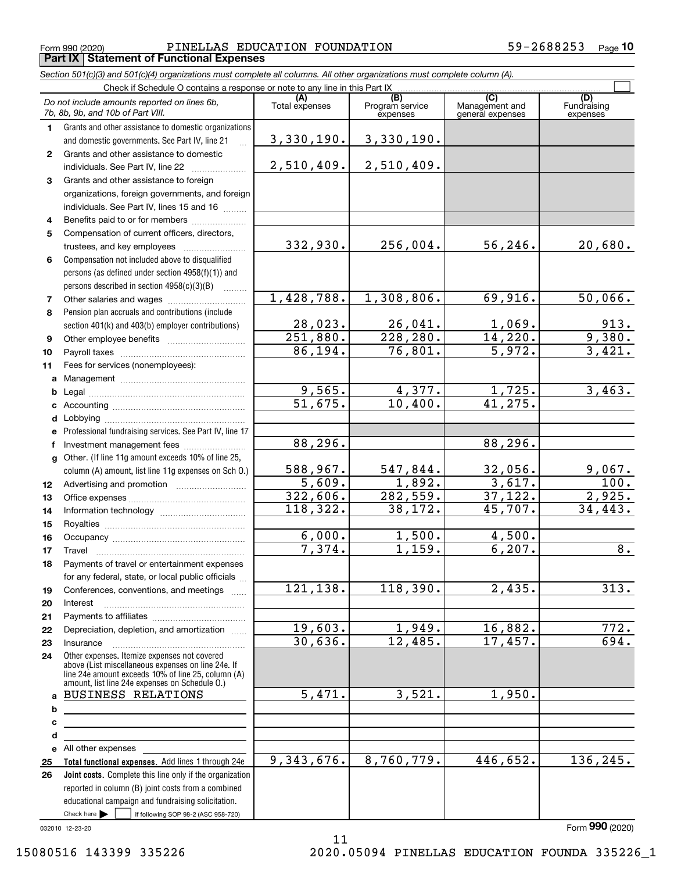Form 990 (2020) Page PINELLAS EDUCATION FOUNDATION 59-2688253 **Part IX Statement of Functional Expenses**

|              | Section 501(c)(3) and 501(c)(4) organizations must complete all columns. All other organizations must complete column (A).                                                                                 |                       |                                    |                                           |                                |
|--------------|------------------------------------------------------------------------------------------------------------------------------------------------------------------------------------------------------------|-----------------------|------------------------------------|-------------------------------------------|--------------------------------|
|              | Check if Schedule O contains a response or note to any line in this Part IX                                                                                                                                |                       |                                    |                                           |                                |
|              | Do not include amounts reported on lines 6b,<br>7b, 8b, 9b, and 10b of Part VIII.                                                                                                                          | (A)<br>Total expenses | (B)<br>Program service<br>expenses | (C)<br>Management and<br>general expenses | (D)<br>Fundraising<br>expenses |
| 1.           | Grants and other assistance to domestic organizations                                                                                                                                                      |                       |                                    |                                           |                                |
|              | and domestic governments. See Part IV, line 21                                                                                                                                                             | 3,330,190.            | 3,330,190.                         |                                           |                                |
| $\mathbf{2}$ | Grants and other assistance to domestic                                                                                                                                                                    |                       |                                    |                                           |                                |
|              | individuals. See Part IV, line 22                                                                                                                                                                          | 2,510,409.            | 2,510,409.                         |                                           |                                |
| 3            | Grants and other assistance to foreign                                                                                                                                                                     |                       |                                    |                                           |                                |
|              | organizations, foreign governments, and foreign                                                                                                                                                            |                       |                                    |                                           |                                |
|              | individuals. See Part IV, lines 15 and 16                                                                                                                                                                  |                       |                                    |                                           |                                |
| 4            | Benefits paid to or for members                                                                                                                                                                            |                       |                                    |                                           |                                |
| 5            | Compensation of current officers, directors,                                                                                                                                                               |                       |                                    |                                           |                                |
|              | trustees, and key employees                                                                                                                                                                                | 332,930.              | 256,004.                           | 56, 246.                                  | 20,680.                        |
| 6            | Compensation not included above to disqualified                                                                                                                                                            |                       |                                    |                                           |                                |
|              | persons (as defined under section 4958(f)(1)) and                                                                                                                                                          |                       |                                    |                                           |                                |
|              | persons described in section 4958(c)(3)(B)                                                                                                                                                                 |                       |                                    |                                           |                                |
| 7            | Other salaries and wages                                                                                                                                                                                   | 1,428,788.            | 1,308,806.                         | 69,916.                                   | 50,066.                        |
| 8            | Pension plan accruals and contributions (include                                                                                                                                                           |                       |                                    |                                           |                                |
|              | section 401(k) and 403(b) employer contributions)                                                                                                                                                          | 28,023.               | 26,041.                            | $\frac{1,069.}{14,220.}$                  | $\frac{913}{9,380}$ .          |
| 9            |                                                                                                                                                                                                            | 251,880.              | 228, 280.                          |                                           |                                |
| 10           |                                                                                                                                                                                                            | 86,194.               | 76,801.                            | 5,972.                                    | 3,421.                         |
| 11           | Fees for services (nonemployees):                                                                                                                                                                          |                       |                                    |                                           |                                |
|              |                                                                                                                                                                                                            |                       |                                    |                                           |                                |
| b            |                                                                                                                                                                                                            | 9,565.                | 4,377.                             | 1,725.                                    | 3,463.                         |
| c            |                                                                                                                                                                                                            | 51,675.               | 10,400.                            | 41, 275.                                  |                                |
| d            |                                                                                                                                                                                                            |                       |                                    |                                           |                                |
|              | Professional fundraising services. See Part IV, line 17                                                                                                                                                    |                       |                                    |                                           |                                |
| f            | Investment management fees                                                                                                                                                                                 | 88,296.               |                                    | 88, 296.                                  |                                |
|              | g Other. (If line 11g amount exceeds 10% of line 25,                                                                                                                                                       |                       |                                    |                                           |                                |
|              | column (A) amount, list line 11g expenses on Sch 0.)                                                                                                                                                       | 588,967.              | 547, 844.                          | 32,056.                                   | $\frac{9,067.}{100.}$          |
| 12           |                                                                                                                                                                                                            | 5,609.                | 1,892.                             | 3,617.                                    |                                |
| 13           |                                                                                                                                                                                                            | 322,606.              | 282,559.                           | 37,122.                                   | 2,925.                         |
| 14           |                                                                                                                                                                                                            | 118,322.              | 38,172.                            | 45,707.                                   | 34, 443.                       |
| 15           |                                                                                                                                                                                                            |                       |                                    |                                           |                                |
| 16           |                                                                                                                                                                                                            | 6,000.                | 1,500.                             | 4,500.                                    |                                |
| 17           |                                                                                                                                                                                                            | 7,374.                | 1,159.                             | 6, 207.                                   | 8.                             |
| 18           | Payments of travel or entertainment expenses                                                                                                                                                               |                       |                                    |                                           |                                |
|              | for any federal, state, or local public officials                                                                                                                                                          |                       |                                    |                                           |                                |
| 19           | Conferences, conventions, and meetings                                                                                                                                                                     | 121,138.              | 118,390.                           | 2,435.                                    | 313.                           |
| 20           | Interest                                                                                                                                                                                                   |                       |                                    |                                           |                                |
| 21           |                                                                                                                                                                                                            |                       |                                    |                                           |                                |
| 22           | Depreciation, depletion, and amortization                                                                                                                                                                  | 19,603.               | 1,949.                             | 16,882.                                   | 772.                           |
| 23           | Insurance                                                                                                                                                                                                  | 30,636.               | 12,485.                            | 17,457.                                   | 694.                           |
| 24           | Other expenses. Itemize expenses not covered<br>above (List miscellaneous expenses on line 24e. If<br>line 24e amount exceeds 10% of line 25, column (A)<br>amount, list line 24e expenses on Schedule O.) |                       |                                    |                                           |                                |
|              | a BUSINESS RELATIONS                                                                                                                                                                                       | 5,471.                | 3,521.                             | 1,950.                                    |                                |
| b            |                                                                                                                                                                                                            |                       |                                    |                                           |                                |
| с            |                                                                                                                                                                                                            |                       |                                    |                                           |                                |
| d            | <u> 1989 - Johann Barbara, martxa alemaniar a</u>                                                                                                                                                          |                       |                                    |                                           |                                |
|              | e All other expenses                                                                                                                                                                                       |                       |                                    |                                           |                                |
| 25           | Total functional expenses. Add lines 1 through 24e                                                                                                                                                         | 9,343,676.            | 8,760,779.                         | 446,652.                                  | 136,245.                       |
| 26           | Joint costs. Complete this line only if the organization                                                                                                                                                   |                       |                                    |                                           |                                |
|              | reported in column (B) joint costs from a combined                                                                                                                                                         |                       |                                    |                                           |                                |
|              | educational campaign and fundraising solicitation.                                                                                                                                                         |                       |                                    |                                           |                                |
|              | Check here $\blacktriangleright$<br>if following SOP 98-2 (ASC 958-720)                                                                                                                                    |                       |                                    |                                           |                                |

11

032010 12-23-20

Form (2020) **990**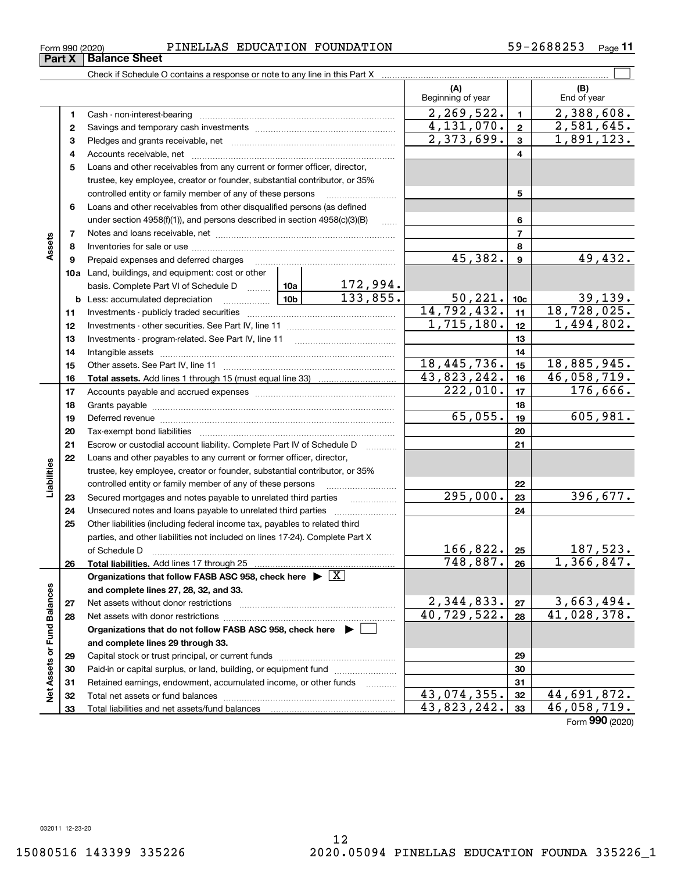### Form 990 (2020) Page PINELLAS EDUCATION FOUNDATION 59-2688253

|                             |    |                                                                                                                                                                                                                                |                                                                            |                | (A)<br>Beginning of year   |                 | (B)<br>End of year |  |  |  |
|-----------------------------|----|--------------------------------------------------------------------------------------------------------------------------------------------------------------------------------------------------------------------------------|----------------------------------------------------------------------------|----------------|----------------------------|-----------------|--------------------|--|--|--|
|                             | 1  | Cash - non-interest-bearing                                                                                                                                                                                                    |                                                                            |                | 2, 269, 522.               | $\mathbf{1}$    | 2,388,608.         |  |  |  |
|                             | 2  |                                                                                                                                                                                                                                |                                                                            |                | $\overline{4}$ , 131, 070. | $\overline{2}$  | 2,581,645.         |  |  |  |
|                             | 3  |                                                                                                                                                                                                                                |                                                                            |                | $\overline{2,373,699}$ .   | 3               | 1,891,123.         |  |  |  |
|                             | 4  |                                                                                                                                                                                                                                |                                                                            |                |                            | 4               |                    |  |  |  |
|                             | 5  | Loans and other receivables from any current or former officer, director,                                                                                                                                                      |                                                                            |                |                            |                 |                    |  |  |  |
|                             |    | trustee, key employee, creator or founder, substantial contributor, or 35%                                                                                                                                                     |                                                                            |                |                            |                 |                    |  |  |  |
|                             |    | controlled entity or family member of any of these persons                                                                                                                                                                     |                                                                            |                |                            | 5               |                    |  |  |  |
|                             | 6  | Loans and other receivables from other disqualified persons (as defined                                                                                                                                                        |                                                                            |                |                            |                 |                    |  |  |  |
|                             |    | under section 4958(f)(1)), and persons described in section 4958(c)(3)(B)                                                                                                                                                      |                                                                            | $\overline{1}$ |                            | 6               |                    |  |  |  |
|                             | 7  |                                                                                                                                                                                                                                |                                                                            |                |                            | 7               |                    |  |  |  |
| Assets                      | 8  |                                                                                                                                                                                                                                |                                                                            |                |                            | 8               |                    |  |  |  |
|                             | 9  | Prepaid expenses and deferred charges                                                                                                                                                                                          |                                                                            |                | 45,382.                    | 9               | 49,432.            |  |  |  |
|                             |    | 10a Land, buildings, and equipment: cost or other                                                                                                                                                                              |                                                                            |                |                            |                 |                    |  |  |  |
|                             |    | basis. Complete Part VI of Schedule D  10a                                                                                                                                                                                     |                                                                            | 172,994.       |                            |                 |                    |  |  |  |
|                             |    | <b>b</b> Less: accumulated depreciation                                                                                                                                                                                        |                                                                            | 133,855.       | 50, 221.                   | 10 <sub>c</sub> | 39,139.            |  |  |  |
|                             | 11 |                                                                                                                                                                                                                                |                                                                            |                | 14, 792, 432.              | 11              | 18,728,025.        |  |  |  |
|                             | 12 |                                                                                                                                                                                                                                |                                                                            |                | $\overline{1,715},180.$    | 12              | 1,494,802.         |  |  |  |
|                             | 13 | Investments - program-related. See Part IV, line 11                                                                                                                                                                            |                                                                            |                |                            | 13              |                    |  |  |  |
|                             | 14 |                                                                                                                                                                                                                                |                                                                            | 14             |                            |                 |                    |  |  |  |
|                             | 15 |                                                                                                                                                                                                                                |                                                                            |                | 18,445,736.                | 15              | 18,885,945.        |  |  |  |
|                             | 16 |                                                                                                                                                                                                                                |                                                                            |                | 43,823,242.                | 16              | 46,058,719.        |  |  |  |
|                             | 17 |                                                                                                                                                                                                                                |                                                                            |                | 222,010.                   | 17              | 176,666.           |  |  |  |
|                             | 18 |                                                                                                                                                                                                                                |                                                                            |                |                            | 18              |                    |  |  |  |
|                             | 19 | Deferred revenue manual contracts and contracts are contracted and contract and contract are contracted and contract are contracted and contract are contracted and contract are contracted and contract are contracted and co |                                                                            |                | 65,055.                    | 19              | 605,981.           |  |  |  |
|                             | 20 |                                                                                                                                                                                                                                |                                                                            |                | 20                         |                 |                    |  |  |  |
|                             | 21 |                                                                                                                                                                                                                                | Escrow or custodial account liability. Complete Part IV of Schedule D<br>. |                |                            |                 |                    |  |  |  |
|                             | 22 | Loans and other payables to any current or former officer, director,                                                                                                                                                           |                                                                            |                |                            |                 |                    |  |  |  |
| Liabilities                 |    | trustee, key employee, creator or founder, substantial contributor, or 35%                                                                                                                                                     |                                                                            |                |                            |                 |                    |  |  |  |
|                             |    | controlled entity or family member of any of these persons                                                                                                                                                                     |                                                                            |                |                            | 22              |                    |  |  |  |
|                             | 23 | Secured mortgages and notes payable to unrelated third parties                                                                                                                                                                 |                                                                            |                | $\overline{295,000}$ .     | 23              | 396,677.           |  |  |  |
|                             | 24 | Unsecured notes and loans payable to unrelated third parties                                                                                                                                                                   |                                                                            |                |                            | 24              |                    |  |  |  |
|                             | 25 | Other liabilities (including federal income tax, payables to related third                                                                                                                                                     |                                                                            |                |                            |                 |                    |  |  |  |
|                             |    | parties, and other liabilities not included on lines 17-24). Complete Part X                                                                                                                                                   |                                                                            |                |                            |                 |                    |  |  |  |
|                             |    | of Schedule D                                                                                                                                                                                                                  |                                                                            | 166,822.       | 25                         | 187,523.        |                    |  |  |  |
|                             | 26 |                                                                                                                                                                                                                                |                                                                            |                | 748,887.                   | 26              | 1,366,847.         |  |  |  |
|                             |    | Organizations that follow FASB ASC 958, check here $\blacktriangleright \boxed{X}$                                                                                                                                             |                                                                            |                |                            |                 |                    |  |  |  |
|                             |    | and complete lines 27, 28, 32, and 33.                                                                                                                                                                                         |                                                                            |                |                            |                 |                    |  |  |  |
|                             | 27 | Net assets without donor restrictions                                                                                                                                                                                          |                                                                            |                | 2,344,833.                 | 27              | 3,663,494.         |  |  |  |
|                             | 28 | Net assets with donor restrictions                                                                                                                                                                                             | 40,729,522.                                                                | 28             | 41,028,378.                |                 |                    |  |  |  |
|                             |    | Organizations that do not follow FASB ASC 958, check here ▶ [                                                                                                                                                                  |                                                                            |                |                            |                 |                    |  |  |  |
|                             |    | and complete lines 29 through 33.                                                                                                                                                                                              |                                                                            |                |                            |                 |                    |  |  |  |
| Net Assets or Fund Balances | 29 |                                                                                                                                                                                                                                |                                                                            | 29             |                            |                 |                    |  |  |  |
|                             | 30 | Paid-in or capital surplus, or land, building, or equipment fund                                                                                                                                                               |                                                                            |                | 30                         |                 |                    |  |  |  |
|                             | 31 | Retained earnings, endowment, accumulated income, or other funds                                                                                                                                                               |                                                                            | .              |                            | 31              |                    |  |  |  |
|                             | 32 |                                                                                                                                                                                                                                |                                                                            |                | $\overline{43,074}$ , 355. | 32              | 44,691,872.        |  |  |  |
|                             | 33 |                                                                                                                                                                                                                                |                                                                            |                | 43,823,242.                | 33              | 46,058,719.        |  |  |  |

 $\mathcal{L}^{\text{max}}$ 

Form (2020) **990**

Check if Schedule O contains a response or note to any line in this Part X **Part X Balance Sheet**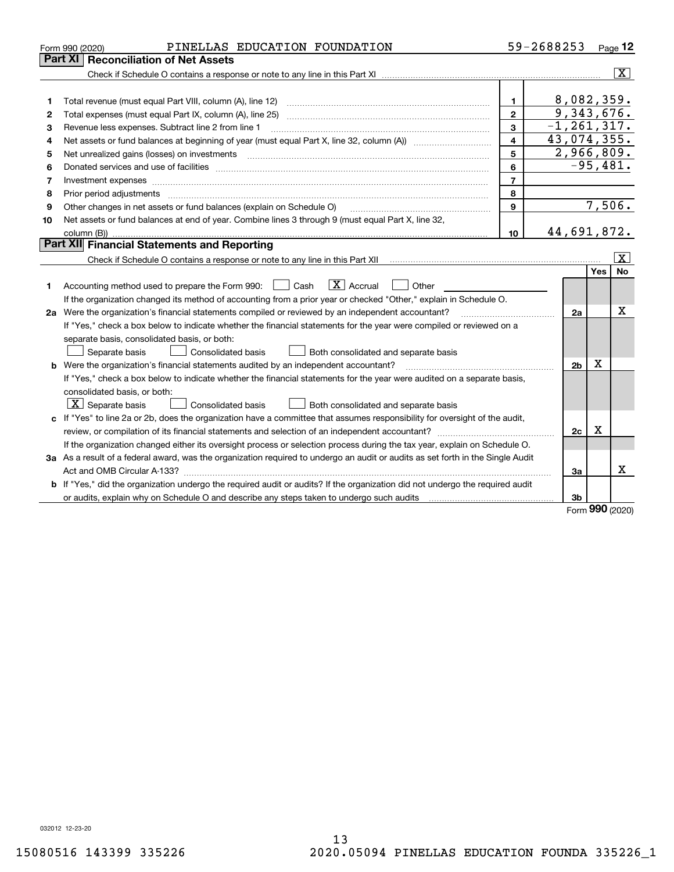| Part XI<br>8,082,359.<br>$\mathbf{1}$<br>1<br>9,343,676.<br>$\mathbf{2}$<br>2<br>$-1, 261, 317.$<br>3<br>Revenue less expenses. Subtract line 2 from line 1<br>з<br>43,074,355.<br>4<br>4<br>2,966,809.<br>5<br>5<br>$-95,481.$<br>6<br>6<br>$\overline{7}$<br>7<br>8<br>8<br>7,506.<br>$\mathbf{9}$<br>Other changes in net assets or fund balances (explain on Schedule O)<br>9<br>Net assets or fund balances at end of year. Combine lines 3 through 9 (must equal Part X, line 32,<br>10<br>44,691,872.<br>10<br>Part XII Financial Statements and Reporting<br>$\boxed{\text{X}}$<br>Yes<br>$\boxed{\text{X}}$ Accrual<br>Accounting method used to prepare the Form 990: <u>June</u> Cash<br>Other<br>$\mathbf{1}$<br>1<br>If the organization changed its method of accounting from a prior year or checked "Other," explain in Schedule O.<br>X<br>2a Were the organization's financial statements compiled or reviewed by an independent accountant?<br>2a<br>If "Yes," check a box below to indicate whether the financial statements for the year were compiled or reviewed on a<br>separate basis, consolidated basis, or both:<br>Both consolidated and separate basis<br>Separate basis<br>Consolidated basis<br>х<br><b>b</b> Were the organization's financial statements audited by an independent accountant?<br>2 <sub>b</sub><br>If "Yes," check a box below to indicate whether the financial statements for the year were audited on a separate basis,<br>consolidated basis, or both:<br>$X$ Separate basis<br><b>Consolidated basis</b><br>Both consolidated and separate basis<br>c If "Yes" to line 2a or 2b, does the organization have a committee that assumes responsibility for oversight of the audit,<br>х<br>review, or compilation of its financial statements and selection of an independent accountant?<br>2c<br>If the organization changed either its oversight process or selection process during the tax year, explain on Schedule O.<br>3a As a result of a federal award, was the organization required to undergo an audit or audits as set forth in the Single Audit<br>X<br>За<br><b>b</b> If "Yes," did the organization undergo the required audit or audits? If the organization did not undergo the required audit<br>or audits, explain why on Schedule O and describe any steps taken to undergo such audits [11] content to under<br>3b | PINELLAS EDUCATION FOUNDATION<br>Form 990 (2020) | 59-2688253 |  | Page 12                 |
|-------------------------------------------------------------------------------------------------------------------------------------------------------------------------------------------------------------------------------------------------------------------------------------------------------------------------------------------------------------------------------------------------------------------------------------------------------------------------------------------------------------------------------------------------------------------------------------------------------------------------------------------------------------------------------------------------------------------------------------------------------------------------------------------------------------------------------------------------------------------------------------------------------------------------------------------------------------------------------------------------------------------------------------------------------------------------------------------------------------------------------------------------------------------------------------------------------------------------------------------------------------------------------------------------------------------------------------------------------------------------------------------------------------------------------------------------------------------------------------------------------------------------------------------------------------------------------------------------------------------------------------------------------------------------------------------------------------------------------------------------------------------------------------------------------------------------------------------------------------------------------------------------------------------------------------------------------------------------------------------------------------------------------------------------------------------------------------------------------------------------------------------------------------------------------------------------------------------------------------------------------------------------------------------------------------------------------------------------------------------------------------------------|--------------------------------------------------|------------|--|-------------------------|
|                                                                                                                                                                                                                                                                                                                                                                                                                                                                                                                                                                                                                                                                                                                                                                                                                                                                                                                                                                                                                                                                                                                                                                                                                                                                                                                                                                                                                                                                                                                                                                                                                                                                                                                                                                                                                                                                                                                                                                                                                                                                                                                                                                                                                                                                                                                                                                                                 | <b>Reconciliation of Net Assets</b>              |            |  |                         |
|                                                                                                                                                                                                                                                                                                                                                                                                                                                                                                                                                                                                                                                                                                                                                                                                                                                                                                                                                                                                                                                                                                                                                                                                                                                                                                                                                                                                                                                                                                                                                                                                                                                                                                                                                                                                                                                                                                                                                                                                                                                                                                                                                                                                                                                                                                                                                                                                 |                                                  |            |  | $\overline{\mathbf{x}}$ |
|                                                                                                                                                                                                                                                                                                                                                                                                                                                                                                                                                                                                                                                                                                                                                                                                                                                                                                                                                                                                                                                                                                                                                                                                                                                                                                                                                                                                                                                                                                                                                                                                                                                                                                                                                                                                                                                                                                                                                                                                                                                                                                                                                                                                                                                                                                                                                                                                 |                                                  |            |  |                         |
|                                                                                                                                                                                                                                                                                                                                                                                                                                                                                                                                                                                                                                                                                                                                                                                                                                                                                                                                                                                                                                                                                                                                                                                                                                                                                                                                                                                                                                                                                                                                                                                                                                                                                                                                                                                                                                                                                                                                                                                                                                                                                                                                                                                                                                                                                                                                                                                                 |                                                  |            |  |                         |
|                                                                                                                                                                                                                                                                                                                                                                                                                                                                                                                                                                                                                                                                                                                                                                                                                                                                                                                                                                                                                                                                                                                                                                                                                                                                                                                                                                                                                                                                                                                                                                                                                                                                                                                                                                                                                                                                                                                                                                                                                                                                                                                                                                                                                                                                                                                                                                                                 |                                                  |            |  |                         |
|                                                                                                                                                                                                                                                                                                                                                                                                                                                                                                                                                                                                                                                                                                                                                                                                                                                                                                                                                                                                                                                                                                                                                                                                                                                                                                                                                                                                                                                                                                                                                                                                                                                                                                                                                                                                                                                                                                                                                                                                                                                                                                                                                                                                                                                                                                                                                                                                 |                                                  |            |  |                         |
|                                                                                                                                                                                                                                                                                                                                                                                                                                                                                                                                                                                                                                                                                                                                                                                                                                                                                                                                                                                                                                                                                                                                                                                                                                                                                                                                                                                                                                                                                                                                                                                                                                                                                                                                                                                                                                                                                                                                                                                                                                                                                                                                                                                                                                                                                                                                                                                                 |                                                  |            |  |                         |
|                                                                                                                                                                                                                                                                                                                                                                                                                                                                                                                                                                                                                                                                                                                                                                                                                                                                                                                                                                                                                                                                                                                                                                                                                                                                                                                                                                                                                                                                                                                                                                                                                                                                                                                                                                                                                                                                                                                                                                                                                                                                                                                                                                                                                                                                                                                                                                                                 |                                                  |            |  |                         |
|                                                                                                                                                                                                                                                                                                                                                                                                                                                                                                                                                                                                                                                                                                                                                                                                                                                                                                                                                                                                                                                                                                                                                                                                                                                                                                                                                                                                                                                                                                                                                                                                                                                                                                                                                                                                                                                                                                                                                                                                                                                                                                                                                                                                                                                                                                                                                                                                 |                                                  |            |  |                         |
|                                                                                                                                                                                                                                                                                                                                                                                                                                                                                                                                                                                                                                                                                                                                                                                                                                                                                                                                                                                                                                                                                                                                                                                                                                                                                                                                                                                                                                                                                                                                                                                                                                                                                                                                                                                                                                                                                                                                                                                                                                                                                                                                                                                                                                                                                                                                                                                                 |                                                  |            |  |                         |
|                                                                                                                                                                                                                                                                                                                                                                                                                                                                                                                                                                                                                                                                                                                                                                                                                                                                                                                                                                                                                                                                                                                                                                                                                                                                                                                                                                                                                                                                                                                                                                                                                                                                                                                                                                                                                                                                                                                                                                                                                                                                                                                                                                                                                                                                                                                                                                                                 |                                                  |            |  |                         |
|                                                                                                                                                                                                                                                                                                                                                                                                                                                                                                                                                                                                                                                                                                                                                                                                                                                                                                                                                                                                                                                                                                                                                                                                                                                                                                                                                                                                                                                                                                                                                                                                                                                                                                                                                                                                                                                                                                                                                                                                                                                                                                                                                                                                                                                                                                                                                                                                 |                                                  |            |  |                         |
|                                                                                                                                                                                                                                                                                                                                                                                                                                                                                                                                                                                                                                                                                                                                                                                                                                                                                                                                                                                                                                                                                                                                                                                                                                                                                                                                                                                                                                                                                                                                                                                                                                                                                                                                                                                                                                                                                                                                                                                                                                                                                                                                                                                                                                                                                                                                                                                                 |                                                  |            |  |                         |
|                                                                                                                                                                                                                                                                                                                                                                                                                                                                                                                                                                                                                                                                                                                                                                                                                                                                                                                                                                                                                                                                                                                                                                                                                                                                                                                                                                                                                                                                                                                                                                                                                                                                                                                                                                                                                                                                                                                                                                                                                                                                                                                                                                                                                                                                                                                                                                                                 |                                                  |            |  |                         |
|                                                                                                                                                                                                                                                                                                                                                                                                                                                                                                                                                                                                                                                                                                                                                                                                                                                                                                                                                                                                                                                                                                                                                                                                                                                                                                                                                                                                                                                                                                                                                                                                                                                                                                                                                                                                                                                                                                                                                                                                                                                                                                                                                                                                                                                                                                                                                                                                 |                                                  |            |  |                         |
|                                                                                                                                                                                                                                                                                                                                                                                                                                                                                                                                                                                                                                                                                                                                                                                                                                                                                                                                                                                                                                                                                                                                                                                                                                                                                                                                                                                                                                                                                                                                                                                                                                                                                                                                                                                                                                                                                                                                                                                                                                                                                                                                                                                                                                                                                                                                                                                                 |                                                  |            |  |                         |
|                                                                                                                                                                                                                                                                                                                                                                                                                                                                                                                                                                                                                                                                                                                                                                                                                                                                                                                                                                                                                                                                                                                                                                                                                                                                                                                                                                                                                                                                                                                                                                                                                                                                                                                                                                                                                                                                                                                                                                                                                                                                                                                                                                                                                                                                                                                                                                                                 |                                                  |            |  | <b>No</b>               |
|                                                                                                                                                                                                                                                                                                                                                                                                                                                                                                                                                                                                                                                                                                                                                                                                                                                                                                                                                                                                                                                                                                                                                                                                                                                                                                                                                                                                                                                                                                                                                                                                                                                                                                                                                                                                                                                                                                                                                                                                                                                                                                                                                                                                                                                                                                                                                                                                 |                                                  |            |  |                         |
|                                                                                                                                                                                                                                                                                                                                                                                                                                                                                                                                                                                                                                                                                                                                                                                                                                                                                                                                                                                                                                                                                                                                                                                                                                                                                                                                                                                                                                                                                                                                                                                                                                                                                                                                                                                                                                                                                                                                                                                                                                                                                                                                                                                                                                                                                                                                                                                                 |                                                  |            |  |                         |
|                                                                                                                                                                                                                                                                                                                                                                                                                                                                                                                                                                                                                                                                                                                                                                                                                                                                                                                                                                                                                                                                                                                                                                                                                                                                                                                                                                                                                                                                                                                                                                                                                                                                                                                                                                                                                                                                                                                                                                                                                                                                                                                                                                                                                                                                                                                                                                                                 |                                                  |            |  |                         |
|                                                                                                                                                                                                                                                                                                                                                                                                                                                                                                                                                                                                                                                                                                                                                                                                                                                                                                                                                                                                                                                                                                                                                                                                                                                                                                                                                                                                                                                                                                                                                                                                                                                                                                                                                                                                                                                                                                                                                                                                                                                                                                                                                                                                                                                                                                                                                                                                 |                                                  |            |  |                         |
|                                                                                                                                                                                                                                                                                                                                                                                                                                                                                                                                                                                                                                                                                                                                                                                                                                                                                                                                                                                                                                                                                                                                                                                                                                                                                                                                                                                                                                                                                                                                                                                                                                                                                                                                                                                                                                                                                                                                                                                                                                                                                                                                                                                                                                                                                                                                                                                                 |                                                  |            |  |                         |
|                                                                                                                                                                                                                                                                                                                                                                                                                                                                                                                                                                                                                                                                                                                                                                                                                                                                                                                                                                                                                                                                                                                                                                                                                                                                                                                                                                                                                                                                                                                                                                                                                                                                                                                                                                                                                                                                                                                                                                                                                                                                                                                                                                                                                                                                                                                                                                                                 |                                                  |            |  |                         |
|                                                                                                                                                                                                                                                                                                                                                                                                                                                                                                                                                                                                                                                                                                                                                                                                                                                                                                                                                                                                                                                                                                                                                                                                                                                                                                                                                                                                                                                                                                                                                                                                                                                                                                                                                                                                                                                                                                                                                                                                                                                                                                                                                                                                                                                                                                                                                                                                 |                                                  |            |  |                         |
|                                                                                                                                                                                                                                                                                                                                                                                                                                                                                                                                                                                                                                                                                                                                                                                                                                                                                                                                                                                                                                                                                                                                                                                                                                                                                                                                                                                                                                                                                                                                                                                                                                                                                                                                                                                                                                                                                                                                                                                                                                                                                                                                                                                                                                                                                                                                                                                                 |                                                  |            |  |                         |
|                                                                                                                                                                                                                                                                                                                                                                                                                                                                                                                                                                                                                                                                                                                                                                                                                                                                                                                                                                                                                                                                                                                                                                                                                                                                                                                                                                                                                                                                                                                                                                                                                                                                                                                                                                                                                                                                                                                                                                                                                                                                                                                                                                                                                                                                                                                                                                                                 |                                                  |            |  |                         |
|                                                                                                                                                                                                                                                                                                                                                                                                                                                                                                                                                                                                                                                                                                                                                                                                                                                                                                                                                                                                                                                                                                                                                                                                                                                                                                                                                                                                                                                                                                                                                                                                                                                                                                                                                                                                                                                                                                                                                                                                                                                                                                                                                                                                                                                                                                                                                                                                 |                                                  |            |  |                         |
|                                                                                                                                                                                                                                                                                                                                                                                                                                                                                                                                                                                                                                                                                                                                                                                                                                                                                                                                                                                                                                                                                                                                                                                                                                                                                                                                                                                                                                                                                                                                                                                                                                                                                                                                                                                                                                                                                                                                                                                                                                                                                                                                                                                                                                                                                                                                                                                                 |                                                  |            |  |                         |
|                                                                                                                                                                                                                                                                                                                                                                                                                                                                                                                                                                                                                                                                                                                                                                                                                                                                                                                                                                                                                                                                                                                                                                                                                                                                                                                                                                                                                                                                                                                                                                                                                                                                                                                                                                                                                                                                                                                                                                                                                                                                                                                                                                                                                                                                                                                                                                                                 |                                                  |            |  |                         |
|                                                                                                                                                                                                                                                                                                                                                                                                                                                                                                                                                                                                                                                                                                                                                                                                                                                                                                                                                                                                                                                                                                                                                                                                                                                                                                                                                                                                                                                                                                                                                                                                                                                                                                                                                                                                                                                                                                                                                                                                                                                                                                                                                                                                                                                                                                                                                                                                 |                                                  |            |  |                         |
|                                                                                                                                                                                                                                                                                                                                                                                                                                                                                                                                                                                                                                                                                                                                                                                                                                                                                                                                                                                                                                                                                                                                                                                                                                                                                                                                                                                                                                                                                                                                                                                                                                                                                                                                                                                                                                                                                                                                                                                                                                                                                                                                                                                                                                                                                                                                                                                                 |                                                  |            |  |                         |
|                                                                                                                                                                                                                                                                                                                                                                                                                                                                                                                                                                                                                                                                                                                                                                                                                                                                                                                                                                                                                                                                                                                                                                                                                                                                                                                                                                                                                                                                                                                                                                                                                                                                                                                                                                                                                                                                                                                                                                                                                                                                                                                                                                                                                                                                                                                                                                                                 |                                                  |            |  |                         |
|                                                                                                                                                                                                                                                                                                                                                                                                                                                                                                                                                                                                                                                                                                                                                                                                                                                                                                                                                                                                                                                                                                                                                                                                                                                                                                                                                                                                                                                                                                                                                                                                                                                                                                                                                                                                                                                                                                                                                                                                                                                                                                                                                                                                                                                                                                                                                                                                 |                                                  |            |  |                         |
|                                                                                                                                                                                                                                                                                                                                                                                                                                                                                                                                                                                                                                                                                                                                                                                                                                                                                                                                                                                                                                                                                                                                                                                                                                                                                                                                                                                                                                                                                                                                                                                                                                                                                                                                                                                                                                                                                                                                                                                                                                                                                                                                                                                                                                                                                                                                                                                                 |                                                  |            |  |                         |

Form (2020) **990**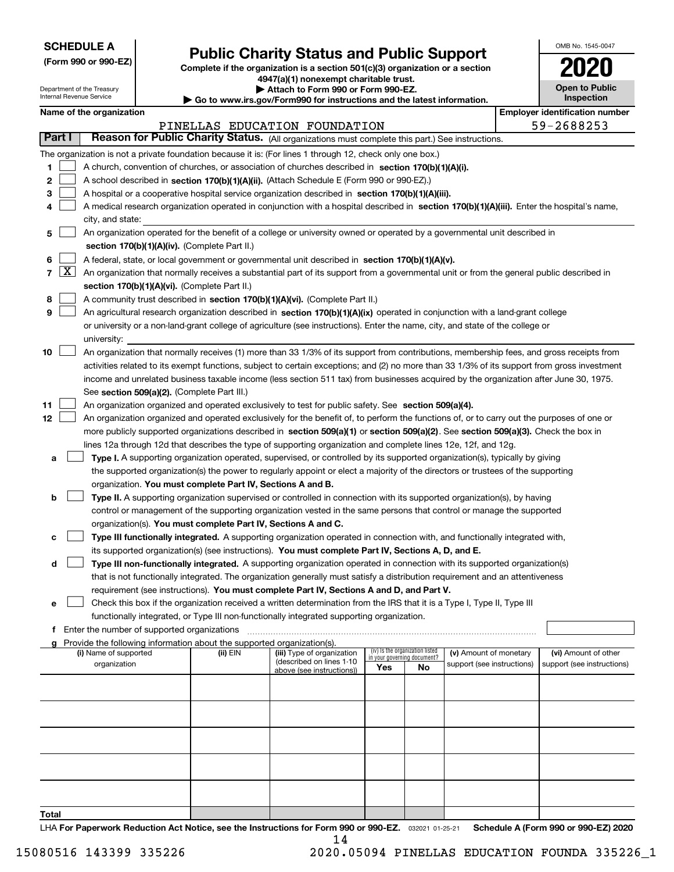| <b>SCHEDULE A</b> |
|-------------------|
|-------------------|

**(Form 990 or 990-EZ)**

# **Public Charity Status and Public Support**

**Complete if the organization is a section 501(c)(3) organization or a section 4947(a)(1) nonexempt charitable trust.**

**| Attach to Form 990 or Form 990-EZ.** 

| OMB No. 1545-0047                   |
|-------------------------------------|
| $\mathbf{I}$                        |
| <b>Open to Public</b><br>Inspection |

|        |                 | Department of the Treasury<br>Internal Revenue Service |                                             |                                                                                    | Attach to Form 990 or Form 990-EZ.<br>Go to www.irs.gov/Form990 for instructions and the latest information.                                                                                                                                         |     |                                 |                            | <b>Open to Public</b><br><b>Inspection</b> |
|--------|-----------------|--------------------------------------------------------|---------------------------------------------|------------------------------------------------------------------------------------|------------------------------------------------------------------------------------------------------------------------------------------------------------------------------------------------------------------------------------------------------|-----|---------------------------------|----------------------------|--------------------------------------------|
|        |                 | Name of the organization                               |                                             |                                                                                    |                                                                                                                                                                                                                                                      |     |                                 |                            | <b>Employer identification number</b>      |
|        |                 |                                                        |                                             |                                                                                    | PINELLAS EDUCATION FOUNDATION                                                                                                                                                                                                                        |     |                                 |                            | 59-2688253                                 |
| Part I |                 |                                                        |                                             |                                                                                    | Reason for Public Charity Status. (All organizations must complete this part.) See instructions.                                                                                                                                                     |     |                                 |                            |                                            |
|        |                 |                                                        |                                             |                                                                                    | The organization is not a private foundation because it is: (For lines 1 through 12, check only one box.)                                                                                                                                            |     |                                 |                            |                                            |
| 1      |                 |                                                        |                                             |                                                                                    | A church, convention of churches, or association of churches described in section 170(b)(1)(A)(i).                                                                                                                                                   |     |                                 |                            |                                            |
| 2      |                 |                                                        |                                             |                                                                                    | A school described in section 170(b)(1)(A)(ii). (Attach Schedule E (Form 990 or 990-EZ).)                                                                                                                                                            |     |                                 |                            |                                            |
| з      |                 |                                                        |                                             |                                                                                    | A hospital or a cooperative hospital service organization described in section $170(b)(1)(A)(iii)$ .                                                                                                                                                 |     |                                 |                            |                                            |
| 4      |                 |                                                        |                                             |                                                                                    | A medical research organization operated in conjunction with a hospital described in section 170(b)(1)(A)(iii). Enter the hospital's name,                                                                                                           |     |                                 |                            |                                            |
|        |                 | city, and state:                                       |                                             |                                                                                    |                                                                                                                                                                                                                                                      |     |                                 |                            |                                            |
| 5      |                 |                                                        |                                             |                                                                                    | An organization operated for the benefit of a college or university owned or operated by a governmental unit described in                                                                                                                            |     |                                 |                            |                                            |
|        |                 |                                                        |                                             | section 170(b)(1)(A)(iv). (Complete Part II.)                                      |                                                                                                                                                                                                                                                      |     |                                 |                            |                                            |
| 6      |                 |                                                        |                                             |                                                                                    | A federal, state, or local government or governmental unit described in section 170(b)(1)(A)(v).                                                                                                                                                     |     |                                 |                            |                                            |
|        | $7 \mid X \mid$ |                                                        |                                             |                                                                                    | An organization that normally receives a substantial part of its support from a governmental unit or from the general public described in                                                                                                            |     |                                 |                            |                                            |
|        |                 |                                                        |                                             | section 170(b)(1)(A)(vi). (Complete Part II.)                                      |                                                                                                                                                                                                                                                      |     |                                 |                            |                                            |
| 8      |                 |                                                        |                                             |                                                                                    | A community trust described in section 170(b)(1)(A)(vi). (Complete Part II.)                                                                                                                                                                         |     |                                 |                            |                                            |
| 9      |                 |                                                        |                                             |                                                                                    | An agricultural research organization described in section 170(b)(1)(A)(ix) operated in conjunction with a land-grant college                                                                                                                        |     |                                 |                            |                                            |
|        |                 |                                                        |                                             |                                                                                    | or university or a non-land-grant college of agriculture (see instructions). Enter the name, city, and state of the college or                                                                                                                       |     |                                 |                            |                                            |
|        |                 | university:                                            |                                             |                                                                                    |                                                                                                                                                                                                                                                      |     |                                 |                            |                                            |
| 10     |                 |                                                        |                                             |                                                                                    | An organization that normally receives (1) more than 33 1/3% of its support from contributions, membership fees, and gross receipts from                                                                                                             |     |                                 |                            |                                            |
|        |                 |                                                        |                                             |                                                                                    | activities related to its exempt functions, subject to certain exceptions; and (2) no more than 33 1/3% of its support from gross investment                                                                                                         |     |                                 |                            |                                            |
|        |                 |                                                        |                                             |                                                                                    | income and unrelated business taxable income (less section 511 tax) from businesses acquired by the organization after June 30, 1975.                                                                                                                |     |                                 |                            |                                            |
|        |                 |                                                        |                                             | See section 509(a)(2). (Complete Part III.)                                        |                                                                                                                                                                                                                                                      |     |                                 |                            |                                            |
| 11     |                 |                                                        |                                             |                                                                                    | An organization organized and operated exclusively to test for public safety. See section 509(a)(4).                                                                                                                                                 |     |                                 |                            |                                            |
| 12     |                 |                                                        |                                             |                                                                                    | An organization organized and operated exclusively for the benefit of, to perform the functions of, or to carry out the purposes of one or                                                                                                           |     |                                 |                            |                                            |
|        |                 |                                                        |                                             |                                                                                    | more publicly supported organizations described in section 509(a)(1) or section 509(a)(2). See section 509(a)(3). Check the box in<br>lines 12a through 12d that describes the type of supporting organization and complete lines 12e, 12f, and 12g. |     |                                 |                            |                                            |
| а      |                 |                                                        |                                             |                                                                                    | Type I. A supporting organization operated, supervised, or controlled by its supported organization(s), typically by giving                                                                                                                          |     |                                 |                            |                                            |
|        |                 |                                                        |                                             |                                                                                    | the supported organization(s) the power to regularly appoint or elect a majority of the directors or trustees of the supporting                                                                                                                      |     |                                 |                            |                                            |
|        |                 |                                                        |                                             | organization. You must complete Part IV, Sections A and B.                         |                                                                                                                                                                                                                                                      |     |                                 |                            |                                            |
| b      |                 |                                                        |                                             |                                                                                    | Type II. A supporting organization supervised or controlled in connection with its supported organization(s), by having                                                                                                                              |     |                                 |                            |                                            |
|        |                 |                                                        |                                             |                                                                                    | control or management of the supporting organization vested in the same persons that control or manage the supported                                                                                                                                 |     |                                 |                            |                                            |
|        |                 |                                                        |                                             | organization(s). You must complete Part IV, Sections A and C.                      |                                                                                                                                                                                                                                                      |     |                                 |                            |                                            |
| c      |                 |                                                        |                                             |                                                                                    | Type III functionally integrated. A supporting organization operated in connection with, and functionally integrated with,                                                                                                                           |     |                                 |                            |                                            |
|        |                 |                                                        |                                             |                                                                                    | its supported organization(s) (see instructions). You must complete Part IV, Sections A, D, and E.                                                                                                                                                   |     |                                 |                            |                                            |
| d      |                 |                                                        |                                             |                                                                                    | Type III non-functionally integrated. A supporting organization operated in connection with its supported organization(s)                                                                                                                            |     |                                 |                            |                                            |
|        |                 |                                                        |                                             |                                                                                    | that is not functionally integrated. The organization generally must satisfy a distribution requirement and an attentiveness                                                                                                                         |     |                                 |                            |                                            |
|        |                 |                                                        |                                             |                                                                                    | requirement (see instructions). You must complete Part IV, Sections A and D, and Part V.                                                                                                                                                             |     |                                 |                            |                                            |
| е      |                 |                                                        |                                             |                                                                                    | Check this box if the organization received a written determination from the IRS that it is a Type I, Type II, Type III                                                                                                                              |     |                                 |                            |                                            |
|        |                 |                                                        |                                             |                                                                                    | functionally integrated, or Type III non-functionally integrated supporting organization.                                                                                                                                                            |     |                                 |                            |                                            |
|        |                 |                                                        | Enter the number of supported organizations |                                                                                    |                                                                                                                                                                                                                                                      |     |                                 |                            |                                            |
|        |                 | (i) Name of supported                                  |                                             | Provide the following information about the supported organization(s).<br>(ii) EIN | (iii) Type of organization                                                                                                                                                                                                                           |     | (iv) Is the organization listed | (v) Amount of monetary     | (vi) Amount of other                       |
|        |                 | organization                                           |                                             |                                                                                    | (described on lines 1-10                                                                                                                                                                                                                             |     | in your governing document?     | support (see instructions) | support (see instructions)                 |
|        |                 |                                                        |                                             |                                                                                    | above (see instructions))                                                                                                                                                                                                                            | Yes | No                              |                            |                                            |
|        |                 |                                                        |                                             |                                                                                    |                                                                                                                                                                                                                                                      |     |                                 |                            |                                            |
|        |                 |                                                        |                                             |                                                                                    |                                                                                                                                                                                                                                                      |     |                                 |                            |                                            |
|        |                 |                                                        |                                             |                                                                                    |                                                                                                                                                                                                                                                      |     |                                 |                            |                                            |
|        |                 |                                                        |                                             |                                                                                    |                                                                                                                                                                                                                                                      |     |                                 |                            |                                            |
|        |                 |                                                        |                                             |                                                                                    |                                                                                                                                                                                                                                                      |     |                                 |                            |                                            |
|        |                 |                                                        |                                             |                                                                                    |                                                                                                                                                                                                                                                      |     |                                 |                            |                                            |
|        |                 |                                                        |                                             |                                                                                    |                                                                                                                                                                                                                                                      |     |                                 |                            |                                            |
|        |                 |                                                        |                                             |                                                                                    |                                                                                                                                                                                                                                                      |     |                                 |                            |                                            |

**Total**

LHA For Paperwork Reduction Act Notice, see the Instructions for Form 990 or 990-EZ. <sub>032021</sub> o1-25-21 Schedule A (Form 990 or 990-EZ) 2020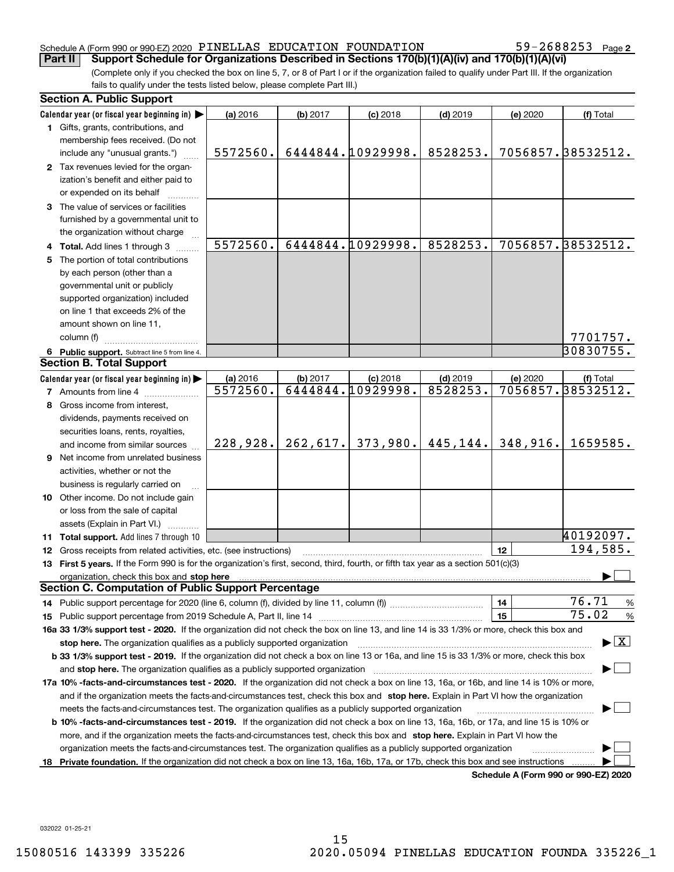### Schedule A (Form 990 or 990-EZ) 2020  $\,$  P $\,$ INELLAS EDUCATION  $\,$  FOUNDATION  $\,$   $\,$  59 $-$  2688253  $\,$   $_{\rm{Page}}$ **Part II** Support Schedule for Organizations Described in Sections 170(b)(1)(A)(iv) and 170(b)(1)(A)(vi)

 $59 - 2688253$  Page 2

(Complete only if you checked the box on line 5, 7, or 8 of Part I or if the organization failed to qualify under Part III. If the organization fails to qualify under the tests listed below, please complete Part III.)

|    | <b>Section A. Public Support</b>                                                                                                                                                                                               |          |          |                   |            |          |                                          |
|----|--------------------------------------------------------------------------------------------------------------------------------------------------------------------------------------------------------------------------------|----------|----------|-------------------|------------|----------|------------------------------------------|
|    | Calendar year (or fiscal year beginning in) $\blacktriangleright$                                                                                                                                                              | (a) 2016 | (b) 2017 | $(c)$ 2018        | $(d)$ 2019 | (e) 2020 | (f) Total                                |
|    | 1 Gifts, grants, contributions, and                                                                                                                                                                                            |          |          |                   |            |          |                                          |
|    | membership fees received. (Do not                                                                                                                                                                                              |          |          |                   |            |          |                                          |
|    | include any "unusual grants.")                                                                                                                                                                                                 | 5572560. |          | 6444844.10929998. | 8528253.   |          | 7056857.38532512.                        |
|    | 2 Tax revenues levied for the organ-                                                                                                                                                                                           |          |          |                   |            |          |                                          |
|    | ization's benefit and either paid to                                                                                                                                                                                           |          |          |                   |            |          |                                          |
|    | or expended on its behalf                                                                                                                                                                                                      |          |          |                   |            |          |                                          |
|    | 3 The value of services or facilities                                                                                                                                                                                          |          |          |                   |            |          |                                          |
|    | furnished by a governmental unit to                                                                                                                                                                                            |          |          |                   |            |          |                                          |
|    | the organization without charge                                                                                                                                                                                                |          |          |                   |            |          |                                          |
|    | 4 Total. Add lines 1 through 3                                                                                                                                                                                                 | 5572560. |          | 6444844.10929998. | 8528253.   |          | 7056857.38532512.                        |
| 5. | The portion of total contributions                                                                                                                                                                                             |          |          |                   |            |          |                                          |
|    | by each person (other than a                                                                                                                                                                                                   |          |          |                   |            |          |                                          |
|    | governmental unit or publicly                                                                                                                                                                                                  |          |          |                   |            |          |                                          |
|    | supported organization) included                                                                                                                                                                                               |          |          |                   |            |          |                                          |
|    | on line 1 that exceeds 2% of the                                                                                                                                                                                               |          |          |                   |            |          |                                          |
|    | amount shown on line 11,                                                                                                                                                                                                       |          |          |                   |            |          |                                          |
|    | column (f)                                                                                                                                                                                                                     |          |          |                   |            |          | 7701757.                                 |
|    | 6 Public support. Subtract line 5 from line 4.                                                                                                                                                                                 |          |          |                   |            |          | 30830755.                                |
|    | <b>Section B. Total Support</b>                                                                                                                                                                                                |          |          |                   |            |          |                                          |
|    | Calendar year (or fiscal year beginning in)                                                                                                                                                                                    | (a) 2016 | (b) 2017 | $(c)$ 2018        | $(d)$ 2019 | (e) 2020 | (f) Total                                |
|    | <b>7</b> Amounts from line 4                                                                                                                                                                                                   | 5572560. |          | 6444844.10929998. | 8528253.   |          | 7056857.38532512.                        |
|    | 8 Gross income from interest,                                                                                                                                                                                                  |          |          |                   |            |          |                                          |
|    | dividends, payments received on                                                                                                                                                                                                |          |          |                   |            |          |                                          |
|    | securities loans, rents, royalties,                                                                                                                                                                                            |          |          |                   |            |          |                                          |
|    | and income from similar sources                                                                                                                                                                                                | 228,928. | 262,617. | 373,980.          | 445,144.   | 348,916. | 1659585.                                 |
|    | 9 Net income from unrelated business                                                                                                                                                                                           |          |          |                   |            |          |                                          |
|    | activities, whether or not the                                                                                                                                                                                                 |          |          |                   |            |          |                                          |
|    | business is regularly carried on                                                                                                                                                                                               |          |          |                   |            |          |                                          |
|    | 10 Other income. Do not include gain                                                                                                                                                                                           |          |          |                   |            |          |                                          |
|    | or loss from the sale of capital                                                                                                                                                                                               |          |          |                   |            |          |                                          |
|    | assets (Explain in Part VI.)                                                                                                                                                                                                   |          |          |                   |            |          |                                          |
|    | <b>11 Total support.</b> Add lines 7 through 10                                                                                                                                                                                |          |          |                   |            |          | 40192097.                                |
|    | 12 Gross receipts from related activities, etc. (see instructions)                                                                                                                                                             |          |          |                   |            | 12       | 194,585.                                 |
|    | 13 First 5 years. If the Form 990 is for the organization's first, second, third, fourth, or fifth tax year as a section 501(c)(3)                                                                                             |          |          |                   |            |          |                                          |
|    | organization, check this box and stop here manufactured and according to the state of the state of the state of the state of the state of the state of the state of the state of the state of the state of the state of the st |          |          |                   |            |          |                                          |
|    | <b>Section C. Computation of Public Support Percentage</b>                                                                                                                                                                     |          |          |                   |            |          | 76.71                                    |
|    | 14 Public support percentage for 2020 (line 6, column (f), divided by line 11, column (f) <i></i>                                                                                                                              |          |          |                   |            | 14       | $\frac{9}{6}$<br>75.02                   |
|    |                                                                                                                                                                                                                                |          |          |                   |            | 15       | $\frac{9}{6}$                            |
|    | 16a 33 1/3% support test - 2020. If the organization did not check the box on line 13, and line 14 is 33 1/3% or more, check this box and                                                                                      |          |          |                   |            |          | $\blacktriangleright$ $\boxed{\text{X}}$ |
|    | stop here. The organization qualifies as a publicly supported organization                                                                                                                                                     |          |          |                   |            |          |                                          |
|    | b 33 1/3% support test - 2019. If the organization did not check a box on line 13 or 16a, and line 15 is 33 1/3% or more, check this box                                                                                       |          |          |                   |            |          |                                          |
|    | and stop here. The organization qualifies as a publicly supported organization [11] [11] [12] [12] [12] [12] [                                                                                                                 |          |          |                   |            |          |                                          |
|    | 17a 10% -facts-and-circumstances test - 2020. If the organization did not check a box on line 13, 16a, or 16b, and line 14 is 10% or more,                                                                                     |          |          |                   |            |          |                                          |
|    | and if the organization meets the facts-and-circumstances test, check this box and stop here. Explain in Part VI how the organization                                                                                          |          |          |                   |            |          |                                          |
|    | meets the facts-and-circumstances test. The organization qualifies as a publicly supported organization                                                                                                                        |          |          |                   |            |          |                                          |
|    | <b>b 10% -facts-and-circumstances test - 2019.</b> If the organization did not check a box on line 13, 16a, 16b, or 17a, and line 15 is 10% or                                                                                 |          |          |                   |            |          |                                          |
|    | more, and if the organization meets the facts-and-circumstances test, check this box and stop here. Explain in Part VI how the                                                                                                 |          |          |                   |            |          |                                          |
| 18 | organization meets the facts-and-circumstances test. The organization qualifies as a publicly supported organization                                                                                                           |          |          |                   |            |          |                                          |
|    | Private foundation. If the organization did not check a box on line 13, 16a, 16b, 17a, or 17b, check this box and see instructions<br>Schedule A (Form 990 or 990-EZ) 2020                                                     |          |          |                   |            |          |                                          |

**Schedule A (Form 990 or 990-EZ) 2020**

032022 01-25-21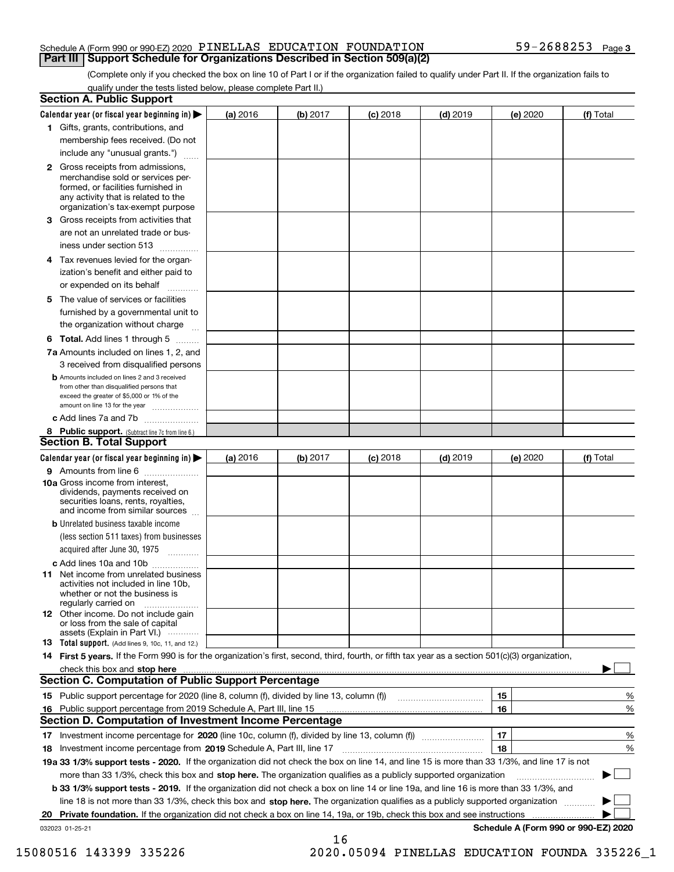### Schedule A (Form 990 or 990-EZ) 2020  $\,$  P $\,$ INELLAS EDUCATION  $\,$  FOUNDATION  $\,$   $\,$  59 $-$  2688253  $\,$   $_{\rm{Page}}$ **Part III Support Schedule for Organizations Described in Section 509(a)(2)**

(Complete only if you checked the box on line 10 of Part I or if the organization failed to qualify under Part II. If the organization fails to qualify under the tests listed below, please complete Part II.)

| <b>Section A. Public Support</b>                                                                                                                                                                                               |          |          |            |            |          |                                      |
|--------------------------------------------------------------------------------------------------------------------------------------------------------------------------------------------------------------------------------|----------|----------|------------|------------|----------|--------------------------------------|
| Calendar year (or fiscal year beginning in) $\blacktriangleright$                                                                                                                                                              | (a) 2016 | (b) 2017 | $(c)$ 2018 | $(d)$ 2019 | (e) 2020 | (f) Total                            |
| 1 Gifts, grants, contributions, and                                                                                                                                                                                            |          |          |            |            |          |                                      |
| membership fees received. (Do not                                                                                                                                                                                              |          |          |            |            |          |                                      |
| include any "unusual grants.")                                                                                                                                                                                                 |          |          |            |            |          |                                      |
| 2 Gross receipts from admissions,<br>merchandise sold or services per-<br>formed, or facilities furnished in<br>any activity that is related to the<br>organization's tax-exempt purpose                                       |          |          |            |            |          |                                      |
| 3 Gross receipts from activities that<br>are not an unrelated trade or bus-                                                                                                                                                    |          |          |            |            |          |                                      |
| iness under section 513                                                                                                                                                                                                        |          |          |            |            |          |                                      |
| 4 Tax revenues levied for the organ-<br>ization's benefit and either paid to<br>or expended on its behalf                                                                                                                      |          |          |            |            |          |                                      |
| .<br>5 The value of services or facilities<br>furnished by a governmental unit to                                                                                                                                              |          |          |            |            |          |                                      |
| the organization without charge                                                                                                                                                                                                |          |          |            |            |          |                                      |
| <b>6 Total.</b> Add lines 1 through 5                                                                                                                                                                                          |          |          |            |            |          |                                      |
| 7a Amounts included on lines 1, 2, and<br>3 received from disqualified persons                                                                                                                                                 |          |          |            |            |          |                                      |
| <b>b</b> Amounts included on lines 2 and 3 received<br>from other than disqualified persons that<br>exceed the greater of \$5,000 or 1% of the<br>amount on line 13 for the year                                               |          |          |            |            |          |                                      |
| c Add lines 7a and 7b                                                                                                                                                                                                          |          |          |            |            |          |                                      |
| 8 Public support. (Subtract line 7c from line 6.)<br><b>Section B. Total Support</b>                                                                                                                                           |          |          |            |            |          |                                      |
| Calendar year (or fiscal year beginning in)                                                                                                                                                                                    | (a) 2016 | (b) 2017 | $(c)$ 2018 | $(d)$ 2019 | (e) 2020 | (f) Total                            |
| 9 Amounts from line 6                                                                                                                                                                                                          |          |          |            |            |          |                                      |
| 10a Gross income from interest,<br>dividends, payments received on<br>securities loans, rents, royalties,<br>and income from similar sources                                                                                   |          |          |            |            |          |                                      |
| <b>b</b> Unrelated business taxable income<br>(less section 511 taxes) from businesses<br>acquired after June 30, 1975                                                                                                         |          |          |            |            |          |                                      |
| c Add lines 10a and 10b                                                                                                                                                                                                        |          |          |            |            |          |                                      |
| <b>11</b> Net income from unrelated business<br>activities not included in line 10b,<br>whether or not the business is<br>regularly carried on                                                                                 |          |          |            |            |          |                                      |
| <b>12</b> Other income. Do not include gain<br>or loss from the sale of capital<br>assets (Explain in Part VI.)                                                                                                                |          |          |            |            |          |                                      |
| <b>13 Total support.</b> (Add lines 9, 10c, 11, and 12.)                                                                                                                                                                       |          |          |            |            |          |                                      |
| 14 First 5 years. If the Form 990 is for the organization's first, second, third, fourth, or fifth tax year as a section 501(c)(3) organization,                                                                               |          |          |            |            |          |                                      |
| check this box and stop here measurements and contact the contract of the contract of the contract of the contract of the contract of the contract of the contract of the contract of the contract of the contract of the cont |          |          |            |            |          |                                      |
| <b>Section C. Computation of Public Support Percentage</b>                                                                                                                                                                     |          |          |            |            |          |                                      |
|                                                                                                                                                                                                                                |          |          |            |            | 15       | %                                    |
| 16 Public support percentage from 2019 Schedule A, Part III, line 15                                                                                                                                                           |          |          |            |            | 16       | %                                    |
| <b>Section D. Computation of Investment Income Percentage</b>                                                                                                                                                                  |          |          |            |            |          |                                      |
| 17 Investment income percentage for 2020 (line 10c, column (f), divided by line 13, column (f))<br>18 Investment income percentage from 2019 Schedule A, Part III, line 17                                                     |          |          |            |            | 17<br>18 | %<br>%                               |
| 19a 33 1/3% support tests - 2020. If the organization did not check the box on line 14, and line 15 is more than 33 1/3%, and line 17 is not                                                                                   |          |          |            |            |          |                                      |
| more than 33 1/3%, check this box and stop here. The organization qualifies as a publicly supported organization                                                                                                               |          |          |            |            |          | ▶                                    |
| b 33 1/3% support tests - 2019. If the organization did not check a box on line 14 or line 19a, and line 16 is more than 33 1/3%, and                                                                                          |          |          |            |            |          |                                      |
| line 18 is not more than 33 1/3%, check this box and stop here. The organization qualifies as a publicly supported organization                                                                                                |          |          |            |            |          |                                      |
| 20 Private foundation. If the organization did not check a box on line 14, 19a, or 19b, check this box and see instructions                                                                                                    |          |          |            |            |          |                                      |
| 032023 01-25-21                                                                                                                                                                                                                |          |          |            |            |          | Schedule A (Form 990 or 990-EZ) 2020 |
|                                                                                                                                                                                                                                |          | 16       |            |            |          |                                      |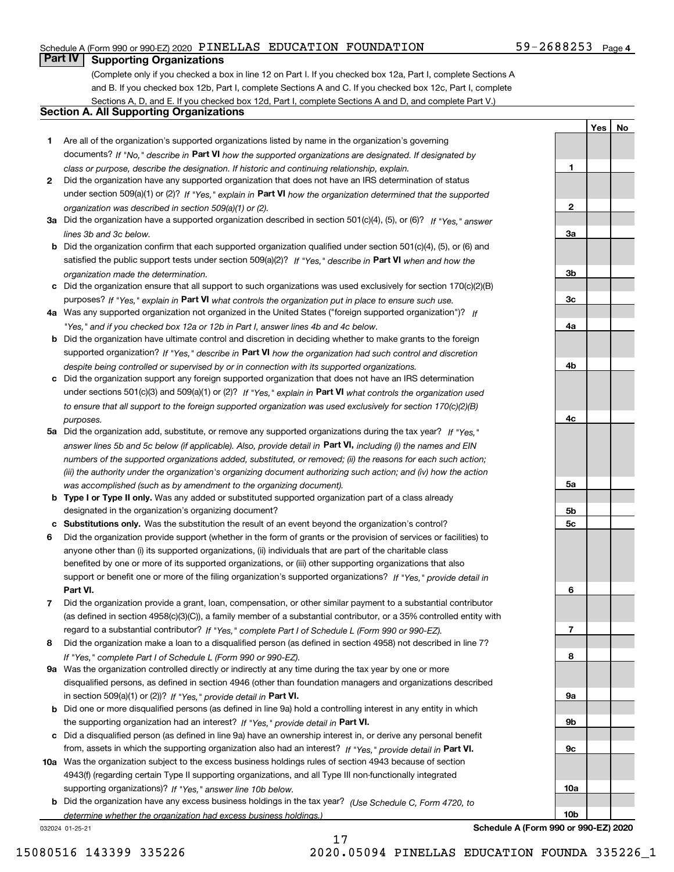### Schedule A (Form 990 or 990-EZ) 2020  $\,$  P $\,$ INELLAS EDUCATION  $\,$  FOUNDATION  $\,$   $\,$  59 $-$  2688253  $\,$   $_{\rm{Page}}$

## **Part IV Supporting Organizations**

(Complete only if you checked a box in line 12 on Part I. If you checked box 12a, Part I, complete Sections A and B. If you checked box 12b, Part I, complete Sections A and C. If you checked box 12c, Part I, complete Sections A, D, and E. If you checked box 12d, Part I, complete Sections A and D, and complete Part V.)

### **Section A. All Supporting Organizations**

- **1** Are all of the organization's supported organizations listed by name in the organization's governing documents? If "No," describe in **Part VI** how the supported organizations are designated. If designated by *class or purpose, describe the designation. If historic and continuing relationship, explain.*
- **2** Did the organization have any supported organization that does not have an IRS determination of status under section 509(a)(1) or (2)? If "Yes," explain in Part VI how the organization determined that the supported *organization was described in section 509(a)(1) or (2).*
- **3a** Did the organization have a supported organization described in section 501(c)(4), (5), or (6)? If "Yes," answer *lines 3b and 3c below.*
- **b** Did the organization confirm that each supported organization qualified under section 501(c)(4), (5), or (6) and satisfied the public support tests under section 509(a)(2)? If "Yes," describe in **Part VI** when and how the *organization made the determination.*
- **c**Did the organization ensure that all support to such organizations was used exclusively for section 170(c)(2)(B) purposes? If "Yes," explain in **Part VI** what controls the organization put in place to ensure such use.
- **4a***If* Was any supported organization not organized in the United States ("foreign supported organization")? *"Yes," and if you checked box 12a or 12b in Part I, answer lines 4b and 4c below.*
- **b** Did the organization have ultimate control and discretion in deciding whether to make grants to the foreign supported organization? If "Yes," describe in **Part VI** how the organization had such control and discretion *despite being controlled or supervised by or in connection with its supported organizations.*
- **c** Did the organization support any foreign supported organization that does not have an IRS determination under sections 501(c)(3) and 509(a)(1) or (2)? If "Yes," explain in **Part VI** what controls the organization used *to ensure that all support to the foreign supported organization was used exclusively for section 170(c)(2)(B) purposes.*
- **5a** Did the organization add, substitute, or remove any supported organizations during the tax year? If "Yes," answer lines 5b and 5c below (if applicable). Also, provide detail in **Part VI,** including (i) the names and EIN *numbers of the supported organizations added, substituted, or removed; (ii) the reasons for each such action; (iii) the authority under the organization's organizing document authorizing such action; and (iv) how the action was accomplished (such as by amendment to the organizing document).*
- **b** Type I or Type II only. Was any added or substituted supported organization part of a class already designated in the organization's organizing document?
- **cSubstitutions only.**  Was the substitution the result of an event beyond the organization's control?
- **6** Did the organization provide support (whether in the form of grants or the provision of services or facilities) to **Part VI.** *If "Yes," provide detail in* support or benefit one or more of the filing organization's supported organizations? anyone other than (i) its supported organizations, (ii) individuals that are part of the charitable class benefited by one or more of its supported organizations, or (iii) other supporting organizations that also
- **7**Did the organization provide a grant, loan, compensation, or other similar payment to a substantial contributor *If "Yes," complete Part I of Schedule L (Form 990 or 990-EZ).* regard to a substantial contributor? (as defined in section 4958(c)(3)(C)), a family member of a substantial contributor, or a 35% controlled entity with
- **8** Did the organization make a loan to a disqualified person (as defined in section 4958) not described in line 7? *If "Yes," complete Part I of Schedule L (Form 990 or 990-EZ).*
- **9a** Was the organization controlled directly or indirectly at any time during the tax year by one or more in section 509(a)(1) or (2))? If "Yes," *provide detail in* <code>Part VI.</code> disqualified persons, as defined in section 4946 (other than foundation managers and organizations described
- **b** Did one or more disqualified persons (as defined in line 9a) hold a controlling interest in any entity in which the supporting organization had an interest? If "Yes," provide detail in P**art VI**.
- **c**Did a disqualified person (as defined in line 9a) have an ownership interest in, or derive any personal benefit from, assets in which the supporting organization also had an interest? If "Yes," provide detail in P**art VI.**
- **10a** Was the organization subject to the excess business holdings rules of section 4943 because of section supporting organizations)? If "Yes," answer line 10b below. 4943(f) (regarding certain Type II supporting organizations, and all Type III non-functionally integrated
- **b** Did the organization have any excess business holdings in the tax year? (Use Schedule C, Form 4720, to *determine whether the organization had excess business holdings.)*

17

032024 01-25-21

**23a3b3c4a4b4c5a 5b5c6789a 9b9c10a**

59-2688253 Page 4

**YesNo**

**1**

**Schedule A (Form 990 or 990-EZ) 2020**

**10b**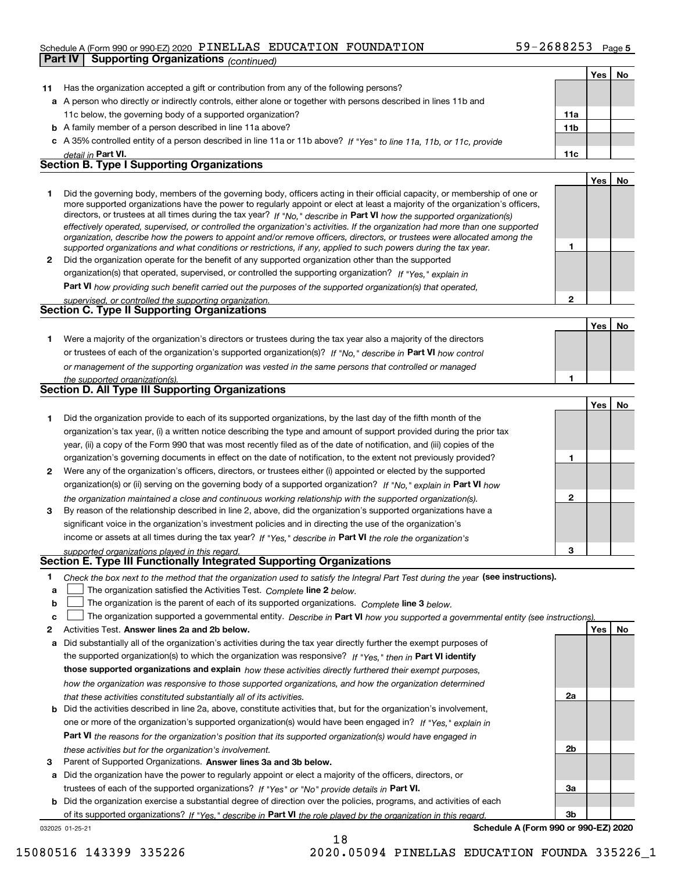### Schedule A (Form 990 or 990-EZ) 2020  $\,$  P $\,$ INELLAS EDUCATION  $\,$  FOUNDATION  $\,$   $\,$  59 $-$  2688253  $\,$   $_{\rm{Page}}$

| Part IV | <b>Supporting Organizations (continued)</b>                                                                                                                                                                                                                                                                                                                                                                                                                                                                              |                 |     |    |
|---------|--------------------------------------------------------------------------------------------------------------------------------------------------------------------------------------------------------------------------------------------------------------------------------------------------------------------------------------------------------------------------------------------------------------------------------------------------------------------------------------------------------------------------|-----------------|-----|----|
|         |                                                                                                                                                                                                                                                                                                                                                                                                                                                                                                                          |                 | Yes | No |
| 11      | Has the organization accepted a gift or contribution from any of the following persons?                                                                                                                                                                                                                                                                                                                                                                                                                                  |                 |     |    |
|         | a A person who directly or indirectly controls, either alone or together with persons described in lines 11b and                                                                                                                                                                                                                                                                                                                                                                                                         |                 |     |    |
|         | 11c below, the governing body of a supported organization?                                                                                                                                                                                                                                                                                                                                                                                                                                                               | 11a             |     |    |
|         | <b>b</b> A family member of a person described in line 11a above?                                                                                                                                                                                                                                                                                                                                                                                                                                                        | 11 <sub>b</sub> |     |    |
|         | c A 35% controlled entity of a person described in line 11a or 11b above? If "Yes" to line 11a, 11b, or 11c, provide                                                                                                                                                                                                                                                                                                                                                                                                     |                 |     |    |
|         | detail in Part VI.                                                                                                                                                                                                                                                                                                                                                                                                                                                                                                       | 11c             |     |    |
|         | <b>Section B. Type I Supporting Organizations</b>                                                                                                                                                                                                                                                                                                                                                                                                                                                                        |                 |     |    |
|         |                                                                                                                                                                                                                                                                                                                                                                                                                                                                                                                          |                 | Yes | No |
| 1       | Did the governing body, members of the governing body, officers acting in their official capacity, or membership of one or<br>more supported organizations have the power to regularly appoint or elect at least a majority of the organization's officers,<br>directors, or trustees at all times during the tax year? If "No," describe in Part VI how the supported organization(s)<br>effectively operated, supervised, or controlled the organization's activities. If the organization had more than one supported |                 |     |    |
|         | organization, describe how the powers to appoint and/or remove officers, directors, or trustees were allocated among the<br>supported organizations and what conditions or restrictions, if any, applied to such powers during the tax year.                                                                                                                                                                                                                                                                             | 1               |     |    |
| 2       | Did the organization operate for the benefit of any supported organization other than the supported                                                                                                                                                                                                                                                                                                                                                                                                                      |                 |     |    |
|         | organization(s) that operated, supervised, or controlled the supporting organization? If "Yes," explain in                                                                                                                                                                                                                                                                                                                                                                                                               |                 |     |    |
|         | Part VI how providing such benefit carried out the purposes of the supported organization(s) that operated,                                                                                                                                                                                                                                                                                                                                                                                                              |                 |     |    |
|         | supervised, or controlled the supporting organization.                                                                                                                                                                                                                                                                                                                                                                                                                                                                   | 2               |     |    |
|         | <b>Section C. Type II Supporting Organizations</b>                                                                                                                                                                                                                                                                                                                                                                                                                                                                       |                 |     |    |
|         |                                                                                                                                                                                                                                                                                                                                                                                                                                                                                                                          |                 | Yes | No |
| 1       | Were a majority of the organization's directors or trustees during the tax year also a majority of the directors                                                                                                                                                                                                                                                                                                                                                                                                         |                 |     |    |
|         | or trustees of each of the organization's supported organization(s)? If "No," describe in Part VI how control                                                                                                                                                                                                                                                                                                                                                                                                            |                 |     |    |
|         | or management of the supporting organization was vested in the same persons that controlled or managed                                                                                                                                                                                                                                                                                                                                                                                                                   |                 |     |    |
|         | the supported organization(s).                                                                                                                                                                                                                                                                                                                                                                                                                                                                                           | 1               |     |    |
|         | <b>Section D. All Type III Supporting Organizations</b>                                                                                                                                                                                                                                                                                                                                                                                                                                                                  |                 |     |    |
|         |                                                                                                                                                                                                                                                                                                                                                                                                                                                                                                                          |                 | Yes | No |
| 1       | Did the organization provide to each of its supported organizations, by the last day of the fifth month of the                                                                                                                                                                                                                                                                                                                                                                                                           |                 |     |    |
|         | organization's tax year, (i) a written notice describing the type and amount of support provided during the prior tax                                                                                                                                                                                                                                                                                                                                                                                                    |                 |     |    |
|         | year, (ii) a copy of the Form 990 that was most recently filed as of the date of notification, and (iii) copies of the                                                                                                                                                                                                                                                                                                                                                                                                   |                 |     |    |
|         | organization's governing documents in effect on the date of notification, to the extent not previously provided?                                                                                                                                                                                                                                                                                                                                                                                                         | 1               |     |    |
| 2       | Were any of the organization's officers, directors, or trustees either (i) appointed or elected by the supported                                                                                                                                                                                                                                                                                                                                                                                                         |                 |     |    |
|         | organization(s) or (ii) serving on the governing body of a supported organization? If "No," explain in Part VI how                                                                                                                                                                                                                                                                                                                                                                                                       |                 |     |    |
|         | the organization maintained a close and continuous working relationship with the supported organization(s).                                                                                                                                                                                                                                                                                                                                                                                                              | 2               |     |    |
| 3       | By reason of the relationship described in line 2, above, did the organization's supported organizations have a                                                                                                                                                                                                                                                                                                                                                                                                          |                 |     |    |
|         | significant voice in the organization's investment policies and in directing the use of the organization's                                                                                                                                                                                                                                                                                                                                                                                                               |                 |     |    |
|         | income or assets at all times during the tax year? If "Yes," describe in Part VI the role the organization's                                                                                                                                                                                                                                                                                                                                                                                                             |                 |     |    |
|         | supported organizations played in this regard.                                                                                                                                                                                                                                                                                                                                                                                                                                                                           |                 |     |    |
|         | Section E. Type III Functionally Integrated Supporting Organizations                                                                                                                                                                                                                                                                                                                                                                                                                                                     |                 |     |    |
| 1       | Check the box next to the method that the organization used to satisfy the Integral Part Test during the year (see instructions).                                                                                                                                                                                                                                                                                                                                                                                        |                 |     |    |
| а       | The organization satisfied the Activities Test. Complete line 2 below.                                                                                                                                                                                                                                                                                                                                                                                                                                                   |                 |     |    |
| b       | The organization is the parent of each of its supported organizations. Complete line 3 below.                                                                                                                                                                                                                                                                                                                                                                                                                            |                 |     |    |
| c       | The organization supported a governmental entity. Describe in Part VI how you supported a governmental entity (see instructions).                                                                                                                                                                                                                                                                                                                                                                                        |                 |     |    |
| 2       | Activities Test. Answer lines 2a and 2b below.                                                                                                                                                                                                                                                                                                                                                                                                                                                                           |                 | Yes | No |
| а       | Did substantially all of the organization's activities during the tax year directly further the exempt purposes of                                                                                                                                                                                                                                                                                                                                                                                                       |                 |     |    |
|         | the supported organization(s) to which the organization was responsive? If "Yes," then in Part VI identify                                                                                                                                                                                                                                                                                                                                                                                                               |                 |     |    |
|         | those supported organizations and explain how these activities directly furthered their exempt purposes,                                                                                                                                                                                                                                                                                                                                                                                                                 |                 |     |    |
|         | how the organization was responsive to those supported organizations, and how the organization determined                                                                                                                                                                                                                                                                                                                                                                                                                |                 |     |    |
|         | that these activities constituted substantially all of its activities.                                                                                                                                                                                                                                                                                                                                                                                                                                                   | 2a              |     |    |
| b       | Did the activities described in line 2a, above, constitute activities that, but for the organization's involvement,                                                                                                                                                                                                                                                                                                                                                                                                      |                 |     |    |
|         | one or more of the organization's supported organization(s) would have been engaged in? If "Yes." explain in                                                                                                                                                                                                                                                                                                                                                                                                             |                 |     |    |

**3** Parent of Supported Organizations. Answer lines 3a and 3b below.

*these activities but for the organization's involvement.*

**a** Did the organization have the power to regularly appoint or elect a majority of the officers, directors, or trustees of each of the supported organizations? If "Yes" or "No" provide details in **Part VI.** 

**Part VI**  *the reasons for the organization's position that its supported organization(s) would have engaged in*

032025 01-25-21 **b** Did the organization exercise a substantial degree of direction over the policies, programs, and activities of each of its supported organizations? If "Yes," describe in Part VI the role played by the organization in this regard.

**Schedule A (Form 990 or 990-EZ) 2020**

**2b**

**3a**

**3b**

15080516 143399 335226 2020.05094 PINELLAS EDUCATION FOUNDA 335226\_1

18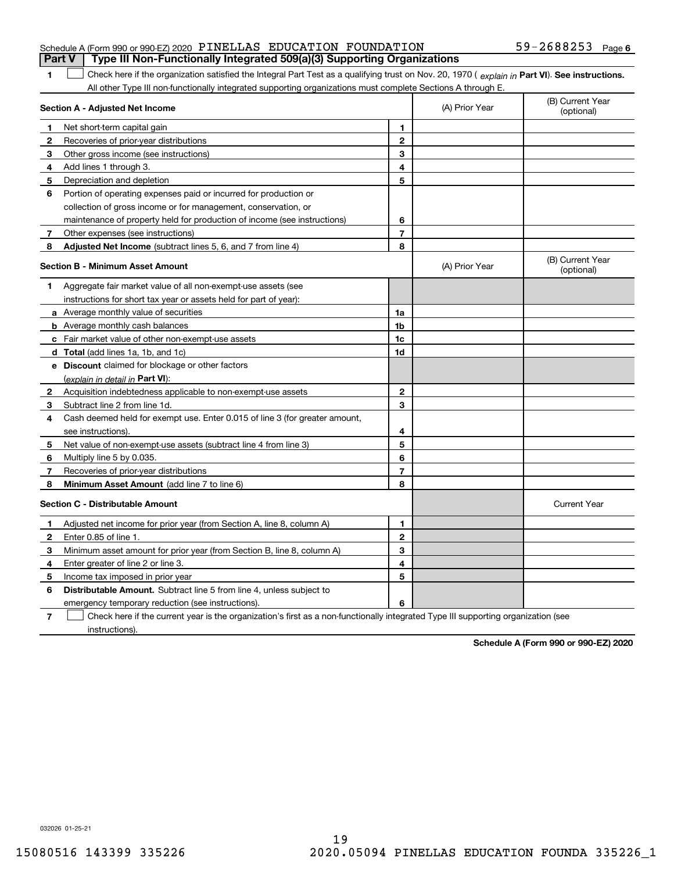|                                  | Schedule A (Form 990 or 990-EZ) 2020 PINELLAS EDUCATION FOUNDATION                                                                             |                |                | $59 - 2688253$ Page 6          |
|----------------------------------|------------------------------------------------------------------------------------------------------------------------------------------------|----------------|----------------|--------------------------------|
|                                  | Type III Non-Functionally Integrated 509(a)(3) Supporting Organizations<br>Part V                                                              |                |                |                                |
| 1                                | Check here if the organization satisfied the Integral Part Test as a qualifying trust on Nov. 20, 1970 (explain in Part VI). See instructions. |                |                |                                |
|                                  | All other Type III non-functionally integrated supporting organizations must complete Sections A through E.                                    |                |                |                                |
|                                  | Section A - Adjusted Net Income                                                                                                                |                | (A) Prior Year | (B) Current Year<br>(optional) |
| 1                                | Net short-term capital gain                                                                                                                    | 1              |                |                                |
| 2                                | Recoveries of prior-year distributions                                                                                                         | $\mathbf{2}$   |                |                                |
| 3                                | Other gross income (see instructions)                                                                                                          | 3              |                |                                |
| 4                                | Add lines 1 through 3.                                                                                                                         | 4              |                |                                |
| 5                                | Depreciation and depletion                                                                                                                     | 5              |                |                                |
| 6                                | Portion of operating expenses paid or incurred for production or                                                                               |                |                |                                |
|                                  | collection of gross income or for management, conservation, or                                                                                 |                |                |                                |
|                                  | maintenance of property held for production of income (see instructions)                                                                       | 6              |                |                                |
| 7                                | Other expenses (see instructions)                                                                                                              | $\overline{7}$ |                |                                |
| 8                                | <b>Adjusted Net Income</b> (subtract lines 5, 6, and 7 from line 4)                                                                            | 8              |                |                                |
| Section B - Minimum Asset Amount |                                                                                                                                                |                | (A) Prior Year | (B) Current Year<br>(optional) |
| 1                                | Aggregate fair market value of all non-exempt-use assets (see                                                                                  |                |                |                                |
|                                  | instructions for short tax year or assets held for part of year):                                                                              |                |                |                                |
|                                  | a Average monthly value of securities                                                                                                          | 1a             |                |                                |
|                                  | <b>b</b> Average monthly cash balances                                                                                                         | 1b             |                |                                |
|                                  | c Fair market value of other non-exempt-use assets                                                                                             | 1c             |                |                                |
|                                  | d Total (add lines 1a, 1b, and 1c)                                                                                                             | 1d             |                |                                |
|                                  | <b>e</b> Discount claimed for blockage or other factors                                                                                        |                |                |                                |
|                                  | (explain in detail in Part VI):                                                                                                                |                |                |                                |
| 2                                | Acquisition indebtedness applicable to non-exempt-use assets                                                                                   | $\mathbf{2}$   |                |                                |
| 3                                | Subtract line 2 from line 1d.                                                                                                                  | 3              |                |                                |
| 4                                | Cash deemed held for exempt use. Enter 0.015 of line 3 (for greater amount,                                                                    |                |                |                                |
|                                  | see instructions).                                                                                                                             | 4              |                |                                |
| 5                                | Net value of non-exempt-use assets (subtract line 4 from line 3)                                                                               | 5              |                |                                |
| 6                                | Multiply line 5 by 0.035.                                                                                                                      | 6              |                |                                |
| 7                                | Recoveries of prior-year distributions                                                                                                         | 7              |                |                                |
| 8                                | Minimum Asset Amount (add line 7 to line 6)                                                                                                    | 8              |                |                                |
|                                  | <b>Section C - Distributable Amount</b>                                                                                                        |                |                | <b>Current Year</b>            |
| 1                                | Adjusted net income for prior year (from Section A, line 8, column A)                                                                          | 1              |                |                                |
| 2                                | Enter 0.85 of line 1.                                                                                                                          | $\mathbf{2}$   |                |                                |
| 3                                | Minimum asset amount for prior year (from Section B, line 8, column A)                                                                         | 3              |                |                                |
| 4                                | Enter greater of line 2 or line 3.                                                                                                             | 4              |                |                                |

**76** Check here if the current year is the organization's first as a non-functionally integrated Type III supporting organization (see emergency temporary reduction (see instructions). instructions).

**5**

**Schedule A (Form 990 or 990-EZ) 2020**

032026 01-25-21

**5** Income tax imposed in prior year

**6** Distributable Amount. Subtract line 5 from line 4, unless subject to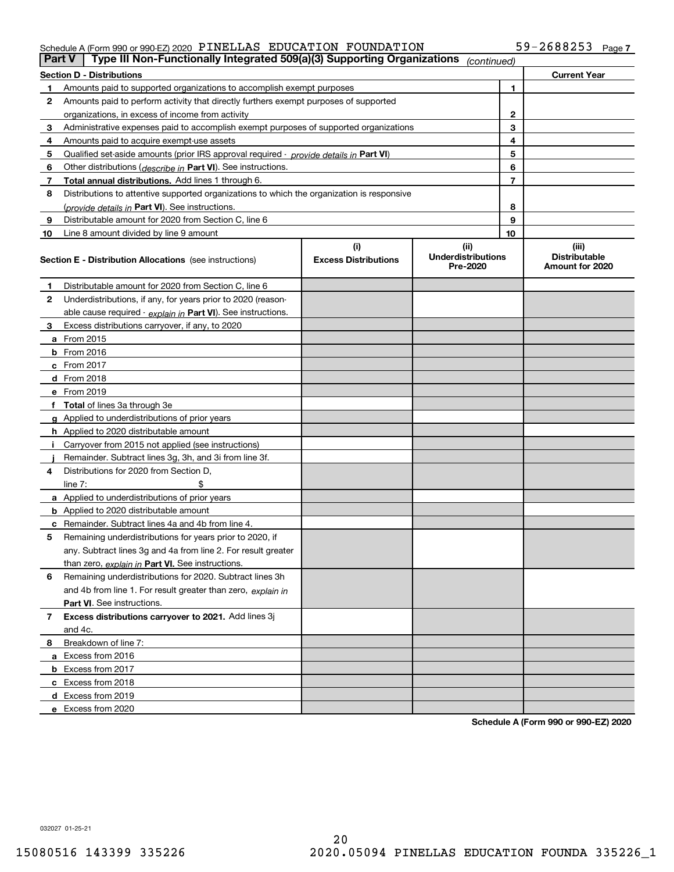### Schedule A (Form 990 or 990-EZ) 2020  $\,$  P $\,$ INELLAS EDUCATION  $\,$  FOUNDATION  $\,$   $\,$  59 $-$  2688253  $\,$   $_{\rm{Page}}$

|    | Type III Non-Functionally Integrated 509(a)(3) Supporting Organizations<br>Part V<br>(continued) |                             |                                       |    |                                         |  |  |
|----|--------------------------------------------------------------------------------------------------|-----------------------------|---------------------------------------|----|-----------------------------------------|--|--|
|    | <b>Section D - Distributions</b>                                                                 |                             |                                       |    | <b>Current Year</b>                     |  |  |
|    | Amounts paid to supported organizations to accomplish exempt purposes                            |                             | 1                                     |    |                                         |  |  |
| 2  | Amounts paid to perform activity that directly furthers exempt purposes of supported             |                             |                                       |    |                                         |  |  |
|    | organizations, in excess of income from activity                                                 |                             | $\mathbf{2}$                          |    |                                         |  |  |
| 3  | Administrative expenses paid to accomplish exempt purposes of supported organizations            |                             |                                       | 3  |                                         |  |  |
| 4  | Amounts paid to acquire exempt-use assets                                                        |                             |                                       | 4  |                                         |  |  |
| 5  | Qualified set-aside amounts (prior IRS approval required - <i>provide details in</i> Part VI)    |                             |                                       | 5  |                                         |  |  |
| 6  | Other distributions ( <i>describe in</i> Part VI). See instructions.                             |                             |                                       | 6  |                                         |  |  |
| 7  | Total annual distributions. Add lines 1 through 6.                                               |                             |                                       | 7  |                                         |  |  |
| 8  | Distributions to attentive supported organizations to which the organization is responsive       |                             |                                       |    |                                         |  |  |
|    | (provide details in Part VI). See instructions.                                                  |                             |                                       | 8  |                                         |  |  |
| 9  | Distributable amount for 2020 from Section C, line 6                                             |                             |                                       | 9  |                                         |  |  |
| 10 | Line 8 amount divided by line 9 amount                                                           |                             |                                       | 10 |                                         |  |  |
|    |                                                                                                  | (i)                         | (ii)                                  |    | (iii)                                   |  |  |
|    | <b>Section E - Distribution Allocations</b> (see instructions)                                   | <b>Excess Distributions</b> | <b>Underdistributions</b><br>Pre-2020 |    | <b>Distributable</b><br>Amount for 2020 |  |  |
| 1  | Distributable amount for 2020 from Section C, line 6                                             |                             |                                       |    |                                         |  |  |
| 2  | Underdistributions, if any, for years prior to 2020 (reason-                                     |                             |                                       |    |                                         |  |  |
|    | able cause required - explain in Part VI). See instructions.                                     |                             |                                       |    |                                         |  |  |
| 3  | Excess distributions carryover, if any, to 2020                                                  |                             |                                       |    |                                         |  |  |
|    | a From 2015                                                                                      |                             |                                       |    |                                         |  |  |
|    | $b$ From 2016                                                                                    |                             |                                       |    |                                         |  |  |
|    | $c$ From 2017                                                                                    |                             |                                       |    |                                         |  |  |
|    | <b>d</b> From 2018                                                                               |                             |                                       |    |                                         |  |  |
|    | e From 2019                                                                                      |                             |                                       |    |                                         |  |  |
|    | f Total of lines 3a through 3e                                                                   |                             |                                       |    |                                         |  |  |
|    | g Applied to underdistributions of prior years                                                   |                             |                                       |    |                                         |  |  |
|    | h Applied to 2020 distributable amount                                                           |                             |                                       |    |                                         |  |  |
|    | Carryover from 2015 not applied (see instructions)                                               |                             |                                       |    |                                         |  |  |
|    | Remainder. Subtract lines 3g, 3h, and 3i from line 3f.                                           |                             |                                       |    |                                         |  |  |
| 4  | Distributions for 2020 from Section D,                                                           |                             |                                       |    |                                         |  |  |
|    | line $7:$                                                                                        |                             |                                       |    |                                         |  |  |
|    | a Applied to underdistributions of prior years                                                   |                             |                                       |    |                                         |  |  |
|    | <b>b</b> Applied to 2020 distributable amount                                                    |                             |                                       |    |                                         |  |  |
|    | c Remainder. Subtract lines 4a and 4b from line 4.                                               |                             |                                       |    |                                         |  |  |
| 5  | Remaining underdistributions for years prior to 2020, if                                         |                             |                                       |    |                                         |  |  |
|    | any. Subtract lines 3g and 4a from line 2. For result greater                                    |                             |                                       |    |                                         |  |  |
|    | than zero, explain in Part VI. See instructions.                                                 |                             |                                       |    |                                         |  |  |
| 6  | Remaining underdistributions for 2020. Subtract lines 3h                                         |                             |                                       |    |                                         |  |  |
|    | and 4b from line 1. For result greater than zero, explain in                                     |                             |                                       |    |                                         |  |  |
|    | Part VI. See instructions.                                                                       |                             |                                       |    |                                         |  |  |
| 7  | Excess distributions carryover to 2021. Add lines 3j                                             |                             |                                       |    |                                         |  |  |
|    | and 4c.                                                                                          |                             |                                       |    |                                         |  |  |
| 8  | Breakdown of line 7:                                                                             |                             |                                       |    |                                         |  |  |
|    | a Excess from 2016                                                                               |                             |                                       |    |                                         |  |  |
|    | <b>b</b> Excess from 2017                                                                        |                             |                                       |    |                                         |  |  |
|    | c Excess from 2018                                                                               |                             |                                       |    |                                         |  |  |
|    | d Excess from 2019                                                                               |                             |                                       |    |                                         |  |  |
|    | e Excess from 2020                                                                               |                             |                                       |    |                                         |  |  |

**Schedule A (Form 990 or 990-EZ) 2020**

032027 01-25-21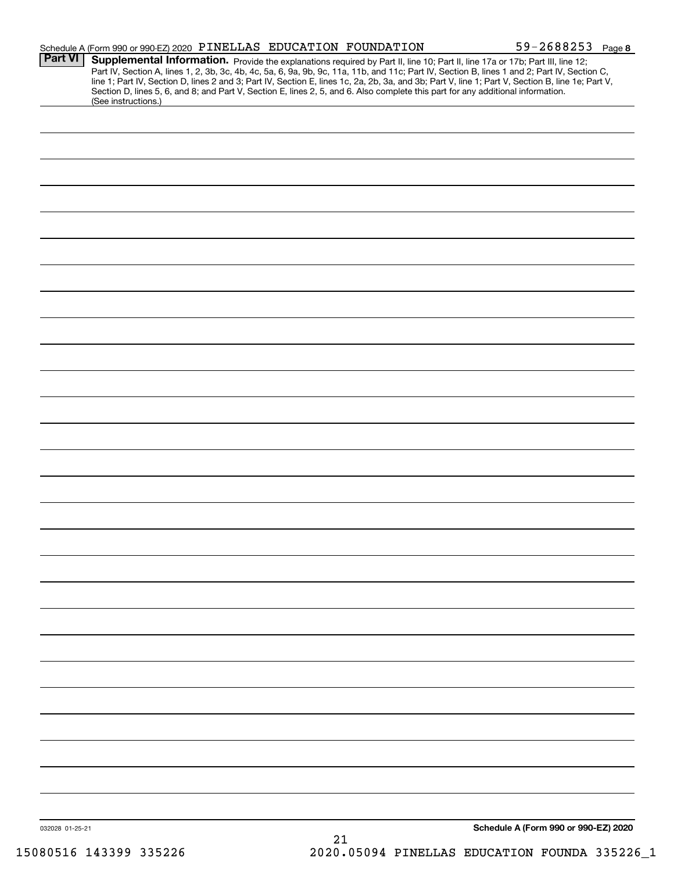|                 | Schedule A (Form 990 or 990-EZ) 2020 PINELLAS EDUCATION FOUNDATION                                                                                                                                                                                                                                                                                                                                                                                                                                                                                                   | $59 - 2688253$ Page 8                |
|-----------------|----------------------------------------------------------------------------------------------------------------------------------------------------------------------------------------------------------------------------------------------------------------------------------------------------------------------------------------------------------------------------------------------------------------------------------------------------------------------------------------------------------------------------------------------------------------------|--------------------------------------|
| <b>Part VI</b>  | Supplemental Information. Provide the explanations required by Part II, line 10; Part II, line 17a or 17b; Part III, line 12;<br>Part IV, Section A, lines 1, 2, 3b, 3c, 4b, 4c, 5a, 6, 9a, 9b, 9c, 11a, 11b, and 11c; Part IV, Section B, lines 1 and 2; Part IV, Section C,<br>line 1; Part IV, Section D, lines 2 and 3; Part IV, Section E, lines 1c, 2a, 2b, 3a, and 3b; Part V, line 1; Part V, Section B, line 1e; Part V,<br>Section D, lines 5, 6, and 8; and Part V, Section E, lines 2, 5, and 6. Also complete this part for any additional information. |                                      |
|                 | (See instructions.)                                                                                                                                                                                                                                                                                                                                                                                                                                                                                                                                                  |                                      |
|                 |                                                                                                                                                                                                                                                                                                                                                                                                                                                                                                                                                                      |                                      |
|                 |                                                                                                                                                                                                                                                                                                                                                                                                                                                                                                                                                                      |                                      |
|                 |                                                                                                                                                                                                                                                                                                                                                                                                                                                                                                                                                                      |                                      |
|                 |                                                                                                                                                                                                                                                                                                                                                                                                                                                                                                                                                                      |                                      |
|                 |                                                                                                                                                                                                                                                                                                                                                                                                                                                                                                                                                                      |                                      |
|                 |                                                                                                                                                                                                                                                                                                                                                                                                                                                                                                                                                                      |                                      |
|                 |                                                                                                                                                                                                                                                                                                                                                                                                                                                                                                                                                                      |                                      |
|                 |                                                                                                                                                                                                                                                                                                                                                                                                                                                                                                                                                                      |                                      |
|                 |                                                                                                                                                                                                                                                                                                                                                                                                                                                                                                                                                                      |                                      |
|                 |                                                                                                                                                                                                                                                                                                                                                                                                                                                                                                                                                                      |                                      |
|                 |                                                                                                                                                                                                                                                                                                                                                                                                                                                                                                                                                                      |                                      |
|                 |                                                                                                                                                                                                                                                                                                                                                                                                                                                                                                                                                                      |                                      |
|                 |                                                                                                                                                                                                                                                                                                                                                                                                                                                                                                                                                                      |                                      |
|                 |                                                                                                                                                                                                                                                                                                                                                                                                                                                                                                                                                                      |                                      |
|                 |                                                                                                                                                                                                                                                                                                                                                                                                                                                                                                                                                                      |                                      |
|                 |                                                                                                                                                                                                                                                                                                                                                                                                                                                                                                                                                                      |                                      |
|                 |                                                                                                                                                                                                                                                                                                                                                                                                                                                                                                                                                                      |                                      |
|                 |                                                                                                                                                                                                                                                                                                                                                                                                                                                                                                                                                                      |                                      |
|                 |                                                                                                                                                                                                                                                                                                                                                                                                                                                                                                                                                                      |                                      |
|                 |                                                                                                                                                                                                                                                                                                                                                                                                                                                                                                                                                                      |                                      |
|                 |                                                                                                                                                                                                                                                                                                                                                                                                                                                                                                                                                                      |                                      |
|                 |                                                                                                                                                                                                                                                                                                                                                                                                                                                                                                                                                                      |                                      |
|                 |                                                                                                                                                                                                                                                                                                                                                                                                                                                                                                                                                                      |                                      |
|                 |                                                                                                                                                                                                                                                                                                                                                                                                                                                                                                                                                                      |                                      |
|                 |                                                                                                                                                                                                                                                                                                                                                                                                                                                                                                                                                                      |                                      |
|                 |                                                                                                                                                                                                                                                                                                                                                                                                                                                                                                                                                                      |                                      |
|                 |                                                                                                                                                                                                                                                                                                                                                                                                                                                                                                                                                                      |                                      |
|                 |                                                                                                                                                                                                                                                                                                                                                                                                                                                                                                                                                                      |                                      |
|                 |                                                                                                                                                                                                                                                                                                                                                                                                                                                                                                                                                                      |                                      |
|                 |                                                                                                                                                                                                                                                                                                                                                                                                                                                                                                                                                                      |                                      |
|                 |                                                                                                                                                                                                                                                                                                                                                                                                                                                                                                                                                                      |                                      |
|                 |                                                                                                                                                                                                                                                                                                                                                                                                                                                                                                                                                                      |                                      |
|                 |                                                                                                                                                                                                                                                                                                                                                                                                                                                                                                                                                                      |                                      |
|                 |                                                                                                                                                                                                                                                                                                                                                                                                                                                                                                                                                                      |                                      |
|                 |                                                                                                                                                                                                                                                                                                                                                                                                                                                                                                                                                                      | Schedule A (Form 990 or 990-EZ) 2020 |
| 032028 01-25-21 | 21                                                                                                                                                                                                                                                                                                                                                                                                                                                                                                                                                                   |                                      |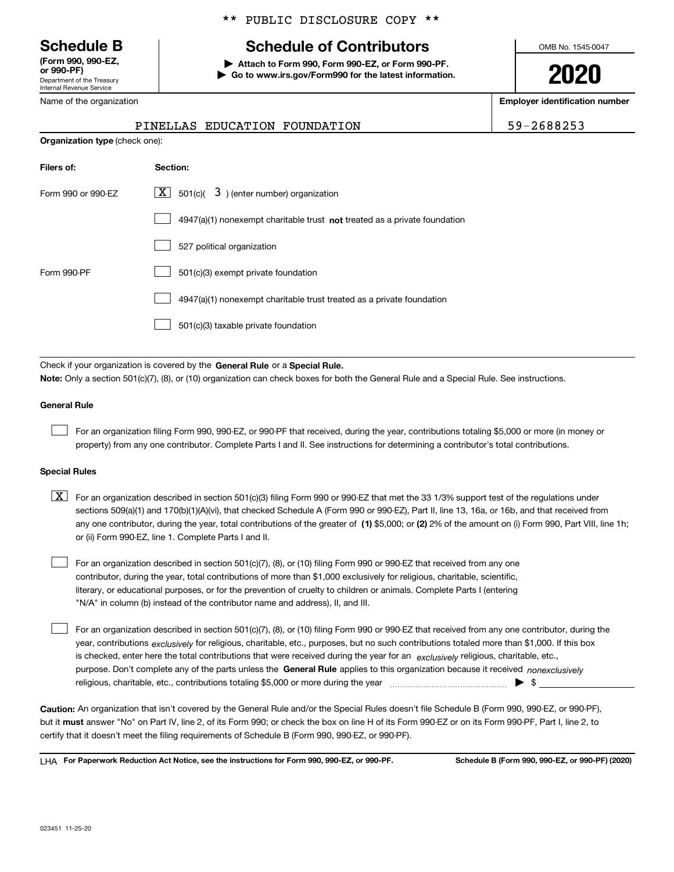Department of the Treasury Internal Revenue Service **(Form 990, 990-EZ, or 990-PF)**

Name of the organization

**Organization type** (check one):

### \*\* PUBLIC DISCLOSURE COPY \*\*

# **Schedule B Schedule of Contributors**

**| Attach to Form 990, Form 990-EZ, or Form 990-PF. | Go to www.irs.gov/Form990 for the latest information.** OMB No. 1545-0047

**2020**

**Employer identification number**

|  | PINELLAS EDUCATION FOUNDATION | 59-2688253 |
|--|-------------------------------|------------|

| Filers of:         | Section:                                                                    |
|--------------------|-----------------------------------------------------------------------------|
| Form 990 or 990-EZ | $\lfloor x \rfloor$ 501(c)( 3) (enter number) organization                  |
|                    | $4947(a)(1)$ nonexempt charitable trust not treated as a private foundation |
|                    | 527 political organization                                                  |
| Form 990-PF        | 501(c)(3) exempt private foundation                                         |
|                    | 4947(a)(1) nonexempt charitable trust treated as a private foundation       |
|                    | 501(c)(3) taxable private foundation                                        |

Check if your organization is covered by the **General Rule** or a **Special Rule. Note:**  Only a section 501(c)(7), (8), or (10) organization can check boxes for both the General Rule and a Special Rule. See instructions.

### **General Rule**

 $\mathcal{L}^{\text{max}}$ 

For an organization filing Form 990, 990-EZ, or 990-PF that received, during the year, contributions totaling \$5,000 or more (in money or property) from any one contributor. Complete Parts I and II. See instructions for determining a contributor's total contributions.

### **Special Rules**

any one contributor, during the year, total contributions of the greater of  $\,$  (1) \$5,000; or **(2)** 2% of the amount on (i) Form 990, Part VIII, line 1h;  $\boxed{\textbf{X}}$  For an organization described in section 501(c)(3) filing Form 990 or 990-EZ that met the 33 1/3% support test of the regulations under sections 509(a)(1) and 170(b)(1)(A)(vi), that checked Schedule A (Form 990 or 990-EZ), Part II, line 13, 16a, or 16b, and that received from or (ii) Form 990-EZ, line 1. Complete Parts I and II.

For an organization described in section 501(c)(7), (8), or (10) filing Form 990 or 990-EZ that received from any one contributor, during the year, total contributions of more than \$1,000 exclusively for religious, charitable, scientific, literary, or educational purposes, or for the prevention of cruelty to children or animals. Complete Parts I (entering "N/A" in column (b) instead of the contributor name and address), II, and III.  $\mathcal{L}^{\text{max}}$ 

purpose. Don't complete any of the parts unless the **General Rule** applies to this organization because it received *nonexclusively* year, contributions <sub>exclusively</sub> for religious, charitable, etc., purposes, but no such contributions totaled more than \$1,000. If this box is checked, enter here the total contributions that were received during the year for an  $\;$ exclusively religious, charitable, etc., For an organization described in section 501(c)(7), (8), or (10) filing Form 990 or 990-EZ that received from any one contributor, during the religious, charitable, etc., contributions totaling \$5,000 or more during the year  $\Box$ — $\Box$   $\Box$  $\mathcal{L}^{\text{max}}$ 

**Caution:**  An organization that isn't covered by the General Rule and/or the Special Rules doesn't file Schedule B (Form 990, 990-EZ, or 990-PF),  **must** but it answer "No" on Part IV, line 2, of its Form 990; or check the box on line H of its Form 990-EZ or on its Form 990-PF, Part I, line 2, to certify that it doesn't meet the filing requirements of Schedule B (Form 990, 990-EZ, or 990-PF).

**For Paperwork Reduction Act Notice, see the instructions for Form 990, 990-EZ, or 990-PF. Schedule B (Form 990, 990-EZ, or 990-PF) (2020)** LHA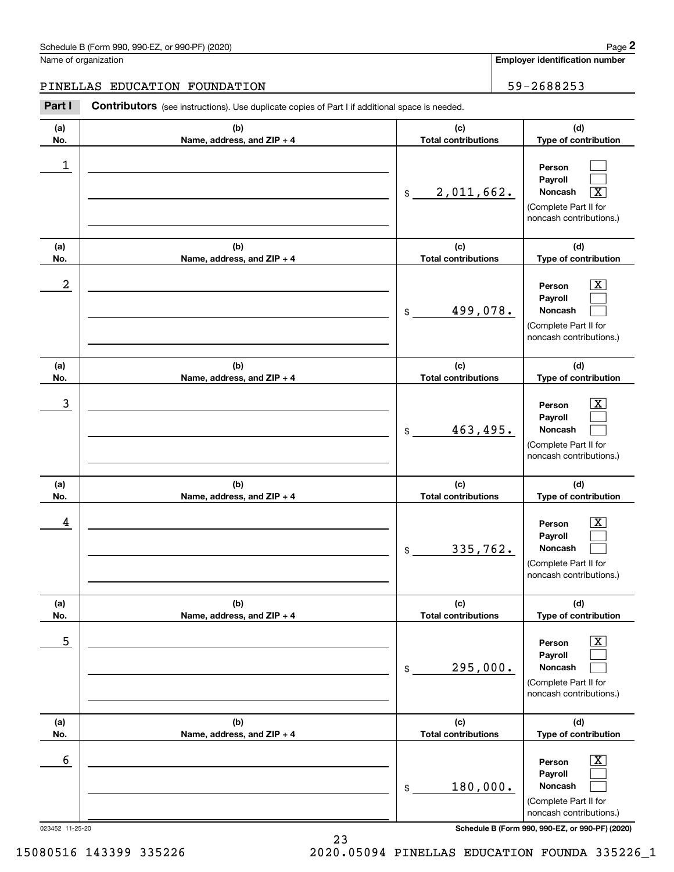**Employer identification number**

**(d)**

 $\mathcal{L}^{\text{max}}$  $\mathcal{L}^{\text{max}}$  $\boxed{\text{X}}$ 

 $\boxed{\text{X}}$  $\mathcal{L}^{\text{max}}$  $\mathcal{L}^{\text{max}}$ 

 $\boxed{\text{X}}$  $\mathcal{L}^{\text{max}}$  $\mathcal{L}^{\text{max}}$ 

**(d)**

**(d)**

**(a)No.(b)Name, address, and ZIP + 4 (c)Total contributions Type of contribution PersonPayrollNoncash (a)No.(b)Name, address, and ZIP + 4 (c)Total contributions Type of contribution PersonPayrollNoncash (a)No.(b)Name, address, and ZIP + 4 (c)Total contributions Type of contribution Person PayrollNoncash (a)No.(b)Name, address, and ZIP + 4 (c)Total contributions** Schedule B (Form 990, 990-EZ, or 990-PF) (2020) **Page 2** Page 2 Name of organization Contributors (see instructions). Use duplicate copies of Part I if additional space is needed. \$(Complete Part II for noncash contributions.) \$(Complete Part II for noncash contributions.) \$(Complete Part II for noncash contributions.) Chedule B (Form 990, 990-EZ, or 990-PF) (2020)<br> **2Part I 2Part I Contributors** (see instructions). Use duplicate copies of Part I if additional space is needed.<br>
2Part I **Contributors** (see instructions). Use duplicate 1 2,011,662. X  $2$  | Person  $\overline{\text{X}}$ 499,078.  $\overline{3}$  | Person  $\overline{X}$ 463,495. PINELLAS EDUCATION FOUNDATION 59-2688253

| (a)                  | (b)                          | (c)                        | (d)                                                                                                                                                                        |
|----------------------|------------------------------|----------------------------|----------------------------------------------------------------------------------------------------------------------------------------------------------------------------|
| No.                  | Name, address, and $ZIP + 4$ | <b>Total contributions</b> | Type of contribution                                                                                                                                                       |
| 4                    |                              | 335,762.<br>\$             | $\overline{\mathbf{X}}$<br>Person<br><b>Payroll</b><br><b>Noncash</b><br>(Complete Part II for<br>noncash contributions.)                                                  |
| (a)                  | (b)                          | (c)                        | (d)                                                                                                                                                                        |
| No.                  | Name, address, and ZIP + 4   | <b>Total contributions</b> | Type of contribution                                                                                                                                                       |
| 5                    |                              | 295,000.<br>\$             | $\overline{\text{X}}$<br>Person<br>Payroll<br>Noncash<br>(Complete Part II for<br>noncash contributions.)                                                                  |
| (a)                  | (b)                          | (c)                        | (d)                                                                                                                                                                        |
| No.                  | Name, address, and $ZIP + 4$ | <b>Total contributions</b> | Type of contribution                                                                                                                                                       |
| 6<br>023452 11-25-20 |                              | 180,000.<br>\$             | $\overline{\text{X}}$<br>Person<br><b>Payroll</b><br><b>Noncash</b><br>(Complete Part II for<br>noncash contributions.)<br>Schedule B (Form 990, 990-EZ, or 990-PF) (2020) |

15080516 143399 335226 2020.05094 PINELLAS EDUCATION FOUNDA 335226\_1

23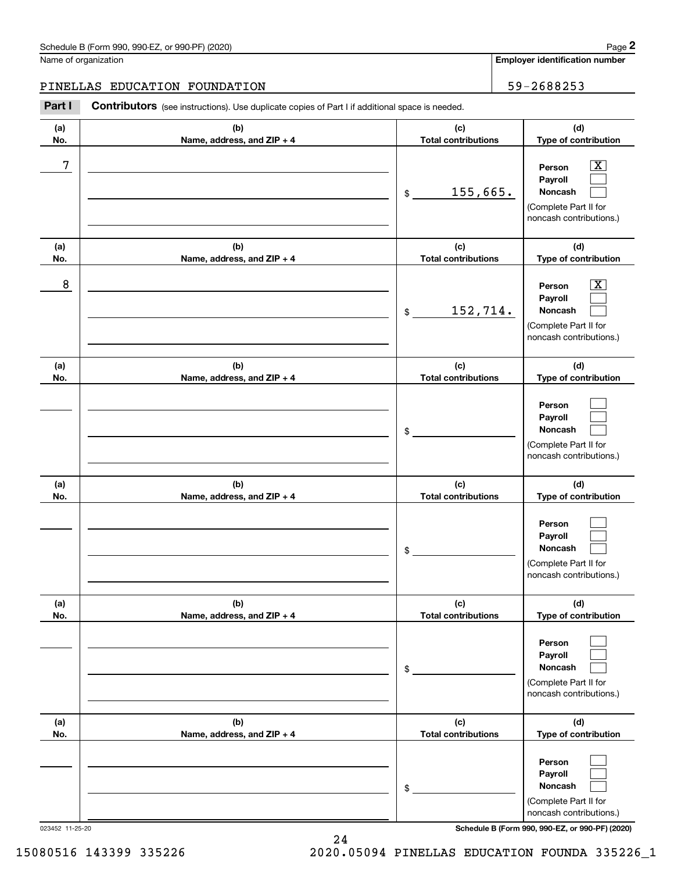**Employer identification number**

**(a)No.(b)Name, address, and ZIP + 4 (c)Total contributions (d)Type of contribution PersonPayrollNoncash (a)No.(b)Name, address, and ZIP + 4 (c)Total contributions (d)Type of contribution PersonPayrollNoncash (a)No.(b)Name, address, and ZIP + 4 (c)Total contributions (d)Type of contribution PersonPayrollNoncash (a) No.(b) Name, address, and ZIP + 4 (c) Total contributions (d) Type of contribution PersonPayrollNoncash (a) No.(b) Name, address, and ZIP + 4 (c) Total contributions (d) Type of contribution PersonPayrollNoncash(a) No.(b)Name, address, and ZIP + 4 (c) Total contributions (d)Type of contribution PersonPayrollNoncash** Contributors (see instructions). Use duplicate copies of Part I if additional space is needed. \$(Complete Part II for noncash contributions.) \$(Complete Part II for noncash contributions.) \$(Complete Part II for noncash contributions.) \$(Complete Part II for noncash contributions.) \$(Complete Part II for noncash contributions.) \$(Complete Part II for Chedule B (Form 990, 990-EZ, or 990-PF) (2020)<br> **2Part I 2Part I Contributors** (see instructions). Use duplicate copies of Part I if additional space is needed.<br>
2Part I **Contributors** (see instructions). Use duplicate  $|X|$  $\mathcal{L}^{\text{max}}$  $\mathcal{L}^{\text{max}}$  $\boxed{\text{X}}$  $\mathcal{L}^{\text{max}}$  $\mathcal{L}^{\text{max}}$  $\mathcal{L}^{\text{max}}$  $\mathcal{L}^{\text{max}}$  $\mathcal{L}^{\text{max}}$  $\mathcal{L}^{\text{max}}$  $\mathcal{L}^{\text{max}}$  $\mathcal{L}^{\text{max}}$  $\mathcal{L}^{\text{max}}$  $\mathcal{L}^{\text{max}}$  $\mathcal{L}^{\text{max}}$  $\mathcal{L}^{\text{max}}$  $\mathcal{L}^{\text{max}}$  $\mathcal{L}^{\text{max}}$ 7 X 155,665. 8 X 152,714. PINELLAS EDUCATION FOUNDATION 59-2688253

023452 11-25-20 **Schedule B (Form 990, 990-EZ, or 990-PF) (2020)**

noncash contributions.)

15080516 143399 335226 2020.05094 PINELLAS EDUCATION FOUNDA 335226\_1

24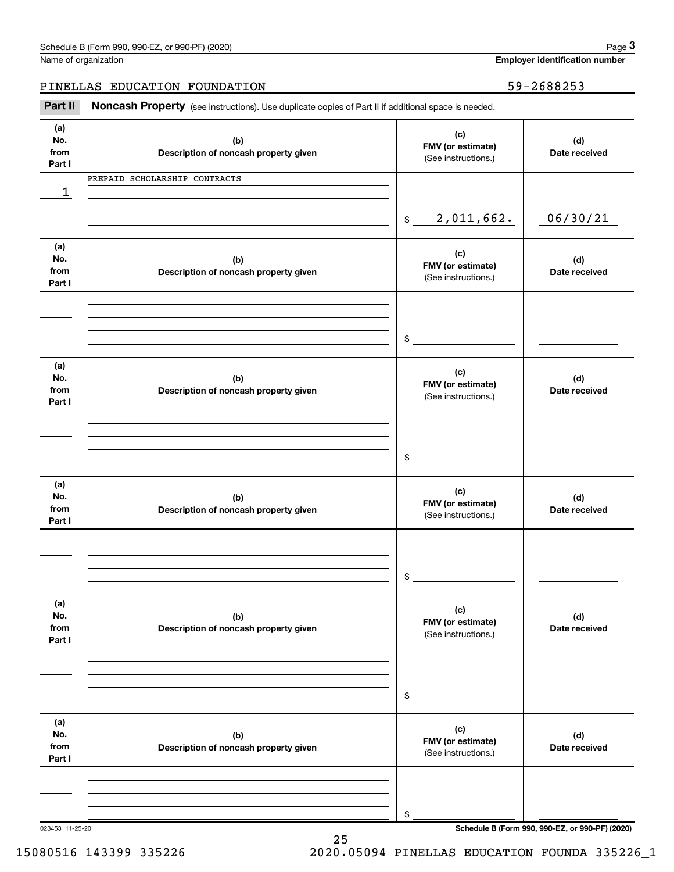| Schedule B (Form 990, 990-EZ, or 990-PF) (2020) | Page |
|-------------------------------------------------|------|
|-------------------------------------------------|------|

Name of organization

**Employer identification number**

## PINELLAS EDUCATION FOUNDATION 59-2688253

(see instructions). Use duplicate copies of Part II if additional space is needed.<br> **2Part II Noncash Property** (see instructions). Use duplicate copies of Part II if additional space is needed.<br> **3Part II Noncash Prop** 

| (a)<br>No.<br>from<br>Part I | (b)<br>Description of noncash property given | (c)<br>FMV (or estimate)<br>(See instructions.) | (d)<br>Date received                            |
|------------------------------|----------------------------------------------|-------------------------------------------------|-------------------------------------------------|
| 1                            | PREPAID SCHOLARSHIP CONTRACTS                |                                                 |                                                 |
|                              |                                              | 2,011,662.<br>$\frac{1}{2}$                     | 06/30/21                                        |
| (a)<br>No.<br>from<br>Part I | (b)<br>Description of noncash property given | (c)<br>FMV (or estimate)<br>(See instructions.) | (d)<br>Date received                            |
|                              |                                              | $\mathfrak{S}$                                  |                                                 |
| (a)<br>No.<br>from<br>Part I | (b)<br>Description of noncash property given | (c)<br>FMV (or estimate)<br>(See instructions.) | (d)<br>Date received                            |
|                              |                                              | $\mathfrak{S}$                                  |                                                 |
| (a)<br>No.<br>from<br>Part I | (b)<br>Description of noncash property given | (c)<br>FMV (or estimate)<br>(See instructions.) | (d)<br>Date received                            |
|                              |                                              | $\frac{1}{2}$                                   |                                                 |
| (a)<br>No.<br>from<br>Part I | (b)<br>Description of noncash property given | (c)<br>FMV (or estimate)<br>(See instructions.) | (d)<br>Date received                            |
|                              |                                              | \$                                              |                                                 |
| (a)<br>No.<br>from<br>Part I | (b)<br>Description of noncash property given | (c)<br>FMV (or estimate)<br>(See instructions.) | (d)<br>Date received                            |
|                              |                                              | \$                                              |                                                 |
| 023453 11-25-20              |                                              |                                                 | Schedule B (Form 990, 990-EZ, or 990-PF) (2020) |

25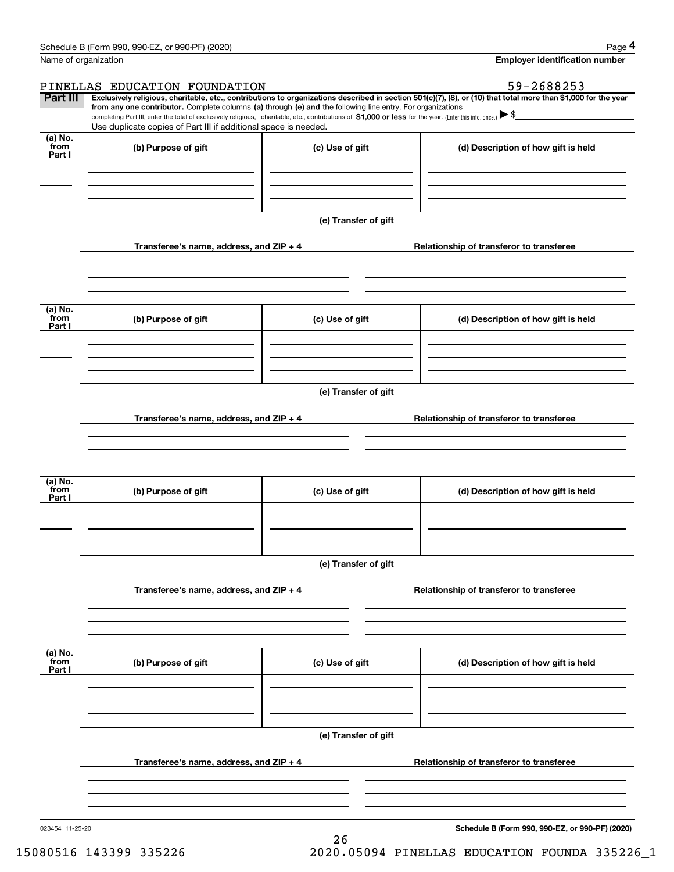|                 | Schedule B (Form 990, 990-EZ, or 990-PF) (2020)                                                                                                                                                                                                                              |                      |                                          |                                          | Page 4                                   |  |  |
|-----------------|------------------------------------------------------------------------------------------------------------------------------------------------------------------------------------------------------------------------------------------------------------------------------|----------------------|------------------------------------------|------------------------------------------|------------------------------------------|--|--|
|                 | Name of organization                                                                                                                                                                                                                                                         |                      |                                          |                                          | <b>Employer identification number</b>    |  |  |
|                 | PINELLAS EDUCATION FOUNDATION                                                                                                                                                                                                                                                |                      |                                          |                                          | 59-2688253                               |  |  |
| Part III        | Exclusively religious, charitable, etc., contributions to organizations described in section 501(c)(7), (8), or (10) that total more than \$1,000 for the year<br>from any one contributor. Complete columns (a) through (e) and the following line entry. For organizations |                      |                                          |                                          |                                          |  |  |
|                 | completing Part III, enter the total of exclusively religious, charitable, etc., contributions of \$1,000 or less for the year. (Enter this info. once.) $\blacktriangleright$ \$<br>Use duplicate copies of Part III if additional space is needed.                         |                      |                                          |                                          |                                          |  |  |
| (a) No.<br>from |                                                                                                                                                                                                                                                                              |                      |                                          |                                          |                                          |  |  |
| Part I          | (b) Purpose of gift<br>(c) Use of gift                                                                                                                                                                                                                                       |                      |                                          |                                          | (d) Description of how gift is held      |  |  |
|                 |                                                                                                                                                                                                                                                                              |                      |                                          |                                          |                                          |  |  |
|                 |                                                                                                                                                                                                                                                                              |                      |                                          |                                          |                                          |  |  |
|                 |                                                                                                                                                                                                                                                                              |                      |                                          |                                          |                                          |  |  |
|                 |                                                                                                                                                                                                                                                                              |                      |                                          |                                          |                                          |  |  |
|                 |                                                                                                                                                                                                                                                                              | (e) Transfer of gift |                                          |                                          |                                          |  |  |
|                 | Transferee's name, address, and ZIP + 4                                                                                                                                                                                                                                      |                      |                                          |                                          | Relationship of transferor to transferee |  |  |
|                 |                                                                                                                                                                                                                                                                              |                      |                                          |                                          |                                          |  |  |
|                 |                                                                                                                                                                                                                                                                              |                      |                                          |                                          |                                          |  |  |
|                 |                                                                                                                                                                                                                                                                              |                      |                                          |                                          |                                          |  |  |
|                 |                                                                                                                                                                                                                                                                              |                      |                                          |                                          |                                          |  |  |
| (a) No.<br>from | (b) Purpose of gift                                                                                                                                                                                                                                                          | (c) Use of gift      |                                          |                                          | (d) Description of how gift is held      |  |  |
| Part I          |                                                                                                                                                                                                                                                                              |                      |                                          |                                          |                                          |  |  |
|                 |                                                                                                                                                                                                                                                                              |                      |                                          |                                          |                                          |  |  |
|                 |                                                                                                                                                                                                                                                                              |                      |                                          |                                          |                                          |  |  |
|                 |                                                                                                                                                                                                                                                                              |                      |                                          |                                          |                                          |  |  |
|                 | (e) Transfer of gift                                                                                                                                                                                                                                                         |                      |                                          |                                          |                                          |  |  |
|                 |                                                                                                                                                                                                                                                                              |                      |                                          |                                          |                                          |  |  |
|                 | Transferee's name, address, and ZIP + 4                                                                                                                                                                                                                                      |                      |                                          | Relationship of transferor to transferee |                                          |  |  |
|                 |                                                                                                                                                                                                                                                                              |                      |                                          |                                          |                                          |  |  |
|                 |                                                                                                                                                                                                                                                                              |                      |                                          |                                          |                                          |  |  |
|                 |                                                                                                                                                                                                                                                                              |                      |                                          |                                          |                                          |  |  |
| (a) No.<br>from | (b) Purpose of gift                                                                                                                                                                                                                                                          | (c) Use of gift      |                                          |                                          | (d) Description of how gift is held      |  |  |
| Part I          |                                                                                                                                                                                                                                                                              |                      |                                          |                                          |                                          |  |  |
|                 |                                                                                                                                                                                                                                                                              |                      |                                          |                                          |                                          |  |  |
|                 |                                                                                                                                                                                                                                                                              |                      |                                          |                                          |                                          |  |  |
|                 |                                                                                                                                                                                                                                                                              |                      |                                          |                                          |                                          |  |  |
|                 | (e) Transfer of gift                                                                                                                                                                                                                                                         |                      |                                          |                                          |                                          |  |  |
|                 |                                                                                                                                                                                                                                                                              |                      |                                          |                                          |                                          |  |  |
|                 | Transferee's name, address, and $ZIP + 4$                                                                                                                                                                                                                                    |                      |                                          |                                          | Relationship of transferor to transferee |  |  |
|                 |                                                                                                                                                                                                                                                                              |                      |                                          |                                          |                                          |  |  |
|                 |                                                                                                                                                                                                                                                                              |                      |                                          |                                          |                                          |  |  |
|                 |                                                                                                                                                                                                                                                                              |                      |                                          |                                          |                                          |  |  |
| (a) No.<br>from |                                                                                                                                                                                                                                                                              |                      |                                          |                                          |                                          |  |  |
| Part I          | (b) Purpose of gift                                                                                                                                                                                                                                                          | (c) Use of gift      |                                          |                                          | (d) Description of how gift is held      |  |  |
|                 |                                                                                                                                                                                                                                                                              |                      |                                          |                                          |                                          |  |  |
|                 |                                                                                                                                                                                                                                                                              |                      |                                          |                                          |                                          |  |  |
|                 |                                                                                                                                                                                                                                                                              |                      |                                          |                                          |                                          |  |  |
|                 |                                                                                                                                                                                                                                                                              |                      |                                          |                                          |                                          |  |  |
|                 | (e) Transfer of gift                                                                                                                                                                                                                                                         |                      |                                          |                                          |                                          |  |  |
|                 | Transferee's name, address, and ZIP + 4                                                                                                                                                                                                                                      |                      | Relationship of transferor to transferee |                                          |                                          |  |  |
|                 |                                                                                                                                                                                                                                                                              |                      |                                          |                                          |                                          |  |  |
|                 |                                                                                                                                                                                                                                                                              |                      |                                          |                                          |                                          |  |  |
|                 |                                                                                                                                                                                                                                                                              |                      |                                          |                                          |                                          |  |  |
|                 |                                                                                                                                                                                                                                                                              |                      |                                          |                                          |                                          |  |  |

26

023454 11-25-20

**Schedule B (Form 990, 990-EZ, or 990-PF) (2020)**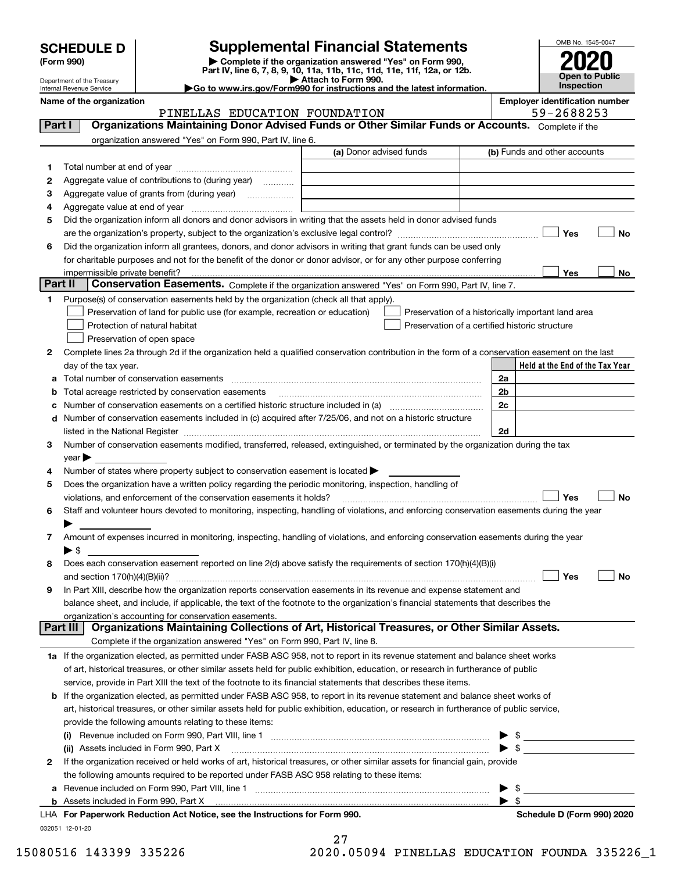| <b>SCHEDULE D</b> |  |
|-------------------|--|
|-------------------|--|

| (Form 990) |  |
|------------|--|
|------------|--|

# **Supplemental Financial Statements**

**(Form 990)** (**Form 990,**<br>Part IV, line 6, 7, 8, 9, 10, 11a, 11b, 11c, 11d, 11e, 11f, 12a, or 12b.<br>Department of the Treasury **and Exercise Connect Connect Connect Connect Connect Connect Connect Connect Connect** 



Department of the Treasury Internal Revenue Service

|  | Go to www.irs.gov/Form990 for instructions and the latest information. |  |
|--|------------------------------------------------------------------------|--|

|         | Name of the organization<br>PINELLAS EDUCATION FOUNDATION                                                                                                                                                                               | <b>Employer identification number</b><br>59-2688253 |
|---------|-----------------------------------------------------------------------------------------------------------------------------------------------------------------------------------------------------------------------------------------|-----------------------------------------------------|
| Part I  | Organizations Maintaining Donor Advised Funds or Other Similar Funds or Accounts. Complete if the                                                                                                                                       |                                                     |
|         |                                                                                                                                                                                                                                         |                                                     |
|         | organization answered "Yes" on Form 990, Part IV, line 6.<br>(a) Donor advised funds                                                                                                                                                    | (b) Funds and other accounts                        |
|         |                                                                                                                                                                                                                                         |                                                     |
| 1       |                                                                                                                                                                                                                                         |                                                     |
| 2       | Aggregate value of contributions to (during year)                                                                                                                                                                                       |                                                     |
| з       | Aggregate value of grants from (during year)                                                                                                                                                                                            |                                                     |
| 4       |                                                                                                                                                                                                                                         |                                                     |
| 5       | Did the organization inform all donors and donor advisors in writing that the assets held in donor advised funds                                                                                                                        |                                                     |
|         |                                                                                                                                                                                                                                         | Yes<br>No                                           |
| 6       | Did the organization inform all grantees, donors, and donor advisors in writing that grant funds can be used only<br>for charitable purposes and not for the benefit of the donor or donor advisor, or for any other purpose conferring |                                                     |
|         |                                                                                                                                                                                                                                         | Yes                                                 |
| Part II | impermissible private benefit?<br>Conservation Easements. Complete if the organization answered "Yes" on Form 990, Part IV, line 7.                                                                                                     | No                                                  |
|         |                                                                                                                                                                                                                                         |                                                     |
| 1.      | Purpose(s) of conservation easements held by the organization (check all that apply).                                                                                                                                                   |                                                     |
|         | Preservation of land for public use (for example, recreation or education)                                                                                                                                                              | Preservation of a historically important land area  |
|         | Protection of natural habitat<br>Preservation of a certified historic structure                                                                                                                                                         |                                                     |
|         | Preservation of open space                                                                                                                                                                                                              |                                                     |
| 2       | Complete lines 2a through 2d if the organization held a qualified conservation contribution in the form of a conservation easement on the last                                                                                          |                                                     |
|         | day of the tax year.                                                                                                                                                                                                                    | Held at the End of the Tax Year                     |
| a       |                                                                                                                                                                                                                                         | 2a                                                  |
| b       | Total acreage restricted by conservation easements                                                                                                                                                                                      | 2 <sub>b</sub>                                      |
| с       |                                                                                                                                                                                                                                         | 2c                                                  |
| d       | Number of conservation easements included in (c) acquired after 7/25/06, and not on a historic structure                                                                                                                                |                                                     |
|         |                                                                                                                                                                                                                                         | 2d                                                  |
| 3       | Number of conservation easements modified, transferred, released, extinguished, or terminated by the organization during the tax                                                                                                        |                                                     |
|         | $year \blacktriangleright$                                                                                                                                                                                                              |                                                     |
| 4       | Number of states where property subject to conservation easement is located >                                                                                                                                                           |                                                     |
| 5       | Does the organization have a written policy regarding the periodic monitoring, inspection, handling of                                                                                                                                  |                                                     |
|         | violations, and enforcement of the conservation easements it holds?                                                                                                                                                                     | Yes<br>No                                           |
| 6       | Staff and volunteer hours devoted to monitoring, inspecting, handling of violations, and enforcing conservation easements during the year                                                                                               |                                                     |
|         | Amount of expenses incurred in monitoring, inspecting, handling of violations, and enforcing conservation easements during the year                                                                                                     |                                                     |
| 7       | $\blacktriangleright$ \$                                                                                                                                                                                                                |                                                     |
|         |                                                                                                                                                                                                                                         |                                                     |
| 8       | Does each conservation easement reported on line 2(d) above satisfy the requirements of section 170(h)(4)(B)(i)                                                                                                                         | Yes                                                 |
|         |                                                                                                                                                                                                                                         | No                                                  |
|         | In Part XIII, describe how the organization reports conservation easements in its revenue and expense statement and                                                                                                                     |                                                     |
|         | balance sheet, and include, if applicable, the text of the footnote to the organization's financial statements that describes the                                                                                                       |                                                     |
|         | organization's accounting for conservation easements.<br>Organizations Maintaining Collections of Art, Historical Treasures, or Other Similar Assets.<br>Part III                                                                       |                                                     |
|         | Complete if the organization answered "Yes" on Form 990, Part IV, line 8.                                                                                                                                                               |                                                     |
|         | 1a If the organization elected, as permitted under FASB ASC 958, not to report in its revenue statement and balance sheet works                                                                                                         |                                                     |
|         |                                                                                                                                                                                                                                         |                                                     |
|         | of art, historical treasures, or other similar assets held for public exhibition, education, or research in furtherance of public                                                                                                       |                                                     |
|         | service, provide in Part XIII the text of the footnote to its financial statements that describes these items.                                                                                                                          |                                                     |
|         | <b>b</b> If the organization elected, as permitted under FASB ASC 958, to report in its revenue statement and balance sheet works of                                                                                                    |                                                     |
|         | art, historical treasures, or other similar assets held for public exhibition, education, or research in furtherance of public service,                                                                                                 |                                                     |
|         | provide the following amounts relating to these items:                                                                                                                                                                                  |                                                     |
|         |                                                                                                                                                                                                                                         | \$                                                  |
|         | (ii) Assets included in Form 990, Part X                                                                                                                                                                                                | $\sqrt{3}$                                          |
| 2       | If the organization received or held works of art, historical treasures, or other similar assets for financial gain, provide                                                                                                            |                                                     |
|         | the following amounts required to be reported under FASB ASC 958 relating to these items:                                                                                                                                               |                                                     |
|         |                                                                                                                                                                                                                                         | -\$                                                 |
|         | <b>b</b> Assets included in Form 990, Part X                                                                                                                                                                                            | $\blacktriangleright$ s                             |
|         | LHA For Paperwork Reduction Act Notice, see the Instructions for Form 990.                                                                                                                                                              | Schedule D (Form 990) 2020                          |
|         | 032051 12-01-20<br>27                                                                                                                                                                                                                   |                                                     |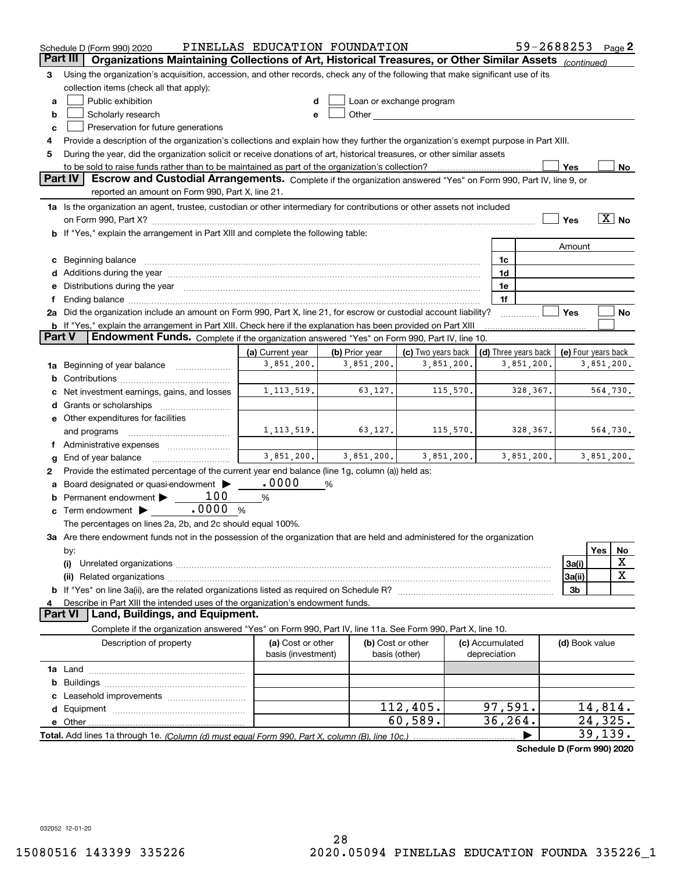|          | Schedule D (Form 990) 2020                                                                                                                                                                                                                                                                                                                        | PINELLAS EDUCATION FOUNDATION |                |                                                                                                                                                                                                                                |                 | 59-2688253 Page 2          |                     |            |                       |
|----------|---------------------------------------------------------------------------------------------------------------------------------------------------------------------------------------------------------------------------------------------------------------------------------------------------------------------------------------------------|-------------------------------|----------------|--------------------------------------------------------------------------------------------------------------------------------------------------------------------------------------------------------------------------------|-----------------|----------------------------|---------------------|------------|-----------------------|
| Part III | Organizations Maintaining Collections of Art, Historical Treasures, or Other Similar Assets (continued)                                                                                                                                                                                                                                           |                               |                |                                                                                                                                                                                                                                |                 |                            |                     |            |                       |
| З        | Using the organization's acquisition, accession, and other records, check any of the following that make significant use of its                                                                                                                                                                                                                   |                               |                |                                                                                                                                                                                                                                |                 |                            |                     |            |                       |
|          | collection items (check all that apply):                                                                                                                                                                                                                                                                                                          |                               |                |                                                                                                                                                                                                                                |                 |                            |                     |            |                       |
| a        | Public exhibition                                                                                                                                                                                                                                                                                                                                 |                               |                | Loan or exchange program                                                                                                                                                                                                       |                 |                            |                     |            |                       |
| b        | Scholarly research                                                                                                                                                                                                                                                                                                                                |                               |                | Other and the control of the control of the control of the control of the control of the control of the control of the control of the control of the control of the control of the control of the control of the control of th |                 |                            |                     |            |                       |
| c        | Preservation for future generations                                                                                                                                                                                                                                                                                                               |                               |                |                                                                                                                                                                                                                                |                 |                            |                     |            |                       |
| 4        | Provide a description of the organization's collections and explain how they further the organization's exempt purpose in Part XIII.                                                                                                                                                                                                              |                               |                |                                                                                                                                                                                                                                |                 |                            |                     |            |                       |
| 5        | During the year, did the organization solicit or receive donations of art, historical treasures, or other similar assets                                                                                                                                                                                                                          |                               |                |                                                                                                                                                                                                                                |                 |                            |                     |            |                       |
|          | to be sold to raise funds rather than to be maintained as part of the organization's collection?                                                                                                                                                                                                                                                  |                               |                |                                                                                                                                                                                                                                |                 |                            | Yes                 |            | No                    |
|          | <b>Part IV</b><br>Escrow and Custodial Arrangements. Complete if the organization answered "Yes" on Form 990, Part IV, line 9, or                                                                                                                                                                                                                 |                               |                |                                                                                                                                                                                                                                |                 |                            |                     |            |                       |
|          | reported an amount on Form 990, Part X, line 21.                                                                                                                                                                                                                                                                                                  |                               |                |                                                                                                                                                                                                                                |                 |                            |                     |            |                       |
|          | 1a Is the organization an agent, trustee, custodian or other intermediary for contributions or other assets not included                                                                                                                                                                                                                          |                               |                |                                                                                                                                                                                                                                |                 |                            |                     |            |                       |
|          |                                                                                                                                                                                                                                                                                                                                                   |                               |                |                                                                                                                                                                                                                                |                 |                            | Yes                 |            | $\boxed{\text{X}}$ No |
|          | <b>b</b> If "Yes," explain the arrangement in Part XIII and complete the following table:                                                                                                                                                                                                                                                         |                               |                |                                                                                                                                                                                                                                |                 |                            |                     |            |                       |
|          |                                                                                                                                                                                                                                                                                                                                                   |                               |                |                                                                                                                                                                                                                                |                 |                            | Amount              |            |                       |
|          |                                                                                                                                                                                                                                                                                                                                                   |                               |                |                                                                                                                                                                                                                                | 1c<br>1d        |                            |                     |            |                       |
|          | Additions during the year manufactured and an according to the year manufactured and according the year manufactured and according the year manufactured and according the year manufactured and according the year manufactur                                                                                                                    |                               |                |                                                                                                                                                                                                                                | 1e              |                            |                     |            |                       |
|          | Distributions during the year manufactured and an account of the state of the state of the state of the state o<br>Ending balance manufactured and contact the contract of the contract of the contract of the contract of the contract of the contract of the contract of the contract of the contract of the contract of the contract of the co |                               |                |                                                                                                                                                                                                                                | 1f              |                            |                     |            |                       |
|          | 2a Did the organization include an amount on Form 990, Part X, line 21, for escrow or custodial account liability?                                                                                                                                                                                                                                |                               |                |                                                                                                                                                                                                                                |                 |                            | Yes                 |            | No                    |
|          | <b>b</b> If "Yes," explain the arrangement in Part XIII. Check here if the explanation has been provided on Part XIII                                                                                                                                                                                                                             |                               |                |                                                                                                                                                                                                                                |                 |                            |                     |            |                       |
| Part V   | Endowment Funds. Complete if the organization answered "Yes" on Form 990, Part IV, line 10.                                                                                                                                                                                                                                                       |                               |                |                                                                                                                                                                                                                                |                 |                            |                     |            |                       |
|          |                                                                                                                                                                                                                                                                                                                                                   | (a) Current year              | (b) Prior year | (c) Two years back                                                                                                                                                                                                             |                 | (d) Three years back       | (e) Four years back |            |                       |
| 1a       | Beginning of year balance                                                                                                                                                                                                                                                                                                                         | 3,851,200.                    | 3,851,200.     | 3,851,200.                                                                                                                                                                                                                     |                 | 3,851,200.                 |                     | 3,851,200. |                       |
| b        |                                                                                                                                                                                                                                                                                                                                                   |                               |                |                                                                                                                                                                                                                                |                 |                            |                     |            |                       |
|          | Net investment earnings, gains, and losses                                                                                                                                                                                                                                                                                                        | 1, 113, 519.                  | 63,127.        | 115,570.                                                                                                                                                                                                                       |                 | 328,367.                   |                     | 564,730.   |                       |
|          | Grants or scholarships                                                                                                                                                                                                                                                                                                                            |                               |                |                                                                                                                                                                                                                                |                 |                            |                     |            |                       |
|          | e Other expenditures for facilities                                                                                                                                                                                                                                                                                                               |                               |                |                                                                                                                                                                                                                                |                 |                            |                     |            |                       |
|          | and programs                                                                                                                                                                                                                                                                                                                                      | 1, 113, 519.                  | 63,127.        | 115,570.                                                                                                                                                                                                                       |                 | 328,367.                   |                     |            | 564,730.              |
|          | Administrative expenses                                                                                                                                                                                                                                                                                                                           |                               |                |                                                                                                                                                                                                                                |                 |                            |                     |            |                       |
| g        | End of year balance                                                                                                                                                                                                                                                                                                                               | 3,851,200.                    | 3,851,200.     | 3,851,200.                                                                                                                                                                                                                     |                 | 3,851,200.                 |                     |            | 3,851,200.            |
| 2        | Provide the estimated percentage of the current year end balance (line 1g, column (a)) held as:                                                                                                                                                                                                                                                   |                               |                |                                                                                                                                                                                                                                |                 |                            |                     |            |                       |
|          | Board designated or quasi-endowment                                                                                                                                                                                                                                                                                                               | .0000                         | %              |                                                                                                                                                                                                                                |                 |                            |                     |            |                       |
| b        | 100<br>Permanent endowment                                                                                                                                                                                                                                                                                                                        | %                             |                |                                                                                                                                                                                                                                |                 |                            |                     |            |                       |
| c        | .0000<br>Term endowment $\blacktriangleright$                                                                                                                                                                                                                                                                                                     | %                             |                |                                                                                                                                                                                                                                |                 |                            |                     |            |                       |
|          | The percentages on lines 2a, 2b, and 2c should equal 100%.                                                                                                                                                                                                                                                                                        |                               |                |                                                                                                                                                                                                                                |                 |                            |                     |            |                       |
|          | 3a Are there endowment funds not in the possession of the organization that are held and administered for the organization                                                                                                                                                                                                                        |                               |                |                                                                                                                                                                                                                                |                 |                            |                     |            |                       |
|          | by:                                                                                                                                                                                                                                                                                                                                               |                               |                |                                                                                                                                                                                                                                |                 |                            |                     | Yes        | No<br>X               |
|          | (i)                                                                                                                                                                                                                                                                                                                                               |                               |                |                                                                                                                                                                                                                                |                 |                            | 3a(i)               |            | $\mathbf X$           |
|          |                                                                                                                                                                                                                                                                                                                                                   |                               |                |                                                                                                                                                                                                                                |                 |                            | 3a(ii)<br>3b        |            |                       |
|          | Describe in Part XIII the intended uses of the organization's endowment funds.                                                                                                                                                                                                                                                                    |                               |                |                                                                                                                                                                                                                                |                 |                            |                     |            |                       |
|          | Land, Buildings, and Equipment.<br>Part VI                                                                                                                                                                                                                                                                                                        |                               |                |                                                                                                                                                                                                                                |                 |                            |                     |            |                       |
|          | Complete if the organization answered "Yes" on Form 990, Part IV, line 11a. See Form 990, Part X, line 10.                                                                                                                                                                                                                                        |                               |                |                                                                                                                                                                                                                                |                 |                            |                     |            |                       |
|          | Description of property                                                                                                                                                                                                                                                                                                                           | (a) Cost or other             |                | (b) Cost or other                                                                                                                                                                                                              | (c) Accumulated |                            | (d) Book value      |            |                       |
|          |                                                                                                                                                                                                                                                                                                                                                   | basis (investment)            |                | basis (other)                                                                                                                                                                                                                  | depreciation    |                            |                     |            |                       |
|          |                                                                                                                                                                                                                                                                                                                                                   |                               |                |                                                                                                                                                                                                                                |                 |                            |                     |            |                       |
| b        |                                                                                                                                                                                                                                                                                                                                                   |                               |                |                                                                                                                                                                                                                                |                 |                            |                     |            |                       |
|          |                                                                                                                                                                                                                                                                                                                                                   |                               |                |                                                                                                                                                                                                                                |                 |                            |                     |            |                       |
| d        |                                                                                                                                                                                                                                                                                                                                                   |                               |                | 112,405.                                                                                                                                                                                                                       |                 | 97,591.                    |                     | 14,814.    |                       |
|          |                                                                                                                                                                                                                                                                                                                                                   |                               |                | 60,589.                                                                                                                                                                                                                        |                 | 36,264.                    |                     | 24,325.    |                       |
|          |                                                                                                                                                                                                                                                                                                                                                   |                               |                |                                                                                                                                                                                                                                |                 |                            |                     | 39,139.    |                       |
|          |                                                                                                                                                                                                                                                                                                                                                   |                               |                |                                                                                                                                                                                                                                |                 | Schodule D (Form 000) 2020 |                     |            |                       |

**Schedule D (Form 990) 2020**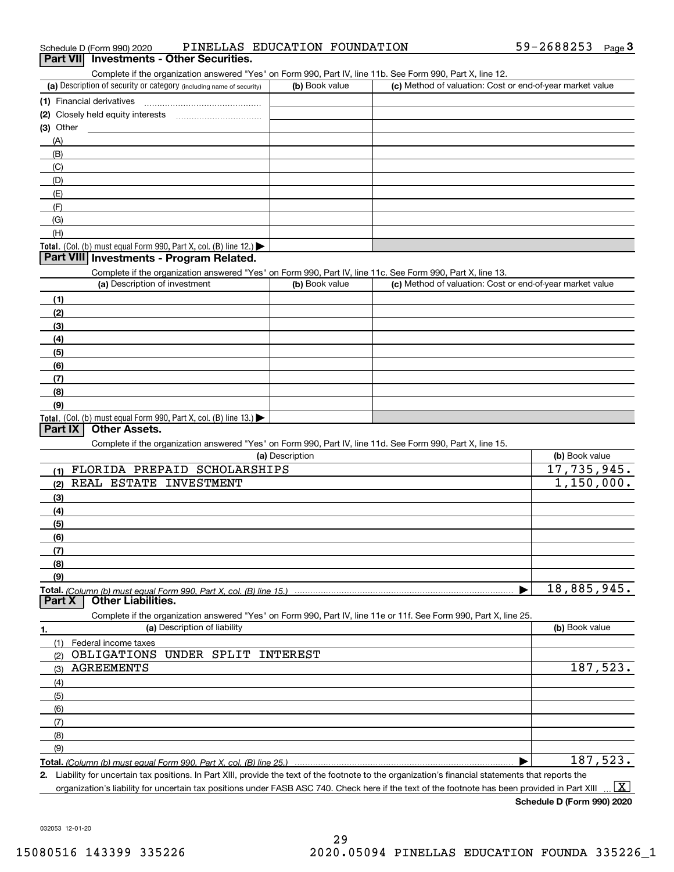| 59-2688253<br>PINELLAS EDUCATION FOUNDATION<br>Schedule D (Form 990) 2020 | Page |  |
|---------------------------------------------------------------------------|------|--|
|---------------------------------------------------------------------------|------|--|

### **Part VII Investments - Other Securities.**

Complete if the organization answered "Yes" on Form 990, Part IV, line 11b. See Form 990, Part X, line 12.

| (a) Description of security or category (including name of security)                   | (b) Book value | (c) Method of valuation: Cost or end-of-year market value |
|----------------------------------------------------------------------------------------|----------------|-----------------------------------------------------------|
| (1) Financial derivatives                                                              |                |                                                           |
| (2) Closely held equity interests                                                      |                |                                                           |
| $(3)$ Other                                                                            |                |                                                           |
| (A)                                                                                    |                |                                                           |
| (B)                                                                                    |                |                                                           |
| (C)                                                                                    |                |                                                           |
| (D)                                                                                    |                |                                                           |
| (E)                                                                                    |                |                                                           |
| (F)                                                                                    |                |                                                           |
| (G)                                                                                    |                |                                                           |
| (H)                                                                                    |                |                                                           |
| Total. (Col. (b) must equal Form 990, Part X, col. (B) line 12.) $\blacktriangleright$ |                |                                                           |

### **Part VIII Investments - Program Related.**

Complete if the organization answered "Yes" on Form 990, Part IV, line 11c. See Form 990, Part X, line 13.

| (a) Description of investment                                                          | (b) Book value | (c) Method of valuation: Cost or end-of-year market value |
|----------------------------------------------------------------------------------------|----------------|-----------------------------------------------------------|
| (1)                                                                                    |                |                                                           |
| (2)                                                                                    |                |                                                           |
| $\frac{1}{2}$                                                                          |                |                                                           |
| (4)                                                                                    |                |                                                           |
| (5)                                                                                    |                |                                                           |
| (6)                                                                                    |                |                                                           |
| (7)                                                                                    |                |                                                           |
| (8)                                                                                    |                |                                                           |
| (9)                                                                                    |                |                                                           |
| Total. (Col. (b) must equal Form 990, Part X, col. (B) line 13.) $\blacktriangleright$ |                |                                                           |

### **Part IX Other Assets.**

Complete if the organization answered "Yes" on Form 990, Part IV, line 11d. See Form 990, Part X, line 15.

| (a) Description                                                                                                   | (b) Book value |
|-------------------------------------------------------------------------------------------------------------------|----------------|
| FLORIDA<br>PREPAID<br>SCHOLARSHIPS<br>11                                                                          | 17,735,945.    |
| REAL ESTATE<br><b>INVESTMENT</b><br>(2)                                                                           | 1,150,000.     |
| (3)                                                                                                               |                |
| (4)                                                                                                               |                |
| (5)                                                                                                               |                |
| (6)                                                                                                               |                |
| (7)                                                                                                               |                |
| (8)                                                                                                               |                |
| (9)                                                                                                               |                |
|                                                                                                                   | 18,885,945.    |
| <b>Other Liabilities.</b><br>Part X                                                                               |                |
| Complete if the organization answered "Yes" on Form 990, Part IV, line 11e or 11f. See Form 990, Part X, line 25. |                |
| (a) Description of liability<br>1.                                                                                | (b) Book value |
| Federal income taxes<br>(1)                                                                                       |                |
| OBLIGATIONS<br>UNDER<br>SPLIT<br><b>INTEREST</b><br>(2)                                                           |                |
| <b>AGREEMENTS</b><br>(3)                                                                                          | 187,523.       |
| (4)                                                                                                               |                |
| (5)                                                                                                               |                |
|                                                                                                                   |                |
| (6)                                                                                                               |                |
| (7)                                                                                                               |                |
| (8)                                                                                                               |                |
| (9)                                                                                                               | 187, 523.      |

**Total.**  *(Column (b) must equal Form 990, Part X, col. (B) line 25.)*  $\blacktriangleright$ l

**2.** Liability for uncertain tax positions. In Part XIII, provide the text of the footnote to the organization's financial statements that reports the organization's liability for uncertain tax positions under FASB ASC 740. Check here if the text of the footnote has been provided in Part XIII  $\boxed{\text{X}}$ 

**Schedule D (Form 990) 2020**

032053 12-01-20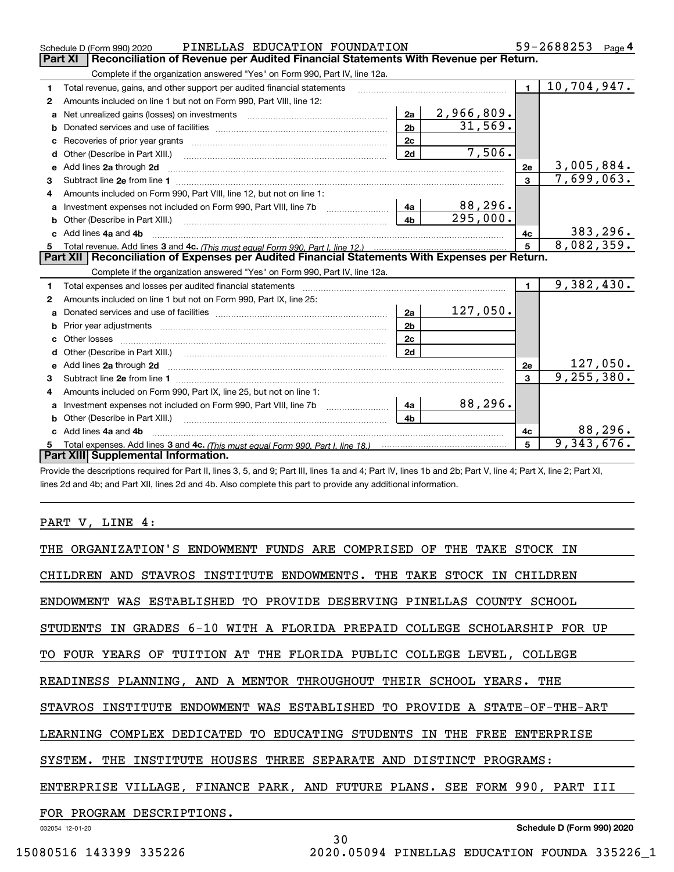|   | PINELLAS EDUCATION FOUNDATION<br>Schedule D (Form 990) 2020                                                         |                |              | 59-2688253<br>Page 4 |                           |
|---|---------------------------------------------------------------------------------------------------------------------|----------------|--------------|----------------------|---------------------------|
|   | <b>Part XI</b><br>Reconciliation of Revenue per Audited Financial Statements With Revenue per Return.               |                |              |                      |                           |
|   | Complete if the organization answered "Yes" on Form 990, Part IV, line 12a.                                         |                |              |                      |                           |
| 1 | Total revenue, gains, and other support per audited financial statements                                            |                |              | $\blacksquare$       | $\overline{10,704,947}$ . |
| 2 | Amounts included on line 1 but not on Form 990, Part VIII, line 12:                                                 |                |              |                      |                           |
| a | Net unrealized gains (losses) on investments [11] matter contracts and the unrealized gains (losses) on investments | 2a             | 2,966,809.   |                      |                           |
| b |                                                                                                                     | 2 <sub>b</sub> | 31,569.      |                      |                           |
|   |                                                                                                                     | 2c             |              |                      |                           |
| d | Other (Describe in Part XIII.) <b>Construction Contract Construction</b> [                                          | 2d             | 7,506.       |                      |                           |
| е | Add lines 2a through 2d                                                                                             |                |              | 2e                   | 3,005,884.                |
| 3 |                                                                                                                     |                |              | $\overline{3}$       | $\overline{7,699,063.}$   |
| 4 | Amounts included on Form 990, Part VIII, line 12, but not on line 1:                                                |                |              |                      |                           |
| a |                                                                                                                     |                | 88,296.      |                      |                           |
|   |                                                                                                                     | 4 <sub>h</sub> | 295,000.     |                      |                           |
|   | c Add lines 4a and 4b                                                                                               |                |              | 4с                   | 383, 296.                 |
|   |                                                                                                                     |                |              | 5                    | 8,082,359.                |
|   | Part XII   Reconciliation of Expenses per Audited Financial Statements With Expenses per Return.                    |                |              |                      |                           |
|   | Complete if the organization answered "Yes" on Form 990, Part IV, line 12a.                                         |                |              |                      |                           |
| 1 |                                                                                                                     |                |              | $\blacksquare$       | 9,382,430.                |
| 2 | Amounts included on line 1 but not on Form 990, Part IX, line 25:                                                   |                |              |                      |                           |
| a |                                                                                                                     | 2a             | 127,050.     |                      |                           |
| b |                                                                                                                     | 2 <sub>b</sub> |              |                      |                           |
|   | Other losses                                                                                                        | 2c             |              |                      |                           |
| d |                                                                                                                     | 2d             |              |                      |                           |
| e | Add lines 2a through 2d                                                                                             |                |              | 2e                   | 127,050.                  |
|   |                                                                                                                     | 3              | 9, 255, 380. |                      |                           |
| 4 | Amounts included on Form 990, Part IX, line 25, but not on line 1:                                                  |                |              |                      |                           |
| a | Investment expenses not included on Form 990, Part VIII, line 7b [100] [100] [100] [100] [100] [100] [100] [10      | 4a             | 88,296.      |                      |                           |
| b | Other (Describe in Part XIII.)                                                                                      | 4 <sub>b</sub> |              |                      |                           |
|   | c Add lines 4a and 4b                                                                                               |                |              | 4c                   | 88, 296.                  |
| 5 |                                                                                                                     |                |              | 5                    | 9,343,676.                |
|   | Part XIII Supplemental Information.                                                                                 |                |              |                      |                           |
|   |                                                                                                                     |                |              |                      |                           |

Provide the descriptions required for Part II, lines 3, 5, and 9; Part III, lines 1a and 4; Part IV, lines 1b and 2b; Part V, line 4; Part X, line 2; Part XI, lines 2d and 4b; and Part XII, lines 2d and 4b. Also complete this part to provide any additional information.

### PART V, LINE 4:

| THE ORGANIZATION'S ENDOWMENT FUNDS ARE COMPRISED OF THE TAKE STOCK IN      |
|----------------------------------------------------------------------------|
| CHILDREN AND STAVROS INSTITUTE ENDOWMENTS. THE TAKE STOCK IN CHILDREN      |
| ENDOWMENT WAS ESTABLISHED TO PROVIDE DESERVING PINELLAS COUNTY SCHOOL      |
| STUDENTS IN GRADES 6-10 WITH A FLORIDA PREPAID COLLEGE SCHOLARSHIP FOR UP  |
| TO FOUR YEARS OF TUITION AT THE FLORIDA PUBLIC COLLEGE LEVEL, COLLEGE      |
| READINESS PLANNING, AND A MENTOR THROUGHOUT THEIR SCHOOL YEARS. THE        |
| STAVROS INSTITUTE ENDOWMENT WAS ESTABLISHED TO PROVIDE A STATE-OF-THE-ART  |
| LEARNING COMPLEX DEDICATED TO EDUCATING STUDENTS IN THE FREE ENTERPRISE    |
| INSTITUTE HOUSES THREE SEPARATE AND DISTINCT PROGRAMS:<br>SYSTEM.<br>THE   |
| ENTERPRISE VILLAGE, FINANCE PARK, AND FUTURE PLANS. SEE FORM 990, PART III |
| FOR PROGRAM DESCRIPTIONS.                                                  |
| Schedule D (Form 990) 2020<br>032054 12-01-20<br>30                        |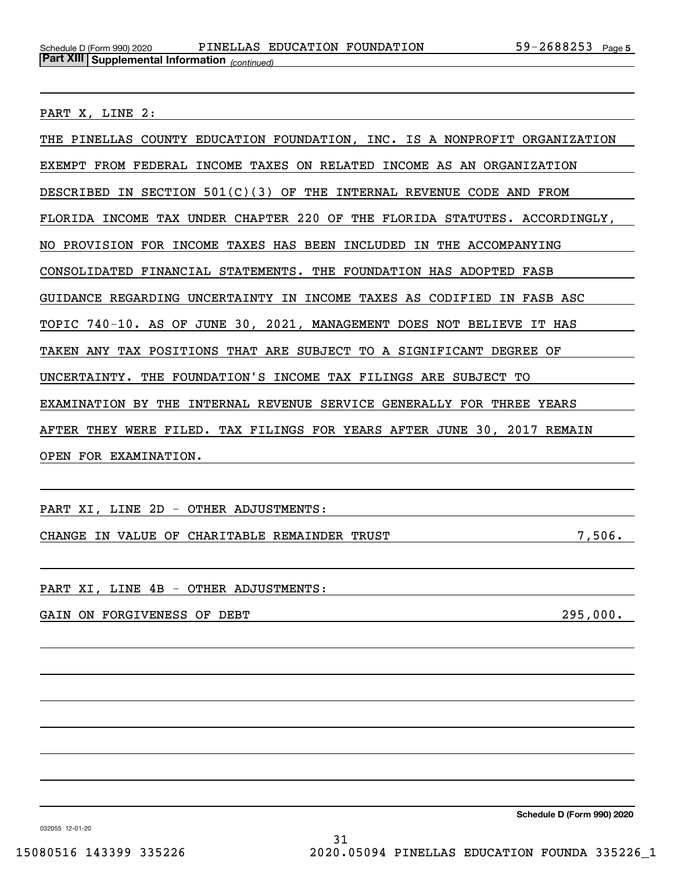PART X, LINE 2:

THE PINELLAS COUNTY EDUCATION FOUNDATION, INC. IS A NONPROFIT ORGANIZATION EXEMPT FROM FEDERAL INCOME TAXES ON RELATED INCOME AS AN ORGANIZATION DESCRIBED IN SECTION  $501(C)(3)$  OF THE INTERNAL REVENUE CODE AND FROM FLORIDA INCOME TAX UNDER CHAPTER 220 OF THE FLORIDA STATUTES. ACCORDINGLY, NO PROVISION FOR INCOME TAXES HAS BEEN INCLUDED IN THE ACCOMPANYING CONSOLIDATED FINANCIAL STATEMENTS. THE FOUNDATION HAS ADOPTED FASB GUIDANCE REGARDING UNCERTAINTY IN INCOME TAXES AS CODIFIED IN FASB ASC TOPIC 740-10. AS OF JUNE 30, 2021, MANAGEMENT DOES NOT BELIEVE IT HAS TAKEN ANY TAX POSITIONS THAT ARE SUBJECT TO A SIGNIFICANT DEGREE OF UNCERTAINTY. THE FOUNDATION'S INCOME TAX FILINGS ARE SUBJECT TO EXAMINATION BY THE INTERNAL REVENUE SERVICE GENERALLY FOR THREE YEARS AFTER THEY WERE FILED. TAX FILINGS FOR YEARS AFTER JUNE 30, 2017 REMAIN OPEN FOR EXAMINATION.

PART XI, LINE 2D - OTHER ADJUSTMENTS:

CHANGE IN VALUE OF CHARITABLE REMAINDER TRUST **7,506.** 7,506.

PART XI, LINE 4B - OTHER ADJUSTMENTS:

GAIN ON FORGIVENESS OF DEBT 295,000.

**Schedule D (Form 990) 2020**

032055 12-01-20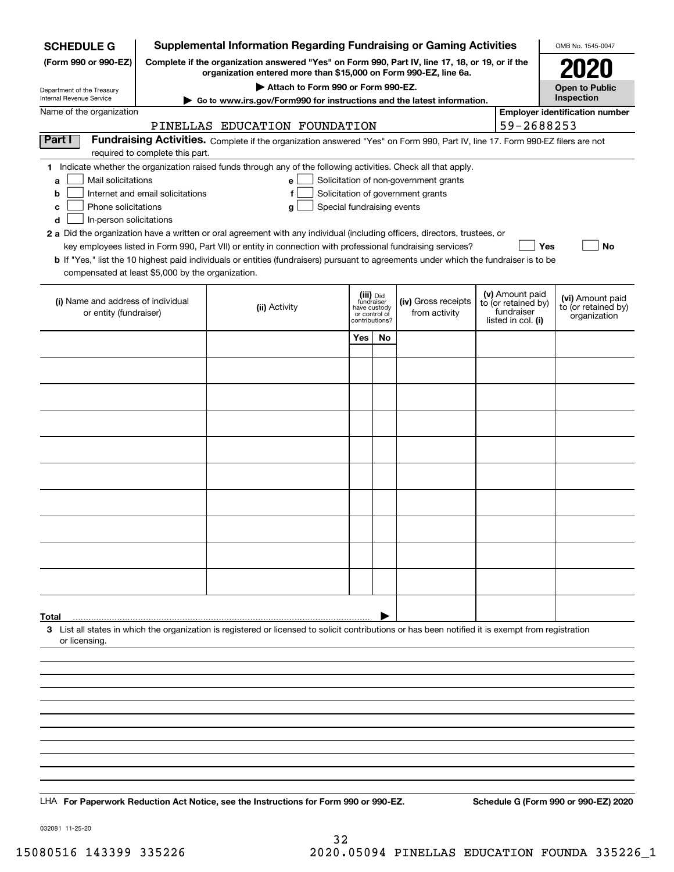| <b>SCHEDULE G</b>                                                                                                                             |                                                                                                                                                                     | <b>Supplemental Information Regarding Fundraising or Gaming Activities</b>                                                                                                                                                                                                                                                                                                                                                                                                                                                                         |                                                                            |    |                                                                            |  |                                                                            | OMB No. 1545-0047                                       |
|-----------------------------------------------------------------------------------------------------------------------------------------------|---------------------------------------------------------------------------------------------------------------------------------------------------------------------|----------------------------------------------------------------------------------------------------------------------------------------------------------------------------------------------------------------------------------------------------------------------------------------------------------------------------------------------------------------------------------------------------------------------------------------------------------------------------------------------------------------------------------------------------|----------------------------------------------------------------------------|----|----------------------------------------------------------------------------|--|----------------------------------------------------------------------------|---------------------------------------------------------|
| (Form 990 or 990-EZ)                                                                                                                          | Complete if the organization answered "Yes" on Form 990, Part IV, line 17, 18, or 19, or if the<br>organization entered more than \$15,000 on Form 990-EZ, line 6a. |                                                                                                                                                                                                                                                                                                                                                                                                                                                                                                                                                    |                                                                            |    |                                                                            |  | 2020                                                                       |                                                         |
| Department of the Treasury                                                                                                                    | Attach to Form 990 or Form 990-EZ.                                                                                                                                  |                                                                                                                                                                                                                                                                                                                                                                                                                                                                                                                                                    |                                                                            |    |                                                                            |  | <b>Open to Public</b>                                                      |                                                         |
| Internal Revenue Service                                                                                                                      |                                                                                                                                                                     | Go to www.irs.gov/Form990 for instructions and the latest information.                                                                                                                                                                                                                                                                                                                                                                                                                                                                             |                                                                            |    |                                                                            |  |                                                                            | Inspection                                              |
| Name of the organization                                                                                                                      |                                                                                                                                                                     | PINELLAS EDUCATION FOUNDATION                                                                                                                                                                                                                                                                                                                                                                                                                                                                                                                      |                                                                            |    |                                                                            |  | 59-2688253                                                                 | <b>Employer identification number</b>                   |
| Part I                                                                                                                                        | required to complete this part.                                                                                                                                     | Fundraising Activities. Complete if the organization answered "Yes" on Form 990, Part IV, line 17. Form 990-EZ filers are not                                                                                                                                                                                                                                                                                                                                                                                                                      |                                                                            |    |                                                                            |  |                                                                            |                                                         |
| Mail solicitations<br>a<br>b<br>Phone solicitations<br>c<br>In-person solicitations<br>d<br>compensated at least \$5,000 by the organization. | Internet and email solicitations                                                                                                                                    | 1 Indicate whether the organization raised funds through any of the following activities. Check all that apply.<br>e<br>f<br>Special fundraising events<br>g<br>2 a Did the organization have a written or oral agreement with any individual (including officers, directors, trustees, or<br>key employees listed in Form 990, Part VII) or entity in connection with professional fundraising services?<br>b If "Yes," list the 10 highest paid individuals or entities (fundraisers) pursuant to agreements under which the fundraiser is to be |                                                                            |    | Solicitation of non-government grants<br>Solicitation of government grants |  | Yes                                                                        | No                                                      |
| (i) Name and address of individual<br>or entity (fundraiser)                                                                                  |                                                                                                                                                                     | (ii) Activity                                                                                                                                                                                                                                                                                                                                                                                                                                                                                                                                      | (iii) Did<br>fundraiser<br>have custody<br>or control of<br>contributions? |    | (iv) Gross receipts<br>from activity                                       |  | (v) Amount paid<br>to (or retained by)<br>fundraiser<br>listed in col. (i) | (vi) Amount paid<br>to (or retained by)<br>organization |
|                                                                                                                                               |                                                                                                                                                                     |                                                                                                                                                                                                                                                                                                                                                                                                                                                                                                                                                    | Yes                                                                        | No |                                                                            |  |                                                                            |                                                         |
|                                                                                                                                               |                                                                                                                                                                     |                                                                                                                                                                                                                                                                                                                                                                                                                                                                                                                                                    |                                                                            |    |                                                                            |  |                                                                            |                                                         |
|                                                                                                                                               |                                                                                                                                                                     |                                                                                                                                                                                                                                                                                                                                                                                                                                                                                                                                                    |                                                                            |    |                                                                            |  |                                                                            |                                                         |
|                                                                                                                                               |                                                                                                                                                                     |                                                                                                                                                                                                                                                                                                                                                                                                                                                                                                                                                    |                                                                            |    |                                                                            |  |                                                                            |                                                         |
|                                                                                                                                               |                                                                                                                                                                     |                                                                                                                                                                                                                                                                                                                                                                                                                                                                                                                                                    |                                                                            |    |                                                                            |  |                                                                            |                                                         |
|                                                                                                                                               |                                                                                                                                                                     |                                                                                                                                                                                                                                                                                                                                                                                                                                                                                                                                                    |                                                                            |    |                                                                            |  |                                                                            |                                                         |
|                                                                                                                                               |                                                                                                                                                                     |                                                                                                                                                                                                                                                                                                                                                                                                                                                                                                                                                    |                                                                            |    |                                                                            |  |                                                                            |                                                         |
|                                                                                                                                               |                                                                                                                                                                     |                                                                                                                                                                                                                                                                                                                                                                                                                                                                                                                                                    |                                                                            |    |                                                                            |  |                                                                            |                                                         |
|                                                                                                                                               |                                                                                                                                                                     |                                                                                                                                                                                                                                                                                                                                                                                                                                                                                                                                                    |                                                                            |    |                                                                            |  |                                                                            |                                                         |
|                                                                                                                                               |                                                                                                                                                                     |                                                                                                                                                                                                                                                                                                                                                                                                                                                                                                                                                    |                                                                            |    |                                                                            |  |                                                                            |                                                         |
|                                                                                                                                               |                                                                                                                                                                     |                                                                                                                                                                                                                                                                                                                                                                                                                                                                                                                                                    |                                                                            |    |                                                                            |  |                                                                            |                                                         |
|                                                                                                                                               |                                                                                                                                                                     |                                                                                                                                                                                                                                                                                                                                                                                                                                                                                                                                                    |                                                                            |    |                                                                            |  |                                                                            |                                                         |
|                                                                                                                                               |                                                                                                                                                                     |                                                                                                                                                                                                                                                                                                                                                                                                                                                                                                                                                    |                                                                            |    |                                                                            |  |                                                                            |                                                         |
| Total<br>or licensing.                                                                                                                        |                                                                                                                                                                     | 3 List all states in which the organization is registered or licensed to solicit contributions or has been notified it is exempt from registration                                                                                                                                                                                                                                                                                                                                                                                                 |                                                                            |    |                                                                            |  |                                                                            |                                                         |
|                                                                                                                                               |                                                                                                                                                                     |                                                                                                                                                                                                                                                                                                                                                                                                                                                                                                                                                    |                                                                            |    |                                                                            |  |                                                                            |                                                         |
|                                                                                                                                               |                                                                                                                                                                     |                                                                                                                                                                                                                                                                                                                                                                                                                                                                                                                                                    |                                                                            |    |                                                                            |  |                                                                            |                                                         |
|                                                                                                                                               |                                                                                                                                                                     |                                                                                                                                                                                                                                                                                                                                                                                                                                                                                                                                                    |                                                                            |    |                                                                            |  |                                                                            |                                                         |
|                                                                                                                                               |                                                                                                                                                                     |                                                                                                                                                                                                                                                                                                                                                                                                                                                                                                                                                    |                                                                            |    |                                                                            |  |                                                                            |                                                         |
|                                                                                                                                               |                                                                                                                                                                     |                                                                                                                                                                                                                                                                                                                                                                                                                                                                                                                                                    |                                                                            |    |                                                                            |  |                                                                            |                                                         |
|                                                                                                                                               |                                                                                                                                                                     |                                                                                                                                                                                                                                                                                                                                                                                                                                                                                                                                                    |                                                                            |    |                                                                            |  |                                                                            |                                                         |
|                                                                                                                                               |                                                                                                                                                                     | LHA For Paperwork Reduction Act Notice, see the Instructions for Form 990 or 990-EZ.                                                                                                                                                                                                                                                                                                                                                                                                                                                               |                                                                            |    |                                                                            |  |                                                                            | Schedule G (Form 990 or 990-EZ) 2020                    |

032081 11-25-20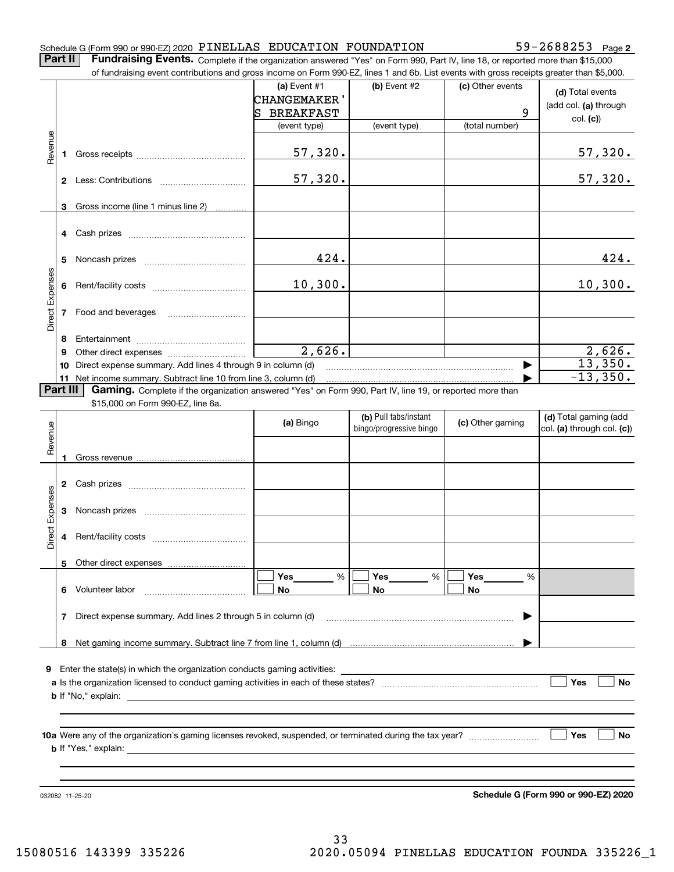### Schedule G (Form 990 or 990-EZ) 2020 Page PINELLAS EDUCATION FOUNDATION 59-2688253

**2**

**Part II** | Fundraising Events. Complete if the organization answered "Yes" on Form 990, Part IV, line 18, or reported more than \$15,000

|                 | of fundraising event contributions and gross income on Form 990-EZ, lines 1 and 6b. List events with gross receipts greater than \$5,000. |                                                                                                                                                                                                                                                                                                                                                                                    |                       |                         |                  |                            |  |  |  |  |  |  |
|-----------------|-------------------------------------------------------------------------------------------------------------------------------------------|------------------------------------------------------------------------------------------------------------------------------------------------------------------------------------------------------------------------------------------------------------------------------------------------------------------------------------------------------------------------------------|-----------------------|-------------------------|------------------|----------------------------|--|--|--|--|--|--|
|                 |                                                                                                                                           |                                                                                                                                                                                                                                                                                                                                                                                    | (a) Event #1          | (b) Event #2            | (c) Other events | (d) Total events           |  |  |  |  |  |  |
|                 |                                                                                                                                           |                                                                                                                                                                                                                                                                                                                                                                                    | <b>CHANGEMAKER'</b>   |                         |                  |                            |  |  |  |  |  |  |
|                 |                                                                                                                                           |                                                                                                                                                                                                                                                                                                                                                                                    | <b>BREAKFAST</b><br>s |                         | 9                | (add col. (a) through      |  |  |  |  |  |  |
|                 |                                                                                                                                           |                                                                                                                                                                                                                                                                                                                                                                                    | (event type)          | (event type)            | (total number)   | col. (c)                   |  |  |  |  |  |  |
|                 |                                                                                                                                           |                                                                                                                                                                                                                                                                                                                                                                                    |                       |                         |                  |                            |  |  |  |  |  |  |
| Revenue         |                                                                                                                                           |                                                                                                                                                                                                                                                                                                                                                                                    | 57,320.               |                         |                  | 57,320.                    |  |  |  |  |  |  |
|                 |                                                                                                                                           |                                                                                                                                                                                                                                                                                                                                                                                    |                       |                         |                  |                            |  |  |  |  |  |  |
|                 |                                                                                                                                           |                                                                                                                                                                                                                                                                                                                                                                                    | 57, 320.              |                         |                  | 57,320.                    |  |  |  |  |  |  |
|                 |                                                                                                                                           |                                                                                                                                                                                                                                                                                                                                                                                    |                       |                         |                  |                            |  |  |  |  |  |  |
|                 | 3                                                                                                                                         | Gross income (line 1 minus line 2)                                                                                                                                                                                                                                                                                                                                                 |                       |                         |                  |                            |  |  |  |  |  |  |
|                 |                                                                                                                                           |                                                                                                                                                                                                                                                                                                                                                                                    |                       |                         |                  |                            |  |  |  |  |  |  |
|                 |                                                                                                                                           |                                                                                                                                                                                                                                                                                                                                                                                    |                       |                         |                  |                            |  |  |  |  |  |  |
|                 |                                                                                                                                           |                                                                                                                                                                                                                                                                                                                                                                                    |                       |                         |                  |                            |  |  |  |  |  |  |
|                 | 5                                                                                                                                         |                                                                                                                                                                                                                                                                                                                                                                                    | 424.                  |                         |                  | 424.                       |  |  |  |  |  |  |
|                 |                                                                                                                                           |                                                                                                                                                                                                                                                                                                                                                                                    |                       |                         |                  |                            |  |  |  |  |  |  |
|                 | 6                                                                                                                                         |                                                                                                                                                                                                                                                                                                                                                                                    | 10,300.               |                         |                  | 10,300.                    |  |  |  |  |  |  |
| Direct Expenses |                                                                                                                                           |                                                                                                                                                                                                                                                                                                                                                                                    |                       |                         |                  |                            |  |  |  |  |  |  |
|                 |                                                                                                                                           |                                                                                                                                                                                                                                                                                                                                                                                    |                       |                         |                  |                            |  |  |  |  |  |  |
|                 |                                                                                                                                           |                                                                                                                                                                                                                                                                                                                                                                                    |                       |                         |                  |                            |  |  |  |  |  |  |
|                 | 8                                                                                                                                         |                                                                                                                                                                                                                                                                                                                                                                                    |                       |                         |                  |                            |  |  |  |  |  |  |
|                 | 9                                                                                                                                         |                                                                                                                                                                                                                                                                                                                                                                                    | 2,626.                |                         |                  | 2,626.                     |  |  |  |  |  |  |
|                 | 10                                                                                                                                        | Direct expense summary. Add lines 4 through 9 in column (d)                                                                                                                                                                                                                                                                                                                        |                       |                         |                  | 13,350.                    |  |  |  |  |  |  |
|                 | 11                                                                                                                                        | Net income summary. Subtract line 10 from line 3, column (d)                                                                                                                                                                                                                                                                                                                       |                       |                         |                  | $-13,350.$                 |  |  |  |  |  |  |
|                 | Part III<br>Gaming. Complete if the organization answered "Yes" on Form 990, Part IV, line 19, or reported more than                      |                                                                                                                                                                                                                                                                                                                                                                                    |                       |                         |                  |                            |  |  |  |  |  |  |
|                 |                                                                                                                                           | \$15,000 on Form 990-EZ, line 6a.                                                                                                                                                                                                                                                                                                                                                  |                       |                         |                  |                            |  |  |  |  |  |  |
|                 |                                                                                                                                           |                                                                                                                                                                                                                                                                                                                                                                                    | (a) Bingo             | (b) Pull tabs/instant   | (c) Other gaming | (d) Total gaming (add      |  |  |  |  |  |  |
| Revenue         |                                                                                                                                           |                                                                                                                                                                                                                                                                                                                                                                                    |                       | bingo/progressive bingo |                  | col. (a) through col. (c)) |  |  |  |  |  |  |
|                 |                                                                                                                                           |                                                                                                                                                                                                                                                                                                                                                                                    |                       |                         |                  |                            |  |  |  |  |  |  |
|                 | 1                                                                                                                                         |                                                                                                                                                                                                                                                                                                                                                                                    |                       |                         |                  |                            |  |  |  |  |  |  |
|                 |                                                                                                                                           |                                                                                                                                                                                                                                                                                                                                                                                    |                       |                         |                  |                            |  |  |  |  |  |  |
|                 |                                                                                                                                           |                                                                                                                                                                                                                                                                                                                                                                                    |                       |                         |                  |                            |  |  |  |  |  |  |
|                 |                                                                                                                                           |                                                                                                                                                                                                                                                                                                                                                                                    |                       |                         |                  |                            |  |  |  |  |  |  |
| Expenses        |                                                                                                                                           |                                                                                                                                                                                                                                                                                                                                                                                    |                       |                         |                  |                            |  |  |  |  |  |  |
|                 |                                                                                                                                           |                                                                                                                                                                                                                                                                                                                                                                                    |                       |                         |                  |                            |  |  |  |  |  |  |
| Direct          | 4                                                                                                                                         |                                                                                                                                                                                                                                                                                                                                                                                    |                       |                         |                  |                            |  |  |  |  |  |  |
|                 |                                                                                                                                           |                                                                                                                                                                                                                                                                                                                                                                                    |                       |                         |                  |                            |  |  |  |  |  |  |
|                 |                                                                                                                                           |                                                                                                                                                                                                                                                                                                                                                                                    |                       |                         |                  |                            |  |  |  |  |  |  |
|                 |                                                                                                                                           |                                                                                                                                                                                                                                                                                                                                                                                    | Yes<br>$\%$           | Yes<br>$\%$             | Yes<br>%         |                            |  |  |  |  |  |  |
|                 |                                                                                                                                           | 6 Volunteer labor<br>$\mathcal{L} = \{1, 2, \ldots, 2, \ldots, 2, \ldots, 2, \ldots, 2, \ldots, 2, \ldots, 2, \ldots, 2, \ldots, 2, \ldots, 2, \ldots, 2, \ldots, 2, \ldots, 2, \ldots, 2, \ldots, 2, \ldots, 2, \ldots, 2, \ldots, 2, \ldots, 2, \ldots, 2, \ldots, 2, \ldots, 2, \ldots, 2, \ldots, 2, \ldots, 2, \ldots, 2, \ldots, 2, \ldots, 2, \ldots, 2, \ldots, 2, \ldots$ | No                    | No                      | No               |                            |  |  |  |  |  |  |
|                 |                                                                                                                                           |                                                                                                                                                                                                                                                                                                                                                                                    |                       |                         |                  |                            |  |  |  |  |  |  |
|                 |                                                                                                                                           | 7 Direct expense summary. Add lines 2 through 5 in column (d)                                                                                                                                                                                                                                                                                                                      |                       |                         |                  |                            |  |  |  |  |  |  |
|                 |                                                                                                                                           |                                                                                                                                                                                                                                                                                                                                                                                    |                       |                         |                  |                            |  |  |  |  |  |  |
|                 |                                                                                                                                           |                                                                                                                                                                                                                                                                                                                                                                                    |                       |                         |                  |                            |  |  |  |  |  |  |
|                 |                                                                                                                                           |                                                                                                                                                                                                                                                                                                                                                                                    |                       |                         |                  |                            |  |  |  |  |  |  |
|                 |                                                                                                                                           |                                                                                                                                                                                                                                                                                                                                                                                    |                       |                         |                  | Yes<br><b>No</b>           |  |  |  |  |  |  |
|                 |                                                                                                                                           |                                                                                                                                                                                                                                                                                                                                                                                    |                       |                         |                  |                            |  |  |  |  |  |  |
|                 |                                                                                                                                           |                                                                                                                                                                                                                                                                                                                                                                                    |                       |                         |                  |                            |  |  |  |  |  |  |
|                 |                                                                                                                                           |                                                                                                                                                                                                                                                                                                                                                                                    |                       |                         |                  |                            |  |  |  |  |  |  |
|                 |                                                                                                                                           |                                                                                                                                                                                                                                                                                                                                                                                    |                       |                         |                  | Yes<br>No                  |  |  |  |  |  |  |
|                 |                                                                                                                                           |                                                                                                                                                                                                                                                                                                                                                                                    |                       |                         |                  |                            |  |  |  |  |  |  |
|                 |                                                                                                                                           |                                                                                                                                                                                                                                                                                                                                                                                    |                       |                         |                  |                            |  |  |  |  |  |  |
|                 |                                                                                                                                           |                                                                                                                                                                                                                                                                                                                                                                                    |                       |                         |                  |                            |  |  |  |  |  |  |
|                 |                                                                                                                                           |                                                                                                                                                                                                                                                                                                                                                                                    |                       |                         |                  |                            |  |  |  |  |  |  |

032082 11-25-20

**Schedule G (Form 990 or 990-EZ) 2020**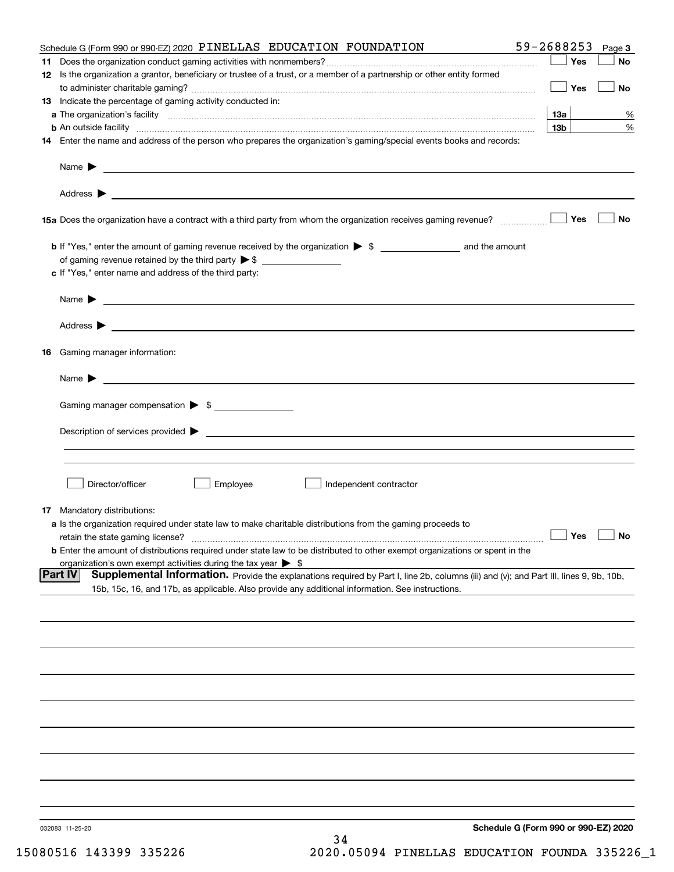|                            | Schedule G (Form 990 or 990-EZ) 2020 PINELLAS EDUCATION FOUNDATION                                                                                                                                                                         | 59-2688253      |            | Page 3    |
|----------------------------|--------------------------------------------------------------------------------------------------------------------------------------------------------------------------------------------------------------------------------------------|-----------------|------------|-----------|
|                            |                                                                                                                                                                                                                                            |                 | Yes        | No        |
|                            | 12 Is the organization a grantor, beneficiary or trustee of a trust, or a member of a partnership or other entity formed                                                                                                                   |                 | Yes        | No        |
|                            | 13 Indicate the percentage of gaming activity conducted in:                                                                                                                                                                                |                 |            |           |
|                            |                                                                                                                                                                                                                                            | 13а             |            | %         |
|                            |                                                                                                                                                                                                                                            | 13 <sub>b</sub> |            | %         |
|                            | 14 Enter the name and address of the person who prepares the organization's gaming/special events books and records:                                                                                                                       |                 |            |           |
|                            |                                                                                                                                                                                                                                            |                 |            |           |
|                            |                                                                                                                                                                                                                                            |                 |            |           |
|                            |                                                                                                                                                                                                                                            |                 | Yes        | No        |
|                            |                                                                                                                                                                                                                                            |                 |            |           |
|                            | of gaming revenue retained by the third party $\triangleright$ \$                                                                                                                                                                          |                 |            |           |
|                            | c If "Yes," enter name and address of the third party:                                                                                                                                                                                     |                 |            |           |
| Name $\blacktriangleright$ | <u> 1989 - Johann Barbara, marka a shekara ta 1989 - An tsaran a shekara tsa 1989 - An tsara tsara tsa 1989 - An</u>                                                                                                                       |                 |            |           |
|                            |                                                                                                                                                                                                                                            |                 |            |           |
| 16                         | Gaming manager information:                                                                                                                                                                                                                |                 |            |           |
|                            |                                                                                                                                                                                                                                            |                 |            |           |
|                            | $Name \rightarrow$                                                                                                                                                                                                                         |                 |            |           |
|                            | Gaming manager compensation > \$                                                                                                                                                                                                           |                 |            |           |
|                            |                                                                                                                                                                                                                                            |                 |            |           |
|                            |                                                                                                                                                                                                                                            |                 |            |           |
|                            |                                                                                                                                                                                                                                            |                 |            |           |
|                            | Director/officer<br>Employee<br>Independent contractor                                                                                                                                                                                     |                 |            |           |
|                            | <b>17</b> Mandatory distributions:                                                                                                                                                                                                         |                 |            |           |
|                            | a Is the organization required under state law to make charitable distributions from the gaming proceeds to                                                                                                                                |                 |            |           |
|                            | retain the state gaming license?                                                                                                                                                                                                           |                 | $\Box$ Yes | $\Box$ No |
|                            | <b>b</b> Enter the amount of distributions required under state law to be distributed to other exempt organizations or spent in the                                                                                                        |                 |            |           |
|                            | organization's own exempt activities during the tax year $\triangleright$ \$                                                                                                                                                               |                 |            |           |
| <b>Part IV</b>             | Supplemental Information. Provide the explanations required by Part I, line 2b, columns (iii) and (v); and Part III, lines 9, 9b, 10b,<br>15b, 15c, 16, and 17b, as applicable. Also provide any additional information. See instructions. |                 |            |           |
|                            |                                                                                                                                                                                                                                            |                 |            |           |
|                            |                                                                                                                                                                                                                                            |                 |            |           |
|                            |                                                                                                                                                                                                                                            |                 |            |           |
|                            |                                                                                                                                                                                                                                            |                 |            |           |
|                            |                                                                                                                                                                                                                                            |                 |            |           |
|                            |                                                                                                                                                                                                                                            |                 |            |           |
|                            |                                                                                                                                                                                                                                            |                 |            |           |
|                            |                                                                                                                                                                                                                                            |                 |            |           |
|                            |                                                                                                                                                                                                                                            |                 |            |           |
|                            |                                                                                                                                                                                                                                            |                 |            |           |
| 032083 11-25-20            | Schedule G (Form 990 or 990-EZ) 2020<br>34                                                                                                                                                                                                 |                 |            |           |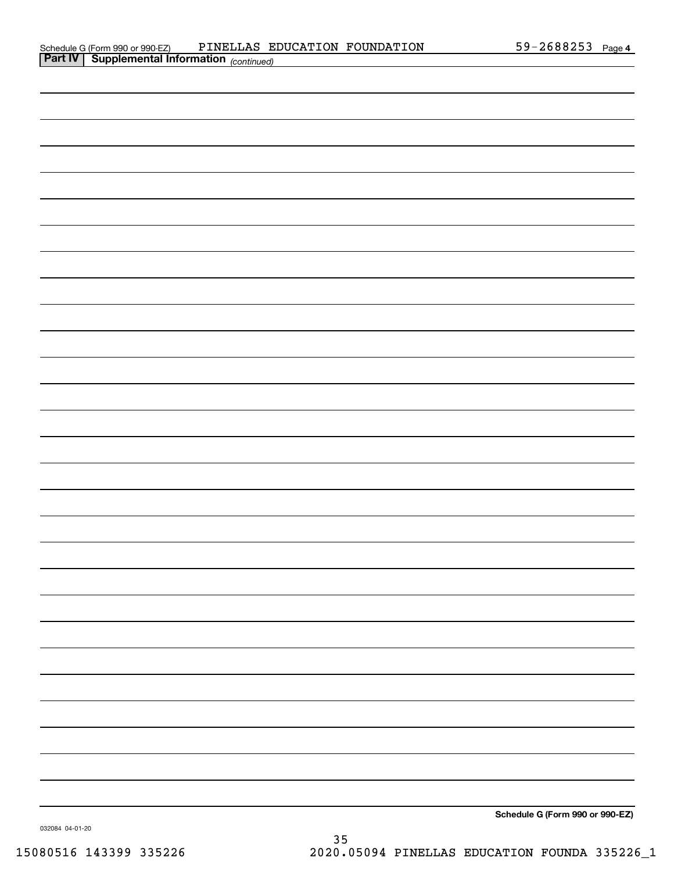**Schedule G (Form 990 or 990-EZ)**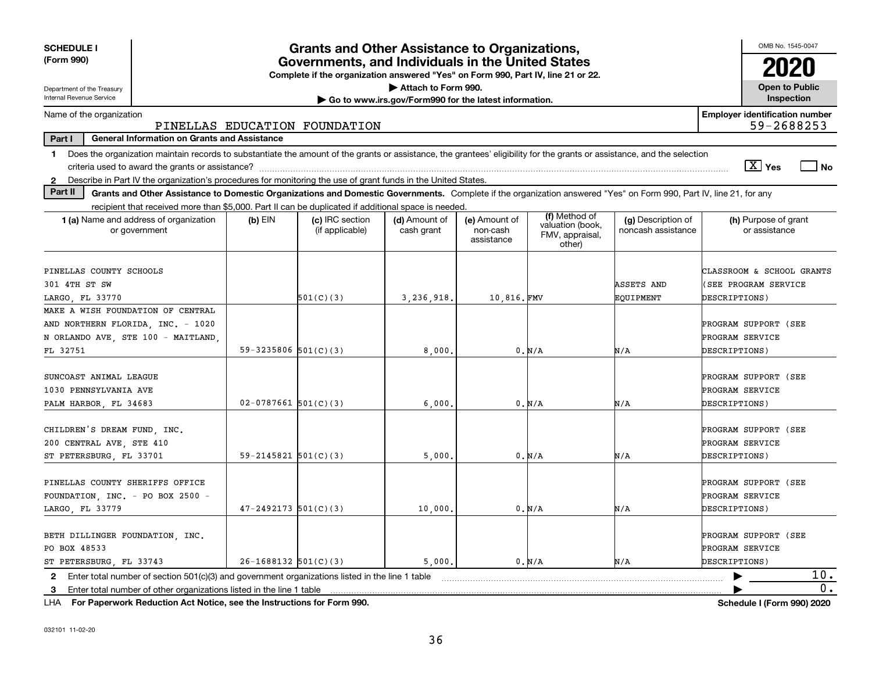| <b>SCHEDULE I</b>                                                                                                                                                                                                                                                                                                                                  |                                                                                                                                       | <b>Grants and Other Assistance to Organizations,</b> |                                                       |            |        |            | OMB No. 1545-0047                                   |  |  |  |  |  |
|----------------------------------------------------------------------------------------------------------------------------------------------------------------------------------------------------------------------------------------------------------------------------------------------------------------------------------------------------|---------------------------------------------------------------------------------------------------------------------------------------|------------------------------------------------------|-------------------------------------------------------|------------|--------|------------|-----------------------------------------------------|--|--|--|--|--|
| (Form 990)                                                                                                                                                                                                                                                                                                                                         | Governments, and Individuals in the United States<br>Complete if the organization answered "Yes" on Form 990, Part IV, line 21 or 22. |                                                      |                                                       |            |        |            |                                                     |  |  |  |  |  |
| Department of the Treasury                                                                                                                                                                                                                                                                                                                         |                                                                                                                                       |                                                      | Attach to Form 990.                                   |            |        |            | <b>Open to Public</b>                               |  |  |  |  |  |
| Internal Revenue Service                                                                                                                                                                                                                                                                                                                           |                                                                                                                                       |                                                      | Go to www.irs.gov/Form990 for the latest information. |            |        |            | Inspection                                          |  |  |  |  |  |
| Name of the organization                                                                                                                                                                                                                                                                                                                           |                                                                                                                                       | PINELLAS EDUCATION FOUNDATION                        |                                                       |            |        |            | <b>Employer identification number</b><br>59-2688253 |  |  |  |  |  |
| Part I<br><b>General Information on Grants and Assistance</b>                                                                                                                                                                                                                                                                                      |                                                                                                                                       |                                                      |                                                       |            |        |            |                                                     |  |  |  |  |  |
| Does the organization maintain records to substantiate the amount of the grants or assistance, the grantees' eligibility for the grants or assistance, and the selection<br>$\mathbf 1$                                                                                                                                                            |                                                                                                                                       |                                                      |                                                       |            |        |            |                                                     |  |  |  |  |  |
|                                                                                                                                                                                                                                                                                                                                                    |                                                                                                                                       |                                                      |                                                       |            |        |            | $\sqrt{X}$ Yes<br>l No                              |  |  |  |  |  |
| Describe in Part IV the organization's procedures for monitoring the use of grant funds in the United States.<br>$\mathbf{2}$                                                                                                                                                                                                                      |                                                                                                                                       |                                                      |                                                       |            |        |            |                                                     |  |  |  |  |  |
| Part II<br>Grants and Other Assistance to Domestic Organizations and Domestic Governments. Complete if the organization answered "Yes" on Form 990, Part IV, line 21, for any                                                                                                                                                                      |                                                                                                                                       |                                                      |                                                       |            |        |            |                                                     |  |  |  |  |  |
| recipient that received more than \$5,000. Part II can be duplicated if additional space is needed.                                                                                                                                                                                                                                                |                                                                                                                                       |                                                      |                                                       |            |        |            |                                                     |  |  |  |  |  |
| (f) Method of<br><b>1 (a)</b> Name and address of organization<br>$(b)$ EIN<br>(c) IRC section<br>(d) Amount of<br>(e) Amount of<br>(g) Description of<br>(h) Purpose of grant<br>valuation (book,<br>noncash assistance<br>or assistance<br>or government<br>(if applicable)<br>cash grant<br>non-cash<br>FMV, appraisal,<br>assistance<br>other) |                                                                                                                                       |                                                      |                                                       |            |        |            |                                                     |  |  |  |  |  |
| PINELLAS COUNTY SCHOOLS                                                                                                                                                                                                                                                                                                                            |                                                                                                                                       |                                                      |                                                       |            |        |            | CLASSROOM & SCHOOL GRANTS                           |  |  |  |  |  |
| 301 4TH ST SW                                                                                                                                                                                                                                                                                                                                      |                                                                                                                                       |                                                      |                                                       |            |        | ASSETS AND | (SEE PROGRAM SERVICE                                |  |  |  |  |  |
| LARGO, FL 33770                                                                                                                                                                                                                                                                                                                                    |                                                                                                                                       | 501(C)(3)                                            | 3,236,918.                                            | 10,816.FMV |        | EQUIPMENT  | DESCRIPTIONS)                                       |  |  |  |  |  |
| MAKE A WISH FOUNDATION OF CENTRAL                                                                                                                                                                                                                                                                                                                  |                                                                                                                                       |                                                      |                                                       |            |        |            |                                                     |  |  |  |  |  |
| AND NORTHERN FLORIDA, INC. - 1020                                                                                                                                                                                                                                                                                                                  |                                                                                                                                       |                                                      |                                                       |            |        |            | PROGRAM SUPPORT (SEE                                |  |  |  |  |  |
| N ORLANDO AVE, STE 100 - MAITLAND,                                                                                                                                                                                                                                                                                                                 |                                                                                                                                       |                                                      |                                                       |            |        |            | PROGRAM SERVICE                                     |  |  |  |  |  |
| FL 32751                                                                                                                                                                                                                                                                                                                                           | 59-3235806 $501(C)(3)$                                                                                                                |                                                      | 8,000                                                 |            | 0. N/A | N/A        | DESCRIPTIONS)                                       |  |  |  |  |  |
|                                                                                                                                                                                                                                                                                                                                                    |                                                                                                                                       |                                                      |                                                       |            |        |            |                                                     |  |  |  |  |  |
| SUNCOAST ANIMAL LEAGUE                                                                                                                                                                                                                                                                                                                             |                                                                                                                                       |                                                      |                                                       |            |        |            | PROGRAM SUPPORT (SEE                                |  |  |  |  |  |
| 1030 PENNSYLVANIA AVE                                                                                                                                                                                                                                                                                                                              |                                                                                                                                       |                                                      |                                                       |            |        |            | PROGRAM SERVICE                                     |  |  |  |  |  |
| PALM HARBOR, FL 34683                                                                                                                                                                                                                                                                                                                              | $02 - 0787661$ 501(C)(3)                                                                                                              |                                                      | 6,000                                                 |            | 0. N/A | N/A        | DESCRIPTIONS)                                       |  |  |  |  |  |
| CHILDREN'S DREAM FUND, INC.                                                                                                                                                                                                                                                                                                                        |                                                                                                                                       |                                                      |                                                       |            |        |            | PROGRAM SUPPORT (SEE                                |  |  |  |  |  |
| 200 CENTRAL AVE, STE 410                                                                                                                                                                                                                                                                                                                           |                                                                                                                                       |                                                      |                                                       |            |        |            | PROGRAM SERVICE                                     |  |  |  |  |  |
| ST PETERSBURG, FL 33701                                                                                                                                                                                                                                                                                                                            | $59 - 2145821$ $501(C)(3)$                                                                                                            |                                                      | 5,000                                                 |            | 0. N/A | N/A        | DESCRIPTIONS)                                       |  |  |  |  |  |
|                                                                                                                                                                                                                                                                                                                                                    |                                                                                                                                       |                                                      |                                                       |            |        |            |                                                     |  |  |  |  |  |
| PINELLAS COUNTY SHERIFFS OFFICE                                                                                                                                                                                                                                                                                                                    |                                                                                                                                       |                                                      |                                                       |            |        |            | PROGRAM SUPPORT (SEE                                |  |  |  |  |  |
| FOUNDATION, INC. - PO BOX 2500 -                                                                                                                                                                                                                                                                                                                   |                                                                                                                                       |                                                      |                                                       |            |        |            | PROGRAM SERVICE                                     |  |  |  |  |  |
| LARGO, FL 33779                                                                                                                                                                                                                                                                                                                                    | $47 - 2492173$ 501(C)(3)                                                                                                              |                                                      | 10,000                                                |            | 0. N/A | N/A        | DESCRIPTIONS)                                       |  |  |  |  |  |
|                                                                                                                                                                                                                                                                                                                                                    |                                                                                                                                       |                                                      |                                                       |            |        |            |                                                     |  |  |  |  |  |
| BETH DILLINGER FOUNDATION, INC.                                                                                                                                                                                                                                                                                                                    |                                                                                                                                       |                                                      |                                                       |            |        |            | PROGRAM SUPPORT (SEE                                |  |  |  |  |  |
| PO BOX 48533                                                                                                                                                                                                                                                                                                                                       |                                                                                                                                       |                                                      |                                                       |            |        |            | PROGRAM SERVICE                                     |  |  |  |  |  |
| ST PETERSBURG, FL 33743                                                                                                                                                                                                                                                                                                                            | $26-1688132$ 501(C)(3)                                                                                                                |                                                      | 5,000                                                 |            | 0. N/A | N/A        | DESCRIPTIONS)                                       |  |  |  |  |  |
| 2 Enter total number of section 501(c)(3) and government organizations listed in the line 1 table                                                                                                                                                                                                                                                  |                                                                                                                                       |                                                      |                                                       |            |        |            | 10.                                                 |  |  |  |  |  |
| Enter total number of other organizations listed in the line 1 table<br>3                                                                                                                                                                                                                                                                          |                                                                                                                                       |                                                      |                                                       |            |        |            | 0.                                                  |  |  |  |  |  |

**For Paperwork Reduction Act Notice, see the Instructions for Form 990. Schedule I (Form 990) 2020** LHA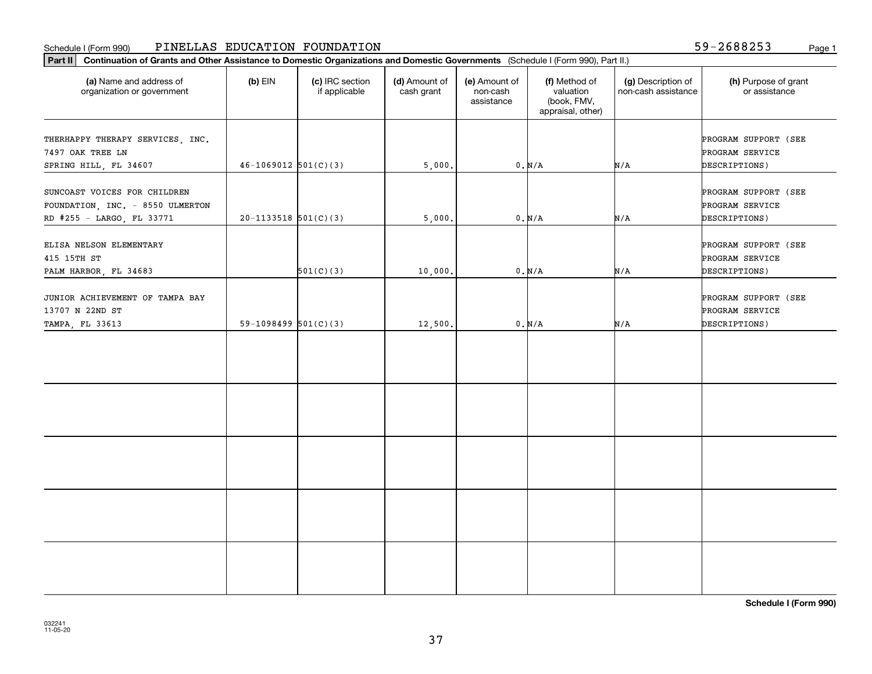### Schedule I (Form 990) Page 1 PINELLAS EDUCATION FOUNDATION

| Part II   Continuation of Grants and Other Assistance to Domestic Organizations and Domestic Governments (Schedule I (Form 990), Part II.) |                          |                                  |                             |                                         |                                                                |                                           |                                         |
|--------------------------------------------------------------------------------------------------------------------------------------------|--------------------------|----------------------------------|-----------------------------|-----------------------------------------|----------------------------------------------------------------|-------------------------------------------|-----------------------------------------|
| (a) Name and address of<br>organization or government                                                                                      | $(b)$ EIN                | (c) IRC section<br>if applicable | (d) Amount of<br>cash grant | (e) Amount of<br>non-cash<br>assistance | (f) Method of<br>valuation<br>(book, FMV,<br>appraisal, other) | (g) Description of<br>non-cash assistance | (h) Purpose of grant<br>or assistance   |
| THERHAPPY THERAPY SERVICES, INC.                                                                                                           |                          |                                  |                             |                                         |                                                                |                                           | PROGRAM SUPPORT (SEE                    |
| 7497 OAK TREE LN                                                                                                                           |                          |                                  |                             |                                         |                                                                |                                           | PROGRAM SERVICE                         |
| SPRING HILL, FL 34607                                                                                                                      | $46 - 1069012$ 501(C)(3) |                                  | 5,000.                      |                                         | $0. N/A$                                                       | N/A                                       | DESCRIPTIONS)                           |
| SUNCOAST VOICES FOR CHILDREN                                                                                                               |                          |                                  |                             |                                         |                                                                |                                           |                                         |
| FOUNDATION, INC. - 8550 ULMERTON                                                                                                           |                          |                                  |                             |                                         |                                                                |                                           | PROGRAM SUPPORT (SEE<br>PROGRAM SERVICE |
| RD #255 - LARGO, FL 33771                                                                                                                  | $20-1133518$ $501(C)(3)$ |                                  | 5,000.                      |                                         | 0. N/A                                                         | N/A                                       | DESCRIPTIONS)                           |
|                                                                                                                                            |                          |                                  |                             |                                         |                                                                |                                           |                                         |
| ELISA NELSON ELEMENTARY                                                                                                                    |                          |                                  |                             |                                         |                                                                |                                           | PROGRAM SUPPORT (SEE                    |
| 415 15TH ST                                                                                                                                |                          |                                  |                             |                                         |                                                                |                                           | PROGRAM SERVICE                         |
| PALM HARBOR, FL 34683                                                                                                                      |                          | 501(C)(3)                        | 10,000.                     |                                         | 0. N/A                                                         | N/A                                       | DESCRIPTIONS)                           |
|                                                                                                                                            |                          |                                  |                             |                                         |                                                                |                                           |                                         |
| JUNIOR ACHIEVEMENT OF TAMPA BAY                                                                                                            |                          |                                  |                             |                                         |                                                                |                                           | PROGRAM SUPPORT (SEE                    |
| 13707 N 22ND ST                                                                                                                            |                          |                                  |                             |                                         |                                                                |                                           | PROGRAM SERVICE                         |
| TAMPA, FL 33613                                                                                                                            | $59-1098499$ $501(C)(3)$ |                                  | 12,500.                     |                                         | 0. N/A                                                         | N/A                                       | DESCRIPTIONS)                           |
|                                                                                                                                            |                          |                                  |                             |                                         |                                                                |                                           |                                         |
|                                                                                                                                            |                          |                                  |                             |                                         |                                                                |                                           |                                         |
|                                                                                                                                            |                          |                                  |                             |                                         |                                                                |                                           |                                         |
|                                                                                                                                            |                          |                                  |                             |                                         |                                                                |                                           |                                         |
|                                                                                                                                            |                          |                                  |                             |                                         |                                                                |                                           |                                         |
|                                                                                                                                            |                          |                                  |                             |                                         |                                                                |                                           |                                         |
|                                                                                                                                            |                          |                                  |                             |                                         |                                                                |                                           |                                         |
|                                                                                                                                            |                          |                                  |                             |                                         |                                                                |                                           |                                         |
|                                                                                                                                            |                          |                                  |                             |                                         |                                                                |                                           |                                         |
|                                                                                                                                            |                          |                                  |                             |                                         |                                                                |                                           |                                         |
|                                                                                                                                            |                          |                                  |                             |                                         |                                                                |                                           |                                         |
|                                                                                                                                            |                          |                                  |                             |                                         |                                                                |                                           |                                         |
|                                                                                                                                            |                          |                                  |                             |                                         |                                                                |                                           |                                         |
|                                                                                                                                            |                          |                                  |                             |                                         |                                                                |                                           |                                         |
|                                                                                                                                            |                          |                                  |                             |                                         |                                                                |                                           |                                         |
|                                                                                                                                            |                          |                                  |                             |                                         |                                                                |                                           |                                         |
|                                                                                                                                            |                          |                                  |                             |                                         |                                                                |                                           |                                         |
|                                                                                                                                            |                          |                                  |                             |                                         |                                                                |                                           |                                         |
|                                                                                                                                            |                          |                                  |                             |                                         |                                                                |                                           |                                         |

**Schedule I (Form 990)**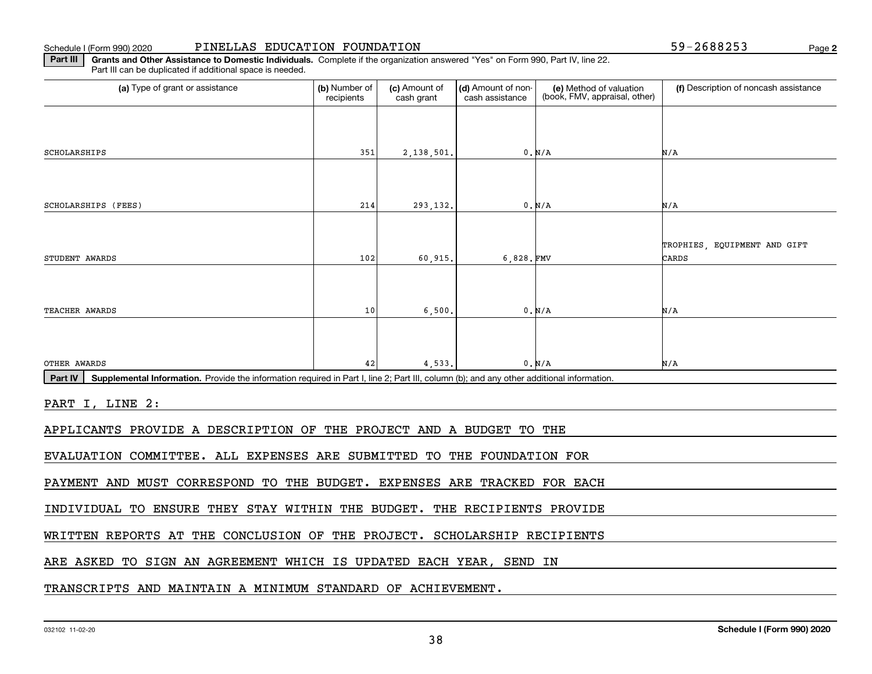### Schedule I (Form 990) 2020

**2**PINELLAS EDUCATION FOUNDATION 59-2688253

**Part III | Grants and Other Assistance to Domestic Individuals. Complete if the organization answered "Yes" on Form 990, Part IV, line 22.** Part III can be duplicated if additional space is needed.

| (a) Type of grant or assistance                                                                                                                      | (b) Number of<br>recipients | (c) Amount of<br>cash grant | <b>(d)</b> Amount of non-<br>cash assistance | (e) Method of valuation<br>(book, FMV, appraisal, other) | (f) Description of noncash assistance |
|------------------------------------------------------------------------------------------------------------------------------------------------------|-----------------------------|-----------------------------|----------------------------------------------|----------------------------------------------------------|---------------------------------------|
|                                                                                                                                                      |                             |                             |                                              |                                                          |                                       |
| SCHOLARSHIPS                                                                                                                                         | 351                         | 2,138,501.                  |                                              | 0. N/A                                                   | N/A                                   |
|                                                                                                                                                      |                             |                             |                                              |                                                          |                                       |
| SCHOLARSHIPS (FEES)                                                                                                                                  | 214                         | 293,132.                    |                                              | 0. N/A                                                   | N/A                                   |
|                                                                                                                                                      |                             |                             |                                              |                                                          |                                       |
| STUDENT AWARDS                                                                                                                                       | 102                         | 60,915.                     | 6,828.FMV                                    |                                                          | TROPHIES, EQUIPMENT AND GIFT<br>CARDS |
|                                                                                                                                                      |                             |                             |                                              |                                                          |                                       |
| TEACHER AWARDS                                                                                                                                       | 10                          | 6,500.                      |                                              | 0. N/A                                                   | N/A                                   |
|                                                                                                                                                      |                             |                             |                                              |                                                          |                                       |
| OTHER AWARDS                                                                                                                                         | 42                          | 4,533.                      |                                              | 0. N/A                                                   | N/A                                   |
| Part IV<br>Supplemental Information. Provide the information required in Part I, line 2; Part III, column (b); and any other additional information. |                             |                             |                                              |                                                          |                                       |
| PART I, LINE 2:                                                                                                                                      |                             |                             |                                              |                                                          |                                       |
| APPLICANTS PROVIDE A DESCRIPTION OF THE PROJECT AND A BUDGET TO THE                                                                                  |                             |                             |                                              |                                                          |                                       |
| EVALUATION COMMITTEE. ALL EXPENSES ARE SUBMITTED TO THE FOUNDATION FOR                                                                               |                             |                             |                                              |                                                          |                                       |
| PAYMENT AND MUST CORRESPOND TO THE BUDGET. EXPENSES ARE TRACKED FOR EACH                                                                             |                             |                             |                                              |                                                          |                                       |
| INDIVIDUAL TO ENSURE THEY STAY WITHIN THE BUDGET.                                                                                                    |                             |                             | THE RECIPIENTS PROVIDE                       |                                                          |                                       |
| WRITTEN REPORTS AT THE CONCLUSION OF THE PROJECT. SCHOLARSHIP RECIPIENTS                                                                             |                             |                             |                                              |                                                          |                                       |
| ARE ASKED TO SIGN AN AGREEMENT WHICH IS UPDATED EACH YEAR, SEND                                                                                      |                             |                             |                                              | IN                                                       |                                       |

### TRANSCRIPTS AND MAINTAIN A MINIMUM STANDARD OF ACHIEVEMENT.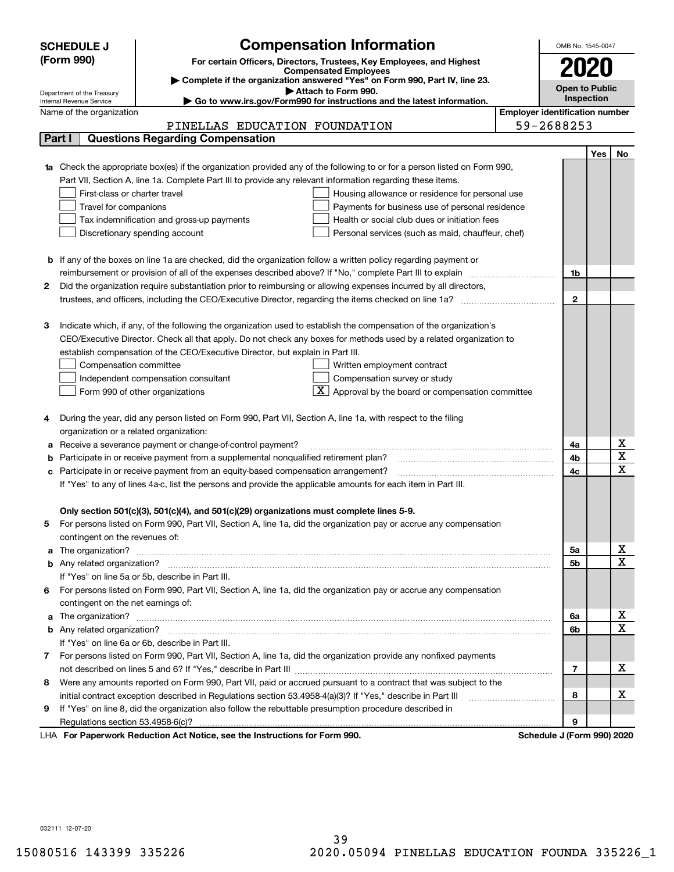| (Form 990)<br>For certain Officers, Directors, Trustees, Key Employees, and Highest<br>2020<br><b>Compensated Employees</b><br>Complete if the organization answered "Yes" on Form 990, Part IV, line 23.<br><b>Open to Public</b><br>Attach to Form 990.<br>Department of the Treasury<br>Inspection<br>Go to www.irs.gov/Form990 for instructions and the latest information.<br>Internal Revenue Service<br><b>Employer identification number</b><br>Name of the organization<br>59-2688253<br>PINELLAS EDUCATION FOUNDATION<br><b>Questions Regarding Compensation</b><br>Part I<br>Yes<br>No<br>Check the appropriate box(es) if the organization provided any of the following to or for a person listed on Form 990,<br>Part VII, Section A, line 1a. Complete Part III to provide any relevant information regarding these items.<br>First-class or charter travel<br>Housing allowance or residence for personal use<br>Travel for companions<br>Payments for business use of personal residence<br>Tax indemnification and gross-up payments<br>Health or social club dues or initiation fees<br>Discretionary spending account<br>Personal services (such as maid, chauffeur, chef)<br><b>b</b> If any of the boxes on line 1a are checked, did the organization follow a written policy regarding payment or<br>reimbursement or provision of all of the expenses described above? If "No," complete Part III to explain<br>1b<br>2<br>Did the organization require substantiation prior to reimbursing or allowing expenses incurred by all directors,<br>$\mathbf{2}$<br>3<br>Indicate which, if any, of the following the organization used to establish the compensation of the organization's<br>CEO/Executive Director. Check all that apply. Do not check any boxes for methods used by a related organization to<br>establish compensation of the CEO/Executive Director, but explain in Part III.<br>Compensation committee<br>Written employment contract<br>Compensation survey or study<br>Independent compensation consultant<br>Approval by the board or compensation committee<br>Form 990 of other organizations<br>During the year, did any person listed on Form 990, Part VII, Section A, line 1a, with respect to the filing<br>4<br>organization or a related organization:<br>х<br>Receive a severance payment or change-of-control payment?<br>4a<br>а<br>X<br>Participate in or receive payment from a supplemental nonqualified retirement plan?<br>4b<br>b<br>X<br>Participate in or receive payment from an equity-based compensation arrangement?<br>4c<br>с<br>If "Yes" to any of lines 4a-c, list the persons and provide the applicable amounts for each item in Part III.<br>Only section 501(c)(3), 501(c)(4), and 501(c)(29) organizations must complete lines 5-9.<br>For persons listed on Form 990, Part VII, Section A, line 1a, did the organization pay or accrue any compensation<br>contingent on the revenues of:<br>X<br>The organization? <b>With the organization</b> ? <b>With the organization with the organization? With the organization?</b><br>5а<br>a<br>X<br>5b<br>If "Yes" on line 5a or 5b, describe in Part III.<br>6 For persons listed on Form 990, Part VII, Section A, line 1a, did the organization pay or accrue any compensation<br>contingent on the net earnings of:<br>x<br>6a<br>a | <b>Compensation Information</b><br><b>SCHEDULE J</b> |  | OMB No. 1545-0047 |  |   |  |  |
|---------------------------------------------------------------------------------------------------------------------------------------------------------------------------------------------------------------------------------------------------------------------------------------------------------------------------------------------------------------------------------------------------------------------------------------------------------------------------------------------------------------------------------------------------------------------------------------------------------------------------------------------------------------------------------------------------------------------------------------------------------------------------------------------------------------------------------------------------------------------------------------------------------------------------------------------------------------------------------------------------------------------------------------------------------------------------------------------------------------------------------------------------------------------------------------------------------------------------------------------------------------------------------------------------------------------------------------------------------------------------------------------------------------------------------------------------------------------------------------------------------------------------------------------------------------------------------------------------------------------------------------------------------------------------------------------------------------------------------------------------------------------------------------------------------------------------------------------------------------------------------------------------------------------------------------------------------------------------------------------------------------------------------------------------------------------------------------------------------------------------------------------------------------------------------------------------------------------------------------------------------------------------------------------------------------------------------------------------------------------------------------------------------------------------------------------------------------------------------------------------------------------------------------------------------------------------------------------------------------------------------------------------------------------------------------------------------------------------------------------------------------------------------------------------------------------------------------------------------------------------------------------------------------------------------------------------------------------------------------------------------------------------------------------------------------------------------------------------------------------------------------------------------------------------------------------------------------------------------------------------------------------------------------------------------------------------------------------------------------------|------------------------------------------------------|--|-------------------|--|---|--|--|
|                                                                                                                                                                                                                                                                                                                                                                                                                                                                                                                                                                                                                                                                                                                                                                                                                                                                                                                                                                                                                                                                                                                                                                                                                                                                                                                                                                                                                                                                                                                                                                                                                                                                                                                                                                                                                                                                                                                                                                                                                                                                                                                                                                                                                                                                                                                                                                                                                                                                                                                                                                                                                                                                                                                                                                                                                                                                                                                                                                                                                                                                                                                                                                                                                                                                                                                                                                     |                                                      |  |                   |  |   |  |  |
|                                                                                                                                                                                                                                                                                                                                                                                                                                                                                                                                                                                                                                                                                                                                                                                                                                                                                                                                                                                                                                                                                                                                                                                                                                                                                                                                                                                                                                                                                                                                                                                                                                                                                                                                                                                                                                                                                                                                                                                                                                                                                                                                                                                                                                                                                                                                                                                                                                                                                                                                                                                                                                                                                                                                                                                                                                                                                                                                                                                                                                                                                                                                                                                                                                                                                                                                                                     |                                                      |  |                   |  |   |  |  |
|                                                                                                                                                                                                                                                                                                                                                                                                                                                                                                                                                                                                                                                                                                                                                                                                                                                                                                                                                                                                                                                                                                                                                                                                                                                                                                                                                                                                                                                                                                                                                                                                                                                                                                                                                                                                                                                                                                                                                                                                                                                                                                                                                                                                                                                                                                                                                                                                                                                                                                                                                                                                                                                                                                                                                                                                                                                                                                                                                                                                                                                                                                                                                                                                                                                                                                                                                                     |                                                      |  |                   |  |   |  |  |
|                                                                                                                                                                                                                                                                                                                                                                                                                                                                                                                                                                                                                                                                                                                                                                                                                                                                                                                                                                                                                                                                                                                                                                                                                                                                                                                                                                                                                                                                                                                                                                                                                                                                                                                                                                                                                                                                                                                                                                                                                                                                                                                                                                                                                                                                                                                                                                                                                                                                                                                                                                                                                                                                                                                                                                                                                                                                                                                                                                                                                                                                                                                                                                                                                                                                                                                                                                     |                                                      |  |                   |  |   |  |  |
|                                                                                                                                                                                                                                                                                                                                                                                                                                                                                                                                                                                                                                                                                                                                                                                                                                                                                                                                                                                                                                                                                                                                                                                                                                                                                                                                                                                                                                                                                                                                                                                                                                                                                                                                                                                                                                                                                                                                                                                                                                                                                                                                                                                                                                                                                                                                                                                                                                                                                                                                                                                                                                                                                                                                                                                                                                                                                                                                                                                                                                                                                                                                                                                                                                                                                                                                                                     |                                                      |  |                   |  |   |  |  |
|                                                                                                                                                                                                                                                                                                                                                                                                                                                                                                                                                                                                                                                                                                                                                                                                                                                                                                                                                                                                                                                                                                                                                                                                                                                                                                                                                                                                                                                                                                                                                                                                                                                                                                                                                                                                                                                                                                                                                                                                                                                                                                                                                                                                                                                                                                                                                                                                                                                                                                                                                                                                                                                                                                                                                                                                                                                                                                                                                                                                                                                                                                                                                                                                                                                                                                                                                                     |                                                      |  |                   |  |   |  |  |
|                                                                                                                                                                                                                                                                                                                                                                                                                                                                                                                                                                                                                                                                                                                                                                                                                                                                                                                                                                                                                                                                                                                                                                                                                                                                                                                                                                                                                                                                                                                                                                                                                                                                                                                                                                                                                                                                                                                                                                                                                                                                                                                                                                                                                                                                                                                                                                                                                                                                                                                                                                                                                                                                                                                                                                                                                                                                                                                                                                                                                                                                                                                                                                                                                                                                                                                                                                     |                                                      |  |                   |  |   |  |  |
|                                                                                                                                                                                                                                                                                                                                                                                                                                                                                                                                                                                                                                                                                                                                                                                                                                                                                                                                                                                                                                                                                                                                                                                                                                                                                                                                                                                                                                                                                                                                                                                                                                                                                                                                                                                                                                                                                                                                                                                                                                                                                                                                                                                                                                                                                                                                                                                                                                                                                                                                                                                                                                                                                                                                                                                                                                                                                                                                                                                                                                                                                                                                                                                                                                                                                                                                                                     |                                                      |  |                   |  |   |  |  |
|                                                                                                                                                                                                                                                                                                                                                                                                                                                                                                                                                                                                                                                                                                                                                                                                                                                                                                                                                                                                                                                                                                                                                                                                                                                                                                                                                                                                                                                                                                                                                                                                                                                                                                                                                                                                                                                                                                                                                                                                                                                                                                                                                                                                                                                                                                                                                                                                                                                                                                                                                                                                                                                                                                                                                                                                                                                                                                                                                                                                                                                                                                                                                                                                                                                                                                                                                                     |                                                      |  |                   |  |   |  |  |
|                                                                                                                                                                                                                                                                                                                                                                                                                                                                                                                                                                                                                                                                                                                                                                                                                                                                                                                                                                                                                                                                                                                                                                                                                                                                                                                                                                                                                                                                                                                                                                                                                                                                                                                                                                                                                                                                                                                                                                                                                                                                                                                                                                                                                                                                                                                                                                                                                                                                                                                                                                                                                                                                                                                                                                                                                                                                                                                                                                                                                                                                                                                                                                                                                                                                                                                                                                     |                                                      |  |                   |  |   |  |  |
|                                                                                                                                                                                                                                                                                                                                                                                                                                                                                                                                                                                                                                                                                                                                                                                                                                                                                                                                                                                                                                                                                                                                                                                                                                                                                                                                                                                                                                                                                                                                                                                                                                                                                                                                                                                                                                                                                                                                                                                                                                                                                                                                                                                                                                                                                                                                                                                                                                                                                                                                                                                                                                                                                                                                                                                                                                                                                                                                                                                                                                                                                                                                                                                                                                                                                                                                                                     |                                                      |  |                   |  |   |  |  |
|                                                                                                                                                                                                                                                                                                                                                                                                                                                                                                                                                                                                                                                                                                                                                                                                                                                                                                                                                                                                                                                                                                                                                                                                                                                                                                                                                                                                                                                                                                                                                                                                                                                                                                                                                                                                                                                                                                                                                                                                                                                                                                                                                                                                                                                                                                                                                                                                                                                                                                                                                                                                                                                                                                                                                                                                                                                                                                                                                                                                                                                                                                                                                                                                                                                                                                                                                                     |                                                      |  |                   |  |   |  |  |
|                                                                                                                                                                                                                                                                                                                                                                                                                                                                                                                                                                                                                                                                                                                                                                                                                                                                                                                                                                                                                                                                                                                                                                                                                                                                                                                                                                                                                                                                                                                                                                                                                                                                                                                                                                                                                                                                                                                                                                                                                                                                                                                                                                                                                                                                                                                                                                                                                                                                                                                                                                                                                                                                                                                                                                                                                                                                                                                                                                                                                                                                                                                                                                                                                                                                                                                                                                     |                                                      |  |                   |  |   |  |  |
|                                                                                                                                                                                                                                                                                                                                                                                                                                                                                                                                                                                                                                                                                                                                                                                                                                                                                                                                                                                                                                                                                                                                                                                                                                                                                                                                                                                                                                                                                                                                                                                                                                                                                                                                                                                                                                                                                                                                                                                                                                                                                                                                                                                                                                                                                                                                                                                                                                                                                                                                                                                                                                                                                                                                                                                                                                                                                                                                                                                                                                                                                                                                                                                                                                                                                                                                                                     |                                                      |  |                   |  |   |  |  |
|                                                                                                                                                                                                                                                                                                                                                                                                                                                                                                                                                                                                                                                                                                                                                                                                                                                                                                                                                                                                                                                                                                                                                                                                                                                                                                                                                                                                                                                                                                                                                                                                                                                                                                                                                                                                                                                                                                                                                                                                                                                                                                                                                                                                                                                                                                                                                                                                                                                                                                                                                                                                                                                                                                                                                                                                                                                                                                                                                                                                                                                                                                                                                                                                                                                                                                                                                                     |                                                      |  |                   |  |   |  |  |
|                                                                                                                                                                                                                                                                                                                                                                                                                                                                                                                                                                                                                                                                                                                                                                                                                                                                                                                                                                                                                                                                                                                                                                                                                                                                                                                                                                                                                                                                                                                                                                                                                                                                                                                                                                                                                                                                                                                                                                                                                                                                                                                                                                                                                                                                                                                                                                                                                                                                                                                                                                                                                                                                                                                                                                                                                                                                                                                                                                                                                                                                                                                                                                                                                                                                                                                                                                     |                                                      |  |                   |  |   |  |  |
|                                                                                                                                                                                                                                                                                                                                                                                                                                                                                                                                                                                                                                                                                                                                                                                                                                                                                                                                                                                                                                                                                                                                                                                                                                                                                                                                                                                                                                                                                                                                                                                                                                                                                                                                                                                                                                                                                                                                                                                                                                                                                                                                                                                                                                                                                                                                                                                                                                                                                                                                                                                                                                                                                                                                                                                                                                                                                                                                                                                                                                                                                                                                                                                                                                                                                                                                                                     |                                                      |  |                   |  |   |  |  |
|                                                                                                                                                                                                                                                                                                                                                                                                                                                                                                                                                                                                                                                                                                                                                                                                                                                                                                                                                                                                                                                                                                                                                                                                                                                                                                                                                                                                                                                                                                                                                                                                                                                                                                                                                                                                                                                                                                                                                                                                                                                                                                                                                                                                                                                                                                                                                                                                                                                                                                                                                                                                                                                                                                                                                                                                                                                                                                                                                                                                                                                                                                                                                                                                                                                                                                                                                                     |                                                      |  |                   |  |   |  |  |
|                                                                                                                                                                                                                                                                                                                                                                                                                                                                                                                                                                                                                                                                                                                                                                                                                                                                                                                                                                                                                                                                                                                                                                                                                                                                                                                                                                                                                                                                                                                                                                                                                                                                                                                                                                                                                                                                                                                                                                                                                                                                                                                                                                                                                                                                                                                                                                                                                                                                                                                                                                                                                                                                                                                                                                                                                                                                                                                                                                                                                                                                                                                                                                                                                                                                                                                                                                     |                                                      |  |                   |  |   |  |  |
|                                                                                                                                                                                                                                                                                                                                                                                                                                                                                                                                                                                                                                                                                                                                                                                                                                                                                                                                                                                                                                                                                                                                                                                                                                                                                                                                                                                                                                                                                                                                                                                                                                                                                                                                                                                                                                                                                                                                                                                                                                                                                                                                                                                                                                                                                                                                                                                                                                                                                                                                                                                                                                                                                                                                                                                                                                                                                                                                                                                                                                                                                                                                                                                                                                                                                                                                                                     |                                                      |  |                   |  |   |  |  |
|                                                                                                                                                                                                                                                                                                                                                                                                                                                                                                                                                                                                                                                                                                                                                                                                                                                                                                                                                                                                                                                                                                                                                                                                                                                                                                                                                                                                                                                                                                                                                                                                                                                                                                                                                                                                                                                                                                                                                                                                                                                                                                                                                                                                                                                                                                                                                                                                                                                                                                                                                                                                                                                                                                                                                                                                                                                                                                                                                                                                                                                                                                                                                                                                                                                                                                                                                                     |                                                      |  |                   |  |   |  |  |
|                                                                                                                                                                                                                                                                                                                                                                                                                                                                                                                                                                                                                                                                                                                                                                                                                                                                                                                                                                                                                                                                                                                                                                                                                                                                                                                                                                                                                                                                                                                                                                                                                                                                                                                                                                                                                                                                                                                                                                                                                                                                                                                                                                                                                                                                                                                                                                                                                                                                                                                                                                                                                                                                                                                                                                                                                                                                                                                                                                                                                                                                                                                                                                                                                                                                                                                                                                     |                                                      |  |                   |  |   |  |  |
|                                                                                                                                                                                                                                                                                                                                                                                                                                                                                                                                                                                                                                                                                                                                                                                                                                                                                                                                                                                                                                                                                                                                                                                                                                                                                                                                                                                                                                                                                                                                                                                                                                                                                                                                                                                                                                                                                                                                                                                                                                                                                                                                                                                                                                                                                                                                                                                                                                                                                                                                                                                                                                                                                                                                                                                                                                                                                                                                                                                                                                                                                                                                                                                                                                                                                                                                                                     |                                                      |  |                   |  |   |  |  |
|                                                                                                                                                                                                                                                                                                                                                                                                                                                                                                                                                                                                                                                                                                                                                                                                                                                                                                                                                                                                                                                                                                                                                                                                                                                                                                                                                                                                                                                                                                                                                                                                                                                                                                                                                                                                                                                                                                                                                                                                                                                                                                                                                                                                                                                                                                                                                                                                                                                                                                                                                                                                                                                                                                                                                                                                                                                                                                                                                                                                                                                                                                                                                                                                                                                                                                                                                                     |                                                      |  |                   |  |   |  |  |
|                                                                                                                                                                                                                                                                                                                                                                                                                                                                                                                                                                                                                                                                                                                                                                                                                                                                                                                                                                                                                                                                                                                                                                                                                                                                                                                                                                                                                                                                                                                                                                                                                                                                                                                                                                                                                                                                                                                                                                                                                                                                                                                                                                                                                                                                                                                                                                                                                                                                                                                                                                                                                                                                                                                                                                                                                                                                                                                                                                                                                                                                                                                                                                                                                                                                                                                                                                     |                                                      |  |                   |  |   |  |  |
|                                                                                                                                                                                                                                                                                                                                                                                                                                                                                                                                                                                                                                                                                                                                                                                                                                                                                                                                                                                                                                                                                                                                                                                                                                                                                                                                                                                                                                                                                                                                                                                                                                                                                                                                                                                                                                                                                                                                                                                                                                                                                                                                                                                                                                                                                                                                                                                                                                                                                                                                                                                                                                                                                                                                                                                                                                                                                                                                                                                                                                                                                                                                                                                                                                                                                                                                                                     |                                                      |  |                   |  |   |  |  |
|                                                                                                                                                                                                                                                                                                                                                                                                                                                                                                                                                                                                                                                                                                                                                                                                                                                                                                                                                                                                                                                                                                                                                                                                                                                                                                                                                                                                                                                                                                                                                                                                                                                                                                                                                                                                                                                                                                                                                                                                                                                                                                                                                                                                                                                                                                                                                                                                                                                                                                                                                                                                                                                                                                                                                                                                                                                                                                                                                                                                                                                                                                                                                                                                                                                                                                                                                                     |                                                      |  |                   |  |   |  |  |
|                                                                                                                                                                                                                                                                                                                                                                                                                                                                                                                                                                                                                                                                                                                                                                                                                                                                                                                                                                                                                                                                                                                                                                                                                                                                                                                                                                                                                                                                                                                                                                                                                                                                                                                                                                                                                                                                                                                                                                                                                                                                                                                                                                                                                                                                                                                                                                                                                                                                                                                                                                                                                                                                                                                                                                                                                                                                                                                                                                                                                                                                                                                                                                                                                                                                                                                                                                     |                                                      |  |                   |  |   |  |  |
|                                                                                                                                                                                                                                                                                                                                                                                                                                                                                                                                                                                                                                                                                                                                                                                                                                                                                                                                                                                                                                                                                                                                                                                                                                                                                                                                                                                                                                                                                                                                                                                                                                                                                                                                                                                                                                                                                                                                                                                                                                                                                                                                                                                                                                                                                                                                                                                                                                                                                                                                                                                                                                                                                                                                                                                                                                                                                                                                                                                                                                                                                                                                                                                                                                                                                                                                                                     |                                                      |  |                   |  |   |  |  |
|                                                                                                                                                                                                                                                                                                                                                                                                                                                                                                                                                                                                                                                                                                                                                                                                                                                                                                                                                                                                                                                                                                                                                                                                                                                                                                                                                                                                                                                                                                                                                                                                                                                                                                                                                                                                                                                                                                                                                                                                                                                                                                                                                                                                                                                                                                                                                                                                                                                                                                                                                                                                                                                                                                                                                                                                                                                                                                                                                                                                                                                                                                                                                                                                                                                                                                                                                                     |                                                      |  |                   |  |   |  |  |
|                                                                                                                                                                                                                                                                                                                                                                                                                                                                                                                                                                                                                                                                                                                                                                                                                                                                                                                                                                                                                                                                                                                                                                                                                                                                                                                                                                                                                                                                                                                                                                                                                                                                                                                                                                                                                                                                                                                                                                                                                                                                                                                                                                                                                                                                                                                                                                                                                                                                                                                                                                                                                                                                                                                                                                                                                                                                                                                                                                                                                                                                                                                                                                                                                                                                                                                                                                     |                                                      |  |                   |  |   |  |  |
|                                                                                                                                                                                                                                                                                                                                                                                                                                                                                                                                                                                                                                                                                                                                                                                                                                                                                                                                                                                                                                                                                                                                                                                                                                                                                                                                                                                                                                                                                                                                                                                                                                                                                                                                                                                                                                                                                                                                                                                                                                                                                                                                                                                                                                                                                                                                                                                                                                                                                                                                                                                                                                                                                                                                                                                                                                                                                                                                                                                                                                                                                                                                                                                                                                                                                                                                                                     |                                                      |  |                   |  |   |  |  |
|                                                                                                                                                                                                                                                                                                                                                                                                                                                                                                                                                                                                                                                                                                                                                                                                                                                                                                                                                                                                                                                                                                                                                                                                                                                                                                                                                                                                                                                                                                                                                                                                                                                                                                                                                                                                                                                                                                                                                                                                                                                                                                                                                                                                                                                                                                                                                                                                                                                                                                                                                                                                                                                                                                                                                                                                                                                                                                                                                                                                                                                                                                                                                                                                                                                                                                                                                                     |                                                      |  |                   |  |   |  |  |
|                                                                                                                                                                                                                                                                                                                                                                                                                                                                                                                                                                                                                                                                                                                                                                                                                                                                                                                                                                                                                                                                                                                                                                                                                                                                                                                                                                                                                                                                                                                                                                                                                                                                                                                                                                                                                                                                                                                                                                                                                                                                                                                                                                                                                                                                                                                                                                                                                                                                                                                                                                                                                                                                                                                                                                                                                                                                                                                                                                                                                                                                                                                                                                                                                                                                                                                                                                     |                                                      |  |                   |  |   |  |  |
|                                                                                                                                                                                                                                                                                                                                                                                                                                                                                                                                                                                                                                                                                                                                                                                                                                                                                                                                                                                                                                                                                                                                                                                                                                                                                                                                                                                                                                                                                                                                                                                                                                                                                                                                                                                                                                                                                                                                                                                                                                                                                                                                                                                                                                                                                                                                                                                                                                                                                                                                                                                                                                                                                                                                                                                                                                                                                                                                                                                                                                                                                                                                                                                                                                                                                                                                                                     |                                                      |  |                   |  |   |  |  |
|                                                                                                                                                                                                                                                                                                                                                                                                                                                                                                                                                                                                                                                                                                                                                                                                                                                                                                                                                                                                                                                                                                                                                                                                                                                                                                                                                                                                                                                                                                                                                                                                                                                                                                                                                                                                                                                                                                                                                                                                                                                                                                                                                                                                                                                                                                                                                                                                                                                                                                                                                                                                                                                                                                                                                                                                                                                                                                                                                                                                                                                                                                                                                                                                                                                                                                                                                                     |                                                      |  |                   |  |   |  |  |
|                                                                                                                                                                                                                                                                                                                                                                                                                                                                                                                                                                                                                                                                                                                                                                                                                                                                                                                                                                                                                                                                                                                                                                                                                                                                                                                                                                                                                                                                                                                                                                                                                                                                                                                                                                                                                                                                                                                                                                                                                                                                                                                                                                                                                                                                                                                                                                                                                                                                                                                                                                                                                                                                                                                                                                                                                                                                                                                                                                                                                                                                                                                                                                                                                                                                                                                                                                     |                                                      |  |                   |  |   |  |  |
|                                                                                                                                                                                                                                                                                                                                                                                                                                                                                                                                                                                                                                                                                                                                                                                                                                                                                                                                                                                                                                                                                                                                                                                                                                                                                                                                                                                                                                                                                                                                                                                                                                                                                                                                                                                                                                                                                                                                                                                                                                                                                                                                                                                                                                                                                                                                                                                                                                                                                                                                                                                                                                                                                                                                                                                                                                                                                                                                                                                                                                                                                                                                                                                                                                                                                                                                                                     |                                                      |  |                   |  |   |  |  |
|                                                                                                                                                                                                                                                                                                                                                                                                                                                                                                                                                                                                                                                                                                                                                                                                                                                                                                                                                                                                                                                                                                                                                                                                                                                                                                                                                                                                                                                                                                                                                                                                                                                                                                                                                                                                                                                                                                                                                                                                                                                                                                                                                                                                                                                                                                                                                                                                                                                                                                                                                                                                                                                                                                                                                                                                                                                                                                                                                                                                                                                                                                                                                                                                                                                                                                                                                                     |                                                      |  |                   |  |   |  |  |
|                                                                                                                                                                                                                                                                                                                                                                                                                                                                                                                                                                                                                                                                                                                                                                                                                                                                                                                                                                                                                                                                                                                                                                                                                                                                                                                                                                                                                                                                                                                                                                                                                                                                                                                                                                                                                                                                                                                                                                                                                                                                                                                                                                                                                                                                                                                                                                                                                                                                                                                                                                                                                                                                                                                                                                                                                                                                                                                                                                                                                                                                                                                                                                                                                                                                                                                                                                     |                                                      |  |                   |  |   |  |  |
|                                                                                                                                                                                                                                                                                                                                                                                                                                                                                                                                                                                                                                                                                                                                                                                                                                                                                                                                                                                                                                                                                                                                                                                                                                                                                                                                                                                                                                                                                                                                                                                                                                                                                                                                                                                                                                                                                                                                                                                                                                                                                                                                                                                                                                                                                                                                                                                                                                                                                                                                                                                                                                                                                                                                                                                                                                                                                                                                                                                                                                                                                                                                                                                                                                                                                                                                                                     |                                                      |  |                   |  |   |  |  |
|                                                                                                                                                                                                                                                                                                                                                                                                                                                                                                                                                                                                                                                                                                                                                                                                                                                                                                                                                                                                                                                                                                                                                                                                                                                                                                                                                                                                                                                                                                                                                                                                                                                                                                                                                                                                                                                                                                                                                                                                                                                                                                                                                                                                                                                                                                                                                                                                                                                                                                                                                                                                                                                                                                                                                                                                                                                                                                                                                                                                                                                                                                                                                                                                                                                                                                                                                                     |                                                      |  |                   |  |   |  |  |
|                                                                                                                                                                                                                                                                                                                                                                                                                                                                                                                                                                                                                                                                                                                                                                                                                                                                                                                                                                                                                                                                                                                                                                                                                                                                                                                                                                                                                                                                                                                                                                                                                                                                                                                                                                                                                                                                                                                                                                                                                                                                                                                                                                                                                                                                                                                                                                                                                                                                                                                                                                                                                                                                                                                                                                                                                                                                                                                                                                                                                                                                                                                                                                                                                                                                                                                                                                     |                                                      |  | 6b                |  | X |  |  |
| If "Yes" on line 6a or 6b, describe in Part III.                                                                                                                                                                                                                                                                                                                                                                                                                                                                                                                                                                                                                                                                                                                                                                                                                                                                                                                                                                                                                                                                                                                                                                                                                                                                                                                                                                                                                                                                                                                                                                                                                                                                                                                                                                                                                                                                                                                                                                                                                                                                                                                                                                                                                                                                                                                                                                                                                                                                                                                                                                                                                                                                                                                                                                                                                                                                                                                                                                                                                                                                                                                                                                                                                                                                                                                    |                                                      |  |                   |  |   |  |  |
| 7 For persons listed on Form 990, Part VII, Section A, line 1a, did the organization provide any nonfixed payments                                                                                                                                                                                                                                                                                                                                                                                                                                                                                                                                                                                                                                                                                                                                                                                                                                                                                                                                                                                                                                                                                                                                                                                                                                                                                                                                                                                                                                                                                                                                                                                                                                                                                                                                                                                                                                                                                                                                                                                                                                                                                                                                                                                                                                                                                                                                                                                                                                                                                                                                                                                                                                                                                                                                                                                                                                                                                                                                                                                                                                                                                                                                                                                                                                                  |                                                      |  |                   |  |   |  |  |
| x<br>7                                                                                                                                                                                                                                                                                                                                                                                                                                                                                                                                                                                                                                                                                                                                                                                                                                                                                                                                                                                                                                                                                                                                                                                                                                                                                                                                                                                                                                                                                                                                                                                                                                                                                                                                                                                                                                                                                                                                                                                                                                                                                                                                                                                                                                                                                                                                                                                                                                                                                                                                                                                                                                                                                                                                                                                                                                                                                                                                                                                                                                                                                                                                                                                                                                                                                                                                                              |                                                      |  |                   |  |   |  |  |
| 8 Were any amounts reported on Form 990, Part VII, paid or accrued pursuant to a contract that was subject to the                                                                                                                                                                                                                                                                                                                                                                                                                                                                                                                                                                                                                                                                                                                                                                                                                                                                                                                                                                                                                                                                                                                                                                                                                                                                                                                                                                                                                                                                                                                                                                                                                                                                                                                                                                                                                                                                                                                                                                                                                                                                                                                                                                                                                                                                                                                                                                                                                                                                                                                                                                                                                                                                                                                                                                                                                                                                                                                                                                                                                                                                                                                                                                                                                                                   |                                                      |  |                   |  |   |  |  |
| х<br>initial contract exception described in Regulations section 53.4958-4(a)(3)? If "Yes," describe in Part III<br>8                                                                                                                                                                                                                                                                                                                                                                                                                                                                                                                                                                                                                                                                                                                                                                                                                                                                                                                                                                                                                                                                                                                                                                                                                                                                                                                                                                                                                                                                                                                                                                                                                                                                                                                                                                                                                                                                                                                                                                                                                                                                                                                                                                                                                                                                                                                                                                                                                                                                                                                                                                                                                                                                                                                                                                                                                                                                                                                                                                                                                                                                                                                                                                                                                                               |                                                      |  |                   |  |   |  |  |
| If "Yes" on line 8, did the organization also follow the rebuttable presumption procedure described in<br>9                                                                                                                                                                                                                                                                                                                                                                                                                                                                                                                                                                                                                                                                                                                                                                                                                                                                                                                                                                                                                                                                                                                                                                                                                                                                                                                                                                                                                                                                                                                                                                                                                                                                                                                                                                                                                                                                                                                                                                                                                                                                                                                                                                                                                                                                                                                                                                                                                                                                                                                                                                                                                                                                                                                                                                                                                                                                                                                                                                                                                                                                                                                                                                                                                                                         |                                                      |  |                   |  |   |  |  |
| 9<br>Regulations section 53.4958-6(c)?                                                                                                                                                                                                                                                                                                                                                                                                                                                                                                                                                                                                                                                                                                                                                                                                                                                                                                                                                                                                                                                                                                                                                                                                                                                                                                                                                                                                                                                                                                                                                                                                                                                                                                                                                                                                                                                                                                                                                                                                                                                                                                                                                                                                                                                                                                                                                                                                                                                                                                                                                                                                                                                                                                                                                                                                                                                                                                                                                                                                                                                                                                                                                                                                                                                                                                                              |                                                      |  |                   |  |   |  |  |
| LHA For Paperwork Reduction Act Notice, see the Instructions for Form 990.<br>Schedule J (Form 990) 2020                                                                                                                                                                                                                                                                                                                                                                                                                                                                                                                                                                                                                                                                                                                                                                                                                                                                                                                                                                                                                                                                                                                                                                                                                                                                                                                                                                                                                                                                                                                                                                                                                                                                                                                                                                                                                                                                                                                                                                                                                                                                                                                                                                                                                                                                                                                                                                                                                                                                                                                                                                                                                                                                                                                                                                                                                                                                                                                                                                                                                                                                                                                                                                                                                                                            |                                                      |  |                   |  |   |  |  |

032111 12-07-20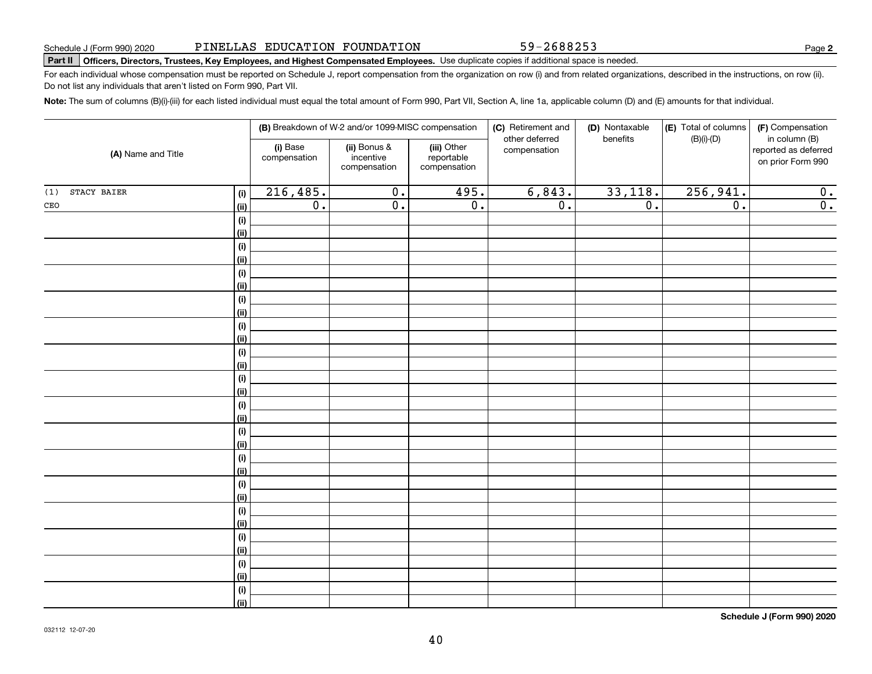59-2688253

**2**

# **Part II Officers, Directors, Trustees, Key Employees, and Highest Compensated Employees.**  Schedule J (Form 990) 2020 Page Use duplicate copies if additional space is needed.

For each individual whose compensation must be reported on Schedule J, report compensation from the organization on row (i) and from related organizations, described in the instructions, on row (ii). Do not list any individuals that aren't listed on Form 990, Part VII.

**Note:**  The sum of columns (B)(i)-(iii) for each listed individual must equal the total amount of Form 990, Part VII, Section A, line 1a, applicable column (D) and (E) amounts for that individual.

|                                      |                          | (B) Breakdown of W-2 and/or 1099-MISC compensation |                                           | (C) Retirement and             | (D) Nontaxable   | (E) Total of columns | (F) Compensation                                           |  |
|--------------------------------------|--------------------------|----------------------------------------------------|-------------------------------------------|--------------------------------|------------------|----------------------|------------------------------------------------------------|--|
| (A) Name and Title                   | (i) Base<br>compensation | (ii) Bonus &<br>incentive<br>compensation          | (iii) Other<br>reportable<br>compensation | other deferred<br>compensation | benefits         | $(B)(i)-(D)$         | in column (B)<br>reported as deferred<br>on prior Form 990 |  |
| STACY BAIER<br>(1)<br>(i)            | 216,485.                 | $\overline{0}$ .                                   | 495.                                      | 6,843.                         | 33,118.          | 256,941.             | 0.                                                         |  |
| $\mathtt{CEO}$<br>(ii)               | $\overline{0}$ .         | $\overline{0}$ .                                   | $\overline{0}$ .                          | $\overline{0}$ .               | $\overline{0}$ . | $\overline{0}$ .     | $\overline{0}$ .                                           |  |
| $(\sf{i})$                           |                          |                                                    |                                           |                                |                  |                      |                                                            |  |
| (ii)                                 |                          |                                                    |                                           |                                |                  |                      |                                                            |  |
| (i)                                  |                          |                                                    |                                           |                                |                  |                      |                                                            |  |
| (ii)                                 |                          |                                                    |                                           |                                |                  |                      |                                                            |  |
| (i)                                  |                          |                                                    |                                           |                                |                  |                      |                                                            |  |
| (ii)                                 |                          |                                                    |                                           |                                |                  |                      |                                                            |  |
| $(\sf{i})$                           |                          |                                                    |                                           |                                |                  |                      |                                                            |  |
| (ii)                                 |                          |                                                    |                                           |                                |                  |                      |                                                            |  |
| $(\sf{i})$                           |                          |                                                    |                                           |                                |                  |                      |                                                            |  |
| (ii)                                 |                          |                                                    |                                           |                                |                  |                      |                                                            |  |
| $(\sf{i})$                           |                          |                                                    |                                           |                                |                  |                      |                                                            |  |
| (ii)                                 |                          |                                                    |                                           |                                |                  |                      |                                                            |  |
| (i)                                  |                          |                                                    |                                           |                                |                  |                      |                                                            |  |
| (ii)                                 |                          |                                                    |                                           |                                |                  |                      |                                                            |  |
| (i)                                  |                          |                                                    |                                           |                                |                  |                      |                                                            |  |
| (ii)                                 |                          |                                                    |                                           |                                |                  |                      |                                                            |  |
| $\qquad \qquad \textbf{(i)}$<br>(ii) |                          |                                                    |                                           |                                |                  |                      |                                                            |  |
| $\qquad \qquad \textbf{(i)}$         |                          |                                                    |                                           |                                |                  |                      |                                                            |  |
| (ii)                                 |                          |                                                    |                                           |                                |                  |                      |                                                            |  |
| $\qquad \qquad \textbf{(i)}$         |                          |                                                    |                                           |                                |                  |                      |                                                            |  |
| (ii)                                 |                          |                                                    |                                           |                                |                  |                      |                                                            |  |
| $(\sf{i})$                           |                          |                                                    |                                           |                                |                  |                      |                                                            |  |
| (ii)                                 |                          |                                                    |                                           |                                |                  |                      |                                                            |  |
| $(\sf{i})$                           |                          |                                                    |                                           |                                |                  |                      |                                                            |  |
| (ii)                                 |                          |                                                    |                                           |                                |                  |                      |                                                            |  |
| (i)                                  |                          |                                                    |                                           |                                |                  |                      |                                                            |  |
| (ii)                                 |                          |                                                    |                                           |                                |                  |                      |                                                            |  |
| $(\sf{i})$                           |                          |                                                    |                                           |                                |                  |                      |                                                            |  |
| (ii)                                 |                          |                                                    |                                           |                                |                  |                      |                                                            |  |

**Schedule J (Form 990) 2020**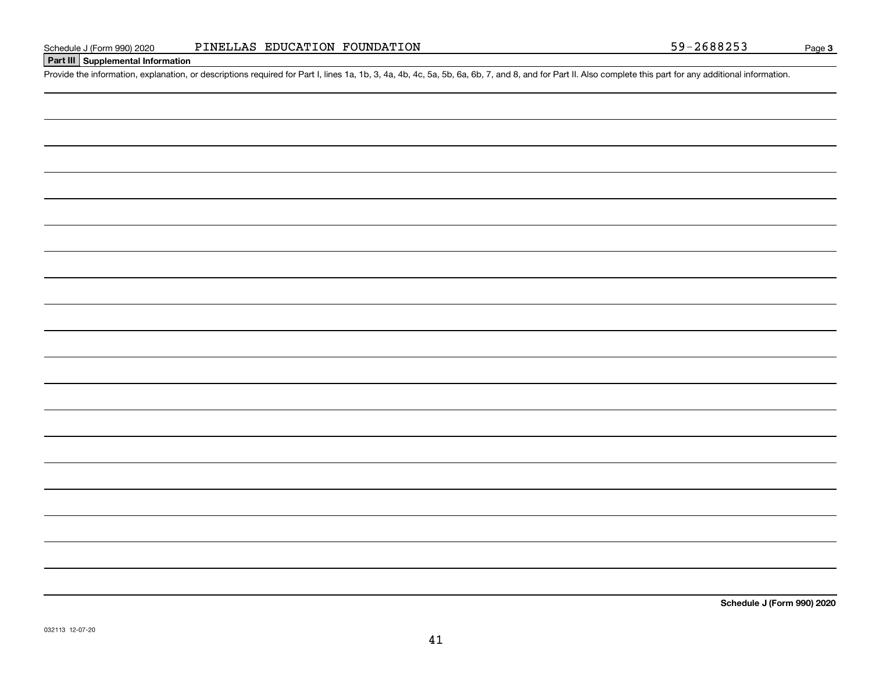### **Part III Supplemental Information**

Schedule J (Form 990) 2020 PINELLAS EDUCATION FOUNDATION<br>Part III Supplemental Information<br>Provide the information, explanation, or descriptions required for Part I, lines 1a, 1b, 3, 4a, 4b, 4c, 5a, 5b, 6a, 6b, 7, and 8, a

**Schedule J (Form 990) 2020**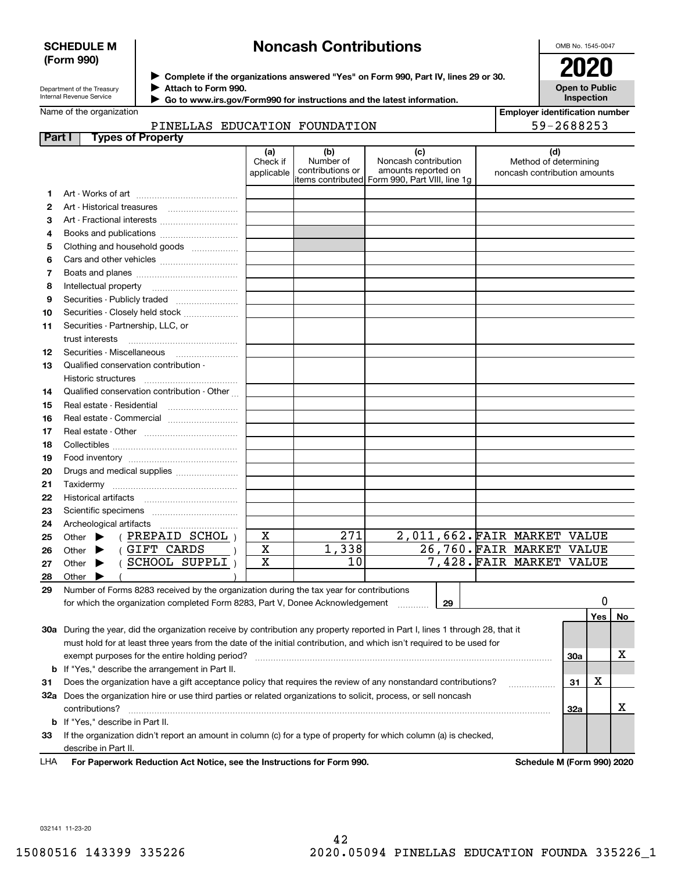### **SCHEDULE M (Form 990)**

# **Noncash Contributions**

OMB No. 1545-0047

**Open to Public Inspection**

**Employer identification number**

59-2688253

| Department of the Treasury |
|----------------------------|
| Internal Revenue Service   |

**Complete if the organizations answered "Yes" on Form 990, Part IV, lines 29 or 30.** <sup>J</sup>**2020 Attach to Form 990.** J

 **Go to www.irs.gov/Form990 for instructions and the latest information.** J

Name of the organization

### PINELLAS EDUCATION FOUNDATION

|                | <b>Types of Property</b><br>Part I                                                                                             |                               |                                      |                                                                                                       |    |                                                              |     |            |    |
|----------------|--------------------------------------------------------------------------------------------------------------------------------|-------------------------------|--------------------------------------|-------------------------------------------------------------------------------------------------------|----|--------------------------------------------------------------|-----|------------|----|
|                |                                                                                                                                | (a)<br>Check if<br>applicable | (b)<br>Number of<br>contributions or | (c)<br>Noncash contribution<br>amounts reported on<br>items contributed  Form 990, Part VIII, line 1g |    | (d)<br>Method of determining<br>noncash contribution amounts |     |            |    |
| 1              |                                                                                                                                |                               |                                      |                                                                                                       |    |                                                              |     |            |    |
| $\mathbf{2}$   | Art - Historical treasures                                                                                                     |                               |                                      |                                                                                                       |    |                                                              |     |            |    |
| з              | Art - Fractional interests                                                                                                     |                               |                                      |                                                                                                       |    |                                                              |     |            |    |
| 4              | Books and publications                                                                                                         |                               |                                      |                                                                                                       |    |                                                              |     |            |    |
| 5              | Clothing and household goods                                                                                                   |                               |                                      |                                                                                                       |    |                                                              |     |            |    |
| 6              |                                                                                                                                |                               |                                      |                                                                                                       |    |                                                              |     |            |    |
| $\overline{7}$ |                                                                                                                                |                               |                                      |                                                                                                       |    |                                                              |     |            |    |
| 8              | Intellectual property                                                                                                          |                               |                                      |                                                                                                       |    |                                                              |     |            |    |
| 9              | Securities - Publicly traded                                                                                                   |                               |                                      |                                                                                                       |    |                                                              |     |            |    |
| 10             | Securities - Closely held stock                                                                                                |                               |                                      |                                                                                                       |    |                                                              |     |            |    |
| 11             | Securities - Partnership, LLC, or<br>trust interests                                                                           |                               |                                      |                                                                                                       |    |                                                              |     |            |    |
| 12             |                                                                                                                                |                               |                                      |                                                                                                       |    |                                                              |     |            |    |
| 13             | Qualified conservation contribution -                                                                                          |                               |                                      |                                                                                                       |    |                                                              |     |            |    |
|                | Historic structures                                                                                                            |                               |                                      |                                                                                                       |    |                                                              |     |            |    |
| 14             | Qualified conservation contribution - Other                                                                                    |                               |                                      |                                                                                                       |    |                                                              |     |            |    |
| 15             | Real estate - Residential                                                                                                      |                               |                                      |                                                                                                       |    |                                                              |     |            |    |
| 16             | Real estate - Commercial                                                                                                       |                               |                                      |                                                                                                       |    |                                                              |     |            |    |
| 17             |                                                                                                                                |                               |                                      |                                                                                                       |    |                                                              |     |            |    |
| 18             |                                                                                                                                |                               |                                      |                                                                                                       |    |                                                              |     |            |    |
| 19             |                                                                                                                                |                               |                                      |                                                                                                       |    |                                                              |     |            |    |
| 20             | Drugs and medical supplies                                                                                                     |                               |                                      |                                                                                                       |    |                                                              |     |            |    |
| 21             |                                                                                                                                |                               |                                      |                                                                                                       |    |                                                              |     |            |    |
| 22             |                                                                                                                                |                               |                                      |                                                                                                       |    |                                                              |     |            |    |
| 23             |                                                                                                                                |                               |                                      |                                                                                                       |    |                                                              |     |            |    |
| 24             | Archeological artifacts                                                                                                        |                               |                                      |                                                                                                       |    |                                                              |     |            |    |
| 25             | (PREPAID SCHOL)<br>Other<br>▶                                                                                                  | х                             | 271                                  |                                                                                                       |    | 2,011,662. FAIR MARKET VALUE                                 |     |            |    |
| 26             | (GIFT CARDS<br>Other<br>▶                                                                                                      | X                             | 1,338                                |                                                                                                       |    | 26,760. FAIR MARKET VALUE                                    |     |            |    |
| 27             | SCHOOL SUPPLI)<br>Other<br>▶                                                                                                   | $\overline{\mathbf{X}}$       | $\overline{10}$                      |                                                                                                       |    | 7,428.FAIR MARKET VALUE                                      |     |            |    |
| 28             | Other                                                                                                                          |                               |                                      |                                                                                                       |    |                                                              |     |            |    |
| 29             | Number of Forms 8283 received by the organization during the tax year for contributions                                        |                               |                                      |                                                                                                       |    |                                                              |     |            |    |
|                | for which the organization completed Form 8283, Part V, Donee Acknowledgement                                                  |                               |                                      |                                                                                                       | 29 |                                                              |     | 0          |    |
|                |                                                                                                                                |                               |                                      |                                                                                                       |    |                                                              |     | <b>Yes</b> | No |
|                | 30a During the year, did the organization receive by contribution any property reported in Part I, lines 1 through 28, that it |                               |                                      |                                                                                                       |    |                                                              |     |            |    |
|                | must hold for at least three years from the date of the initial contribution, and which isn't required to be used for          |                               |                                      |                                                                                                       |    |                                                              |     |            |    |
|                | exempt purposes for the entire holding period?                                                                                 |                               |                                      |                                                                                                       |    |                                                              | 30a |            | x  |
|                | <b>b</b> If "Yes," describe the arrangement in Part II.                                                                        |                               |                                      |                                                                                                       |    |                                                              |     |            |    |
| 31             | Does the organization have a gift acceptance policy that requires the review of any nonstandard contributions?                 |                               |                                      |                                                                                                       |    |                                                              | 31  | х          |    |

**32a** Does the organization hire or use third parties or related organizations to solicit, process, or sell noncash **33**If the organization didn't report an amount in column (c) for a type of property for which column (a) is checked, **b**If "Yes," describe in Part II. . . . . . . . . . . . . . . . . . . . contributions? ~~~~~~~~~~~~~~~~~~~~~~~~~~~~~~~~~~~~~~~~~~~~~~~~~~~~~~ describe in Part II.

**For Paperwork Reduction Act Notice, see the Instructions for Form 990. Schedule M (Form 990) 2020** LHA

**32a**

X

032141 11-23-20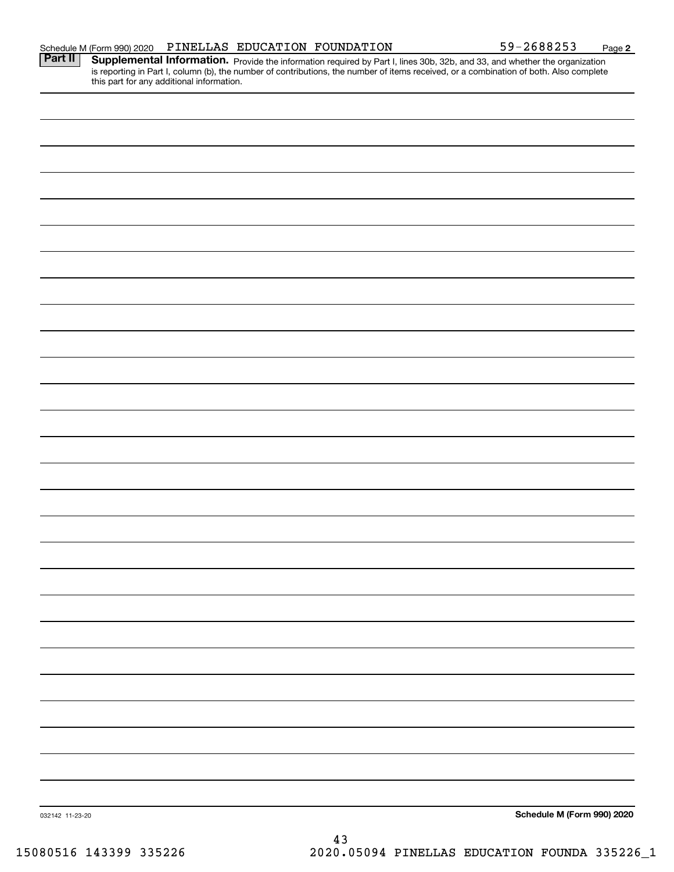| Part II         | <b>Supplemental Information.</b> Provide the information required by Part I, lines 30b, 32b, and 33, and whether the organization is reporting in Part I, column (b), the number of contributions, the number of items received, or |
|-----------------|-------------------------------------------------------------------------------------------------------------------------------------------------------------------------------------------------------------------------------------|
|                 |                                                                                                                                                                                                                                     |
|                 |                                                                                                                                                                                                                                     |
|                 |                                                                                                                                                                                                                                     |
|                 |                                                                                                                                                                                                                                     |
|                 |                                                                                                                                                                                                                                     |
|                 |                                                                                                                                                                                                                                     |
|                 |                                                                                                                                                                                                                                     |
|                 |                                                                                                                                                                                                                                     |
|                 |                                                                                                                                                                                                                                     |
|                 |                                                                                                                                                                                                                                     |
|                 |                                                                                                                                                                                                                                     |
|                 |                                                                                                                                                                                                                                     |
|                 |                                                                                                                                                                                                                                     |
|                 |                                                                                                                                                                                                                                     |
|                 |                                                                                                                                                                                                                                     |
|                 |                                                                                                                                                                                                                                     |
|                 |                                                                                                                                                                                                                                     |
|                 |                                                                                                                                                                                                                                     |
|                 |                                                                                                                                                                                                                                     |
|                 |                                                                                                                                                                                                                                     |
|                 |                                                                                                                                                                                                                                     |
|                 |                                                                                                                                                                                                                                     |
|                 |                                                                                                                                                                                                                                     |
|                 |                                                                                                                                                                                                                                     |
|                 |                                                                                                                                                                                                                                     |
|                 |                                                                                                                                                                                                                                     |
|                 |                                                                                                                                                                                                                                     |
|                 |                                                                                                                                                                                                                                     |
|                 |                                                                                                                                                                                                                                     |
|                 |                                                                                                                                                                                                                                     |
|                 |                                                                                                                                                                                                                                     |
|                 |                                                                                                                                                                                                                                     |
|                 |                                                                                                                                                                                                                                     |
| 032142 11-23-20 | Schedule M (Form 990) 2020                                                                                                                                                                                                          |
|                 | ៱ີ                                                                                                                                                                                                                                  |

**2**

43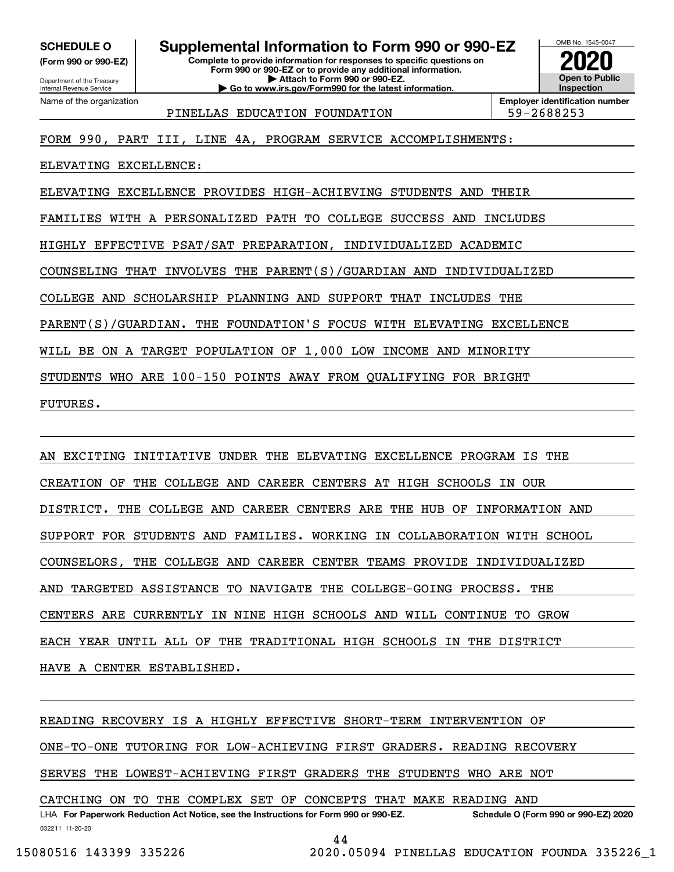**(Form 990 or 990-EZ)**

Department of the Treasury Internal Revenue Service Name of the organization

## **SCHEDULE O Supplemental Information to Form 990 or 990-EZ**

**Complete to provide information for responses to specific questions on Form 990 or 990-EZ or to provide any additional information. | Attach to Form 990 or 990-EZ. | Go to www.irs.gov/Form990 for the latest information.**



PINELLAS EDUCATION FOUNDATION 1999-2688253

**Employer identification number**

### FORM 990, PART III, LINE 4A, PROGRAM SERVICE ACCOMPLISHMENTS:

ELEVATING EXCELLENCE:

ELEVATING EXCELLENCE PROVIDES HIGH-ACHIEVING STUDENTS AND THEIR

FAMILIES WITH A PERSONALIZED PATH TO COLLEGE SUCCESS AND INCLUDES

HIGHLY EFFECTIVE PSAT/SAT PREPARATION, INDIVIDUALIZED ACADEMIC

COUNSELING THAT INVOLVES THE PARENT(S)/GUARDIAN AND INDIVIDUALIZED

COLLEGE AND SCHOLARSHIP PLANNING AND SUPPORT THAT INCLUDES THE

PARENT(S)/GUARDIAN. THE FOUNDATION'S FOCUS WITH ELEVATING EXCELLENCE

WILL BE ON A TARGET POPULATION OF 1,000 LOW INCOME AND MINORITY

STUDENTS WHO ARE 100-150 POINTS AWAY FROM QUALIFYING FOR BRIGHT

FUTURES.

AN EXCITING INITIATIVE UNDER THE ELEVATING EXCELLENCE PROGRAM IS THE CREATION OF THE COLLEGE AND CAREER CENTERS AT HIGH SCHOOLS IN OUR DISTRICT. THE COLLEGE AND CAREER CENTERS ARE THE HUB OF INFORMATION AND SUPPORT FOR STUDENTS AND FAMILIES. WORKING IN COLLABORATION WITH SCHOOL COUNSELORS, THE COLLEGE AND CAREER CENTER TEAMS PROVIDE INDIVIDUALIZED AND TARGETED ASSISTANCE TO NAVIGATE THE COLLEGE-GOING PROCESS. THE CENTERS ARE CURRENTLY IN NINE HIGH SCHOOLS AND WILL CONTINUE TO GROW EACH YEAR UNTIL ALL OF THE TRADITIONAL HIGH SCHOOLS IN THE DISTRICT HAVE A CENTER ESTABLISHED.

032211 11-20-20 LHA For Paperwork Reduction Act Notice, see the Instructions for Form 990 or 990-EZ. Schedule O (Form 990 or 990-EZ) 2020 READING RECOVERY IS A HIGHLY EFFECTIVE SHORT-TERM INTERVENTION OF ONE-TO-ONE TUTORING FOR LOW-ACHIEVING FIRST GRADERS. READING RECOVERY SERVES THE LOWEST-ACHIEVING FIRST GRADERS THE STUDENTS WHO ARE NOT CATCHING ON TO THE COMPLEX SET OF CONCEPTS THAT MAKE READING AND

44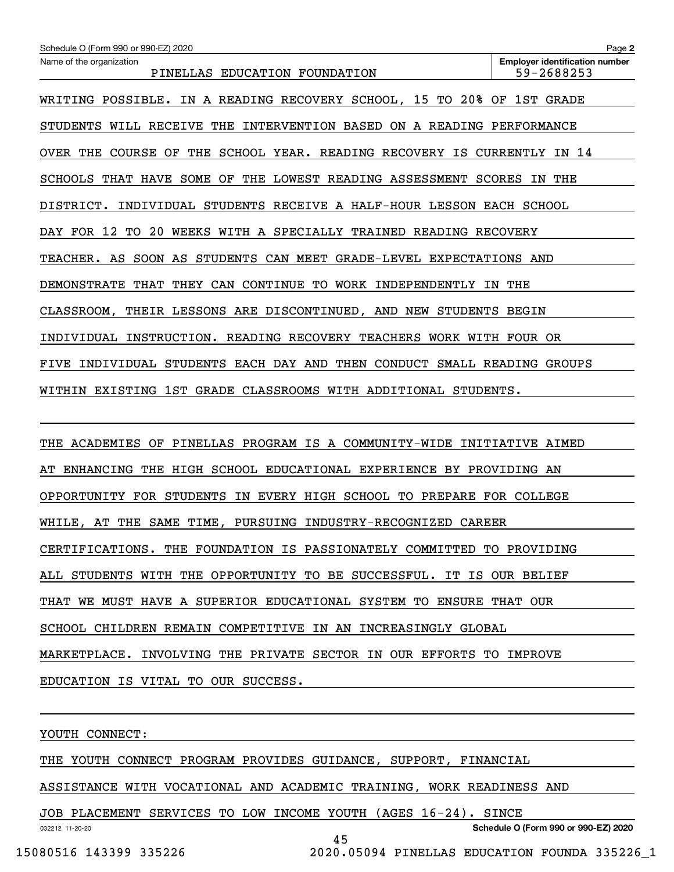| Schedule O (Form 990 or 990-EZ) 2020                                             | Page 2                                              |
|----------------------------------------------------------------------------------|-----------------------------------------------------|
| Name of the organization<br>PINELLAS EDUCATION FOUNDATION                        | <b>Employer identification number</b><br>59-2688253 |
| WRITING POSSIBLE. IN A READING RECOVERY SCHOOL, 15 TO 20% OF 1ST GRADE           |                                                     |
| STUDENTS WILL RECEIVE THE<br>INTERVENTION BASED ON A READING PERFORMANCE         |                                                     |
| THE<br>SCHOOL YEAR. READING RECOVERY IS CURRENTLY IN 14<br>OVER THE<br>COURSE OF |                                                     |
| SCHOOLS THAT HAVE SOME OF THE LOWEST READING ASSESSMENT SCORES IN THE            |                                                     |
| DISTRICT. INDIVIDUAL STUDENTS RECEIVE A HALF-HOUR LESSON EACH SCHOOL             |                                                     |
| DAY FOR 12 TO 20 WEEKS WITH A SPECIALLY TRAINED READING RECOVERY                 |                                                     |
| TEACHER. AS SOON AS STUDENTS CAN MEET GRADE-LEVEL EXPECTATIONS AND               |                                                     |
| DEMONSTRATE THAT THEY CAN CONTINUE TO WORK INDEPENDENTLY IN THE                  |                                                     |
| THEIR LESSONS ARE DISCONTINUED, AND NEW STUDENTS<br>CLASSROOM,                   | <b>BEGIN</b>                                        |
| INDIVIDUAL INSTRUCTION. READING RECOVERY TEACHERS WORK WITH FOUR OR              |                                                     |
| INDIVIDUAL STUDENTS EACH DAY AND THEN CONDUCT SMALL READING GROUPS<br>FIVE       |                                                     |
| WITHIN EXISTING 1ST GRADE CLASSROOMS WITH ADDITIONAL STUDENTS.                   |                                                     |
|                                                                                  |                                                     |
| THE ACADEMIES OF<br>PINELLAS PROGRAM IS A COMMUNITY-WIDE INITIATIVE AIMED        |                                                     |
| ENHANCING THE HIGH SCHOOL EDUCATIONAL EXPERIENCE BY PROVIDING AN<br>AT           |                                                     |
| OPPORTUNITY FOR STUDENTS IN EVERY HIGH SCHOOL TO PREPARE FOR COLLEGE             |                                                     |
| WHILE,<br>AT THE SAME<br>TIME,<br>PURSUING INDUSTRY-RECOGNIZED CAREER            |                                                     |
| THE FOUNDATION IS PASSIONATELY COMMITTED TO PROVIDING<br>CERTIFICATIONS.         |                                                     |
|                                                                                  |                                                     |

ALL STUDENTS WITH THE OPPORTUNITY TO BE SUCCESSFUL. IT IS OUR BELIEF

THAT WE MUST HAVE A SUPERIOR EDUCATIONAL SYSTEM TO ENSURE THAT OUR

SCHOOL CHILDREN REMAIN COMPETITIVE IN AN INCREASINGLY GLOBAL

MARKETPLACE. INVOLVING THE PRIVATE SECTOR IN OUR EFFORTS TO IMPROVE

EDUCATION IS VITAL TO OUR SUCCESS.

YOUTH CONNECT:

THE YOUTH CONNECT PROGRAM PROVIDES GUIDANCE, SUPPORT, FINANCIAL

ASSISTANCE WITH VOCATIONAL AND ACADEMIC TRAINING, WORK READINESS AND

JOB PLACEMENT SERVICES TO LOW INCOME YOUTH (AGES 16-24). SINCE

**Schedule O (Form 990 or 990-EZ) 2020**

032212 11-20-20

45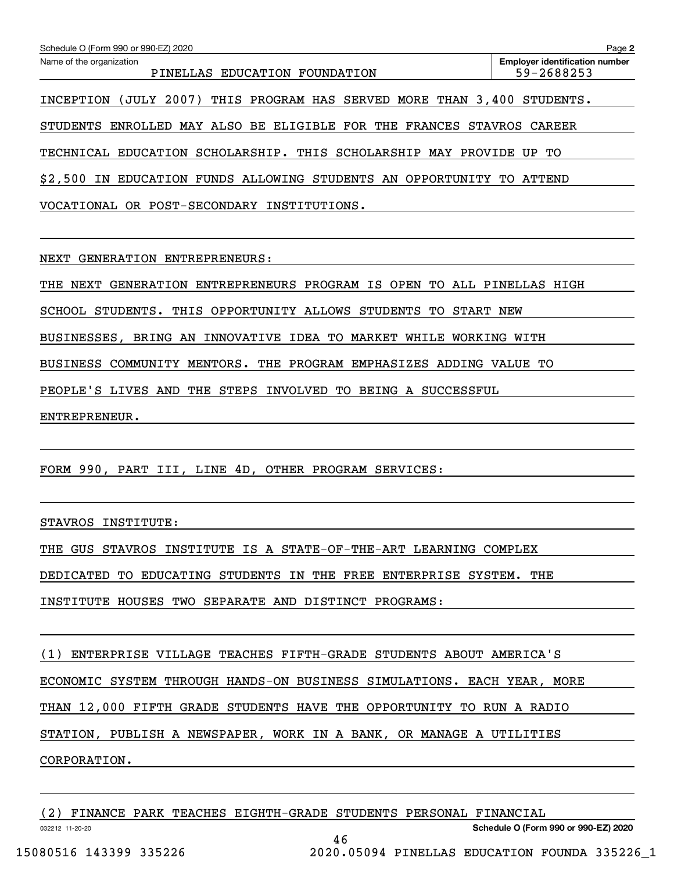| Schedule O (Form 990 or 990-EZ) 2020                                       | Page 2                                |
|----------------------------------------------------------------------------|---------------------------------------|
| Name of the organization                                                   | <b>Employer identification number</b> |
| PINELLAS EDUCATION FOUNDATION                                              | 59-2688253                            |
| (JULY 2007) THIS PROGRAM HAS SERVED MORE THAN 3,400 STUDENTS.<br>INCEPTION |                                       |
| ENROLLED MAY ALSO BE ELIGIBLE FOR THE FRANCES<br>STUDENTS                  | STAVROS CAREER                        |
| TECHNICAL EDUCATION SCHOLARSHIP. THIS SCHOLARSHIP MAY PROVIDE              | UP TO                                 |
| \$2,500<br>EDUCATION FUNDS ALLOWING STUDENTS AN<br>OPPORTUNITY<br>IN       | ATTEND<br>TO.                         |
| OR POST-SECONDARY INSTITUTIONS.<br>VOCATIONAL                              |                                       |
|                                                                            |                                       |
| GENERATION ENTREPRENEURS:<br>NEXT                                          |                                       |
|                                                                            |                                       |

THE NEXT GENERATION ENTREPRENEURS PROGRAM IS OPEN TO ALL PINELLAS HIGH SCHOOL STUDENTS. THIS OPPORTUNITY ALLOWS STUDENTS TO START NEW BUSINESSES, BRING AN INNOVATIVE IDEA TO MARKET WHILE WORKING WITH BUSINESS COMMUNITY MENTORS. THE PROGRAM EMPHASIZES ADDING VALUE TO PEOPLE'S LIVES AND THE STEPS INVOLVED TO BEING A SUCCESSFUL ENTREPRENEUR.

FORM 990, PART III, LINE 4D, OTHER PROGRAM SERVICES:

STAVROS INSTITUTE:

THE GUS STAVROS INSTITUTE IS A STATE-OF-THE-ART LEARNING COMPLEX

DEDICATED TO EDUCATING STUDENTS IN THE FREE ENTERPRISE SYSTEM. THE

INSTITUTE HOUSES TWO SEPARATE AND DISTINCT PROGRAMS:

(1) ENTERPRISE VILLAGE TEACHES FIFTH-GRADE STUDENTS ABOUT AMERICA'S

ECONOMIC SYSTEM THROUGH HANDS-ON BUSINESS SIMULATIONS. EACH YEAR, MORE

THAN 12,000 FIFTH GRADE STUDENTS HAVE THE OPPORTUNITY TO RUN A RADIO

STATION, PUBLISH A NEWSPAPER, WORK IN A BANK, OR MANAGE A UTILITIES

CORPORATION.

(2) FINANCE PARK TEACHES EIGHTH-GRADE STUDENTS PERSONAL FINANCIAL

46

032212 11-20-20

**Schedule O (Form 990 or 990-EZ) 2020**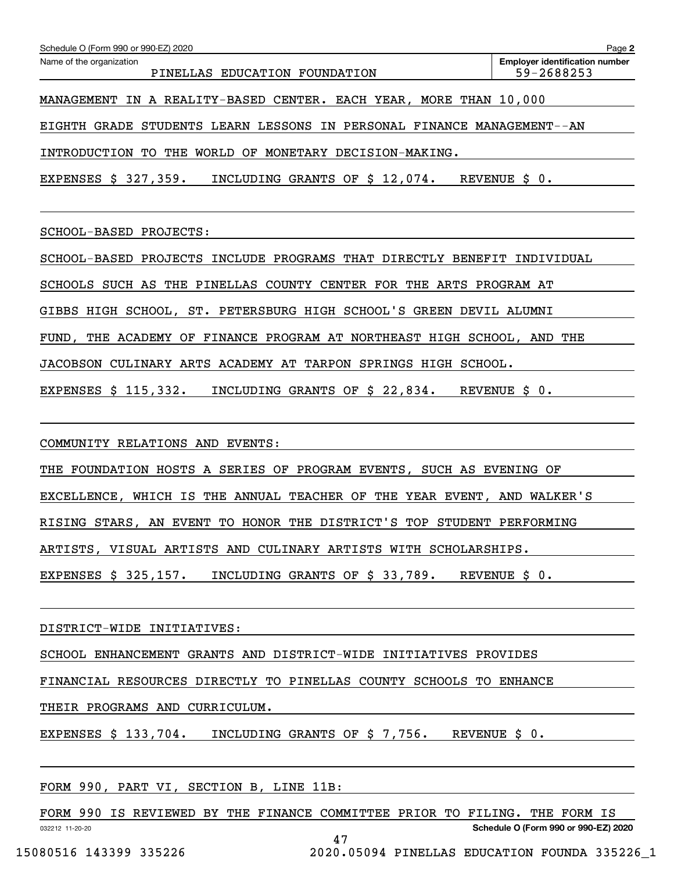| Schedule O (Form 990 or 990-EZ) 2020                                      | Page 2                                              |
|---------------------------------------------------------------------------|-----------------------------------------------------|
| Name of the organization<br>PINELLAS EDUCATION FOUNDATION                 | <b>Employer identification number</b><br>59-2688253 |
| MANAGEMENT IN A REALITY-BASED CENTER. EACH YEAR, MORE THAN 10,000         |                                                     |
| EIGHTH GRADE STUDENTS LEARN LESSONS IN PERSONAL FINANCE MANAGEMENT--AN    |                                                     |
| INTRODUCTION TO THE WORLD OF MONETARY DECISION-MAKING.                    |                                                     |
| INCLUDING GRANTS OF \$ 12,074. REVENUE \$ 0.<br>EXPENSES \$ 327,359.      |                                                     |
|                                                                           |                                                     |
| SCHOOL-BASED PROJECTS:                                                    |                                                     |
| SCHOOL-BASED PROJECTS INCLUDE PROGRAMS THAT DIRECTLY BENEFIT INDIVIDUAL   |                                                     |
| SCHOOLS SUCH AS THE PINELLAS COUNTY CENTER FOR THE ARTS PROGRAM AT        |                                                     |
| GIBBS HIGH SCHOOL, ST. PETERSBURG HIGH SCHOOL'S GREEN DEVIL ALUMNI        |                                                     |
| FUND, THE ACADEMY OF FINANCE PROGRAM AT NORTHEAST HIGH SCHOOL, AND THE    |                                                     |
| JACOBSON CULINARY ARTS ACADEMY AT TARPON SPRINGS HIGH SCHOOL.             |                                                     |
| EXPENSES \$ 115,332.<br>INCLUDING GRANTS OF \$ 22,834. REVENUE \$ 0.      |                                                     |
|                                                                           |                                                     |
| COMMUNITY RELATIONS AND EVENTS:                                           |                                                     |
| THE FOUNDATION HOCTS A CEDIFS OF DDOCDAM FUFNTS<br>סוורש גם ביודאדואם הדי |                                                     |

THE FOUNDATION HOSTS A SERIES OF PROGRAM EVENTS, SUCH AS EVENING OF EXCELLENCE, WHICH IS THE ANNUAL TEACHER OF THE YEAR EVENT, AND WALKER'S RISING STARS, AN EVENT TO HONOR THE DISTRICT'S TOP STUDENT PERFORMING ARTISTS, VISUAL ARTISTS AND CULINARY ARTISTS WITH SCHOLARSHIPS. EXPENSES \$ 325,157. INCLUDING GRANTS OF \$ 33,789. REVENUE \$ 0.

DISTRICT-WIDE INITIATIVES:

SCHOOL ENHANCEMENT GRANTS AND DISTRICT-WIDE INITIATIVES PROVIDES

FINANCIAL RESOURCES DIRECTLY TO PINELLAS COUNTY SCHOOLS TO ENHANCE

THEIR PROGRAMS AND CURRICULUM.

EXPENSES \$ 133,704. INCLUDING GRANTS OF \$ 7,756. REVENUE \$ 0.

FORM 990, PART VI, SECTION B, LINE 11B:

032212 11-20-20 **Schedule O (Form 990 or 990-EZ) 2020** FORM 990 IS REVIEWED BY THE FINANCE COMMITTEE PRIOR TO FILING. THE FORM IS

47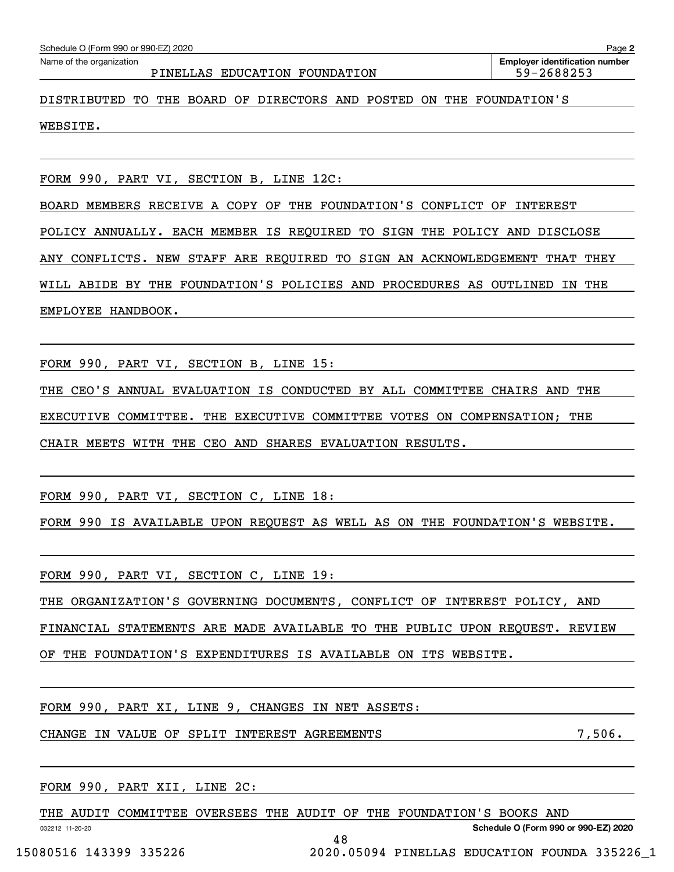### PINELLAS EDUCATION FOUNDATION 59-2688253

### DISTRIBUTED TO THE BOARD OF DIRECTORS AND POSTED ON THE FOUNDATION'S

WEBSITE.

FORM 990, PART VI, SECTION B, LINE 12C:

BOARD MEMBERS RECEIVE A COPY OF THE FOUNDATION'S CONFLICT OF INTEREST POLICY ANNUALLY. EACH MEMBER IS REQUIRED TO SIGN THE POLICY AND DISCLOSE ANY CONFLICTS. NEW STAFF ARE REQUIRED TO SIGN AN ACKNOWLEDGEMENT THAT THEY WILL ABIDE BY THE FOUNDATION'S POLICIES AND PROCEDURES AS OUTLINED IN THE EMPLOYEE HANDBOOK.

FORM 990, PART VI, SECTION B, LINE 15:

THE CEO'S ANNUAL EVALUATION IS CONDUCTED BY ALL COMMITTEE CHAIRS AND THE

EXECUTIVE COMMITTEE. THE EXECUTIVE COMMITTEE VOTES ON COMPENSATION; THE

CHAIR MEETS WITH THE CEO AND SHARES EVALUATION RESULTS.

FORM 990, PART VI, SECTION C, LINE 18:

FORM 990 IS AVAILABLE UPON REQUEST AS WELL AS ON THE FOUNDATION'S WEBSITE.

FORM 990, PART VI, SECTION C, LINE 19:

THE ORGANIZATION'S GOVERNING DOCUMENTS, CONFLICT OF INTEREST POLICY, AND

FINANCIAL STATEMENTS ARE MADE AVAILABLE TO THE PUBLIC UPON REQUEST. REVIEW

OF THE FOUNDATION'S EXPENDITURES IS AVAILABLE ON ITS WEBSITE.

FORM 990, PART XI, LINE 9, CHANGES IN NET ASSETS:

CHANGE IN VALUE OF SPLIT INTEREST AGREEMENTS 7,506.

FORM 990, PART XII, LINE 2C:

THE AUDIT COMMITTEE OVERSEES THE AUDIT OF THE FOUNDATION'S BOOKS AND

48

032212 11-20-20

**Schedule O (Form 990 or 990-EZ) 2020**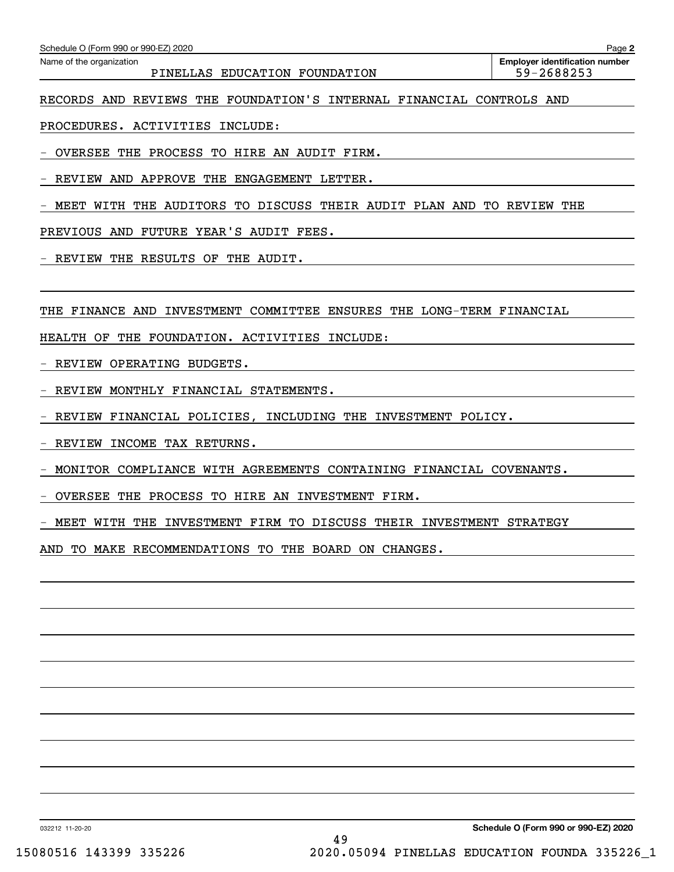Echedule O (Form 990 or 990-EZ) 2020<br>Name of the organization **number** Name of the organization **number** 

PINELLAS EDUCATION FOUNDATION 59-2688253

RECORDS AND REVIEWS THE FOUNDATION'S INTERNAL FINANCIAL CONTROLS AND

PROCEDURES. ACTIVITIES INCLUDE:

- OVERSEE THE PROCESS TO HIRE AN AUDIT FIRM.

REVIEW AND APPROVE THE ENGAGEMENT LETTER.

- MEET WITH THE AUDITORS TO DISCUSS THEIR AUDIT PLAN AND TO REVIEW THE

PREVIOUS AND FUTURE YEAR'S AUDIT FEES.

- REVIEW THE RESULTS OF THE AUDIT.

THE FINANCE AND INVESTMENT COMMITTEE ENSURES THE LONG-TERM FINANCIAL

HEALTH OF THE FOUNDATION. ACTIVITIES INCLUDE:

- REVIEW OPERATING BUDGETS.

- REVIEW MONTHLY FINANCIAL STATEMENTS.

- REVIEW FINANCIAL POLICIES, INCLUDING THE INVESTMENT POLICY.

- REVIEW INCOME TAX RETURNS.

- MONITOR COMPLIANCE WITH AGREEMENTS CONTAINING FINANCIAL COVENANTS.

- OVERSEE THE PROCESS TO HIRE AN INVESTMENT FIRM.

- MEET WITH THE INVESTMENT FIRM TO DISCUSS THEIR INVESTMENT STRATEGY

AND TO MAKE RECOMMENDATIONS TO THE BOARD ON CHANGES.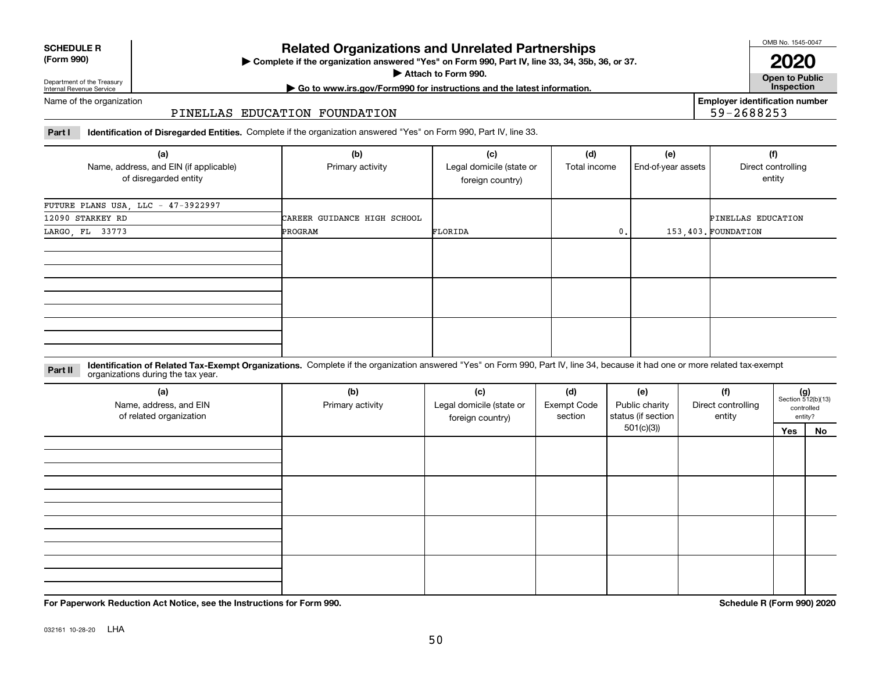| <b>SCHEDULE R</b>                          |  |
|--------------------------------------------|--|
| $\mathbf{r}$ , $\mathbf{r}$ , $\mathbf{r}$ |  |

### **(Form 990)**

# **Related Organizations and Unrelated Partnerships**

**Complete if the organization answered "Yes" on Form 990, Part IV, line 33, 34, 35b, 36, or 37.** |

**Attach to Form 990.**  |

OMB No. 1545-0047

**Open to Public 2020**

**Employer identification number**

59-2688253

Department of the Treasury Internal Revenue Service

# **| Go to www.irs.gov/Form990 for instructions and the latest information. Inspection**

Name of the organization

### PINELLAS EDUCATION FOUNDATION

**Part I Identification of Disregarded Entities.**  Complete if the organization answered "Yes" on Form 990, Part IV, line 33.

| (a)<br>Name, address, and EIN (if applicable)<br>of disregarded entity | (b)<br>Primary activity     | (c)<br>Legal domicile (state or<br>foreign country) | (d)<br>Total income | (e)<br>End-of-year assets | (f)<br>Direct controlling<br>entity |
|------------------------------------------------------------------------|-----------------------------|-----------------------------------------------------|---------------------|---------------------------|-------------------------------------|
| FUTURE PLANS USA, LLC - 47-3922997                                     |                             |                                                     |                     |                           |                                     |
| 12090 STARKEY RD                                                       | CAREER GUIDANCE HIGH SCHOOL |                                                     |                     |                           | PINELLAS EDUCATION                  |
| LARGO, FL 33773                                                        | PROGRAM                     | FLORIDA                                             | 0.                  |                           | 153,403. FOUNDATION                 |
|                                                                        |                             |                                                     |                     |                           |                                     |
|                                                                        |                             |                                                     |                     |                           |                                     |
|                                                                        |                             |                                                     |                     |                           |                                     |

**Identification of Related Tax-Exempt Organizations.** Complete if the organization answered "Yes" on Form 990, Part IV, line 34, because it had one or more related tax-exempt **Part II** organizations during the tax year.

| (a)<br>Name, address, and EIN<br>of related organization | (b)<br>Primary activity | (c)<br>Legal domicile (state or<br>foreign country) | (d)<br><b>Exempt Code</b><br>section |  | (e)<br>Public charity<br>status (if section | (f)<br>Direct controlling<br>entity | $(g)$<br>Section 512(b)(13) | controlled<br>entity? |
|----------------------------------------------------------|-------------------------|-----------------------------------------------------|--------------------------------------|--|---------------------------------------------|-------------------------------------|-----------------------------|-----------------------|
|                                                          |                         |                                                     | 501(c)(3)                            |  |                                             | Yes                                 | No                          |                       |
|                                                          |                         |                                                     |                                      |  |                                             |                                     |                             |                       |
|                                                          |                         |                                                     |                                      |  |                                             |                                     |                             |                       |
|                                                          |                         |                                                     |                                      |  |                                             |                                     |                             |                       |

**For Paperwork Reduction Act Notice, see the Instructions for Form 990. Schedule R (Form 990) 2020**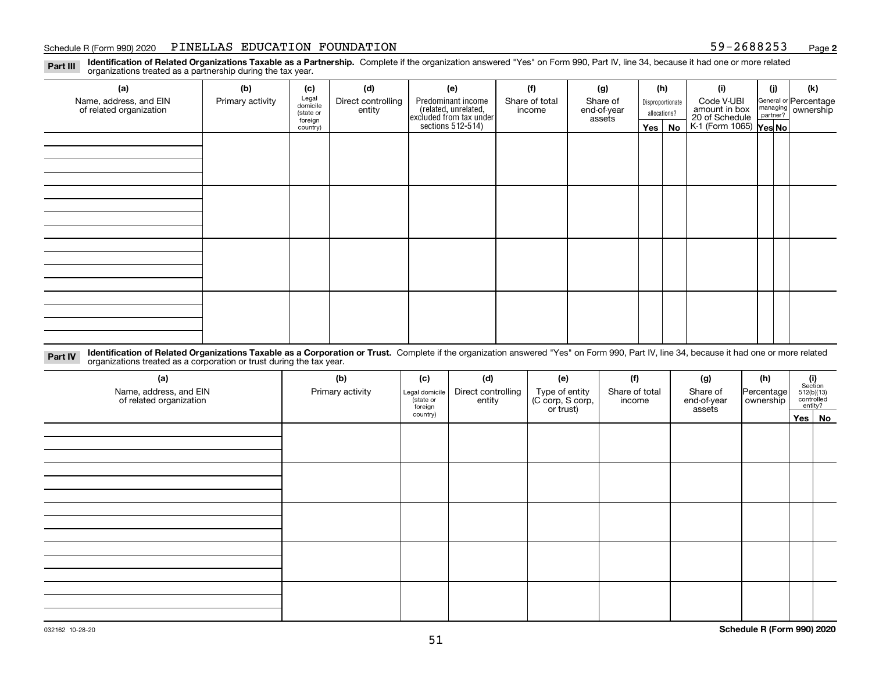### Schedule R (Form 990) 2020 PINELLAS EDUCATION FOUNDATION 59-2688253 Page

**2**

**Identification of Related Organizations Taxable as a Partnership.** Complete if the organization answered "Yes" on Form 990, Part IV, line 34, because it had one or more related **Part III** organizations treated as a partnership during the tax year.

| (a)                                               | (b)              | (c)                  | (d)                          | (e)                                                                 | (f)                      | (g)                     |              | (h)              | (i)                                      | (j) | (k)                                                       |
|---------------------------------------------------|------------------|----------------------|------------------------------|---------------------------------------------------------------------|--------------------------|-------------------------|--------------|------------------|------------------------------------------|-----|-----------------------------------------------------------|
| Name, address, and EIN<br>of related organization | Primary activity | Legal<br>domicile    | Direct controlling<br>entity | Predominant income                                                  | Share of total<br>income | Share of<br>end-of-year |              | Disproportionate | Code V-UBI<br>amount in box              |     | General or Percentage<br>managing<br>partner?<br>partner? |
|                                                   |                  | (state or<br>foreign |                              |                                                                     |                          | assets                  | allocations? |                  |                                          |     |                                                           |
|                                                   |                  | country)             |                              | related, unrelated,<br>excluded from tax under<br>sections 512-514) |                          |                         | Yes $ $      | No               | 20 of Schedule<br>K-1 (Form 1065) Yes No |     |                                                           |
|                                                   |                  |                      |                              |                                                                     |                          |                         |              |                  |                                          |     |                                                           |
|                                                   |                  |                      |                              |                                                                     |                          |                         |              |                  |                                          |     |                                                           |
|                                                   |                  |                      |                              |                                                                     |                          |                         |              |                  |                                          |     |                                                           |
|                                                   |                  |                      |                              |                                                                     |                          |                         |              |                  |                                          |     |                                                           |
|                                                   |                  |                      |                              |                                                                     |                          |                         |              |                  |                                          |     |                                                           |
|                                                   |                  |                      |                              |                                                                     |                          |                         |              |                  |                                          |     |                                                           |
|                                                   |                  |                      |                              |                                                                     |                          |                         |              |                  |                                          |     |                                                           |
|                                                   |                  |                      |                              |                                                                     |                          |                         |              |                  |                                          |     |                                                           |
|                                                   |                  |                      |                              |                                                                     |                          |                         |              |                  |                                          |     |                                                           |
|                                                   |                  |                      |                              |                                                                     |                          |                         |              |                  |                                          |     |                                                           |
|                                                   |                  |                      |                              |                                                                     |                          |                         |              |                  |                                          |     |                                                           |
|                                                   |                  |                      |                              |                                                                     |                          |                         |              |                  |                                          |     |                                                           |
|                                                   |                  |                      |                              |                                                                     |                          |                         |              |                  |                                          |     |                                                           |
|                                                   |                  |                      |                              |                                                                     |                          |                         |              |                  |                                          |     |                                                           |
|                                                   |                  |                      |                              |                                                                     |                          |                         |              |                  |                                          |     |                                                           |
|                                                   |                  |                      |                              |                                                                     |                          |                         |              |                  |                                          |     |                                                           |
|                                                   |                  |                      |                              |                                                                     |                          |                         |              |                  |                                          |     |                                                           |

**Identification of Related Organizations Taxable as a Corporation or Trust.** Complete if the organization answered "Yes" on Form 990, Part IV, line 34, because it had one or more related **Part IV** organizations treated as a corporation or trust during the tax year.

| (a)<br>Name, address, and EIN<br>of related organization | (b)<br>Primary activity | (c)<br>Legal domicile<br>(state or<br>foreign | (d)<br>Direct controlling<br>entity | (e)<br>Type of entity<br>(C corp, S corp,<br>or trust) | (f)<br>Share of total<br>income | (g)<br>Share of<br>end-of-year<br>assets | (h)<br>Percentage<br>ownership | (i)<br>Section<br>512(b)(13)<br>controlled | entity? |  |
|----------------------------------------------------------|-------------------------|-----------------------------------------------|-------------------------------------|--------------------------------------------------------|---------------------------------|------------------------------------------|--------------------------------|--------------------------------------------|---------|--|
|                                                          |                         | country)                                      |                                     |                                                        |                                 |                                          |                                |                                            | Yes No  |  |
|                                                          |                         |                                               |                                     |                                                        |                                 |                                          |                                |                                            |         |  |
|                                                          |                         |                                               |                                     |                                                        |                                 |                                          |                                |                                            |         |  |
|                                                          |                         |                                               |                                     |                                                        |                                 |                                          |                                |                                            |         |  |
|                                                          |                         |                                               |                                     |                                                        |                                 |                                          |                                |                                            |         |  |
|                                                          |                         |                                               |                                     |                                                        |                                 |                                          |                                |                                            |         |  |
|                                                          |                         |                                               |                                     |                                                        |                                 |                                          |                                |                                            |         |  |
|                                                          |                         |                                               |                                     |                                                        |                                 |                                          |                                |                                            |         |  |
|                                                          |                         |                                               |                                     |                                                        |                                 |                                          |                                |                                            |         |  |
|                                                          |                         |                                               |                                     |                                                        |                                 |                                          |                                |                                            |         |  |
|                                                          |                         |                                               |                                     |                                                        |                                 |                                          |                                |                                            |         |  |
|                                                          |                         |                                               |                                     |                                                        |                                 |                                          |                                |                                            |         |  |
|                                                          |                         |                                               |                                     |                                                        |                                 |                                          |                                |                                            |         |  |
|                                                          |                         |                                               |                                     |                                                        |                                 |                                          |                                |                                            |         |  |
|                                                          |                         |                                               |                                     |                                                        |                                 |                                          |                                |                                            |         |  |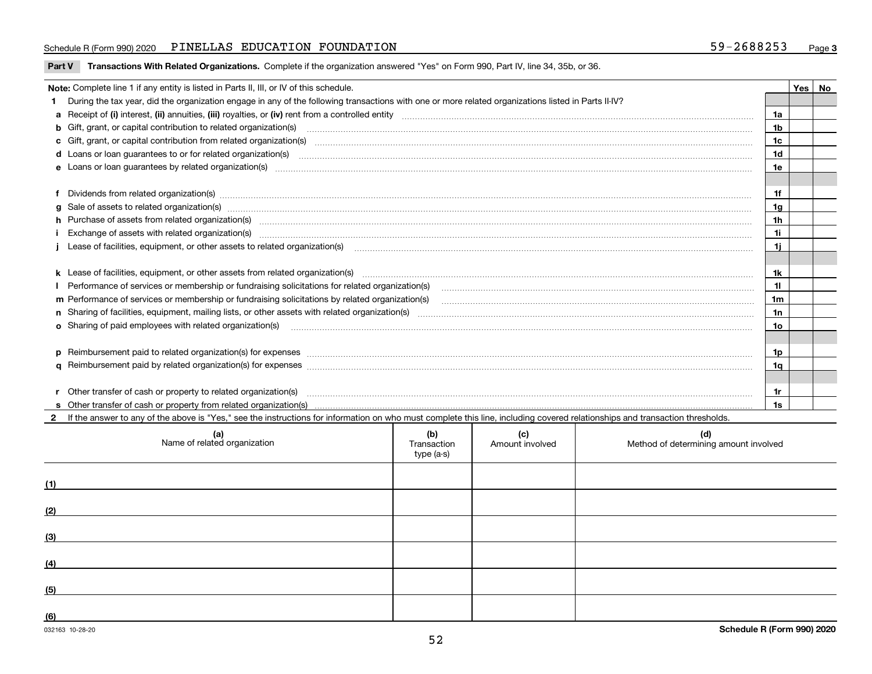### Schedule R (Form 990) 2020 PINELLAS EDUCATION FOUNDATION 59-2688253 Page

| Part V Transactions With Related Organizations. Complete if the organization answered "Yes" on Form 990, Part IV, line 34, 35b, or 36. |  |
|----------------------------------------------------------------------------------------------------------------------------------------|--|
|                                                                                                                                        |  |

|   | Note: Complete line 1 if any entity is listed in Parts II, III, or IV of this schedule.                                                                                                                                        |                | Yes   No |
|---|--------------------------------------------------------------------------------------------------------------------------------------------------------------------------------------------------------------------------------|----------------|----------|
|   | During the tax year, did the organization engage in any of the following transactions with one or more related organizations listed in Parts II-IV?                                                                            |                |          |
|   |                                                                                                                                                                                                                                | 1a             |          |
|   | b Gift, grant, or capital contribution to related organization(s) manufaction contracts and contribution to related organization(s) manufaction contribution to related organization(s)                                        | 1 <sub>b</sub> |          |
|   |                                                                                                                                                                                                                                | 1c             |          |
|   |                                                                                                                                                                                                                                | 1 <sub>d</sub> |          |
|   |                                                                                                                                                                                                                                | 1e             |          |
|   |                                                                                                                                                                                                                                |                |          |
|   |                                                                                                                                                                                                                                | 1f             |          |
| a |                                                                                                                                                                                                                                | 1 <sub>q</sub> |          |
|   | h Purchase of assets from related organization(s) manufactured and content to content the content of assets from related organization(s)                                                                                       | 1 <sub>h</sub> |          |
|   | Exchange of assets with related organization(s) www.walescommunity.com/walescommunity/walescommunity/walescommunity/walescommunity/walescommunity/walescommunity/walescommunity/walescommunity/walescommunity/walescommunity/w | 1i             |          |
|   | Lease of facilities, equipment, or other assets to related organization(s) [11] manufaction(s) [11] manufaction(s) and the manufaction of the manufacture of facilities, equipment, or other assets to related organization(s) | 1i.            |          |
|   |                                                                                                                                                                                                                                |                |          |
|   |                                                                                                                                                                                                                                | 1k             |          |
|   |                                                                                                                                                                                                                                | 11             |          |
|   |                                                                                                                                                                                                                                | 1 <sub>m</sub> |          |
|   |                                                                                                                                                                                                                                | 1n             |          |
|   | <b>o</b> Sharing of paid employees with related organization(s)                                                                                                                                                                | 1o             |          |
|   |                                                                                                                                                                                                                                |                |          |
|   |                                                                                                                                                                                                                                | 1p             |          |
|   |                                                                                                                                                                                                                                | 1q             |          |
|   |                                                                                                                                                                                                                                |                |          |
|   | r Other transfer of cash or property to related organization(s)                                                                                                                                                                | 1r             |          |
|   |                                                                                                                                                                                                                                | 1s             |          |
|   | 2 If the answer to any of the above is "Yes," see the instructions for information on who must complete this line, including covered relationships and transaction thresholds.                                                 |                |          |

| (a)<br>Name of related organization | (b)<br>Transaction<br>type (a-s) | (c)<br>Amount involved | (d)<br>Method of determining amount involved |
|-------------------------------------|----------------------------------|------------------------|----------------------------------------------|
| (1)                                 |                                  |                        |                                              |
| (2)                                 |                                  |                        |                                              |
| (3)                                 |                                  |                        |                                              |
| (4)                                 |                                  |                        |                                              |
| (5)                                 |                                  |                        |                                              |
| (6)                                 |                                  |                        |                                              |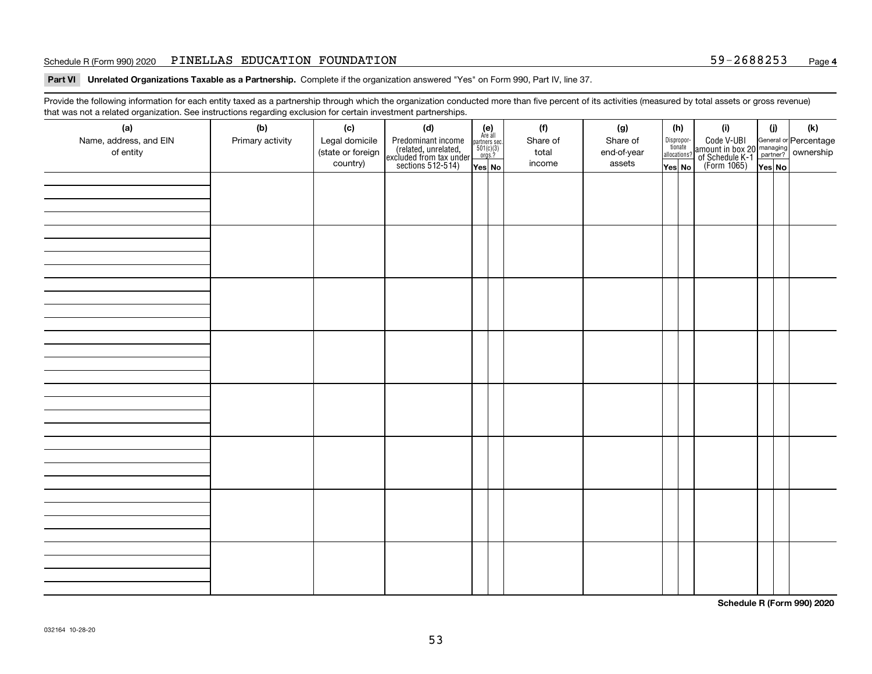### Schedule R (Form 990) 2020 PINELLAS EDUCATION FOUNDATION 59-2688253 Page

**Part VI Unrelated Organizations Taxable as a Partnership. Complete if the organization answered "Yes" on Form 990, Part IV, line 37.** 

Provide the following information for each entity taxed as a partnership through which the organization conducted more than five percent of its activities (measured by total assets or gross revenue) that was not a related organization. See instructions regarding exclusion for certain investment partnerships.

| ັ                      | ັ<br>ັ           |                   |                                                                                            |                                      |          |             |                                       |                                                                                                                                       |        |     |
|------------------------|------------------|-------------------|--------------------------------------------------------------------------------------------|--------------------------------------|----------|-------------|---------------------------------------|---------------------------------------------------------------------------------------------------------------------------------------|--------|-----|
| (a)                    | (b)              | (c)               | (d)                                                                                        | (e)<br>Are all                       | (f)      | (g)         | (h)                                   | (i)                                                                                                                                   | (i)    | (k) |
| Name, address, and EIN | Primary activity | Legal domicile    | Predominant income<br>(related, unrelated,<br>excluded from tax under<br>sections 512-514) | partners sec.<br>501(c)(3)<br>orgs.? | Share of | Share of    | Dispropor-<br>tionate<br>allocations? | Code V-UBI<br>  amount in box 20 managing<br>  of Schedule K-1 partner? ownership<br>  of Schedule K-1 partner? ownership<br>  Yes No |        |     |
| of entity              |                  | (state or foreign |                                                                                            |                                      | total    | end-of-year |                                       |                                                                                                                                       |        |     |
|                        |                  | country)          |                                                                                            | Yes No                               | income   | assets      | Yes No                                |                                                                                                                                       | Yes No |     |
|                        |                  |                   |                                                                                            |                                      |          |             |                                       |                                                                                                                                       |        |     |
|                        |                  |                   |                                                                                            |                                      |          |             |                                       |                                                                                                                                       |        |     |
|                        |                  |                   |                                                                                            |                                      |          |             |                                       |                                                                                                                                       |        |     |
|                        |                  |                   |                                                                                            |                                      |          |             |                                       |                                                                                                                                       |        |     |
|                        |                  |                   |                                                                                            |                                      |          |             |                                       |                                                                                                                                       |        |     |
|                        |                  |                   |                                                                                            |                                      |          |             |                                       |                                                                                                                                       |        |     |
|                        |                  |                   |                                                                                            |                                      |          |             |                                       |                                                                                                                                       |        |     |
|                        |                  |                   |                                                                                            |                                      |          |             |                                       |                                                                                                                                       |        |     |
|                        |                  |                   |                                                                                            |                                      |          |             |                                       |                                                                                                                                       |        |     |
|                        |                  |                   |                                                                                            |                                      |          |             |                                       |                                                                                                                                       |        |     |
|                        |                  |                   |                                                                                            |                                      |          |             |                                       |                                                                                                                                       |        |     |
|                        |                  |                   |                                                                                            |                                      |          |             |                                       |                                                                                                                                       |        |     |
|                        |                  |                   |                                                                                            |                                      |          |             |                                       |                                                                                                                                       |        |     |
|                        |                  |                   |                                                                                            |                                      |          |             |                                       |                                                                                                                                       |        |     |
|                        |                  |                   |                                                                                            |                                      |          |             |                                       |                                                                                                                                       |        |     |
|                        |                  |                   |                                                                                            |                                      |          |             |                                       |                                                                                                                                       |        |     |
|                        |                  |                   |                                                                                            |                                      |          |             |                                       |                                                                                                                                       |        |     |
|                        |                  |                   |                                                                                            |                                      |          |             |                                       |                                                                                                                                       |        |     |
|                        |                  |                   |                                                                                            |                                      |          |             |                                       |                                                                                                                                       |        |     |
|                        |                  |                   |                                                                                            |                                      |          |             |                                       |                                                                                                                                       |        |     |
|                        |                  |                   |                                                                                            |                                      |          |             |                                       |                                                                                                                                       |        |     |
|                        |                  |                   |                                                                                            |                                      |          |             |                                       |                                                                                                                                       |        |     |
|                        |                  |                   |                                                                                            |                                      |          |             |                                       |                                                                                                                                       |        |     |
|                        |                  |                   |                                                                                            |                                      |          |             |                                       |                                                                                                                                       |        |     |
|                        |                  |                   |                                                                                            |                                      |          |             |                                       |                                                                                                                                       |        |     |
|                        |                  |                   |                                                                                            |                                      |          |             |                                       |                                                                                                                                       |        |     |
|                        |                  |                   |                                                                                            |                                      |          |             |                                       |                                                                                                                                       |        |     |
|                        |                  |                   |                                                                                            |                                      |          |             |                                       |                                                                                                                                       |        |     |
|                        |                  |                   |                                                                                            |                                      |          |             |                                       |                                                                                                                                       |        |     |
|                        |                  |                   |                                                                                            |                                      |          |             |                                       |                                                                                                                                       |        |     |
|                        |                  |                   |                                                                                            |                                      |          |             |                                       |                                                                                                                                       |        |     |
|                        |                  |                   |                                                                                            |                                      |          |             |                                       |                                                                                                                                       |        |     |
|                        |                  |                   |                                                                                            |                                      |          |             |                                       |                                                                                                                                       |        |     |
|                        |                  |                   |                                                                                            |                                      |          |             |                                       |                                                                                                                                       |        |     |
|                        |                  |                   |                                                                                            |                                      |          |             |                                       |                                                                                                                                       |        |     |

**Schedule R (Form 990) 2020**